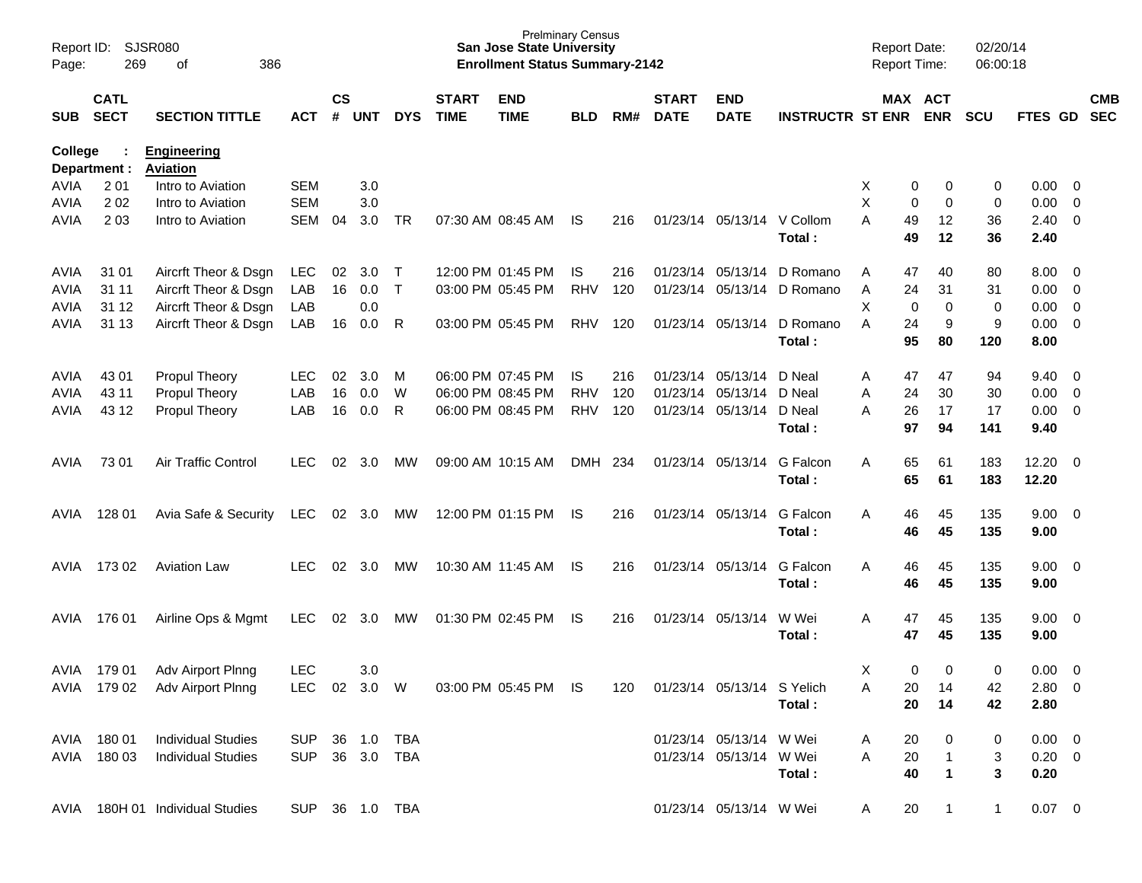| Report ID:<br>Page: | 269                        | SJSR080<br>386<br>оf                  |                |                    |            |              |                             | <b>Prelminary Census</b><br><b>San Jose State University</b><br><b>Enrollment Status Summary-2142</b> |            |     |                             |                            |                         | <b>Report Date:</b><br><b>Report Time:</b> |                       | 02/20/14<br>06:00:18 |                |                          |                          |
|---------------------|----------------------------|---------------------------------------|----------------|--------------------|------------|--------------|-----------------------------|-------------------------------------------------------------------------------------------------------|------------|-----|-----------------------------|----------------------------|-------------------------|--------------------------------------------|-----------------------|----------------------|----------------|--------------------------|--------------------------|
| <b>SUB</b>          | <b>CATL</b><br><b>SECT</b> | <b>SECTION TITTLE</b>                 | <b>ACT</b>     | $\mathsf{cs}$<br># | <b>UNT</b> | <b>DYS</b>   | <b>START</b><br><b>TIME</b> | <b>END</b><br><b>TIME</b>                                                                             | <b>BLD</b> | RM# | <b>START</b><br><b>DATE</b> | <b>END</b><br><b>DATE</b>  | <b>INSTRUCTR ST ENR</b> |                                            | MAX ACT<br><b>ENR</b> | <b>SCU</b>           | FTES GD        |                          | <b>CMB</b><br><b>SEC</b> |
| College             | Department :               | <b>Engineering</b><br><b>Aviation</b> |                |                    |            |              |                             |                                                                                                       |            |     |                             |                            |                         |                                            |                       |                      |                |                          |                          |
| AVIA                | 2 0 1                      | Intro to Aviation                     | <b>SEM</b>     |                    | 3.0        |              |                             |                                                                                                       |            |     |                             |                            |                         | Χ                                          | 0<br>0                | 0                    | 0.00           | $\overline{\mathbf{0}}$  |                          |
| <b>AVIA</b>         | 202                        | Intro to Aviation                     | <b>SEM</b>     |                    | 3.0        |              |                             |                                                                                                       |            |     |                             |                            |                         | X                                          | 0<br>$\mathbf 0$      | 0                    | 0.00           | $\overline{\mathbf{0}}$  |                          |
| AVIA                | 2 0 3                      | Intro to Aviation                     | SEM            | 04                 | 3.0        | <b>TR</b>    |                             | 07:30 AM 08:45 AM                                                                                     | IS.        | 216 |                             | 01/23/14 05/13/14 V Collom | Total:                  | A<br>49<br>49                              | 12<br>12              | 36<br>36             | 2.40<br>2.40   | $\overline{0}$           |                          |
| AVIA                | 31 01                      | Aircrft Theor & Dsgn                  | <b>LEC</b>     | 02                 | 3.0        | $\top$       |                             | 12:00 PM 01:45 PM                                                                                     | IS.        | 216 |                             | 01/23/14 05/13/14          | D Romano                | 47<br>A                                    | 40                    | 80                   | 8.00           | $\overline{\mathbf{0}}$  |                          |
| AVIA                | 31 11                      | Aircrft Theor & Dsgn                  | LAB            | 16                 | 0.0        | $\mathsf{T}$ |                             | 03:00 PM 05:45 PM                                                                                     | <b>RHV</b> | 120 |                             | 01/23/14 05/13/14          | D Romano                | 24<br>Α                                    | 31                    | 31                   | 0.00           | $\overline{\mathbf{0}}$  |                          |
| AVIA                | 31 12                      | Aircrft Theor & Dsgn                  | LAB            |                    | 0.0        |              |                             |                                                                                                       |            |     |                             |                            |                         | X                                          | 0<br>$\mathbf 0$      | 0                    | 0.00           | $\overline{0}$           |                          |
| AVIA                | 31 13                      | Aircrft Theor & Dsgn                  | LAB            | 16                 | 0.0        | R            |                             | 03:00 PM 05:45 PM                                                                                     | <b>RHV</b> | 120 |                             | 01/23/14 05/13/14          | D Romano<br>Total:      | 24<br>A<br>95                              | 9<br>80               | 9<br>120             | 0.00<br>8.00   | $\overline{0}$           |                          |
| AVIA                | 43 01                      | <b>Propul Theory</b>                  | <b>LEC</b>     | 02                 | 3.0        | M            |                             | 06:00 PM 07:45 PM                                                                                     | IS.        | 216 |                             | 01/23/14 05/13/14          | D Neal                  | 47<br>A                                    | 47                    | 94                   | 9.40           | $\overline{\mathbf{0}}$  |                          |
| AVIA                | 43 11                      | Propul Theory                         | LAB            | 16                 | 0.0        | W            |                             | 06:00 PM 08:45 PM                                                                                     | <b>RHV</b> | 120 |                             | 01/23/14 05/13/14          | D Neal                  | 24<br>Α                                    | 30                    | 30                   | 0.00           | $\overline{\mathbf{0}}$  |                          |
| AVIA                | 43 12                      | <b>Propul Theory</b>                  | LAB            | 16                 | 0.0        | R            |                             | 06:00 PM 08:45 PM                                                                                     | <b>RHV</b> | 120 |                             | 01/23/14 05/13/14          | D Neal                  | 26<br>A                                    | 17                    | 17                   | 0.00           | $\overline{0}$           |                          |
|                     |                            |                                       |                |                    |            |              |                             |                                                                                                       |            |     |                             |                            | Total:                  | 97                                         | 94                    | 141                  | 9.40           |                          |                          |
| AVIA                | 73 01                      | Air Traffic Control                   | LEC            | 02                 | 3.0        | МW           |                             | 09:00 AM 10:15 AM                                                                                     | <b>DMH</b> | 234 |                             | 01/23/14 05/13/14          | G Falcon<br>Total:      | 65<br>A<br>65                              | 61<br>61              | 183<br>183           | 12.20<br>12.20 | $\overline{\phantom{0}}$ |                          |
| AVIA                | 128 01                     | Avia Safe & Security                  | <b>LEC</b>     |                    | 02 3.0     | MW           |                             | 12:00 PM 01:15 PM                                                                                     | IS.        | 216 |                             | 01/23/14 05/13/14          | G Falcon<br>Total:      | A<br>46                                    | 46<br>45<br>45        | 135<br>135           | 9.00<br>9.00   | $\overline{\mathbf{0}}$  |                          |
| AVIA                | 17302                      | <b>Aviation Law</b>                   | <b>LEC</b>     | 02                 | 3.0        | МW           |                             | 10:30 AM 11:45 AM                                                                                     | IS.        | 216 |                             | 01/23/14 05/13/14          | G Falcon<br>Total:      | A<br>46                                    | 46<br>45<br>45        | 135<br>135           | 9.00<br>9.00   | $\overline{\mathbf{0}}$  |                          |
| AVIA                | 176 01                     | Airline Ops & Mgmt                    | <b>LEC</b>     | 02                 | 3.0        | МW           |                             | 01:30 PM 02:45 PM                                                                                     | IS.        | 216 |                             | 01/23/14 05/13/14          | W Wei<br>Total:         | Α<br>47<br>47                              | 45<br>45              | 135<br>135           | 9.00<br>9.00   | $\overline{\phantom{0}}$ |                          |
| AVIA                | 179 01                     | Adv Airport Plnng                     | <b>LEC</b>     |                    | 3.0        |              |                             |                                                                                                       |            |     |                             |                            |                         | Χ                                          | $\mathbf 0$<br>0      | 0                    | 0.00           | $\overline{\mathbf{0}}$  |                          |
|                     |                            | AVIA 179 02 Adv Airport Plnng         |                |                    |            | LEC 02 3.0 W |                             | 03:00 PM 05:45 PM IS                                                                                  |            | 120 |                             | 01/23/14 05/13/14 S Yelich |                         | 20<br>A                                    | 14                    | 42                   | 2.80 0         |                          |                          |
|                     |                            |                                       |                |                    |            |              |                             |                                                                                                       |            |     |                             |                            | Total:                  |                                            | 20<br>14              | 42                   | 2.80           |                          |                          |
|                     | AVIA 180 01                | <b>Individual Studies</b>             | SUP 36 1.0 TBA |                    |            |              |                             |                                                                                                       |            |     |                             | 01/23/14 05/13/14 W Wei    |                         | A<br>20                                    | 0                     | 0                    | $0.00 \t 0$    |                          |                          |
|                     | AVIA 180 03                | <b>Individual Studies</b>             | SUP 36 3.0 TBA |                    |            |              |                             |                                                                                                       |            |     |                             | 01/23/14 05/13/14 W Wei    |                         | 20<br>A                                    | $\overline{1}$        | 3                    | $0.20 \ 0$     |                          |                          |
|                     |                            |                                       |                |                    |            |              |                             |                                                                                                       |            |     |                             |                            | Total:                  | 40                                         | $\overline{1}$        | 3                    | 0.20           |                          |                          |
|                     |                            | AVIA 180H 01 Individual Studies       | SUP 36 1.0 TBA |                    |            |              |                             |                                                                                                       |            |     |                             | 01/23/14 05/13/14 W Wei    |                         | 20<br>A                                    | $\overline{1}$        | $\mathbf{1}$         | $0.07 \t 0$    |                          |                          |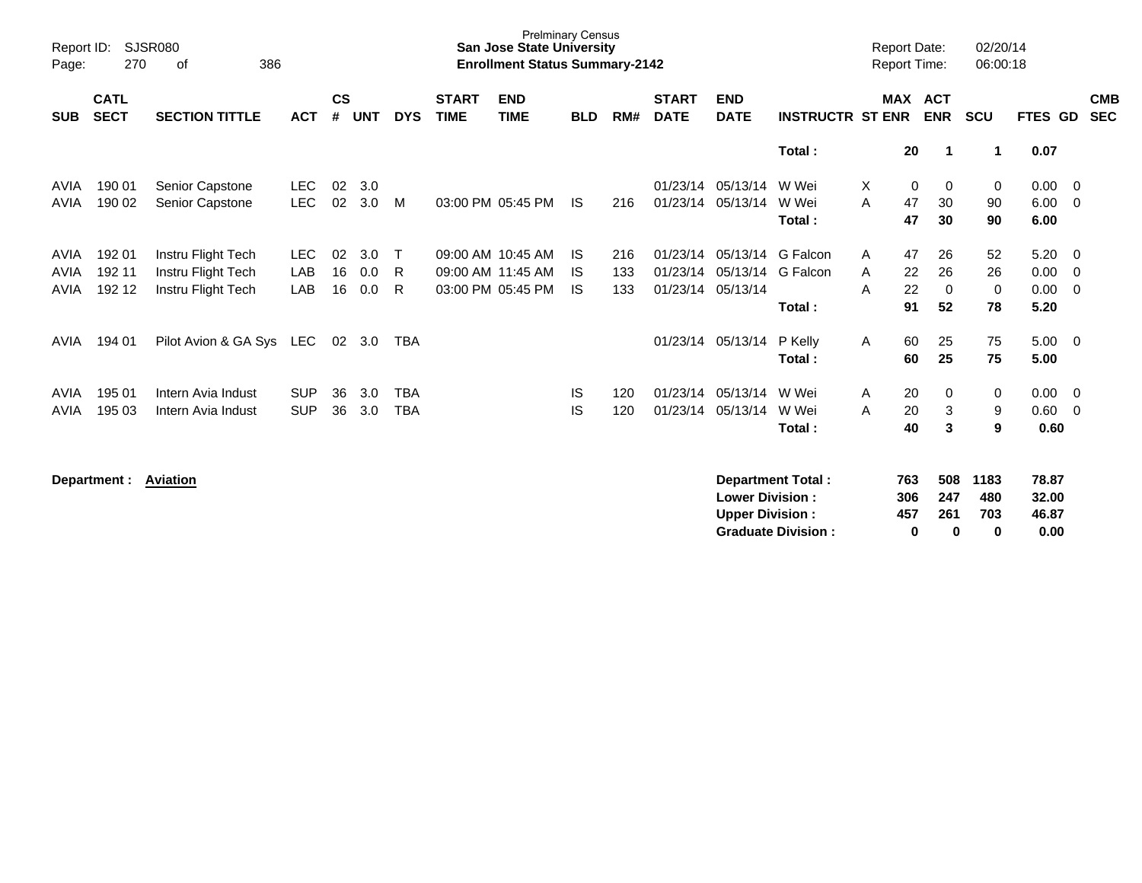| Report ID:<br>Page: | 270                        | <b>SJSR080</b><br>386<br>οf |            |                    |     |            |                             | <b>Prelminary Census</b><br><b>San Jose State University</b><br><b>Enrollment Status Summary-2142</b> |            |     |                             |                           |                          | <b>Report Date:</b><br><b>Report Time:</b> |                          | 02/20/14<br>06:00:18 |                |                          |
|---------------------|----------------------------|-----------------------------|------------|--------------------|-----|------------|-----------------------------|-------------------------------------------------------------------------------------------------------|------------|-----|-----------------------------|---------------------------|--------------------------|--------------------------------------------|--------------------------|----------------------|----------------|--------------------------|
| <b>SUB</b>          | <b>CATL</b><br><b>SECT</b> | <b>SECTION TITTLE</b>       | <b>ACT</b> | $\mathsf{cs}$<br># | UNT | <b>DYS</b> | <b>START</b><br><b>TIME</b> | <b>END</b><br><b>TIME</b>                                                                             | <b>BLD</b> | RM# | <b>START</b><br><b>DATE</b> | <b>END</b><br><b>DATE</b> | <b>INSTRUCTR ST ENR</b>  | <b>MAX</b>                                 | <b>ACT</b><br><b>ENR</b> | <b>SCU</b>           | FTES GD        | <b>CMB</b><br><b>SEC</b> |
|                     |                            |                             |            |                    |     |            |                             |                                                                                                       |            |     |                             |                           | Total:                   | 20                                         | $\mathbf 1$              | 1                    | 0.07           |                          |
| AVIA                | 190 01                     | Senior Capstone             | <b>LEC</b> | 02                 | 3.0 |            |                             |                                                                                                       |            |     | 01/23/14                    | 05/13/14                  | W Wei                    | X.                                         | $\mathbf 0$<br>0         | 0                    | 0.00           | - 0                      |
| <b>AVIA</b>         | 190 02                     | Senior Capstone             | <b>LEC</b> | 02                 | 3.0 | M          |                             | 03:00 PM 05:45 PM                                                                                     | <b>IS</b>  | 216 | 01/23/14                    | 05/13/14                  | W Wei<br>Total:          | A<br>47<br>47                              | 30<br>30                 | 90<br>90             | 6.00<br>6.00   | - 0                      |
| AVIA                | 192 01                     | Instru Flight Tech          | <b>LEC</b> | 02                 | 3.0 | Т          |                             | 09:00 AM 10:45 AM                                                                                     | <b>IS</b>  | 216 | 01/23/14                    | 05/13/14                  | G Falcon                 | 47<br>A                                    | 26                       | 52                   | 5.20           | 0                        |
| <b>AVIA</b>         | 192 11                     | Instru Flight Tech          | <b>LAB</b> | 16                 | 0.0 | R          |                             | 09:00 AM 11:45 AM                                                                                     | IS.        | 133 | 01/23/14                    | 05/13/14                  | G Falcon                 | 22<br>A                                    | 26                       | 26                   | 0.00           | 0                        |
| <b>AVIA</b>         | 192 12                     | Instru Flight Tech          | LAB        | 16                 | 0.0 | R.         |                             | 03:00 PM 05:45 PM                                                                                     | <b>IS</b>  | 133 | 01/23/14                    | 05/13/14                  | Total:                   | 22<br>A<br>91                              | $\mathbf 0$<br>52        | 0<br>78              | 0.00<br>5.20   | 0                        |
| AVIA                | 194 01                     | Pilot Avion & GA Sys        | LEC        | 02                 | 3.0 | <b>TBA</b> |                             |                                                                                                       |            |     | 01/23/14                    | 05/13/14                  | P Kelly<br>Total:        | A<br>60<br>60                              | 25<br>25                 | 75<br>75             | 5.00<br>5.00   | - 0                      |
| AVIA                | 195 01                     | Intern Avia Indust          | <b>SUP</b> | 36                 | 3.0 | <b>TBA</b> |                             |                                                                                                       | <b>IS</b>  | 120 | 01/23/14                    | 05/13/14                  | W Wei                    | 20<br>A                                    | $\mathbf 0$              | 0                    | 0.00           | - 0                      |
| AVIA                | 195 03                     | Intern Avia Indust          | <b>SUP</b> | 36                 | 3.0 | <b>TBA</b> |                             |                                                                                                       | IS         | 120 | 01/23/14                    | 05/13/14                  | W Wei                    | 20<br>A                                    | 3                        | 9                    | 0.60           | 0                        |
|                     |                            |                             |            |                    |     |            |                             |                                                                                                       |            |     |                             |                           | Total:                   | 40                                         | 3                        | 9                    | 0.60           |                          |
|                     | Department :               | <b>Aviation</b>             |            |                    |     |            |                             |                                                                                                       |            |     |                             | <b>Lower Division:</b>    | <b>Department Total:</b> | 763<br>306                                 | 508<br>247               | 1183<br>480          | 78.87<br>32.00 |                          |

**Upper Division : 457 261 703 46.87 Graduate Division : 0 0 0 0.00**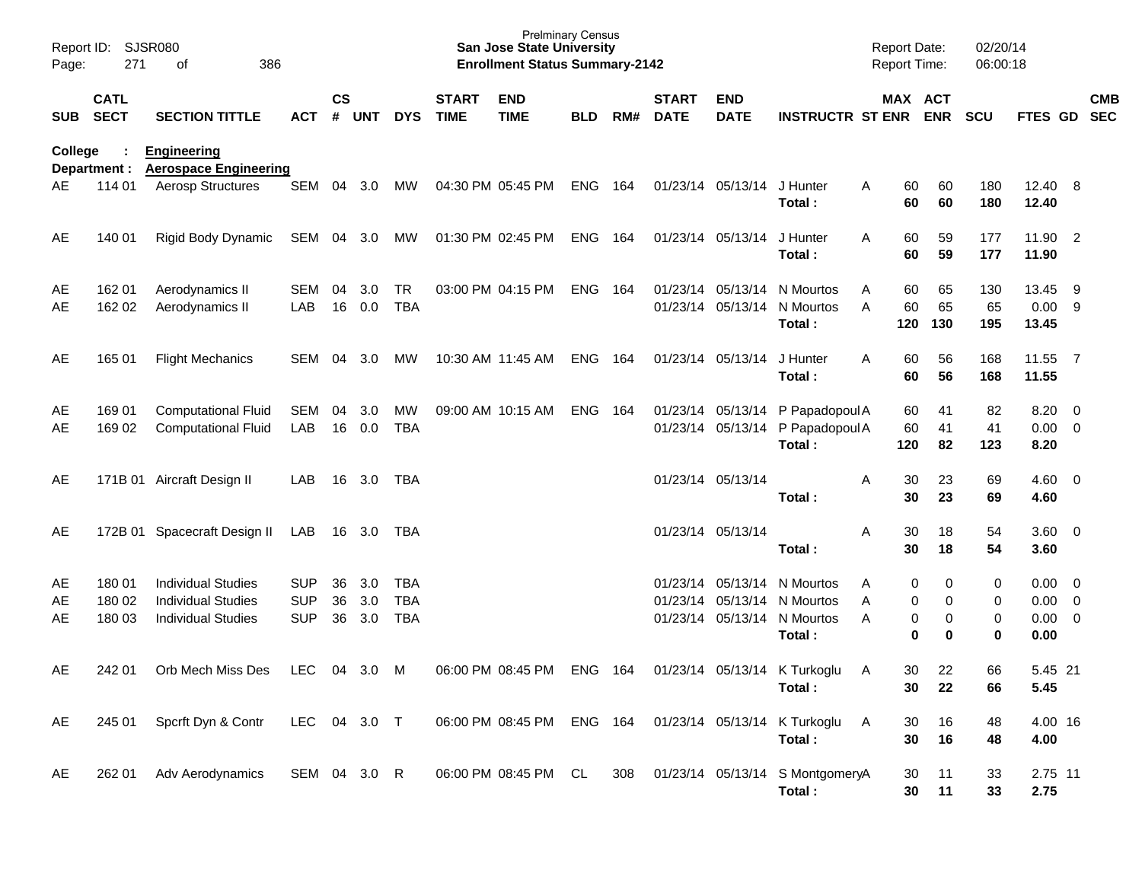| Page:          | Report ID: SJSR080<br>271  | 386<br>оf                                                                           |                                        |                |                   |                                 |                             | <b>Prelminary Census</b><br><b>San Jose State University</b><br><b>Enrollment Status Summary-2142</b> |                |     |                             |                            |                                                                                                     | <b>Report Date:</b><br>Report Time: |                  | 02/20/14<br>06:00:18 |                                                   |     |            |
|----------------|----------------------------|-------------------------------------------------------------------------------------|----------------------------------------|----------------|-------------------|---------------------------------|-----------------------------|-------------------------------------------------------------------------------------------------------|----------------|-----|-----------------------------|----------------------------|-----------------------------------------------------------------------------------------------------|-------------------------------------|------------------|----------------------|---------------------------------------------------|-----|------------|
| SUB            | <b>CATL</b><br><b>SECT</b> | <b>SECTION TITTLE</b>                                                               | ACT                                    | $\mathsf{cs}$  | # UNT             | <b>DYS</b>                      | <b>START</b><br><b>TIME</b> | <b>END</b><br><b>TIME</b>                                                                             | <b>BLD</b>     | RM# | <b>START</b><br><b>DATE</b> | <b>END</b><br><b>DATE</b>  | <b>INSTRUCTR ST ENR ENR</b>                                                                         | MAX ACT                             |                  | <b>SCU</b>           | FTES GD SEC                                       |     | <b>CMB</b> |
| <b>College</b> | Department :               | <b>Engineering</b><br><b>Aerospace Engineering</b>                                  |                                        |                |                   |                                 |                             |                                                                                                       |                |     |                             |                            |                                                                                                     |                                     |                  |                      |                                                   |     |            |
| AE.            | 114 01                     | <b>Aerosp Structures</b>                                                            | SEM                                    |                | 04 3.0            | MW                              | 04:30 PM 05:45 PM           |                                                                                                       | <b>ENG 164</b> |     |                             | 01/23/14 05/13/14 J Hunter | Total:                                                                                              | 60<br>A<br>60                       | 60<br>60         | 180<br>180           | 12.40 8<br>12.40                                  |     |            |
| AE             | 140 01                     | Rigid Body Dynamic                                                                  | SEM 04 3.0                             |                |                   | MW                              |                             | 01:30 PM 02:45 PM                                                                                     | ENG 164        |     |                             | 01/23/14 05/13/14          | J Hunter<br>Total:                                                                                  | 60<br>A<br>60                       | 59<br>59         | 177<br>177           | 11.90 2<br>11.90                                  |     |            |
| AE<br>AE       | 162 01<br>162 02           | Aerodynamics II<br>Aerodynamics II                                                  | SEM<br>LAB                             | 04<br>16       | 3.0<br>0.0        | <b>TR</b><br><b>TBA</b>         |                             | 03:00 PM 04:15 PM                                                                                     | <b>ENG 164</b> |     |                             | 01/23/14 05/13/14          | N Mourtos<br>01/23/14 05/13/14 N Mourtos<br>Total:                                                  | 60<br>Α<br>60<br>A<br>120           | 65<br>65<br>130  | 130<br>65<br>195     | 13.45<br>0.009<br>13.45                           | - 9 |            |
| AE             | 165 01                     | <b>Flight Mechanics</b>                                                             | SEM                                    | 04             | 3.0               | MW                              |                             | 10:30 AM 11:45 AM                                                                                     | <b>ENG 164</b> |     |                             | 01/23/14 05/13/14          | J Hunter<br>Total:                                                                                  | 60<br>A<br>60                       | 56<br>56         | 168<br>168           | 11.55 7<br>11.55                                  |     |            |
| AE<br>AE       | 169 01<br>169 02           | <b>Computational Fluid</b><br><b>Computational Fluid</b>                            | SEM<br>LAB                             | 04<br>16       | 3.0<br>0.0        | MW<br><b>TBA</b>                |                             | 09:00 AM 10:15 AM                                                                                     | <b>ENG 164</b> |     |                             |                            | 01/23/14 05/13/14 P Papadopoul A<br>01/23/14 05/13/14 P Papadopoul A<br>Total:                      | 60<br>60<br>120                     | 41<br>41<br>82   | 82<br>41<br>123      | $8.20 \ 0$<br>$0.00 \t 0$<br>8.20                 |     |            |
| AE             |                            | 171B 01 Aircraft Design II                                                          | LAB                                    |                | 16 3.0            | TBA                             |                             |                                                                                                       |                |     |                             | 01/23/14 05/13/14          | Total:                                                                                              | Α<br>30<br>30                       | 23<br>23         | 69<br>69             | $4.60 \ 0$<br>4.60                                |     |            |
| AE             |                            | 172B 01 Spacecraft Design II                                                        | LAB                                    |                | 16 3.0            | TBA                             |                             |                                                                                                       |                |     |                             | 01/23/14 05/13/14          | Total:                                                                                              | Α<br>30<br>30                       | 18<br>18         | 54<br>54             | 3.60 0<br>3.60                                    |     |            |
| AE<br>AE<br>AE | 180 01<br>180 02<br>180 03 | <b>Individual Studies</b><br><b>Individual Studies</b><br><b>Individual Studies</b> | <b>SUP</b><br><b>SUP</b><br><b>SUP</b> | 36<br>36<br>36 | 3.0<br>3.0<br>3.0 | TBA<br><b>TBA</b><br><b>TBA</b> |                             |                                                                                                       |                |     |                             |                            | 01/23/14 05/13/14 N Mourtos<br>01/23/14 05/13/14 N Mourtos<br>01/23/14 05/13/14 N Mourtos<br>Total: | 0<br>Α<br>0<br>A<br>0<br>A<br>0     | 0<br>0<br>0<br>0 | 0<br>0<br>0<br>0     | $0.00 \t 0$<br>$0.00 \t 0$<br>$0.00 \t 0$<br>0.00 |     |            |
| AE             | 242 01                     | Orb Mech Miss Des                                                                   | <b>LEC</b>                             |                | 04 3.0            | M                               |                             | 06:00 PM 08:45 PM                                                                                     | <b>ENG</b>     | 164 |                             |                            | 01/23/14 05/13/14 K Turkoglu<br>Total:                                                              | 30<br>A<br>30                       | 22<br>22         | 66<br>66             | 5.45 21<br>5.45                                   |     |            |
| AE             | 245 01                     | Spcrft Dyn & Contr                                                                  | LEC 04 3.0 T                           |                |                   |                                 |                             | 06:00 PM 08:45 PM                                                                                     | ENG 164        |     |                             |                            | 01/23/14 05/13/14 K Turkoglu<br>Total:                                                              | 30<br>A<br>30                       | 16<br>16         | 48<br>48             | 4.00 16<br>4.00                                   |     |            |
| AE             | 262 01                     | Adv Aerodynamics                                                                    | SEM 04 3.0 R                           |                |                   |                                 |                             | 06:00 PM 08:45 PM CL                                                                                  |                | 308 |                             |                            | 01/23/14 05/13/14 S MontgomeryA<br>Total:                                                           | 30<br>30                            | 11<br>11         | 33<br>33             | 2.75 11<br>2.75                                   |     |            |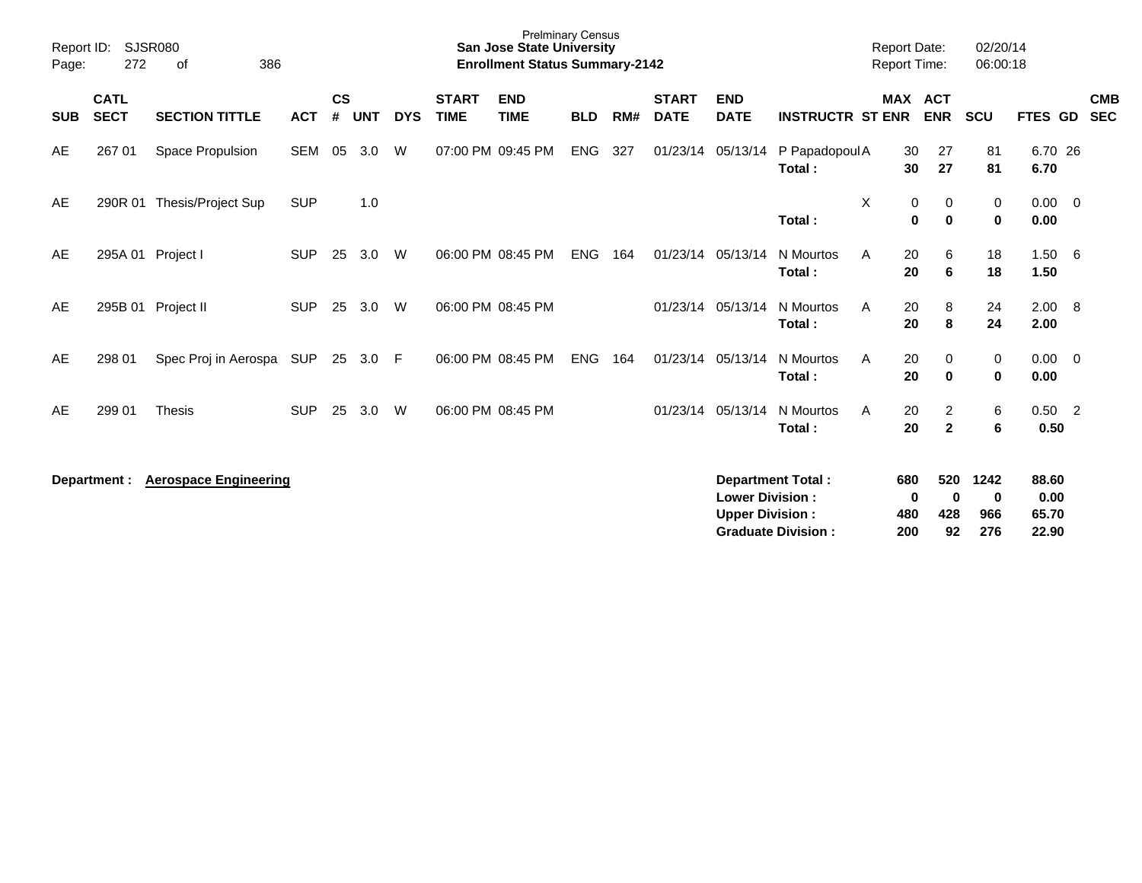| Report ID:<br>Page: | <b>SJSR080</b><br>272      | 386                          |            |                |            |            | <b>Prelminary Census</b><br><b>San Jose State University</b><br><b>Enrollment Status Summary-2142</b> |                           |            |     |                             |                                                  |                                                       | <b>Report Date:</b><br><b>Report Time:</b> |                        | 02/20/14<br>06:00:18             |                         |                                 |                          |
|---------------------|----------------------------|------------------------------|------------|----------------|------------|------------|-------------------------------------------------------------------------------------------------------|---------------------------|------------|-----|-----------------------------|--------------------------------------------------|-------------------------------------------------------|--------------------------------------------|------------------------|----------------------------------|-------------------------|---------------------------------|--------------------------|
| <b>SUB</b>          | <b>CATL</b><br><b>SECT</b> | <b>SECTION TITTLE</b>        | <b>ACT</b> | <b>CS</b><br># | <b>UNT</b> | <b>DYS</b> | <b>START</b><br><b>TIME</b>                                                                           | <b>END</b><br><b>TIME</b> | <b>BLD</b> | RM# | <b>START</b><br><b>DATE</b> | <b>END</b><br><b>DATE</b>                        | <b>INSTRUCTR ST ENR</b>                               |                                            | <b>MAX ACT</b>         | <b>ENR</b>                       | <b>SCU</b>              | FTES GD                         | <b>CMB</b><br><b>SEC</b> |
| AE                  | 267 01                     | Space Propulsion             | <b>SEM</b> | 05             | 3.0        | W          |                                                                                                       | 07:00 PM 09:45 PM         | <b>ENG</b> | 327 |                             |                                                  | 01/23/14 05/13/14 P Papadopoul A<br>Total:            |                                            | 30<br>30               | 27<br>27                         | 81<br>81                | 6.70 26<br>6.70                 |                          |
| AE                  | 290R 01                    | Thesis/Project Sup           | <b>SUP</b> |                | 1.0        |            |                                                                                                       |                           |            |     |                             |                                                  | Total:                                                | X                                          | 0<br>0                 | 0<br>$\mathbf 0$                 | 0<br>$\pmb{0}$          | $0.00 \t 0$<br>0.00             |                          |
| AE                  |                            | 295A 01 Project I            | <b>SUP</b> | 25             | 3.0        | W          |                                                                                                       | 06:00 PM 08:45 PM         | <b>ENG</b> | 164 |                             | 01/23/14 05/13/14                                | N Mourtos<br>Total:                                   | A                                          | 20<br>20               | 6<br>6                           | 18<br>18                | 1.50 6<br>1.50                  |                          |
| AE                  |                            | 295B 01 Project II           | <b>SUP</b> | 25             | 3.0        | W          |                                                                                                       | 06:00 PM 08:45 PM         |            |     |                             | 01/23/14 05/13/14                                | N Mourtos<br>Total:                                   | A                                          | 20<br>20               | 8<br>8                           | 24<br>24                | 2.00 8<br>2.00                  |                          |
| AE                  | 298 01                     | Spec Proj in Aerospa         | <b>SUP</b> | 25             | 3.0        | F          |                                                                                                       | 06:00 PM 08:45 PM         | <b>ENG</b> | 164 |                             | 01/23/14 05/13/14                                | N Mourtos<br>Total:                                   | A                                          | 20<br>20               | $\mathbf 0$<br>$\bf{0}$          | 0<br>$\mathbf 0$        | $0.00 \t 0$<br>0.00             |                          |
| AE                  | 299 01                     | <b>Thesis</b>                | <b>SUP</b> | 25             | 3.0        | W          |                                                                                                       | 06:00 PM 08:45 PM         |            |     |                             | 01/23/14 05/13/14                                | N Mourtos<br>Total:                                   | A                                          | 20<br>20               | $\overline{2}$<br>$\overline{2}$ | 6<br>$6\phantom{1}$     | $0.50 \quad 2$<br>0.50          |                          |
|                     | Department :               | <b>Aerospace Engineering</b> |            |                |            |            |                                                                                                       |                           |            |     |                             | <b>Lower Division:</b><br><b>Upper Division:</b> | <b>Department Total:</b><br><b>Graduate Division:</b> |                                            | 680<br>0<br>480<br>200 | 520<br>0<br>428<br>92            | 1242<br>0<br>966<br>276 | 88.60<br>0.00<br>65.70<br>22.90 |                          |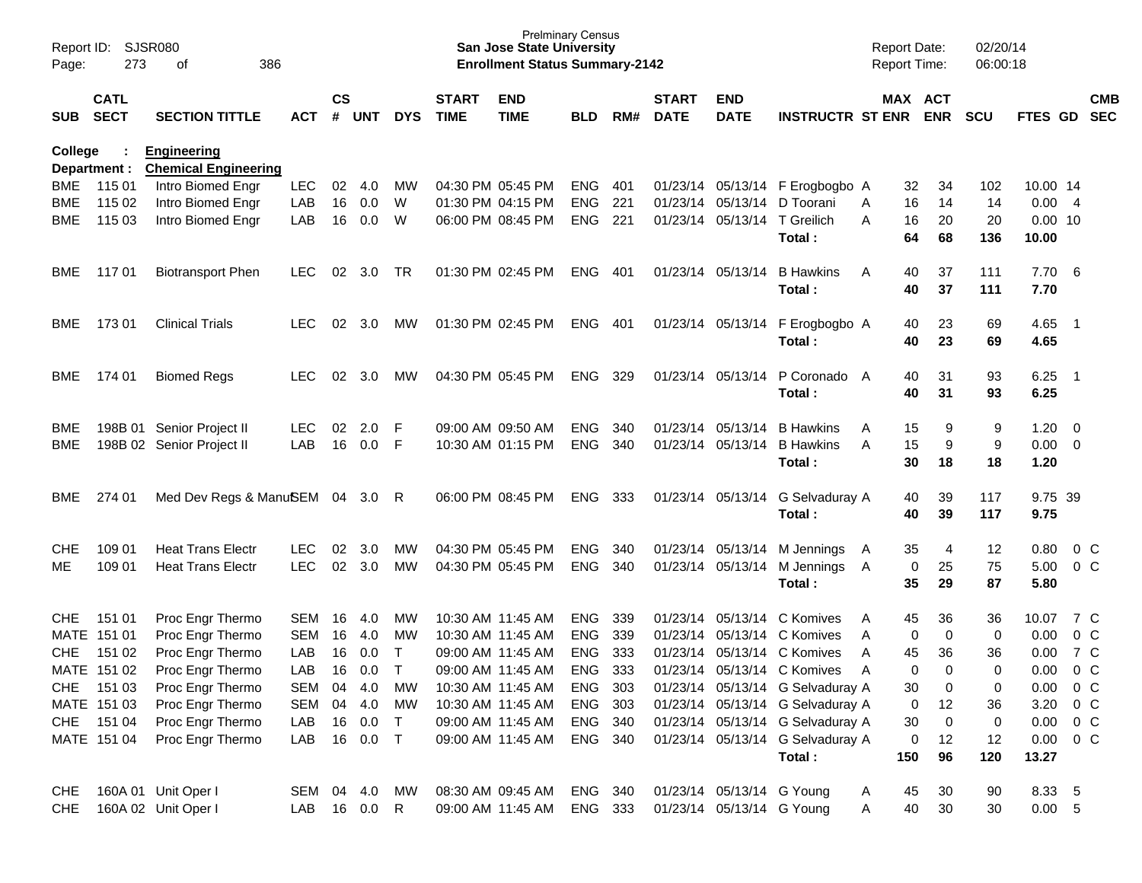| Page:      | Report ID: SJSR080<br>273  | 386<br>of                                         |            |                    |            |              |                             | <b>San Jose State University</b><br><b>Enrollment Status Summary-2142</b> | <b>Prelminary Census</b> |     |                             |                              |                                            | <b>Report Date:</b><br>Report Time: |                       | 02/20/14<br>06:00:18 |                    |                            |                          |
|------------|----------------------------|---------------------------------------------------|------------|--------------------|------------|--------------|-----------------------------|---------------------------------------------------------------------------|--------------------------|-----|-----------------------------|------------------------------|--------------------------------------------|-------------------------------------|-----------------------|----------------------|--------------------|----------------------------|--------------------------|
| SUB        | <b>CATL</b><br><b>SECT</b> | <b>SECTION TITTLE</b>                             | <b>ACT</b> | $\mathsf{cs}$<br># | <b>UNT</b> | <b>DYS</b>   | <b>START</b><br><b>TIME</b> | <b>END</b><br><b>TIME</b>                                                 | <b>BLD</b>               | RM# | <b>START</b><br><b>DATE</b> | <b>END</b><br><b>DATE</b>    | <b>INSTRUCTR ST ENR</b>                    |                                     | MAX ACT<br><b>ENR</b> | <b>SCU</b>           | FTES GD            |                            | <b>CMB</b><br><b>SEC</b> |
| College    | Department :               | <b>Engineering</b><br><b>Chemical Engineering</b> |            |                    |            |              |                             |                                                                           |                          |     |                             |                              |                                            |                                     |                       |                      |                    |                            |                          |
| <b>BME</b> | 115 01                     | Intro Biomed Engr                                 | <b>LEC</b> | 02                 | 4.0        | MW           |                             | 04:30 PM 05:45 PM                                                         | <b>ENG</b>               | 401 |                             |                              | 01/23/14 05/13/14 F Erogbogbo A            |                                     | 32<br>34              | 102                  | 10.00 14           |                            |                          |
| <b>BME</b> | 115 02                     | Intro Biomed Engr                                 | LAB        | 16                 | 0.0        | W            |                             | 01:30 PM 04:15 PM                                                         | <b>ENG</b>               | 221 | 01/23/14                    | 05/13/14                     | D Toorani                                  | 16<br>A                             | 14                    | 14                   | 0.00               | $\overline{4}$             |                          |
| BME        | 115 03                     | Intro Biomed Engr                                 | LAB        | 16                 | 0.0        | W            |                             | 06:00 PM 08:45 PM                                                         | <b>ENG</b>               | 221 |                             | 01/23/14 05/13/14 T Greilich | Total:                                     | 16<br>A<br>64                       | 20<br>68              | 20<br>136            | $0.00$ 10<br>10.00 |                            |                          |
| BME.       | 11701                      | <b>Biotransport Phen</b>                          | LEC.       | 02                 | 3.0        | <b>TR</b>    |                             | 01:30 PM 02:45 PM                                                         | <b>ENG</b>               | 401 |                             | 01/23/14 05/13/14            | <b>B</b> Hawkins<br>Total:                 | 40<br>A<br>40                       | 37<br>37              | 111<br>111           | 7.70<br>7.70       | - 6                        |                          |
| BME        | 17301                      | <b>Clinical Trials</b>                            | <b>LEC</b> | 02                 | 3.0        | MW           |                             | 01:30 PM 02:45 PM                                                         | ENG                      | 401 |                             |                              | 01/23/14 05/13/14 F Erogbogbo A<br>Total:  | 40<br>40                            | 23<br>23              | 69<br>69             | 4.65<br>4.65       | $\overline{\phantom{0}}$ 1 |                          |
| BME.       | 174 01                     | <b>Biomed Regs</b>                                | <b>LEC</b> | 02                 | 3.0        | МW           |                             | 04:30 PM 05:45 PM                                                         | <b>ENG</b>               | 329 |                             | 01/23/14 05/13/14            | P Coronado A<br>Total:                     | 40<br>40                            | 31<br>31              | 93<br>93             | 6.25<br>6.25       | - 1                        |                          |
| BME        |                            | 198B 01 Senior Project II                         | <b>LEC</b> | 02                 | 2.0        | F            |                             | 09:00 AM 09:50 AM                                                         | <b>ENG</b>               | 340 |                             | 01/23/14 05/13/14            | <b>B</b> Hawkins                           | 15<br>A                             | 9                     | 9                    | 1.20               | - 0                        |                          |
| <b>BME</b> |                            | 198B 02 Senior Project II                         | LAB        | 16                 | 0.0        | F            |                             | 10:30 AM 01:15 PM                                                         | <b>ENG</b>               | 340 |                             | 01/23/14 05/13/14            | <b>B</b> Hawkins                           | 15<br>A                             | 9                     | 9                    | 0.00               | $\overline{0}$             |                          |
|            |                            |                                                   |            |                    |            |              |                             |                                                                           |                          |     |                             |                              | Total:                                     | 30                                  | 18                    | 18                   | 1.20               |                            |                          |
| BME        | 274 01                     | Med Dev Regs & ManuSEM 04                         |            |                    | 3.0        | R            |                             | 06:00 PM 08:45 PM                                                         | <b>ENG</b>               | 333 |                             |                              | 01/23/14 05/13/14 G Selvaduray A<br>Total: | 40<br>40                            | 39<br>39              | 117<br>117           | 9.75 39<br>9.75    |                            |                          |
| <b>CHE</b> | 109 01                     | <b>Heat Trans Electr</b>                          | <b>LEC</b> | 02                 | 3.0        | МW           |                             | 04:30 PM 05:45 PM                                                         | <b>ENG</b>               | 340 |                             | 01/23/14 05/13/14            | M Jennings                                 | 35<br>A                             | 4                     | 12                   | 0.80               | $0\,C$                     |                          |
| MЕ         | 109 01                     | <b>Heat Trans Electr</b>                          | <b>LEC</b> | 02                 | 3.0        | <b>MW</b>    |                             | 04:30 PM 05:45 PM                                                         | <b>ENG</b>               | 340 |                             | 01/23/14 05/13/14            | M Jennings A                               |                                     | 0<br>25               | 75                   | 5.00               | 0 <sup>o</sup>             |                          |
|            |                            |                                                   |            |                    |            |              |                             |                                                                           |                          |     |                             |                              | Total:                                     | 35                                  | 29                    | 87                   | 5.80               |                            |                          |
| <b>CHE</b> | 151 01                     | Proc Engr Thermo                                  | <b>SEM</b> | 16                 | 4.0        | МW           |                             | 10:30 AM 11:45 AM                                                         | <b>ENG</b>               | 339 | 01/23/14                    | 05/13/14                     | C Komives                                  | 45<br>A                             | 36                    | 36                   | 10.07              | 7 C                        |                          |
|            | MATE 151 01                | Proc Engr Thermo                                  | <b>SEM</b> | 16                 | 4.0        | MW           |                             | 10:30 AM 11:45 AM                                                         | <b>ENG</b>               | 339 | 01/23/14                    | 05/13/14                     | C Komives                                  | A                                   | $\mathbf 0$<br>0      | 0                    | 0.00               | 0 <sup>C</sup>             |                          |
| <b>CHE</b> | 151 02                     | Proc Engr Thermo                                  | LAB        | 16                 | 0.0        | $\mathsf{T}$ |                             | 09:00 AM 11:45 AM                                                         | <b>ENG</b>               | 333 | 01/23/14                    | 05/13/14                     | C Komives                                  | 45<br>A                             | 36                    | 36                   | 0.00               | 7 C                        |                          |
|            | MATE 151 02                | Proc Engr Thermo                                  | LAB        | 16                 | 0.0        | т            |                             | 09:00 AM 11:45 AM                                                         | <b>ENG</b>               | 333 |                             |                              | 01/23/14 05/13/14 C Komives                | A                                   | $\Omega$<br>$\Omega$  | 0                    | 0.00               | 0 <sup>o</sup>             |                          |
|            | CHE 151 03                 | Proc Engr Thermo                                  | SEM 04     |                    | 4.0        | MW           |                             | 10:30 AM 11:45 AM                                                         | ENG                      | 303 |                             |                              | 01/23/14 05/13/14 G Selvaduray A           | 30                                  | 0                     | 0                    | 0.00               | 0 <sub>C</sub>             |                          |
|            | MATE 151 03                | Proc Engr Thermo                                  | <b>SEM</b> |                    | 04 4.0     | MW           |                             | 10:30 AM 11:45 AM                                                         | ENG                      | 303 |                             |                              | 01/23/14 05/13/14 G Selvaduray A           |                                     | 12<br>0               | 36                   | 3.20               | 0 <sup>o</sup>             |                          |
|            | CHE 151 04                 | Proc Engr Thermo                                  | LAB        |                    | 16 0.0     | $\top$       |                             | 09:00 AM 11:45 AM                                                         | ENG 340                  |     |                             |                              | 01/23/14 05/13/14 G Selvaduray A           | 30                                  | $\mathbf 0$           | 0                    | 0.00               | 0 <sup>C</sup>             |                          |
|            | MATE 151 04                | Proc Engr Thermo                                  | LAB        |                    | 16 0.0     | $\top$       |                             | 09:00 AM 11:45 AM                                                         | ENG 340                  |     |                             |                              | 01/23/14 05/13/14 G Selvaduray A           |                                     | 12<br>0               | 12                   | 0.00               | $0\,C$                     |                          |
|            |                            |                                                   |            |                    |            |              |                             |                                                                           |                          |     |                             |                              | Total:                                     | 150                                 | 96                    | 120                  | 13.27              |                            |                          |
| <b>CHE</b> |                            | 160A 01 Unit Oper I                               | SEM 04 4.0 |                    |            | МW           |                             | 08:30 AM 09:45 AM                                                         | ENG 340                  |     |                             | 01/23/14 05/13/14 G Young    |                                            | 45<br>A                             | 30                    | 90                   | 8.33               | $-5$                       |                          |
| <b>CHE</b> |                            | 160A 02 Unit Oper I                               | LAB 16 0.0 |                    |            | R            |                             | 09:00 AM 11:45 AM                                                         | ENG 333                  |     |                             | 01/23/14 05/13/14 G Young    |                                            | A                                   | 40<br>30              | 30                   | 0.00 5             |                            |                          |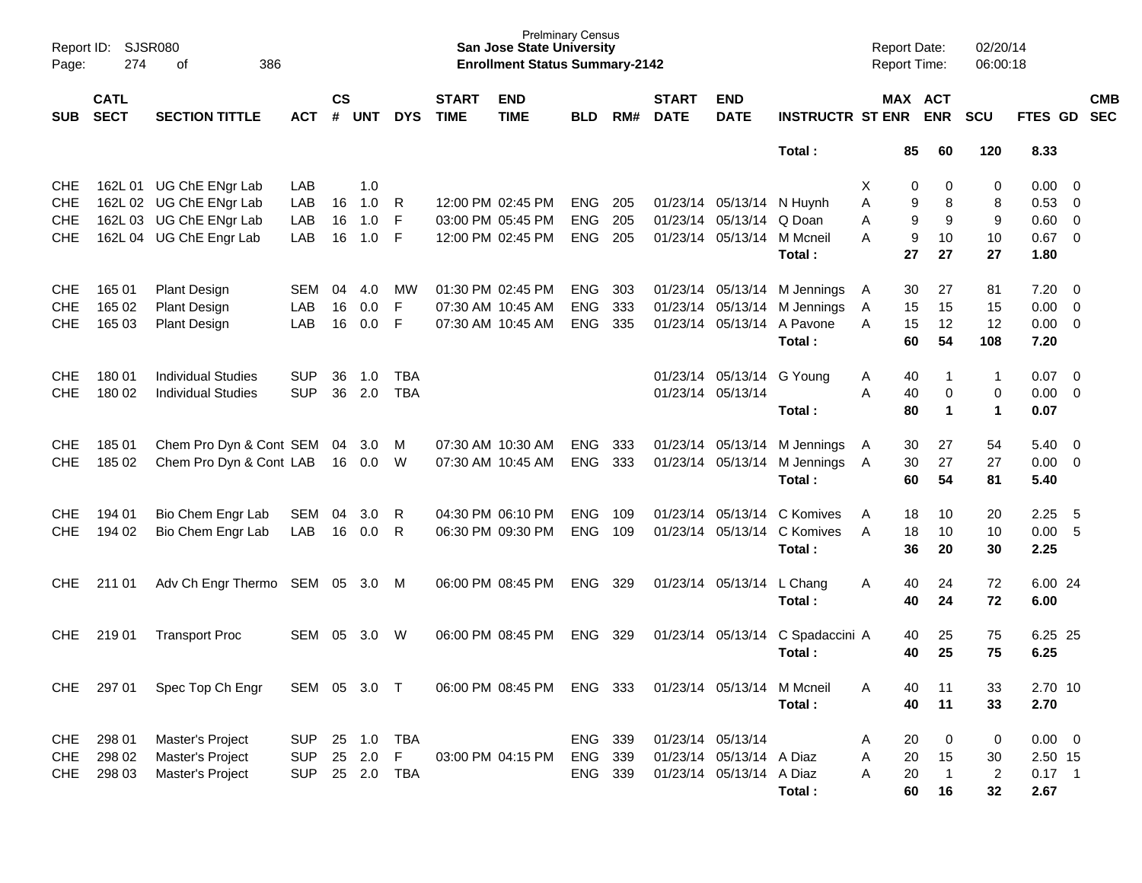| Page:      | Report ID: SJSR080<br>274  | 386<br>of                       |                |                |         |            |                             | <b>Prelminary Census</b><br><b>San Jose State University</b><br><b>Enrollment Status Summary-2142</b> |            |     |                             |                            |                         | <b>Report Date:</b><br><b>Report Time:</b> |                       | 02/20/14<br>06:00:18                   |                  |                          |            |
|------------|----------------------------|---------------------------------|----------------|----------------|---------|------------|-----------------------------|-------------------------------------------------------------------------------------------------------|------------|-----|-----------------------------|----------------------------|-------------------------|--------------------------------------------|-----------------------|----------------------------------------|------------------|--------------------------|------------|
| SUB        | <b>CATL</b><br><b>SECT</b> | <b>SECTION TITTLE</b>           | <b>ACT</b>     | <b>CS</b><br># | UNT     | <b>DYS</b> | <b>START</b><br><b>TIME</b> | <b>END</b><br><b>TIME</b>                                                                             | <b>BLD</b> | RM# | <b>START</b><br><b>DATE</b> | <b>END</b><br><b>DATE</b>  | <b>INSTRUCTR ST ENR</b> |                                            | MAX ACT<br><b>ENR</b> | <b>SCU</b>                             | FTES GD SEC      |                          | <b>CMB</b> |
|            |                            |                                 |                |                |         |            |                             |                                                                                                       |            |     |                             |                            | Total:                  |                                            | 85<br>60              | 120                                    | 8.33             |                          |            |
| <b>CHE</b> |                            | 162L 01 UG ChE ENgr Lab         | LAB            |                | 1.0     |            |                             |                                                                                                       |            |     |                             |                            |                         | X                                          | 0                     | 0<br>0                                 | 0.00             | $\overline{\phantom{0}}$ |            |
| <b>CHE</b> |                            | 162L 02 UG ChE ENgr Lab         | LAB            | 16             | 1.0     | R          |                             | 12:00 PM 02:45 PM                                                                                     | ENG        | 205 |                             | 01/23/14 05/13/14          | N Huynh                 | A                                          | 9                     | 8<br>8                                 | 0.53             | $\overline{\mathbf{0}}$  |            |
| <b>CHE</b> |                            | 162L 03 UG ChE ENgr Lab         | LAB            | 16             | 1.0     | F          |                             | 03:00 PM 05:45 PM                                                                                     | <b>ENG</b> | 205 |                             | 01/23/14 05/13/14          | Q Doan                  | A                                          | 9                     | 9<br>9                                 | 0.60             | $\overline{\mathbf{0}}$  |            |
| <b>CHE</b> |                            | 162L 04 UG ChE Engr Lab         | LAB            | 16             | 1.0     | -F         |                             | 12:00 PM 02:45 PM                                                                                     | <b>ENG</b> | 205 |                             | 01/23/14 05/13/14          | M Mcneil                | A                                          | 9<br>10               | 10                                     | $0.67$ 0         |                          |            |
|            |                            |                                 |                |                |         |            |                             |                                                                                                       |            |     |                             |                            | Total:                  |                                            | 27<br>27              | 27                                     | 1.80             |                          |            |
| <b>CHE</b> | 165 01                     | <b>Plant Design</b>             | <b>SEM</b>     | 04             | 4.0     | MW         |                             | 01:30 PM 02:45 PM                                                                                     | <b>ENG</b> | 303 |                             | 01/23/14 05/13/14          | M Jennings              | A                                          | 30<br>27              | 81                                     | 7.20             | $\overline{\phantom{0}}$ |            |
| <b>CHE</b> | 165 02                     | <b>Plant Design</b>             | LAB            | 16             | 0.0     | F          |                             | 07:30 AM 10:45 AM                                                                                     | ENG        | 333 |                             | 01/23/14 05/13/14          | M Jennings              | 15<br>A                                    | 15                    | 15                                     | 0.00             | $\overline{\mathbf{0}}$  |            |
| <b>CHE</b> | 165 03                     | <b>Plant Design</b>             | LAB            | 16             | 0.0     | -F         |                             | 07:30 AM 10:45 AM                                                                                     | <b>ENG</b> | 335 |                             | 01/23/14 05/13/14          | A Pavone                | A                                          | 12<br>15              | 12                                     | $0.00 \t 0$      |                          |            |
|            |                            |                                 |                |                |         |            |                             |                                                                                                       |            |     |                             |                            | Total:                  |                                            | 54<br>60              | 108                                    | 7.20             |                          |            |
| <b>CHE</b> | 180 01                     | <b>Individual Studies</b>       | <b>SUP</b>     | 36             | 1.0     | TBA        |                             |                                                                                                       |            |     |                             | 01/23/14 05/13/14          | G Young                 | A                                          | 40                    | $\overline{1}$<br>-1                   | $0.07$ 0         |                          |            |
| CHE        | 180 02                     | <b>Individual Studies</b>       | <b>SUP</b>     | 36             | 2.0     | <b>TBA</b> |                             |                                                                                                       |            |     |                             | 01/23/14 05/13/14          |                         | A                                          | 40                    | $\mathbf 0$<br>0                       | 0.00             | $\overline{0}$           |            |
|            |                            |                                 |                |                |         |            |                             |                                                                                                       |            |     |                             |                            | Total:                  |                                            | 80                    | $\overline{1}$<br>$\blacktriangleleft$ | 0.07             |                          |            |
| <b>CHE</b> | 185 01                     | Chem Pro Dyn & Cont SEM         |                | 04             | 3.0     | M          |                             | 07:30 AM 10:30 AM                                                                                     | <b>ENG</b> | 333 |                             | 01/23/14 05/13/14          | M Jennings              | A                                          | 27<br>30              | 54                                     | 5.40             | $\overline{\mathbf{0}}$  |            |
| <b>CHE</b> | 185 02                     | Chem Pro Dyn & Cont LAB         |                |                | 16  0.0 | W          |                             | 07:30 AM 10:45 AM                                                                                     | <b>ENG</b> | 333 |                             | 01/23/14 05/13/14          | M Jennings              | A                                          | 27<br>30              | 27                                     | $0.00 \t 0$      |                          |            |
|            |                            |                                 |                |                |         |            |                             |                                                                                                       |            |     |                             |                            | Total:                  |                                            | 54<br>60              | 81                                     | 5.40             |                          |            |
| <b>CHE</b> | 194 01                     | Bio Chem Engr Lab               | SEM            | 04             | 3.0     | R          |                             | 04:30 PM 06:10 PM                                                                                     | <b>ENG</b> | 109 |                             | 01/23/14 05/13/14          | C Komives               | A                                          | 18<br>10              | 20                                     | 2.25             | 5                        |            |
| <b>CHE</b> | 194 02                     | Bio Chem Engr Lab               | LAB            | 16             | $0.0\,$ | -R         |                             | 06:30 PM 09:30 PM                                                                                     | <b>ENG</b> | 109 |                             | 01/23/14 05/13/14          | C Komives               | A                                          | 18<br>10              | 10                                     | 0.00             | $-5$                     |            |
|            |                            |                                 |                |                |         |            |                             |                                                                                                       |            |     |                             |                            | Total:                  |                                            | 36<br>20              | 30                                     | 2.25             |                          |            |
| <b>CHE</b> | 211 01                     | Adv Ch Engr Thermo SEM 05 3.0 M |                |                |         |            |                             | 06:00 PM 08:45 PM                                                                                     | <b>ENG</b> | 329 |                             | 01/23/14 05/13/14          | L Chang                 | A                                          | 40<br>24              | 72                                     | 6.00 24          |                          |            |
|            |                            |                                 |                |                |         |            |                             |                                                                                                       |            |     |                             |                            | Total:                  |                                            | 40<br>24              | 72                                     | 6.00             |                          |            |
| CHE.       | 219 01                     | <b>Transport Proc</b>           | <b>SEM</b>     | 05             | 3.0     | W          |                             | 06:00 PM 08:45 PM                                                                                     | <b>ENG</b> | 329 |                             | 01/23/14 05/13/14          | C Spadaccini A          |                                            | 25<br>40              | 75                                     | 6.25 25          |                          |            |
|            |                            |                                 |                |                |         |            |                             |                                                                                                       |            |     |                             |                            | Total:                  |                                            | 25<br>40              | 75                                     | 6.25             |                          |            |
|            |                            | CHE 297 01 Spec Top Ch Engr     | SEM 05 3.0 T   |                |         |            |                             | 06:00 PM 08:45 PM ENG 333                                                                             |            |     |                             | 01/23/14 05/13/14 M Mcneil |                         | Α                                          | 11<br>40              | 33                                     | 2.70 10          |                          |            |
|            |                            |                                 |                |                |         |            |                             |                                                                                                       |            |     |                             |                            | Total:                  |                                            | 40<br>11              | 33                                     | 2.70             |                          |            |
|            |                            |                                 |                |                |         |            |                             |                                                                                                       |            |     |                             |                            |                         |                                            |                       |                                        |                  |                          |            |
| CHE        | 298 01                     | Master's Project                | SUP 25 1.0 TBA |                |         |            |                             |                                                                                                       | ENG 339    |     | 01/23/14 05/13/14           |                            |                         | A                                          | 20                    | 0<br>0                                 | $0.00 \t 0$      |                          |            |
| CHE        | 298 02                     | Master's Project                | SUP 25 2.0 F   |                |         |            |                             | 03:00 PM 04:15 PM                                                                                     | ENG 339    |     |                             | 01/23/14 05/13/14 A Diaz   |                         | Α                                          | 15<br>20              | 30                                     | 2.50 15          |                          |            |
|            | CHE 298 03                 | Master's Project                | SUP 25 2.0 TBA |                |         |            |                             |                                                                                                       | ENG 339    |     |                             | 01/23/14 05/13/14 A Diaz   |                         | Α                                          | $\overline{1}$<br>20  | $\overline{2}$                         | $0.17$ 1<br>2.67 |                          |            |
|            |                            |                                 |                |                |         |            |                             |                                                                                                       |            |     |                             |                            | Total:                  |                                            | 60<br>16              | 32                                     |                  |                          |            |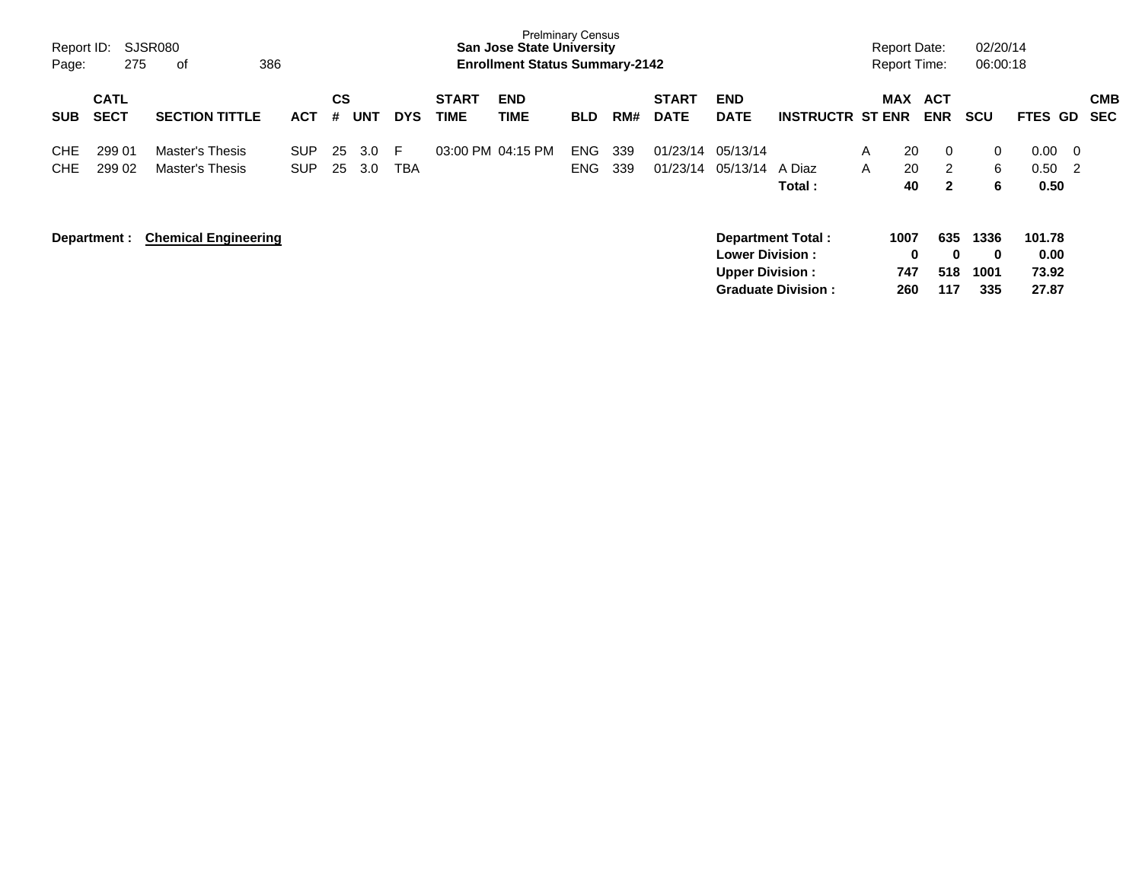| Report ID:<br>Page:      | 275                        | SJSR080<br>386<br>of                             |                          |          |            |                  |                             | <b>Prelminary Census</b><br><b>San Jose State University</b><br><b>Enrollment Status Summary-2142</b> |                          |            |                             |                                                  |                                                       |        | <b>Report Date:</b><br><b>Report Time:</b> |                          | 02/20/14<br>06:00:18            |                                  |                                                       |                          |
|--------------------------|----------------------------|--------------------------------------------------|--------------------------|----------|------------|------------------|-----------------------------|-------------------------------------------------------------------------------------------------------|--------------------------|------------|-----------------------------|--------------------------------------------------|-------------------------------------------------------|--------|--------------------------------------------|--------------------------|---------------------------------|----------------------------------|-------------------------------------------------------|--------------------------|
| <b>SUB</b>               | <b>CATL</b><br><b>SECT</b> | <b>SECTION TITTLE</b>                            | <b>ACT</b>               | CS<br>#  | <b>UNT</b> | <b>DYS</b>       | <b>START</b><br><b>TIME</b> | <b>END</b><br>TIME                                                                                    | <b>BLD</b>               | RM#        | <b>START</b><br><b>DATE</b> | <b>END</b><br><b>DATE</b>                        | <b>INSTRUCTR ST ENR</b>                               |        | MAX                                        | <b>ACT</b><br><b>ENR</b> | <b>SCU</b>                      | FTES GD                          |                                                       | <b>CMB</b><br><b>SEC</b> |
| <b>CHE</b><br><b>CHE</b> | 299 01<br>299 02           | <b>Master's Thesis</b><br><b>Master's Thesis</b> | <b>SUP</b><br><b>SUP</b> | 25<br>25 | 3.0<br>3.0 | -F<br><b>TBA</b> | 03:00 PM 04:15 PM           |                                                                                                       | <b>ENG</b><br><b>ENG</b> | 339<br>339 | 01/23/14<br>01/23/14        | 05/13/14<br>05/13/14                             | A Diaz<br>Total:                                      | A<br>A | 20<br>20<br>40                             | 0<br>2<br>$\mathbf{2}$   | $\mathbf{0}$<br>6<br>6          | 0.00<br>0.50<br>0.50             | $\overline{\mathbf{0}}$<br>$\overline{\phantom{0}}^2$ |                          |
|                          | Department :               | <b>Chemical Engineering</b>                      |                          |          |            |                  |                             |                                                                                                       |                          |            |                             | <b>Lower Division:</b><br><b>Upper Division:</b> | <b>Department Total:</b><br><b>Graduate Division:</b> |        | 1007<br>0<br>747<br>260                    | 635<br>0<br>518<br>117   | 1336<br>$\bf{0}$<br>1001<br>335 | 101.78<br>0.00<br>73.92<br>27.87 |                                                       |                          |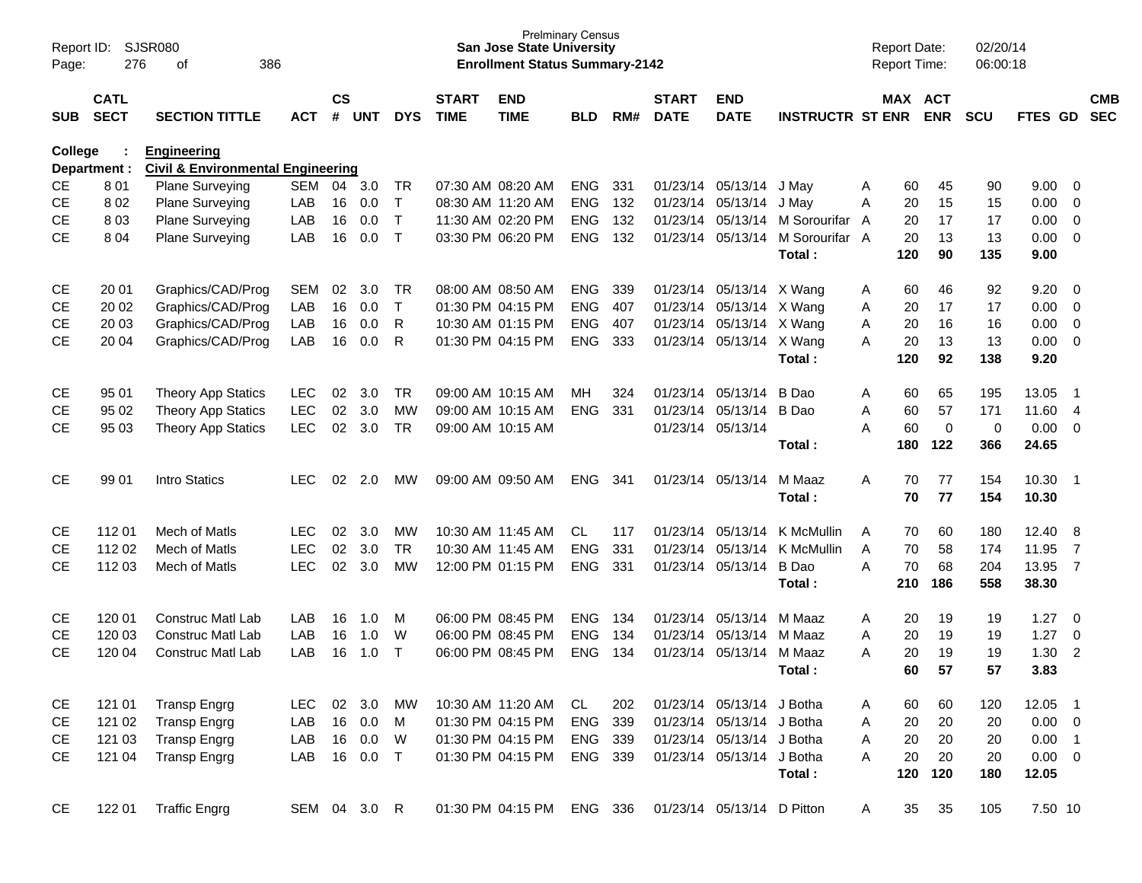| Report ID:<br>Page: | 276                        | SJSR080<br>386<br>оf                                               |              |                       |            |              |                             | <b>San Jose State University</b><br><b>Enrollment Status Summary-2142</b> | <b>Prelminary Census</b> |     |                             |                            |                                  |   | <b>Report Date:</b><br>Report Time: |                       | 02/20/14<br>06:00:18 |             |                            |            |
|---------------------|----------------------------|--------------------------------------------------------------------|--------------|-----------------------|------------|--------------|-----------------------------|---------------------------------------------------------------------------|--------------------------|-----|-----------------------------|----------------------------|----------------------------------|---|-------------------------------------|-----------------------|----------------------|-------------|----------------------------|------------|
| SUB                 | <b>CATL</b><br><b>SECT</b> | <b>SECTION TITTLE</b>                                              | <b>ACT</b>   | $\mathsf{cs}$<br>$\#$ | <b>UNT</b> | <b>DYS</b>   | <b>START</b><br><b>TIME</b> | <b>END</b><br><b>TIME</b>                                                 | <b>BLD</b>               | RM# | <b>START</b><br><b>DATE</b> | <b>END</b><br><b>DATE</b>  | <b>INSTRUCTR ST ENR</b>          |   |                                     | MAX ACT<br><b>ENR</b> | <b>SCU</b>           | FTES GD SEC |                            | <b>CMB</b> |
| College             | Department :               | <b>Engineering</b><br><b>Civil &amp; Environmental Engineering</b> |              |                       |            |              |                             |                                                                           |                          |     |                             |                            |                                  |   |                                     |                       |                      |             |                            |            |
| <b>CE</b>           | 801                        | Plane Surveying                                                    | <b>SEM</b>   | 04                    | 3.0        | TR           |                             | 07:30 AM 08:20 AM                                                         | <b>ENG</b>               | 331 |                             | 01/23/14 05/13/14 J May    |                                  | Α | 60                                  | 45                    | 90                   | 9.00        | $\overline{0}$             |            |
| <b>CE</b>           | 802                        | Plane Surveying                                                    | LAB          | 16                    | 0.0        | $\mathsf{T}$ |                             | 08:30 AM 11:20 AM                                                         | <b>ENG</b>               | 132 |                             | 01/23/14 05/13/14 J May    |                                  | Α | 20                                  | 15                    | 15                   | 0.00        | $\mathbf 0$                |            |
| <b>CE</b>           | 803                        | Plane Surveying                                                    | LAB          | 16                    | 0.0        | $\mathsf{T}$ |                             | 11:30 AM 02:20 PM                                                         | <b>ENG</b>               | 132 |                             |                            | 01/23/14 05/13/14 M Sorourifar   | A | 20                                  | 17                    | 17                   | 0.00        | 0                          |            |
| <b>CE</b>           | 8 0 4                      | Plane Surveying                                                    | LAB          | 16                    | 0.0        | $\mathsf{T}$ |                             | 03:30 PM 06:20 PM                                                         | <b>ENG</b>               | 132 |                             |                            | 01/23/14 05/13/14 M Sorourifar A |   | 20                                  | 13                    | 13                   | 0.00        | 0                          |            |
|                     |                            |                                                                    |              |                       |            |              |                             |                                                                           |                          |     |                             |                            | Total:                           |   | 120                                 | 90                    | 135                  | 9.00        |                            |            |
| <b>CE</b>           | 20 01                      | Graphics/CAD/Prog                                                  | SEM          | 02                    | 3.0        | TR.          |                             | 08:00 AM 08:50 AM                                                         | <b>ENG</b>               | 339 |                             | 01/23/14 05/13/14 X Wang   |                                  | A | 60                                  | 46                    | 92                   | 9.20        | $\overline{0}$             |            |
| <b>CE</b>           | 20 02                      | Graphics/CAD/Prog                                                  | LAB          | 16                    | 0.0        | $\mathsf{T}$ |                             | 01:30 PM 04:15 PM                                                         | <b>ENG</b>               | 407 |                             | 01/23/14 05/13/14 X Wang   |                                  | Α | 20                                  | 17                    | 17                   | 0.00        | 0                          |            |
| <b>CE</b>           | 20 03                      | Graphics/CAD/Prog                                                  | LAB          | 16                    | 0.0        | R            |                             | 10:30 AM 01:15 PM                                                         | <b>ENG</b>               | 407 |                             | 01/23/14 05/13/14 X Wang   |                                  | Α | 20                                  | 16                    | 16                   | 0.00        | 0                          |            |
| <b>CE</b>           | 20 04                      | Graphics/CAD/Prog                                                  | LAB          | 16                    | 0.0        | R            |                             | 01:30 PM 04:15 PM                                                         | <b>ENG</b>               | 333 |                             | 01/23/14 05/13/14 X Wang   |                                  | A | 20                                  | 13                    | 13                   | 0.00        | $\overline{0}$             |            |
|                     |                            |                                                                    |              |                       |            |              |                             |                                                                           |                          |     |                             |                            | Total:                           |   | 120                                 | 92                    | 138                  | 9.20        |                            |            |
| <b>CE</b>           | 95 01                      | <b>Theory App Statics</b>                                          | <b>LEC</b>   | 02                    | 3.0        | <b>TR</b>    |                             | 09:00 AM 10:15 AM                                                         | MН                       | 324 |                             | 01/23/14 05/13/14          | B Dao                            | Α | 60                                  | 65                    | 195                  | 13.05       | $\overline{\phantom{0}}$ 1 |            |
| <b>CE</b>           | 95 02                      | <b>Theory App Statics</b>                                          | <b>LEC</b>   | 02                    | 3.0        | <b>MW</b>    |                             | 09:00 AM 10:15 AM                                                         | <b>ENG</b>               | 331 |                             | 01/23/14 05/13/14          | B Dao                            | A | 60                                  | 57                    | 171                  | 11.60       | $\overline{4}$             |            |
| <b>CE</b>           | 95 03                      | <b>Theory App Statics</b>                                          | <b>LEC</b>   | 02                    | 3.0        | <b>TR</b>    |                             | 09:00 AM 10:15 AM                                                         |                          |     |                             | 01/23/14 05/13/14          |                                  | A | 60                                  | $\mathbf 0$           | $\mathbf 0$          | 0.00        | $\overline{0}$             |            |
|                     |                            |                                                                    |              |                       |            |              |                             |                                                                           |                          |     |                             |                            | Total:                           |   | 180                                 | 122                   | 366                  | 24.65       |                            |            |
| <b>CE</b>           | 99 01                      | Intro Statics                                                      | LEC          | 02                    | 2.0        | МW           |                             | 09:00 AM 09:50 AM                                                         | <b>ENG</b>               | 341 |                             | 01/23/14 05/13/14          | M Maaz                           | A | 70                                  | 77                    | 154                  | 10.30       | $\overline{\phantom{0}}$ 1 |            |
|                     |                            |                                                                    |              |                       |            |              |                             |                                                                           |                          |     |                             |                            | Total:                           |   | 70                                  | 77                    | 154                  | 10.30       |                            |            |
| <b>CE</b>           | 11201                      | Mech of Matls                                                      | LEC.         | 02                    | 3.0        | MW           |                             | 10:30 AM 11:45 AM                                                         | CL.                      | 117 |                             | 01/23/14 05/13/14          | K McMullin                       | A | 70                                  | 60                    | 180                  | 12.40       | 8                          |            |
| <b>CE</b>           | 112 02                     | Mech of Matls                                                      | <b>LEC</b>   | 02                    | 3.0        | <b>TR</b>    |                             | 10:30 AM 11:45 AM                                                         | <b>ENG</b>               | 331 | 01/23/14                    | 05/13/14                   | K McMullin                       | Α | 70                                  | 58                    | 174                  | 11.95       | $\overline{7}$             |            |
| <b>CE</b>           | 112 03                     | Mech of Matls                                                      | <b>LEC</b>   | 02                    | 3.0        | <b>MW</b>    |                             | 12:00 PM 01:15 PM                                                         | <b>ENG</b>               | 331 |                             | 01/23/14 05/13/14          | B Dao                            | A | 70                                  | 68                    | 204                  | 13.95       | $\overline{7}$             |            |
|                     |                            |                                                                    |              |                       |            |              |                             |                                                                           |                          |     |                             |                            | Total:                           |   | 210                                 | 186                   | 558                  | 38.30       |                            |            |
| <b>CE</b>           | 120 01                     | <b>Construc Matl Lab</b>                                           | LAB          | 16                    | 1.0        | м            |                             | 06:00 PM 08:45 PM                                                         | <b>ENG</b>               | 134 |                             | 01/23/14 05/13/14          | M Maaz                           | Α | 20                                  | 19                    | 19                   | 1.27        | $\overline{0}$             |            |
| <b>CE</b>           | 120 03                     | <b>Construc Matl Lab</b>                                           | LAB          | 16                    | 1.0        | W            |                             | 06:00 PM 08:45 PM                                                         | <b>ENG</b>               | 134 |                             | 01/23/14 05/13/14 M Maaz   |                                  | A | 20                                  | 19                    | 19                   | 1.27        | 0                          |            |
| <b>CE</b>           | 120 04                     | <b>Construc Matl Lab</b>                                           | LAB          | 16                    | 1.0        | T            |                             | 06:00 PM 08:45 PM                                                         | <b>ENG</b>               | 134 |                             | 01/23/14 05/13/14          | M Maaz                           | A | 20                                  | 19                    | 19                   | 1.30        | 2                          |            |
|                     |                            |                                                                    |              |                       |            |              |                             |                                                                           |                          |     |                             |                            | Total:                           |   | 60                                  | 57                    | 57                   | 3.83        |                            |            |
| CE                  | 121 01                     | <b>Transp Engrg</b>                                                | LEC.         | 02                    | 3.0        | МW           |                             | 10:30 AM 11:20 AM                                                         | CL                       | 202 |                             | 01/23/14 05/13/14 J Botha  |                                  | A | 60                                  | 60                    | 120                  | 12.05       | $\overline{\phantom{0}}$ 1 |            |
| CE                  | 121 02                     | <b>Transp Engrg</b>                                                | LAB          |                       | 16 0.0     | M            |                             | 01:30 PM 04:15 PM                                                         | ENG 339                  |     |                             | 01/23/14 05/13/14 J Botha  |                                  | A | 20                                  | 20                    | 20                   | $0.00 \t 0$ |                            |            |
| <b>CE</b>           | 121 03                     | <b>Transp Engrg</b>                                                | LAB          | 16                    | 0.0        | W            |                             | 01:30 PM 04:15 PM                                                         | ENG 339                  |     |                             | 01/23/14 05/13/14 J Botha  |                                  | A | 20                                  | 20                    | 20                   | 0.00        | $\overline{\phantom{0}}$ 1 |            |
| <b>CE</b>           | 121 04                     | <b>Transp Engrg</b>                                                | LAB          |                       | 16 0.0     | $\top$       |                             | 01:30 PM 04:15 PM                                                         | ENG 339                  |     |                             | 01/23/14 05/13/14 J Botha  |                                  | A | 20                                  | 20                    | 20                   | $0.00 \t 0$ |                            |            |
|                     |                            |                                                                    |              |                       |            |              |                             |                                                                           |                          |     |                             |                            | Total:                           |   | 120                                 | 120                   | 180                  | 12.05       |                            |            |
| <b>CE</b>           | 122 01                     | <b>Traffic Engrg</b>                                               | SEM 04 3.0 R |                       |            |              |                             | 01:30 PM 04:15 PM                                                         | ENG 336                  |     |                             | 01/23/14 05/13/14 D Pitton |                                  | A | 35                                  | 35                    | 105                  | 7.50 10     |                            |            |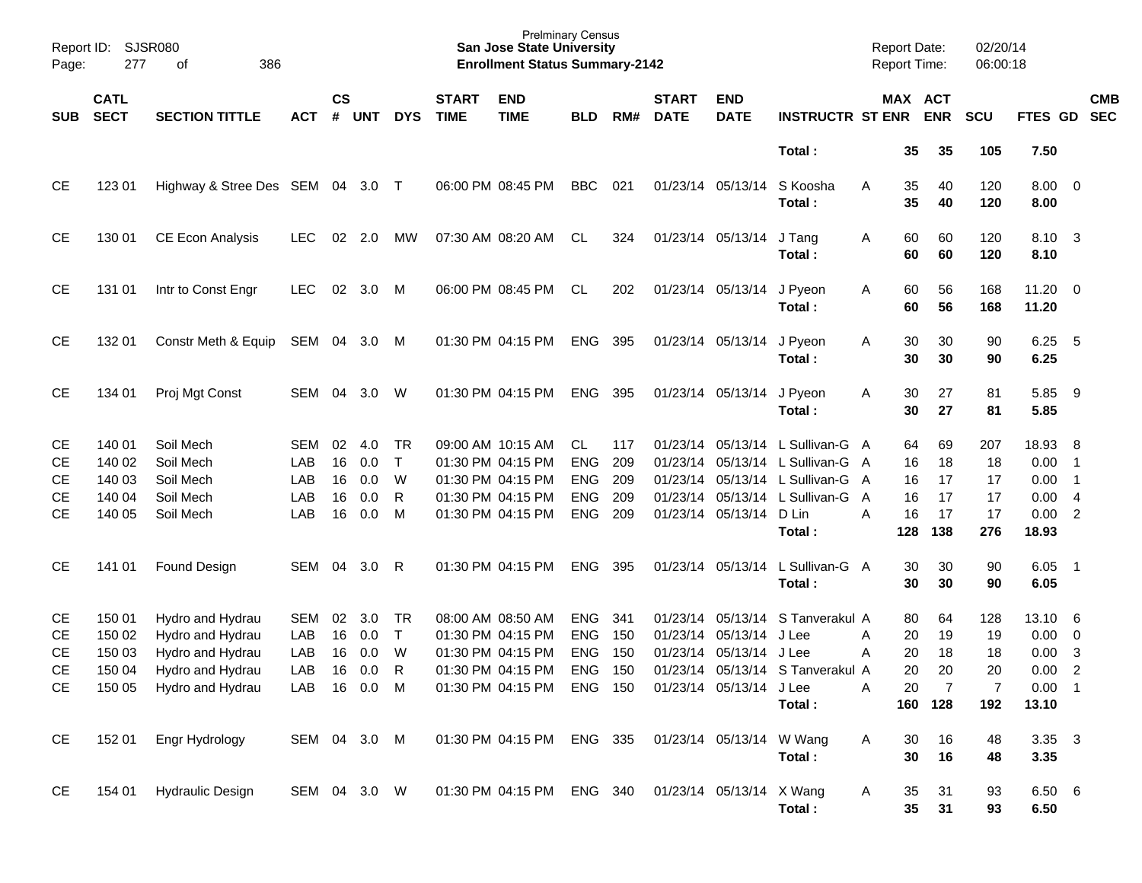| Report ID:<br>Page: | <b>SJSR080</b><br>277      | 386<br>οf                  |              |                |            |              |                             | <b>Prelminary Census</b><br><b>San Jose State University</b><br><b>Enrollment Status Summary-2142</b> |            |     |                             |                           |                                  |              |                       | <b>Report Date:</b><br><b>Report Time:</b> | 02/20/14<br>06:00:18 |                       |                          |                          |
|---------------------|----------------------------|----------------------------|--------------|----------------|------------|--------------|-----------------------------|-------------------------------------------------------------------------------------------------------|------------|-----|-----------------------------|---------------------------|----------------------------------|--------------|-----------------------|--------------------------------------------|----------------------|-----------------------|--------------------------|--------------------------|
| <b>SUB</b>          | <b>CATL</b><br><b>SECT</b> | <b>SECTION TITTLE</b>      | <b>ACT</b>   | <b>CS</b><br># | <b>UNT</b> | <b>DYS</b>   | <b>START</b><br><b>TIME</b> | <b>END</b><br><b>TIME</b>                                                                             | <b>BLD</b> | RM# | <b>START</b><br><b>DATE</b> | <b>END</b><br><b>DATE</b> | <b>INSTRUCTR ST ENR</b>          |              |                       | MAX ACT<br><b>ENR</b>                      | SCU                  | FTES GD               |                          | <b>CMB</b><br><b>SEC</b> |
|                     |                            |                            |              |                |            |              |                             |                                                                                                       |            |     |                             |                           | Total:                           |              | 35                    | 35                                         | 105                  | 7.50                  |                          |                          |
| <b>CE</b>           | 123 01                     | Highway & Stree Des SEM 04 |              |                | 3.0        | $\top$       |                             | 06:00 PM 08:45 PM                                                                                     | <b>BBC</b> | 021 | 01/23/14 05/13/14           |                           | S Koosha<br>Total:               | A            | 35<br>35              | 40<br>40                                   | 120<br>120           | $8.00 \t 0$<br>8.00   |                          |                          |
| <b>CE</b>           | 130 01                     | <b>CE Econ Analysis</b>    | <b>LEC</b>   | 02             | 2.0        | MW           |                             | 07:30 AM 08:20 AM                                                                                     | CL         | 324 |                             | 01/23/14 05/13/14         | J Tang<br>Total:                 | Α            | 60<br>60              | 60<br>60                                   | 120<br>120           | 8.10 3<br>8.10        |                          |                          |
| <b>CE</b>           | 131 01                     | Intr to Const Engr         | <b>LEC</b>   | 02             | 3.0        | M            |                             | 06:00 PM 08:45 PM                                                                                     | CL         | 202 |                             | 01/23/14 05/13/14         | J Pyeon<br>Total :               | A            | 60<br>60              | 56<br>56                                   | 168<br>168           | $11.20 \t 0$<br>11.20 |                          |                          |
| <b>CE</b>           | 132 01                     | Constr Meth & Equip        | SEM 04       |                | 3.0        | M            |                             | 01:30 PM 04:15 PM                                                                                     | ENG        | 395 |                             | 01/23/14 05/13/14         | J Pyeon<br>Total:                | A            | 30<br>30              | 30<br>30                                   | 90<br>90             | 6.25<br>6.25          | $-5$                     |                          |
| <b>CE</b>           | 134 01                     | Proj Mgt Const             | SEM 04       |                | 3.0        | W            |                             | 01:30 PM 04:15 PM                                                                                     | ENG        | 395 |                             | 01/23/14 05/13/14         | J Pyeon<br>Total:                | A            | 30<br>30              | 27<br>27                                   | 81<br>81             | 5.85 9<br>5.85        |                          |                          |
| <b>CE</b>           | 140 01                     | Soil Mech                  | SEM          | 02             | 4.0        | TR           |                             | 09:00 AM 10:15 AM                                                                                     | CL.        | 117 |                             | 01/23/14 05/13/14         | L Sullivan-G A                   |              | 64                    | 69                                         | 207                  | 18.93 8               |                          |                          |
| <b>CE</b>           | 140 02                     | Soil Mech                  | LAB          | 16             | 0.0        | $\mathsf{T}$ |                             | 01:30 PM 04:15 PM                                                                                     | <b>ENG</b> | 209 |                             | 01/23/14 05/13/14         | L Sullivan-G A                   |              | 16                    | 18                                         | 18                   | 0.00                  | $\overline{\phantom{1}}$ |                          |
| <b>CE</b>           | 140 03                     | Soil Mech                  | LAB          | 16             | 0.0        | W            |                             | 01:30 PM 04:15 PM                                                                                     | <b>ENG</b> | 209 |                             | 01/23/14 05/13/14         | L Sullivan-G                     | A            | 16                    | 17                                         | 17                   | 0.00                  | $\overline{\phantom{0}}$ |                          |
| <b>CE</b>           | 140 04                     | Soil Mech                  | LAB          | 16             | 0.0        | R            |                             | 01:30 PM 04:15 PM                                                                                     | <b>ENG</b> | 209 |                             | 01/23/14 05/13/14         | L Sullivan-G                     | A            | 16                    | 17                                         | 17                   | 0.00                  | $\overline{4}$           |                          |
| <b>CE</b>           | 140 05                     | Soil Mech                  | LAB          | 16             | 0.0        | м            |                             | 01:30 PM 04:15 PM                                                                                     | <b>ENG</b> | 209 |                             | 01/23/14 05/13/14         | D Lin                            | A            | 16                    | 17                                         | 17                   | 0.00                  | $\overline{2}$           |                          |
|                     |                            |                            |              |                |            |              |                             |                                                                                                       |            |     |                             |                           | Total:                           |              | 128                   | 138                                        | 276                  | 18.93                 |                          |                          |
| <b>CE</b>           | 141 01                     | Found Design               | SEM 04       |                | 3.0        | R            |                             | 01:30 PM 04:15 PM                                                                                     | ENG        | 395 |                             | 01/23/14 05/13/14         | L Sullivan-G A<br>Total:         |              | 30<br>30              | 30<br>30                                   | 90<br>90             | $6.05$ 1<br>6.05      |                          |                          |
| <b>CE</b>           | 150 01                     | Hydro and Hydrau           | <b>SEM</b>   | 02             | 3.0        | TR           |                             | 08:00 AM 08:50 AM                                                                                     | <b>ENG</b> | 341 |                             | 01/23/14 05/13/14         | S Tanverakul A                   |              | 80                    | 64                                         | 128                  | 13.10 6               |                          |                          |
| <b>CE</b>           | 150 02                     | Hydro and Hydrau           | LAB          | 16             | 0.0        | $\top$       |                             | 01:30 PM 04:15 PM                                                                                     | <b>ENG</b> | 150 |                             | 01/23/14 05/13/14         | J Lee                            | A            | 20                    | 19                                         | 19                   | 0.00                  | $\overline{\phantom{0}}$ |                          |
| <b>CE</b>           | 150 03                     | Hydro and Hydrau           | LAB          | 16             | 0.0        | W            |                             | 01:30 PM 04:15 PM                                                                                     | <b>ENG</b> | 150 |                             | 01/23/14 05/13/14         | J Lee                            | Α            | 20                    | 18                                         | 18                   | 0.00                  | 3                        |                          |
| CE                  |                            | 150 04 Hydro and Hydrau    | LAB 16 0.0 R |                |            |              |                             | 01:30 PM 04:15 PM ENG 150                                                                             |            |     |                             |                           | 01/23/14 05/13/14 S Tanverakul A |              | 20                    | 20                                         | 20                   | 0.00 2                |                          |                          |
| CE.                 |                            | 150 05 Hydro and Hydrau    | LAB 16 0.0 M |                |            |              |                             | 01:30 PM 04:15 PM ENG 150 01/23/14 05/13/14 J Lee                                                     |            |     |                             |                           |                                  | $\mathsf{A}$ | 20                    | $\overline{7}$                             | $\overline{7}$       | $0.00$ 1              |                          |                          |
|                     |                            |                            |              |                |            |              |                             |                                                                                                       |            |     |                             |                           | Total:                           |              |                       | 160 128                                    | 192                  | 13.10                 |                          |                          |
| CE                  | 152 01                     | Engr Hydrology             | SEM 04 3.0 M |                |            |              |                             | 01:30 PM 04:15 PM ENG 335 01/23/14 05/13/14 W Wang                                                    |            |     |                             |                           |                                  | A            | 30                    | 16                                         | 48                   | $3.35 \quad 3$        |                          |                          |
|                     |                            |                            |              |                |            |              |                             |                                                                                                       |            |     |                             |                           | Total:                           |              | 30                    | 16                                         | 48                   | 3.35                  |                          |                          |
| CE                  |                            | 154 01 Hydraulic Design    |              |                |            |              |                             | SEM 04 3.0 W  01:30 PM 04:15 PM  ENG  340  01/23/14  05/13/14  X  Wang                                |            |     |                             |                           | Total:                           | A            | 35<br>35 <sub>5</sub> | 31<br>31                                   | 93<br>93             | 6.50 6<br>6.50        |                          |                          |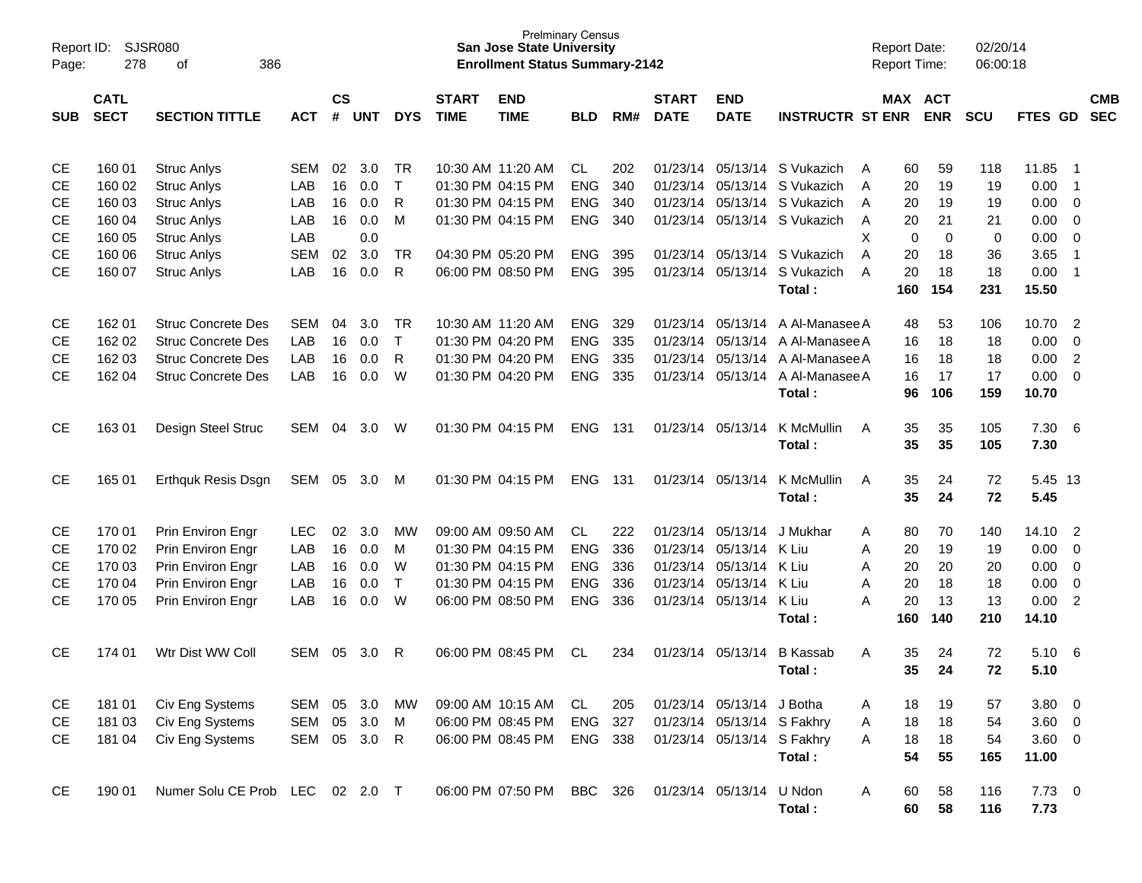| Page:      | <b>SJSR080</b><br>Report ID:<br>278<br>οf<br>386<br><b>CATL</b> |                           |            |               |            |              |              | <b>Prelminary Census</b><br><b>San Jose State University</b><br><b>Enrollment Status Summary-2142</b> |            |     |              |                            |                         |   |             | <b>Report Date:</b><br>Report Time: | 02/20/14<br>06:00:18 |                |                |            |
|------------|-----------------------------------------------------------------|---------------------------|------------|---------------|------------|--------------|--------------|-------------------------------------------------------------------------------------------------------|------------|-----|--------------|----------------------------|-------------------------|---|-------------|-------------------------------------|----------------------|----------------|----------------|------------|
|            |                                                                 |                           |            | $\mathsf{cs}$ |            |              | <b>START</b> | <b>END</b>                                                                                            |            |     | <b>START</b> | <b>END</b>                 |                         |   |             | MAX ACT                             |                      |                |                | <b>CMB</b> |
| <b>SUB</b> | <b>SECT</b>                                                     | <b>SECTION TITTLE</b>     | <b>ACT</b> | #             | <b>UNT</b> | <b>DYS</b>   | <b>TIME</b>  | <b>TIME</b>                                                                                           | <b>BLD</b> | RM# | <b>DATE</b>  | <b>DATE</b>                | <b>INSTRUCTR ST ENR</b> |   |             | <b>ENR</b>                          | <b>SCU</b>           | <b>FTES GD</b> |                | <b>SEC</b> |
| <b>CE</b>  | 160 01                                                          | <b>Struc Anlys</b>        | SEM        | 02            | 3.0        | TR           |              | 10:30 AM 11:20 AM                                                                                     | CL         | 202 | 01/23/14     | 05/13/14                   | S Vukazich              | A | 60          | 59                                  | 118                  | 11.85          | - 1            |            |
| <b>CE</b>  | 160 02                                                          | <b>Struc Anlys</b>        | LAB        | 16            | 0.0        | $\mathsf{T}$ |              | 01:30 PM 04:15 PM                                                                                     | <b>ENG</b> | 340 | 01/23/14     | 05/13/14                   | S Vukazich              | A | 20          | 19                                  | 19                   | 0.00           | $\overline{1}$ |            |
| <b>CE</b>  | 160 03                                                          | <b>Struc Anlys</b>        | LAB        | 16            | 0.0        | R            |              | 01:30 PM 04:15 PM                                                                                     | <b>ENG</b> | 340 | 01/23/14     | 05/13/14                   | S Vukazich              | A | 20          | 19                                  | 19                   | 0.00           | $\mathbf 0$    |            |
| <b>CE</b>  | 160 04                                                          | <b>Struc Anlys</b>        | LAB        | 16            | 0.0        | M            |              | 01:30 PM 04:15 PM                                                                                     | <b>ENG</b> | 340 | 01/23/14     |                            | 05/13/14 S Vukazich     | Α | 20          | 21                                  | 21                   | 0.00           | $\mathbf 0$    |            |
| <b>CE</b>  | 160 05                                                          | <b>Struc Anlys</b>        | LAB        |               | 0.0        |              |              |                                                                                                       |            |     |              |                            |                         | X | $\mathbf 0$ | $\mathbf 0$                         | $\pmb{0}$            | 0.00           | $\mathbf 0$    |            |
| <b>CE</b>  | 160 06                                                          | <b>Struc Anlys</b>        | <b>SEM</b> | 02            | 3.0        | TR           |              | 04:30 PM 05:20 PM                                                                                     | <b>ENG</b> | 395 | 01/23/14     | 05/13/14                   | S Vukazich              | A | 20          | 18                                  | 36                   | 3.65           | $\overline{1}$ |            |
| <b>CE</b>  | 160 07                                                          | <b>Struc Anlys</b>        | LAB        | 16            | 0.0        | R            |              | 06:00 PM 08:50 PM                                                                                     | <b>ENG</b> | 395 | 01/23/14     | 05/13/14                   | S Vukazich              | A | 20          | 18                                  | 18                   | 0.00           | $\overline{1}$ |            |
|            |                                                                 |                           |            |               |            |              |              |                                                                                                       |            |     |              |                            | Total:                  |   | 160         | 154                                 | 231                  | 15.50          |                |            |
| <b>CE</b>  | 162 01                                                          | <b>Struc Concrete Des</b> | <b>SEM</b> | 04            | 3.0        | <b>TR</b>    |              | 10:30 AM 11:20 AM                                                                                     | <b>ENG</b> | 329 | 01/23/14     | 05/13/14                   | A Al-Manasee A          |   | 48          | 53                                  | 106                  | 10.70          | $\overline{2}$ |            |
| <b>CE</b>  | 162 02                                                          | <b>Struc Concrete Des</b> | <b>LAB</b> | 16            | 0.0        | $\mathsf{T}$ |              | 01:30 PM 04:20 PM                                                                                     | <b>ENG</b> | 335 | 01/23/14     | 05/13/14                   | A Al-Manasee A          |   | 16          | 18                                  | 18                   | 0.00           | $\mathbf 0$    |            |
| <b>CE</b>  | 162 03                                                          | <b>Struc Concrete Des</b> | LAB        | 16            | 0.0        | R            |              | 01:30 PM 04:20 PM                                                                                     | <b>ENG</b> | 335 | 01/23/14     | 05/13/14                   | A Al-Manasee A          |   | 16          | 18                                  | 18                   | 0.00           | 2              |            |
| <b>CE</b>  | 162 04                                                          | <b>Struc Concrete Des</b> | LAB        | 16            | 0.0        | W            |              | 01:30 PM 04:20 PM                                                                                     | <b>ENG</b> | 335 | 01/23/14     | 05/13/14                   | A Al-Manasee A          |   | 16          | 17                                  | 17                   | 0.00           | $\overline{0}$ |            |
|            |                                                                 |                           |            |               |            |              |              |                                                                                                       |            |     |              |                            | Total:                  |   | 96          | 106                                 | 159                  | 10.70          |                |            |
| CE.        | 163 01                                                          | Design Steel Struc        | SEM        | 04            | 3.0        | W            |              | 01:30 PM 04:15 PM                                                                                     | <b>ENG</b> | 131 | 01/23/14     | 05/13/14                   | K McMullin              | A | 35          | 35                                  | 105                  | 7.30           | - 6            |            |
|            |                                                                 |                           |            |               |            |              |              |                                                                                                       |            |     |              |                            | Total:                  |   | 35          | 35                                  | 105                  | 7.30           |                |            |
| <b>CE</b>  | 165 01                                                          | <b>Erthquk Resis Dsgn</b> | <b>SEM</b> | 05            | 3.0        | M            |              | 01:30 PM 04:15 PM                                                                                     | <b>ENG</b> | 131 | 01/23/14     | 05/13/14                   | K McMullin              | A | 35          | 24                                  | 72                   | 5.45 13        |                |            |
|            |                                                                 |                           |            |               |            |              |              |                                                                                                       |            |     |              |                            | Total:                  |   | 35          | 24                                  | 72                   | 5.45           |                |            |
| <b>CE</b>  | 170 01                                                          | Prin Environ Engr         | <b>LEC</b> | 02            | 3.0        | МW           |              | 09:00 AM 09:50 AM                                                                                     | CL.        | 222 | 01/23/14     | 05/13/14                   | J Mukhar                | A | 80          | 70                                  | 140                  | 14.10          | $\overline{2}$ |            |
| <b>CE</b>  | 170 02                                                          | Prin Environ Engr         | LAB        | 16            | 0.0        | M            |              | 01:30 PM 04:15 PM                                                                                     | <b>ENG</b> | 336 | 01/23/14     | 05/13/14                   | K Liu                   | Α | 20          | 19                                  | 19                   | 0.00           | $\mathbf 0$    |            |
| СE         | 170 03                                                          | Prin Environ Engr         | LAB        | 16            | 0.0        | W            |              | 01:30 PM 04:15 PM                                                                                     | <b>ENG</b> | 336 | 01/23/14     | 05/13/14                   | K Liu                   | A | 20          | 20                                  | 20                   | 0.00           | 0              |            |
| <b>CE</b>  | 170 04                                                          | Prin Environ Engr         | LAB        | 16            | 0.0        | $\top$       |              | 01:30 PM 04:15 PM                                                                                     | <b>ENG</b> | 336 | 01/23/14     | 05/13/14                   | K Liu                   | A | 20          | 18                                  | 18                   | 0.00           | $\mathbf 0$    |            |
| <b>CE</b>  | 170 05                                                          | Prin Environ Engr         | LAB        | 16            | 0.0        | W            |              | 06:00 PM 08:50 PM                                                                                     | <b>ENG</b> | 336 | 01/23/14     | 05/13/14                   | K Liu                   | A | 20          | 13                                  | 13                   | 0.00           | $\overline{2}$ |            |
|            |                                                                 |                           |            |               |            |              |              |                                                                                                       |            |     |              |                            | Total:                  |   | 160         | 140                                 | 210                  | 14.10          |                |            |
| CЕ         | 174 01                                                          | Wtr Dist WW Coll          | SEM        | 05            | 3.0        | R            |              | 06:00 PM 08:45 PM                                                                                     | CL         | 234 | 01/23/14     | 05/13/14                   | <b>B</b> Kassab         | A | 35          | 24                                  | 72                   | 5.10           | - 6            |            |
|            |                                                                 |                           |            |               |            |              |              |                                                                                                       |            |     |              |                            | Total:                  |   | 35          | 24                                  | 72                   | 5.10           |                |            |
| CE         | 181 01                                                          | Civ Eng Systems           | <b>SEM</b> | 05            | 3.0        | МW           |              | 09:00 AM 10:15 AM                                                                                     | CL         | 205 |              | 01/23/14 05/13/14 J Botha  |                         | A | 18          | 19                                  | 57                   | 3.80           | $\overline{0}$ |            |
| <b>CE</b>  | 181 03                                                          | Civ Eng Systems           | <b>SEM</b> | 05            | 3.0        | M            |              | 06:00 PM 08:45 PM                                                                                     | <b>ENG</b> | 327 |              | 01/23/14 05/13/14 S Fakhry |                         | Α | 18          | 18                                  | 54                   | $3.60 \ 0$     |                |            |
| <b>CE</b>  | 181 04                                                          | Civ Eng Systems           | <b>SEM</b> |               | 05 3.0     | R            |              | 06:00 PM 08:45 PM                                                                                     | <b>ENG</b> | 338 |              | 01/23/14 05/13/14 S Fakhry |                         | A | 18          | 18                                  | 54                   | $3.60 \ 0$     |                |            |
|            |                                                                 |                           |            |               |            |              |              |                                                                                                       |            |     |              |                            | Total:                  |   | 54          | 55                                  | 165                  | 11.00          |                |            |
| <b>CE</b>  | 190 01                                                          | Numer Solu CE Prob LEC    |            |               | 02 2.0 T   |              |              | 06:00 PM 07:50 PM                                                                                     | <b>BBC</b> | 326 |              | 01/23/14 05/13/14          | U Ndon                  | A | 60          | 58                                  | 116                  | $7.73 \t 0$    |                |            |
|            |                                                                 |                           |            |               |            |              |              |                                                                                                       |            |     |              |                            | Total:                  |   | 60          | 58                                  | 116                  | 7.73           |                |            |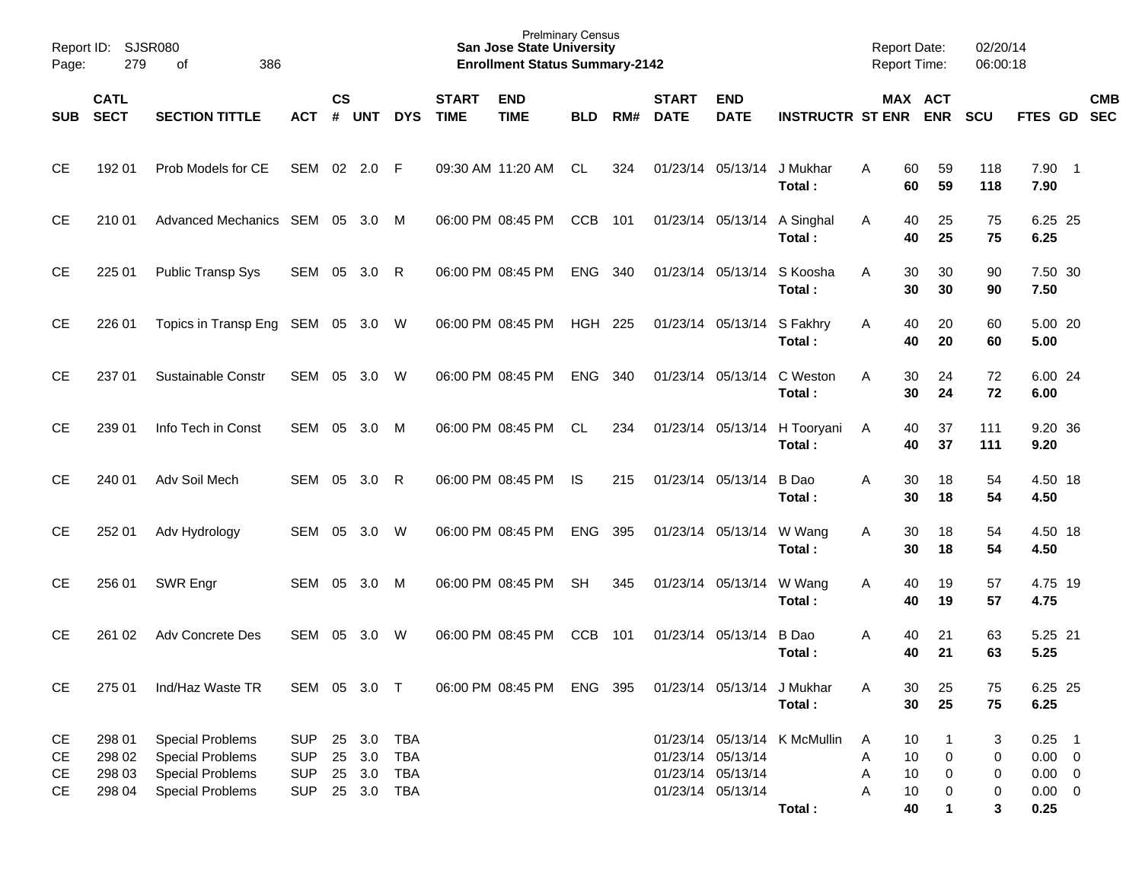| Page:      | Report ID: SJSR080<br>279<br>of<br>386 |                                   |              |               |        |            |                             | <b>Prelminary Census</b><br><b>San Jose State University</b><br><b>Enrollment Status Summary-2142</b> |                |     |                             |                             |                                        | <b>Report Date:</b><br><b>Report Time:</b> |                      | 02/20/14<br>06:00:18 |                  |            |
|------------|----------------------------------------|-----------------------------------|--------------|---------------|--------|------------|-----------------------------|-------------------------------------------------------------------------------------------------------|----------------|-----|-----------------------------|-----------------------------|----------------------------------------|--------------------------------------------|----------------------|----------------------|------------------|------------|
| <b>SUB</b> | <b>CATL</b><br><b>SECT</b>             | <b>SECTION TITTLE</b>             | ACT          | $\mathsf{cs}$ | # UNT  | <b>DYS</b> | <b>START</b><br><b>TIME</b> | <b>END</b><br><b>TIME</b>                                                                             | <b>BLD</b>     | RM# | <b>START</b><br><b>DATE</b> | <b>END</b><br><b>DATE</b>   | <b>INSTRUCTR ST ENR ENR</b>            |                                            | MAX ACT              | <b>SCU</b>           | FTES GD SEC      | <b>CMB</b> |
| <b>CE</b>  | 192 01                                 | Prob Models for CE                | SEM 02 2.0 F |               |        |            |                             | 09:30 AM 11:20 AM                                                                                     | <b>CL</b>      | 324 |                             | 01/23/14 05/13/14 J Mukhar  | Total:                                 | Α                                          | 60<br>59<br>59<br>60 | 118<br>118           | $7.90$ 1<br>7.90 |            |
| СE         | 210 01                                 | Advanced Mechanics SEM 05 3.0 M   |              |               |        |            |                             | 06:00 PM 08:45 PM                                                                                     | <b>CCB</b>     | 101 |                             | 01/23/14 05/13/14 A Singhal | Total:                                 | A                                          | 40<br>25<br>25<br>40 | 75<br>75             | 6.25 25<br>6.25  |            |
| <b>CE</b>  | 225 01                                 | Public Transp Sys                 | SEM 05       |               | 3.0    | - R        |                             | 06:00 PM 08:45 PM                                                                                     | <b>ENG</b>     | 340 |                             | 01/23/14 05/13/14           | S Koosha<br>Total:                     | A                                          | 30<br>30<br>30<br>30 | 90<br>90             | 7.50 30<br>7.50  |            |
| <b>CE</b>  | 226 01                                 | Topics in Transp Eng SEM 05 3.0 W |              |               |        |            |                             | 06:00 PM 08:45 PM                                                                                     | HGH 225        |     |                             | 01/23/14 05/13/14 S Fakhry  | Total:                                 | A                                          | 40<br>20<br>40<br>20 | 60<br>60             | 5.00 20<br>5.00  |            |
| <b>CE</b>  | 237 01                                 | Sustainable Constr                | SEM 05       |               | 3.0 W  |            |                             | 06:00 PM 08:45 PM                                                                                     | <b>ENG</b>     | 340 |                             | 01/23/14 05/13/14           | C Weston<br>Total:                     | A                                          | 30<br>24<br>30<br>24 | 72<br>72             | 6.00 24<br>6.00  |            |
| СE         | 239 01                                 | Info Tech in Const                | SEM 05       |               | 3.0 M  |            |                             | 06:00 PM 08:45 PM                                                                                     | CL             | 234 |                             |                             | 01/23/14 05/13/14 H Tooryani<br>Total: | A                                          | 40<br>37<br>40<br>37 | 111<br>111           | 9.20 36<br>9.20  |            |
| СE         | 240 01                                 | Adv Soil Mech                     | SEM          | 05            | 3.0    | - R        |                             | 06:00 PM 08:45 PM                                                                                     | IS             | 215 |                             | 01/23/14 05/13/14           | B Dao<br>Total:                        | A                                          | 30<br>18<br>30<br>18 | 54<br>54             | 4.50 18<br>4.50  |            |
| <b>CE</b>  | 252 01                                 | Adv Hydrology                     | SEM          | 05            | 3.0    | W          |                             | 06:00 PM 08:45 PM                                                                                     | ENG            | 395 |                             | 01/23/14 05/13/14           | W Wang<br>Total:                       | Α                                          | 30<br>18<br>30<br>18 | 54<br>54             | 4.50 18<br>4.50  |            |
| <b>CE</b>  | 256 01                                 | SWR Engr                          | SEM          | 05            | 3.0 M  |            |                             | 06:00 PM 08:45 PM                                                                                     | <b>SH</b>      | 345 |                             | 01/23/14 05/13/14           | W Wang<br>Total:                       | Α                                          | 40<br>19<br>40<br>19 | 57<br>57             | 4.75 19<br>4.75  |            |
| <b>CE</b>  | 261 02                                 | Adv Concrete Des                  | SEM          | 05            | 3.0    | W          |                             | 06:00 PM 08:45 PM                                                                                     | <b>CCB</b>     | 101 |                             | 01/23/14 05/13/14           | B Dao<br>Total:                        | Α                                          | 40<br>21<br>40<br>21 | 63<br>63             | 5.25 21<br>5.25  |            |
| <b>CE</b>  | 275 01                                 | Ind/Haz Waste TR                  | SEM 05 3.0 T |               |        |            |                             | 06:00 PM 08:45 PM                                                                                     | <b>ENG 395</b> |     |                             | 01/23/14 05/13/14 J Mukhar  | Total:                                 | Α                                          | 30<br>25<br>30<br>25 | 75<br>75             | 6.25 25<br>6.25  |            |
| CE         | 298 01                                 | <b>Special Problems</b>           | <b>SUP</b>   |               | 25 3.0 | <b>TBA</b> |                             |                                                                                                       |                |     |                             |                             | 01/23/14 05/13/14 K McMullin           | A                                          | 10                   | 3                    | $0.25$ 1         |            |
| CЕ         | 298 02                                 | <b>Special Problems</b>           | <b>SUP</b>   |               | 25 3.0 | <b>TBA</b> |                             |                                                                                                       |                |     |                             | 01/23/14 05/13/14           |                                        | Α                                          | 10<br>0              | 0                    | $0.00 \t 0$      |            |
| CЕ         | 298 03                                 | <b>Special Problems</b>           | <b>SUP</b>   |               | 25 3.0 | <b>TBA</b> |                             |                                                                                                       |                |     |                             | 01/23/14 05/13/14           |                                        | Α                                          | 10<br>0              | 0                    | $0.00 \t 0$      |            |
| CЕ         | 298 04                                 | <b>Special Problems</b>           | <b>SUP</b>   |               | 25 3.0 | <b>TBA</b> |                             |                                                                                                       |                |     |                             | 01/23/14 05/13/14           |                                        | Α                                          | 10<br>0              | 0                    | $0.00 \t 0$      |            |
|            |                                        |                                   |              |               |        |            |                             |                                                                                                       |                |     |                             |                             | Total:                                 |                                            | 40<br>1              | 3                    | 0.25             |            |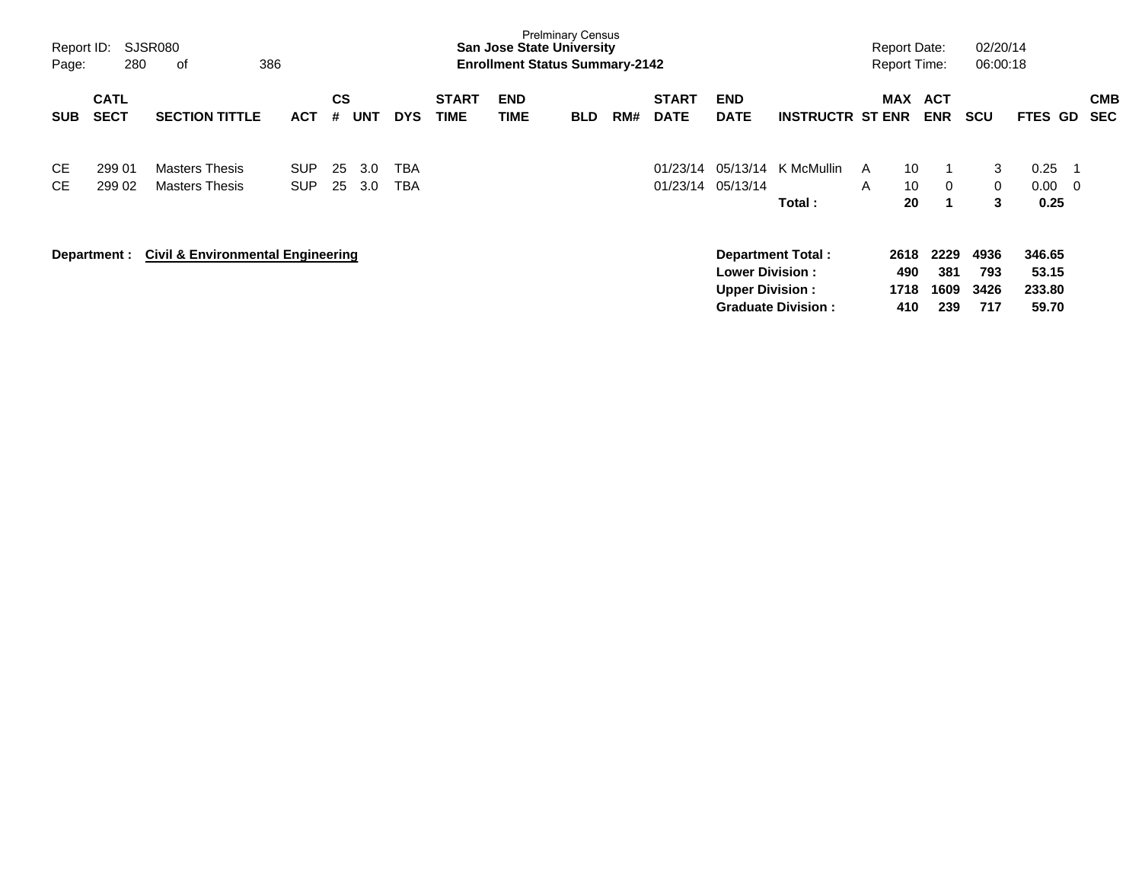| Report ID:<br>Page:    | 280                        | SJSR080<br>386<br>оf                           |                          |           |            |                          |                             | <b>San Jose State University</b><br><b>Enrollment Status Summary-2142</b> | <b>Prelminary Census</b> |     |                             |                                                  |                                                       |        | <b>Report Date:</b><br><b>Report Time:</b> |                            | 02/20/14<br>06:00:18       |                                    |                         |                          |
|------------------------|----------------------------|------------------------------------------------|--------------------------|-----------|------------|--------------------------|-----------------------------|---------------------------------------------------------------------------|--------------------------|-----|-----------------------------|--------------------------------------------------|-------------------------------------------------------|--------|--------------------------------------------|----------------------------|----------------------------|------------------------------------|-------------------------|--------------------------|
| <b>SUB</b>             | <b>CATL</b><br><b>SECT</b> | <b>SECTION TITTLE</b>                          | <b>ACT</b>               | CS<br>#   | <b>UNT</b> | <b>DYS</b>               | <b>START</b><br><b>TIME</b> | <b>END</b><br>TIME                                                        | <b>BLD</b>               | RM# | <b>START</b><br><b>DATE</b> | <b>END</b><br><b>DATE</b>                        | <b>INSTRUCTR ST ENR</b>                               |        | <b>MAX</b>                                 | <b>ACT</b><br><b>ENR</b>   | <b>SCU</b>                 | <b>FTES GD</b>                     |                         | <b>CMB</b><br><b>SEC</b> |
| <b>CE</b><br><b>CE</b> | 299 01<br>299 02           | <b>Masters Thesis</b><br><b>Masters Thesis</b> | <b>SUP</b><br><b>SUP</b> | 25<br>-25 | 3.0<br>3.0 | <b>TBA</b><br><b>TBA</b> |                             |                                                                           |                          |     | 01/23/14                    | 05/13/14<br>01/23/14 05/13/14                    | K McMullin<br>Total:                                  | A<br>A | 10<br>10<br>20                             | -1<br>$\Omega$<br>1        | 3<br>$\overline{0}$<br>3   | 0.25<br>0.00<br>0.25               | $\overline{\mathbf{0}}$ |                          |
|                        | Department :               | <b>Civil &amp; Environmental Engineering</b>   |                          |           |            |                          |                             |                                                                           |                          |     |                             | <b>Lower Division:</b><br><b>Upper Division:</b> | <b>Department Total:</b><br><b>Graduate Division:</b> |        | 2618<br>490<br>1718<br>410                 | 2229<br>381<br>1609<br>239 | 4936<br>793<br>3426<br>717 | 346.65<br>53.15<br>233.80<br>59.70 |                         |                          |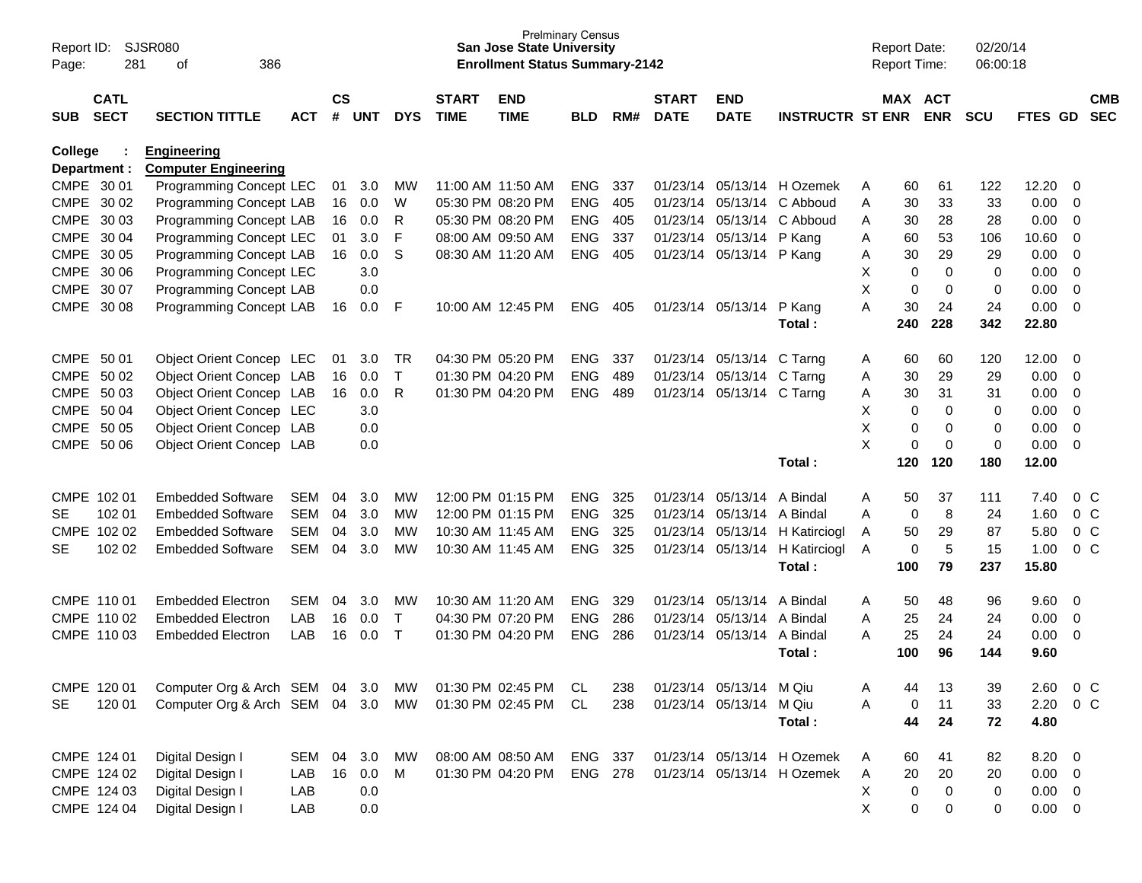| Report ID:<br>Page: | 281                        | <b>SJSR080</b><br>of<br>386                       |            |                    |            |              |                             | <b>Prelminary Census</b><br><b>San Jose State University</b><br><b>Enrollment Status Summary-2142</b> |                |     |                             |                           |                            | <b>Report Date:</b><br>Report Time: |           |                       | 02/20/14<br>06:00:18 |             |                |                          |
|---------------------|----------------------------|---------------------------------------------------|------------|--------------------|------------|--------------|-----------------------------|-------------------------------------------------------------------------------------------------------|----------------|-----|-----------------------------|---------------------------|----------------------------|-------------------------------------|-----------|-----------------------|----------------------|-------------|----------------|--------------------------|
| <b>SUB</b>          | <b>CATL</b><br><b>SECT</b> | <b>SECTION TITTLE</b>                             | <b>ACT</b> | $\mathsf{cs}$<br># | <b>UNT</b> | <b>DYS</b>   | <b>START</b><br><b>TIME</b> | <b>END</b><br><b>TIME</b>                                                                             | <b>BLD</b>     | RM# | <b>START</b><br><b>DATE</b> | <b>END</b><br><b>DATE</b> | <b>INSTRUCTR ST ENR</b>    |                                     |           | MAX ACT<br><b>ENR</b> | <b>SCU</b>           | FTES GD     |                | <b>CMB</b><br><b>SEC</b> |
| College             | Department :               | <b>Engineering</b><br><b>Computer Engineering</b> |            |                    |            |              |                             |                                                                                                       |                |     |                             |                           |                            |                                     |           |                       |                      |             |                |                          |
|                     | CMPE 30 01                 | Programming Concept LEC                           |            | 01                 | 3.0        | МW           |                             | 11:00 AM 11:50 AM                                                                                     | <b>ENG</b>     | 337 | 01/23/14                    |                           | 05/13/14 H Ozemek          | A                                   | 60        | 61                    | 122                  | 12.20       | 0              |                          |
|                     | CMPE 30 02                 | Programming Concept LAB                           |            | 16                 | 0.0        | W            |                             | 05:30 PM 08:20 PM                                                                                     | <b>ENG</b>     | 405 | 01/23/14                    | 05/13/14                  | C Abboud                   | A                                   | 30        | 33                    | 33                   | 0.00        | $\mathbf 0$    |                          |
|                     | CMPE 30 03                 | Programming Concept LAB                           |            | 16                 | 0.0        | R            |                             | 05:30 PM 08:20 PM                                                                                     | <b>ENG</b>     | 405 | 01/23/14                    | 05/13/14                  | C Abboud                   | Α                                   | 30        | 28                    | 28                   | 0.00        | $\mathbf 0$    |                          |
|                     | CMPE 30 04                 | <b>Programming Concept LEC</b>                    |            | 01                 | 3.0        | F            |                             | 08:00 AM 09:50 AM                                                                                     | <b>ENG</b>     | 337 | 01/23/14                    | 05/13/14                  | P Kang                     | Α                                   | 60        | 53                    | 106                  | 10.60       | $\mathbf 0$    |                          |
|                     | CMPE 30 05                 | Programming Concept LAB                           |            | 16                 | 0.0        | S            |                             | 08:30 AM 11:20 AM                                                                                     | <b>ENG</b>     | 405 | 01/23/14                    | 05/13/14 P Kang           |                            | Α                                   | 30        | 29                    | 29                   | 0.00        | $\mathbf 0$    |                          |
|                     | CMPE 30 06                 | Programming Concept LEC                           |            |                    | 3.0        |              |                             |                                                                                                       |                |     |                             |                           |                            | X                                   | 0         | $\mathbf 0$           | 0                    | 0.00        | $\mathbf 0$    |                          |
|                     | CMPE 30 07                 | Programming Concept LAB                           |            |                    | 0.0        |              |                             |                                                                                                       |                |     |                             |                           |                            | X                                   | 0         | $\mathbf 0$           | $\mathbf 0$          | 0.00        | $\mathbf 0$    |                          |
|                     | CMPE 30 08                 | Programming Concept LAB                           |            | 16                 | 0.0        | F            | 10:00 AM 12:45 PM           |                                                                                                       | <b>ENG</b>     | 405 | 01/23/14                    | 05/13/14                  | P Kang                     | A                                   | 30        | 24                    | 24                   | 0.00        | $\mathbf 0$    |                          |
|                     |                            |                                                   |            |                    |            |              |                             |                                                                                                       |                |     |                             |                           | Total:                     |                                     | 240       | 228                   | 342                  | 22.80       |                |                          |
|                     | CMPE 50 01                 | Object Orient Concep LEC                          |            | 01                 | 3.0        | TR           |                             | 04:30 PM 05:20 PM                                                                                     | <b>ENG</b>     | 337 | 01/23/14                    | 05/13/14                  | C Tarng                    | Α                                   | 60        | 60                    | 120                  | 12.00       | $\mathbf 0$    |                          |
|                     | CMPE 50 02                 | Object Orient Concep LAB                          |            | 16                 | 0.0        | $\mathsf{T}$ |                             | 01:30 PM 04:20 PM                                                                                     | <b>ENG</b>     | 489 | 01/23/14                    | 05/13/14                  | C Tarng                    | Α                                   | 30        | 29                    | 29                   | 0.00        | $\mathbf 0$    |                          |
|                     | CMPE 50 03                 | Object Orient Concep LAB                          |            | 16                 | 0.0        | R            |                             | 01:30 PM 04:20 PM                                                                                     | <b>ENG</b>     | 489 | 01/23/14                    | 05/13/14 C Tarng          |                            | Α                                   | 30        | 31                    | 31                   | 0.00        | $\mathbf 0$    |                          |
|                     | CMPE 50 04                 | Object Orient Concep LEC                          |            |                    | 3.0        |              |                             |                                                                                                       |                |     |                             |                           |                            | X                                   | 0         | $\mathbf 0$           | 0                    | 0.00        | $\mathbf 0$    |                          |
|                     | CMPE 50 05                 | Object Orient Concep LAB                          |            |                    | 0.0        |              |                             |                                                                                                       |                |     |                             |                           |                            | X                                   | 0         | $\mathbf 0$           | 0                    | 0.00        | $\mathbf 0$    |                          |
| <b>CMPE</b>         | 50 06                      | Object Orient Concep LAB                          |            |                    | 0.0        |              |                             |                                                                                                       |                |     |                             |                           |                            | X                                   | $\pmb{0}$ | $\mathbf 0$           | 0                    | 0.00        | $\mathbf 0$    |                          |
|                     |                            |                                                   |            |                    |            |              |                             |                                                                                                       |                |     |                             |                           | Total:                     |                                     | 120       | 120                   | 180                  | 12.00       |                |                          |
|                     | CMPE 102 01                | <b>Embedded Software</b>                          | SEM        | 04                 | 3.0        | МW           |                             | 12:00 PM 01:15 PM                                                                                     | <b>ENG</b>     | 325 | 01/23/14                    | 05/13/14                  | A Bindal                   | Α                                   | 50        | 37                    | 111                  | 7.40        | $0\,C$         |                          |
| <b>SE</b>           | 102 01                     | <b>Embedded Software</b>                          | <b>SEM</b> | 04                 | 3.0        | <b>MW</b>    |                             | 12:00 PM 01:15 PM                                                                                     | <b>ENG</b>     | 325 | 01/23/14                    | 05/13/14 A Bindal         |                            | A                                   | 0         | 8                     | 24                   | 1.60        | 0 <sup>C</sup> |                          |
|                     | CMPE 102 02                | <b>Embedded Software</b>                          | <b>SEM</b> | 04                 | 3.0        | MW           |                             | 10:30 AM 11:45 AM                                                                                     | <b>ENG</b>     | 325 | 01/23/14                    |                           | 05/13/14 H Katirciogl      | Α                                   | 50        | 29                    | 87                   | 5.80        | $0\,C$         |                          |
| <b>SE</b>           | 102 02                     | <b>Embedded Software</b>                          | <b>SEM</b> | 04                 | 3.0        | <b>MW</b>    |                             | 10:30 AM 11:45 AM                                                                                     | <b>ENG</b>     | 325 | 01/23/14                    |                           | 05/13/14 H Katirciogl      | A                                   | 0         | 5                     | 15                   | 1.00        | $0\,C$         |                          |
|                     |                            |                                                   |            |                    |            |              |                             |                                                                                                       |                |     |                             |                           | Total:                     |                                     | 100       | 79                    | 237                  | 15.80       |                |                          |
|                     | CMPE 110 01                | <b>Embedded Electron</b>                          | SEM        | 04                 | 3.0        | МW           |                             | 10:30 AM 11:20 AM                                                                                     | <b>ENG</b>     | 329 | 01/23/14                    | 05/13/14                  | A Bindal                   | Α                                   | 50        | 48                    | 96                   | 9.60        | 0              |                          |
|                     | CMPE 110 02                | <b>Embedded Electron</b>                          | LAB        | 16                 | 0.0        | $\mathsf{T}$ |                             | 04:30 PM 07:20 PM                                                                                     | <b>ENG</b>     | 286 | 01/23/14                    | 05/13/14                  | A Bindal                   | A                                   | 25        | 24                    | 24                   | 0.00        | $\mathbf 0$    |                          |
|                     | CMPE 110 03                | <b>Embedded Electron</b>                          | LAB        | 16                 | 0.0        | $\mathsf{T}$ | 01:30 PM 04:20 PM           |                                                                                                       | <b>ENG</b>     | 286 | 01/23/14                    | 05/13/14 A Bindal         |                            | A                                   | 25        | 24                    | 24                   | 0.00        | $\mathbf 0$    |                          |
|                     |                            |                                                   |            |                    |            |              |                             |                                                                                                       |                |     |                             |                           | Total:                     |                                     | 100       | 96                    | 144                  | 9.60        |                |                          |
|                     | CMPE 120 01                | Computer Org & Arch SEM 04 3.0                    |            |                    |            | МW           |                             | 01:30 PM 02:45 PM                                                                                     | CL.            | 238 |                             | 01/23/14 05/13/14 M Qiu   |                            | Α                                   | 44        | 13                    | 39                   | 2.60        | $0\,C$         |                          |
| <b>SE</b>           | 120 01                     | Computer Org & Arch SEM 04 3.0 MW                 |            |                    |            |              |                             | 01:30 PM 02:45 PM                                                                                     | CL             | 238 |                             | 01/23/14 05/13/14 M Qiu   |                            | Α                                   | 0         | 11                    | 33                   | 2.20        | $0\,C$         |                          |
|                     |                            |                                                   |            |                    |            |              |                             |                                                                                                       |                |     |                             |                           | Total:                     |                                     | 44        | 24                    | 72                   | 4.80        |                |                          |
|                     | CMPE 124 01                | Digital Design I                                  | SEM 04     |                    | 3.0        | МW           |                             | 08:00 AM 08:50 AM                                                                                     | ENG 337        |     |                             |                           | 01/23/14 05/13/14 H Ozemek |                                     | 60        | 41                    | 82                   | 8.20        | $\overline{0}$ |                          |
|                     | CMPE 124 02                | Digital Design I                                  | LAB        |                    | 16 0.0     | M            |                             | 01:30 PM 04:20 PM                                                                                     | <b>ENG 278</b> |     |                             |                           | 01/23/14 05/13/14 H Ozemek | A                                   | 20        | 20                    | 20                   | $0.00 \t 0$ |                |                          |
|                     | CMPE 124 03                | Digital Design I                                  | LAB        |                    | 0.0        |              |                             |                                                                                                       |                |     |                             |                           |                            | Х                                   | 0         | $\mathbf 0$           | $\mathbf 0$          | $0.00 \t 0$ |                |                          |
|                     | CMPE 124 04                | Digital Design I                                  | LAB        |                    | 0.0        |              |                             |                                                                                                       |                |     |                             |                           |                            | X                                   | 0         | 0                     | 0                    | $0.00 \t 0$ |                |                          |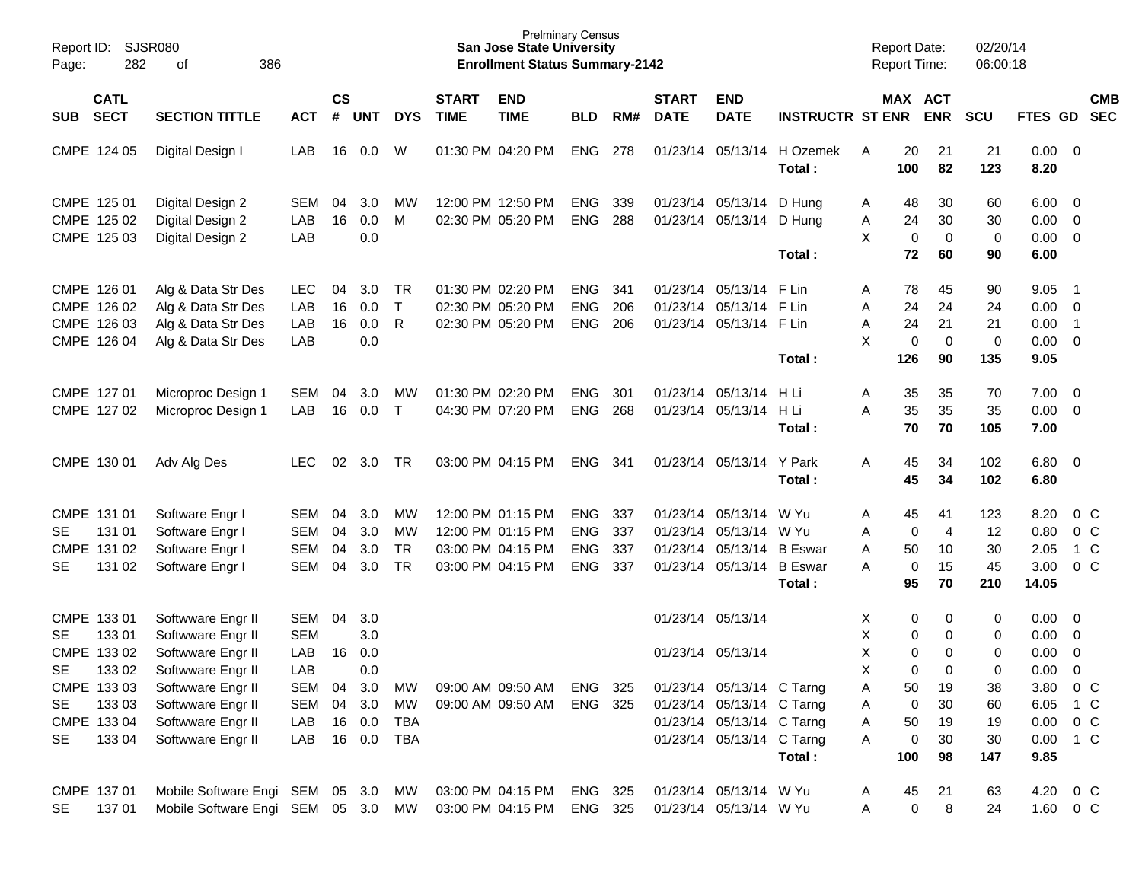| Report ID:<br>Page: | 282                        | <b>SJSR080</b><br>386<br>οf        |            |                    |            |              |                             | <b>San Jose State University</b><br><b>Enrollment Status Summary-2142</b> | <b>Prelminary Census</b> |     |                             |                           |                         |    | <b>Report Date:</b><br>Report Time: |                   | 02/20/14<br>06:00:18 |               |                          |                          |
|---------------------|----------------------------|------------------------------------|------------|--------------------|------------|--------------|-----------------------------|---------------------------------------------------------------------------|--------------------------|-----|-----------------------------|---------------------------|-------------------------|----|-------------------------------------|-------------------|----------------------|---------------|--------------------------|--------------------------|
| <b>SUB</b>          | <b>CATL</b><br><b>SECT</b> | <b>SECTION TITTLE</b>              | <b>ACT</b> | $\mathsf{cs}$<br># | <b>UNT</b> | <b>DYS</b>   | <b>START</b><br><b>TIME</b> | <b>END</b><br><b>TIME</b>                                                 | <b>BLD</b>               | RM# | <b>START</b><br><b>DATE</b> | <b>END</b><br><b>DATE</b> | <b>INSTRUCTR ST ENR</b> |    | MAX ACT                             | <b>ENR</b>        | <b>SCU</b>           | FTES GD       |                          | <b>CMB</b><br><b>SEC</b> |
|                     | CMPE 124 05                | Digital Design I                   | LAB        | 16                 | 0.0        | W            |                             | 01:30 PM 04:20 PM                                                         | <b>ENG</b>               | 278 | 01/23/14                    | 05/13/14                  | H Ozemek<br>Total:      | A  | 20<br>100                           | 21<br>82          | 21<br>123            | 0.00<br>8.20  | $\overline{\mathbf{0}}$  |                          |
|                     | CMPE 125 01                | Digital Design 2                   | <b>SEM</b> | 04                 | 3.0        | МW           |                             | 12:00 PM 12:50 PM                                                         | <b>ENG</b>               | 339 |                             | 01/23/14 05/13/14         | D Hung                  | Α  | 48                                  | 30                | 60                   | 6.00          | $\overline{\mathbf{0}}$  |                          |
|                     | CMPE 125 02                | Digital Design 2                   | LAB        | 16                 | 0.0        | M            |                             | 02:30 PM 05:20 PM                                                         | ENG                      | 288 |                             | 01/23/14 05/13/14         | D Hung                  | Α  | 24                                  | 30                | 30                   | 0.00          | $\overline{\mathbf{0}}$  |                          |
|                     | CMPE 125 03                | Digital Design 2                   | LAB        |                    | 0.0        |              |                             |                                                                           |                          |     |                             |                           |                         | X  | $\mathbf 0$                         | $\mathbf 0$       | $\mathbf 0$          | 0.00          | $\overline{\phantom{0}}$ |                          |
|                     |                            |                                    |            |                    |            |              |                             |                                                                           |                          |     |                             |                           | Total:                  |    | 72                                  | 60                | 90                   | 6.00          |                          |                          |
|                     | CMPE 126 01                | Alg & Data Str Des                 | <b>LEC</b> | 04                 | 3.0        | <b>TR</b>    |                             | 01:30 PM 02:20 PM                                                         | <b>ENG</b>               | 341 |                             | 01/23/14 05/13/14         | F Lin                   | Α  | 78                                  | 45                | 90                   | 9.05          | -1                       |                          |
|                     | CMPE 126 02                | Alg & Data Str Des                 | LAB        | 16                 | 0.0        | $\mathsf{T}$ |                             | 02:30 PM 05:20 PM                                                         | <b>ENG</b>               | 206 |                             | 01/23/14 05/13/14         | F Lin                   | Α  | 24                                  | 24                | 24                   | 0.00          | $\overline{\mathbf{0}}$  |                          |
|                     | CMPE 126 03                | Alg & Data Str Des                 | LAB        | 16                 | 0.0        | R            |                             | 02:30 PM 05:20 PM                                                         | <b>ENG</b>               | 206 |                             | 01/23/14 05/13/14         | F Lin                   | Α  | 24                                  | 21                | 21                   | 0.00          | $\overline{1}$           |                          |
|                     | CMPE 126 04                | Alg & Data Str Des                 | LAB        |                    | 0.0        |              |                             |                                                                           |                          |     |                             |                           |                         | X  | 0<br>126                            | $\mathbf 0$<br>90 | 0                    | 0.00          | $\overline{0}$           |                          |
|                     |                            |                                    |            |                    |            |              |                             |                                                                           |                          |     |                             |                           | Total:                  |    |                                     |                   | 135                  | 9.05          |                          |                          |
|                     | CMPE 127 01                | Microproc Design 1                 | <b>SEM</b> | 04                 | 3.0        | <b>MW</b>    |                             | 01:30 PM 02:20 PM                                                         | <b>ENG</b>               | 301 |                             | 01/23/14 05/13/14         | H Li                    | Α  | 35                                  | 35                | 70                   | 7.00          | $\overline{\mathbf{0}}$  |                          |
|                     | CMPE 127 02                | Microproc Design 1                 | LAB        | 16                 | 0.0        | $\top$       |                             | 04:30 PM 07:20 PM                                                         | <b>ENG</b>               | 268 |                             | 01/23/14 05/13/14         | H Li                    | А  | 35                                  | 35                | 35                   | 0.00          | $\overline{\phantom{0}}$ |                          |
|                     |                            |                                    |            |                    |            |              |                             |                                                                           |                          |     |                             |                           | Total:                  |    | 70                                  | 70                | 105                  | 7.00          |                          |                          |
|                     | CMPE 130 01                | Adv Alg Des                        | <b>LEC</b> | 02                 | 3.0        | <b>TR</b>    |                             | 03:00 PM 04:15 PM                                                         | <b>ENG</b>               | 341 |                             | 01/23/14 05/13/14         | Y Park                  | A  | 45                                  | 34                | 102                  | 6.80          | $\overline{\phantom{0}}$ |                          |
|                     |                            |                                    |            |                    |            |              |                             |                                                                           |                          |     |                             |                           | Total:                  |    | 45                                  | 34                | 102                  | 6.80          |                          |                          |
|                     | CMPE 131 01                |                                    | SEM        | 04                 | 3.0        | <b>MW</b>    |                             | 12:00 PM 01:15 PM                                                         | <b>ENG</b>               | 337 |                             | 01/23/14 05/13/14         | W Yu                    | Α  | 45                                  | 41                | 123                  | 8.20          | 0 <sup>o</sup>           |                          |
| <b>SE</b>           | 131 01                     | Software Engr I<br>Software Engr I | SEM        | 04                 | 3.0        | <b>MW</b>    |                             | 12:00 PM 01:15 PM                                                         | <b>ENG</b>               | 337 |                             | 01/23/14 05/13/14         | W Yu                    | Α  | $\mathbf 0$                         | 4                 | 12                   | 0.80          | 0 <sup>o</sup>           |                          |
|                     | CMPE 131 02                | Software Engr I                    | <b>SEM</b> | 04                 | 3.0        | <b>TR</b>    |                             | 03:00 PM 04:15 PM                                                         | <b>ENG</b>               | 337 |                             | 01/23/14 05/13/14         | <b>B</b> Eswar          | Α  | 50                                  | 10                | 30                   | 2.05          | 1 C                      |                          |
| SE                  | 131 02                     | Software Engr I                    | SEM        | 04                 | 3.0        | <b>TR</b>    |                             | 03:00 PM 04:15 PM                                                         | <b>ENG</b>               | 337 |                             | 01/23/14 05/13/14         | <b>B</b> Eswar          | А  | $\mathbf 0$                         | 15                | 45                   | 3.00          | 0 <sup>o</sup>           |                          |
|                     |                            |                                    |            |                    |            |              |                             |                                                                           |                          |     |                             |                           | Total:                  |    | 95                                  | 70                | 210                  | 14.05         |                          |                          |
|                     | CMPE 133 01                | Softwware Engr II                  | SEM        | 04                 | 3.0        |              |                             |                                                                           |                          |     |                             | 01/23/14 05/13/14         |                         | X  | 0                                   | 0                 | 0                    | 0.00          | $\overline{\mathbf{0}}$  |                          |
| <b>SE</b>           | 133 01                     | Softwware Engr II                  | <b>SEM</b> |                    | 3.0        |              |                             |                                                                           |                          |     |                             |                           |                         | Χ  | 0                                   | 0                 | 0                    | 0.00          | $\overline{\mathbf{0}}$  |                          |
|                     | CMPE 133 02                | Softwware Engr II                  | LAB        | 16                 | 0.0        |              |                             |                                                                           |                          |     |                             | 01/23/14 05/13/14         |                         | X  | $\mathbf 0$                         | 0                 | 0                    | 0.00          | $\mathbf 0$              |                          |
| <b>SE</b>           | 133 02                     | Softwware Engr II                  | LAB        |                    | 0.0        |              |                             |                                                                           |                          |     |                             |                           |                         | X. | 0                                   | 0                 | 0                    | $0.00 \t 0$   |                          |                          |
|                     | CMPE 133 03                | Softwware Engr II                  | SEM 04 3.0 |                    |            | MW           |                             | 09:00 AM 09:50 AM                                                         | ENG 325                  |     |                             | 01/23/14 05/13/14 C Tarng |                         | Α  | 50                                  | 19                | 38                   | 3.80 0 C      |                          |                          |
| SE.                 | 133 03                     | Softwware Engr II                  | SEM        |                    | 04 3.0     | MW           |                             | 09:00 AM 09:50 AM                                                         | ENG 325                  |     |                             | 01/23/14 05/13/14 C Tarng |                         | Α  | 0                                   | 30                | 60                   | 6.05 1 C      |                          |                          |
|                     | CMPE 133 04                | Softwware Engr II                  | LAB        |                    | 16 0.0     | TBA          |                             |                                                                           |                          |     |                             | 01/23/14 05/13/14 C Tarng |                         | Α  | 50                                  | 19                | 19                   | $0.00 \t 0 C$ |                          |                          |
| SE.                 | 133 04                     | Softwware Engr II                  | LAB        |                    |            | 16  0.0  TBA |                             |                                                                           |                          |     |                             | 01/23/14 05/13/14 C Tarng |                         | Α  | 0                                   | 30                | 30                   | 0.00 1 C      |                          |                          |
|                     |                            |                                    |            |                    |            |              |                             |                                                                           |                          |     |                             |                           | Total:                  |    | 100                                 | 98                | 147                  | 9.85          |                          |                          |
|                     | CMPE 137 01                | Mobile Software Engi SEM 05 3.0 MW |            |                    |            |              |                             | 03:00 PM 04:15 PM                                                         | ENG 325                  |     |                             | 01/23/14 05/13/14 W Yu    |                         | A  | 45                                  | 21                | 63                   | 4.20 0 C      |                          |                          |
| SE                  | 137 01                     | Mobile Software Engi SEM 05 3.0 MW |            |                    |            |              |                             | 03:00 PM 04:15 PM ENG 325                                                 |                          |     |                             | 01/23/14 05/13/14 W Yu    |                         | A  | 0                                   | 8                 | 24                   | 1.60 0 C      |                          |                          |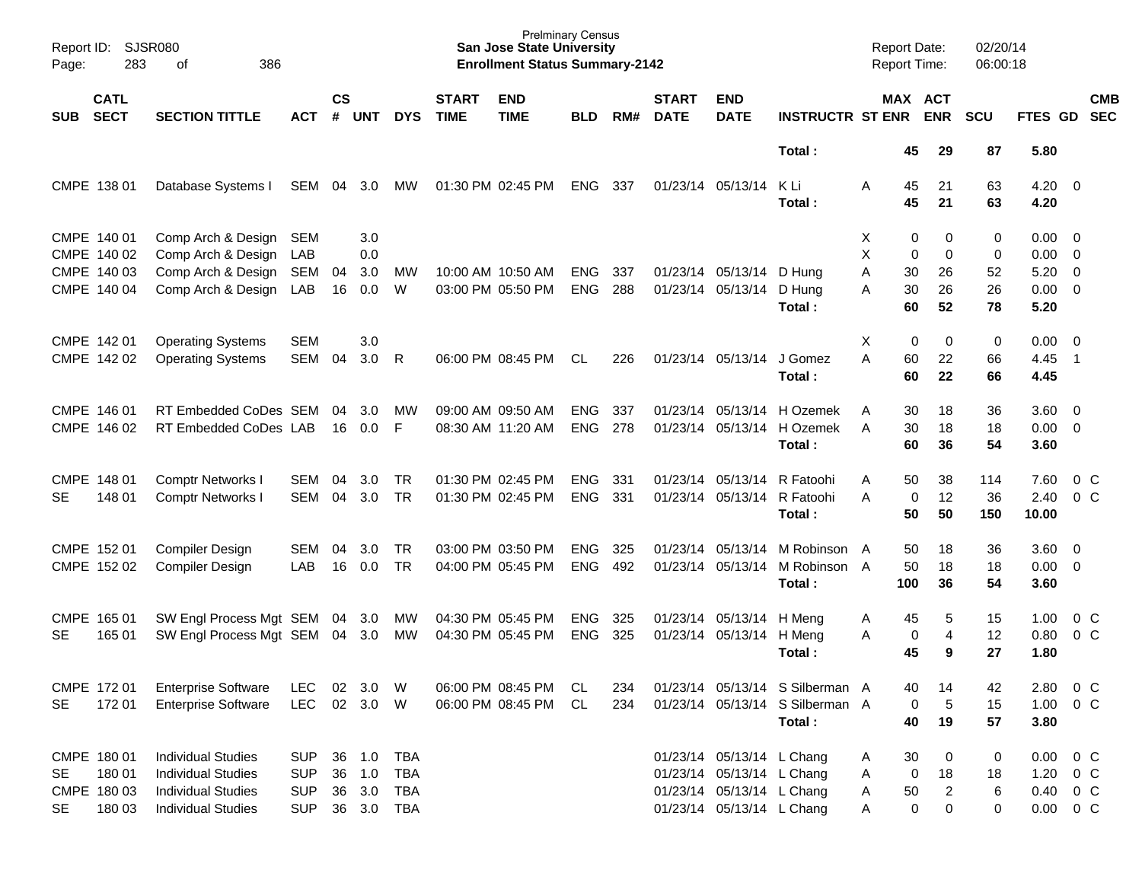| Report ID:<br>Page:    | 283                                            | SJSR080<br>386<br>οf                                                                                             |                                                      |                    |                                   |                                                      |                             | <b>Prelminary Census</b><br><b>San Jose State University</b><br><b>Enrollment Status Summary-2142</b> |                          |            |                             |                                                                                                                  |                                                                              |                  | <b>Report Date:</b>                | <b>Report Time:</b>            | 02/20/14<br>06:00:18 |                              |                                                      |
|------------------------|------------------------------------------------|------------------------------------------------------------------------------------------------------------------|------------------------------------------------------|--------------------|-----------------------------------|------------------------------------------------------|-----------------------------|-------------------------------------------------------------------------------------------------------|--------------------------|------------|-----------------------------|------------------------------------------------------------------------------------------------------------------|------------------------------------------------------------------------------|------------------|------------------------------------|--------------------------------|----------------------|------------------------------|------------------------------------------------------|
| <b>SUB</b>             | <b>CATL</b><br><b>SECT</b>                     | <b>SECTION TITTLE</b>                                                                                            | <b>ACT</b>                                           | $\mathsf{cs}$<br># | <b>UNT</b>                        | <b>DYS</b>                                           | <b>START</b><br><b>TIME</b> | <b>END</b><br><b>TIME</b>                                                                             | <b>BLD</b>               | RM#        | <b>START</b><br><b>DATE</b> | <b>END</b><br><b>DATE</b>                                                                                        | <b>INSTRUCTR ST ENR</b>                                                      |                  |                                    | MAX ACT<br><b>ENR</b>          | SCU                  | FTES GD                      | <b>CMB</b><br><b>SEC</b>                             |
|                        |                                                |                                                                                                                  |                                                      |                    |                                   |                                                      |                             |                                                                                                       |                          |            |                             |                                                                                                                  | Total:                                                                       |                  | 45                                 | 29                             | 87                   | 5.80                         |                                                      |
|                        | CMPE 138 01                                    | Database Systems I                                                                                               | SEM                                                  | 04                 | 3.0                               | MW                                                   |                             | 01:30 PM 02:45 PM                                                                                     | <b>ENG</b>               | 337        |                             | 01/23/14 05/13/14                                                                                                | K Li<br>Total:                                                               | A                | 45<br>45                           | 21<br>21                       | 63<br>63             | 4.20<br>4.20                 | $\overline{0}$                                       |
| CMPE 140 01            | CMPE 140 02<br>CMPE 140 03<br>CMPE 140 04      | Comp Arch & Design<br>Comp Arch & Design<br>Comp Arch & Design                                                   | <b>SEM</b><br>LAB<br>SEM                             | 04                 | 3.0<br>0.0<br>3.0<br>0.0          | МW<br>W                                              |                             | 10:00 AM 10:50 AM                                                                                     | <b>ENG</b>               | 337<br>288 | 01/23/14<br>01/23/14        | 05/13/14                                                                                                         | D Hung<br>D Hung                                                             | Х<br>X<br>A      | 0<br>$\mathbf 0$<br>30<br>30       | 0<br>0<br>26<br>26             | 0<br>0<br>52<br>26   | 0.00<br>0.00<br>5.20<br>0.00 | $\overline{0}$<br>0<br>$\mathbf 0$<br>$\overline{0}$ |
|                        |                                                | Comp Arch & Design                                                                                               | LAB                                                  | 16                 |                                   |                                                      |                             | 03:00 PM 05:50 PM                                                                                     | <b>ENG</b>               |            |                             | 05/13/14                                                                                                         | Total:                                                                       | A                | 60                                 | 52                             | 78                   | 5.20                         |                                                      |
| CMPE 142 01            | CMPE 142 02                                    | <b>Operating Systems</b><br><b>Operating Systems</b>                                                             | <b>SEM</b><br><b>SEM</b>                             | 04                 | 3.0<br>3.0                        | R                                                    |                             | 06:00 PM 08:45 PM                                                                                     | <b>CL</b>                | 226        |                             | 01/23/14 05/13/14                                                                                                | J Gomez<br>Total:                                                            | X<br>A           | $\mathbf 0$<br>60<br>60            | 0<br>22<br>22                  | 0<br>66<br>66        | 0.00<br>4.45<br>4.45         | $\overline{0}$<br>-1                                 |
| CMPE 146 01            | CMPE 146 02                                    | RT Embedded CoDes SEM<br>RT Embedded CoDes LAB                                                                   |                                                      | 04<br>16           | 3.0<br>0.0                        | МW<br>F                                              |                             | 09:00 AM 09:50 AM<br>08:30 AM 11:20 AM                                                                | <b>ENG</b><br><b>ENG</b> | 337<br>278 | 01/23/14<br>01/23/14        | 05/13/14<br>05/13/14                                                                                             | H Ozemek<br>H Ozemek<br>Total:                                               | A<br>A           | 30<br>30<br>60                     | 18<br>18<br>36                 | 36<br>18<br>54       | 3.60<br>0.00<br>3.60         | $\overline{0}$<br>$\overline{0}$                     |
| CMPE 148 01<br>SE      | 148 01                                         | <b>Comptr Networks I</b><br><b>Comptr Networks I</b>                                                             | <b>SEM</b><br><b>SEM</b>                             | 04<br>04           | 3.0<br>3.0                        | <b>TR</b><br><b>TR</b>                               |                             | 01:30 PM 02:45 PM<br>01:30 PM 02:45 PM                                                                | <b>ENG</b><br><b>ENG</b> | 331<br>331 | 01/23/14<br>01/23/14        | 05/13/14<br>05/13/14                                                                                             | R Fatoohi<br>R Fatoohi<br>Total:                                             | A<br>А           | 50<br>$\mathbf 0$<br>50            | 38<br>12<br>50                 | 114<br>36<br>150     | 7.60<br>2.40<br>10.00        | 0 <sup>o</sup><br>$0\,C$                             |
| CMPE 152 01            | CMPE 152 02                                    | Compiler Design<br>Compiler Design                                                                               | <b>SEM</b><br>LAB                                    | 04<br>16           | 3.0<br>0.0                        | <b>TR</b><br><b>TR</b>                               |                             | 03:00 PM 03:50 PM<br>04:00 PM 05:45 PM                                                                | <b>ENG</b><br><b>ENG</b> | 325<br>492 | 01/23/14<br>01/23/14        | 05/13/14<br>05/13/14                                                                                             | M Robinson<br>M Robinson A<br>Total:                                         | A                | 50<br>50<br>100                    | 18<br>18<br>36                 | 36<br>18<br>54       | 3.60<br>0.00<br>3.60         | $\overline{0}$<br>$\overline{0}$                     |
| CMPE 165 01<br>SE      | 165 01                                         | SW Engl Process Mgt SEM<br>SW Engl Process Mgt SEM                                                               |                                                      | 04<br>04           | 3.0<br>3.0                        | MW<br><b>MW</b>                                      |                             | 04:30 PM 05:45 PM<br>04:30 PM 05:45 PM                                                                | <b>ENG</b><br><b>ENG</b> | 325<br>325 | 01/23/14                    | 05/13/14<br>01/23/14 05/13/14                                                                                    | H Meng<br>H Meng<br>Total:                                                   | Α<br>A           | 45<br>0<br>45                      | 5<br>4<br>9                    | 15<br>12<br>27       | 1.00<br>0.80<br>1.80         | 0 <sup>o</sup><br>0 <sup>o</sup>                     |
| SE.                    | CMPE 172 01<br>172 01                          | <b>Enterprise Software</b><br><b>Enterprise Software</b>                                                         | <b>LEC</b><br><b>LEC</b>                             |                    | 02 3.0<br>02 3.0                  | W<br>W                                               |                             | 06:00 PM 08:45 PM<br>06:00 PM 08:45 PM                                                                | CL<br>CL                 | 234<br>234 |                             |                                                                                                                  | 01/23/14 05/13/14 S Silberman A<br>01/23/14 05/13/14 S Silberman A<br>Total: |                  | 40<br>0<br>40                      | 14<br>5<br>19                  | 42<br>15<br>57       | 2.80<br>1.00<br>3.80         | $0\,C$<br>$0\,C$                                     |
| <b>SE</b><br><b>SE</b> | CMPE 180 01<br>180 01<br>CMPE 180 03<br>180 03 | <b>Individual Studies</b><br><b>Individual Studies</b><br><b>Individual Studies</b><br><b>Individual Studies</b> | <b>SUP</b><br><b>SUP</b><br><b>SUP</b><br><b>SUP</b> | 36                 | 36 1.0<br>1.0<br>36 3.0<br>36 3.0 | <b>TBA</b><br><b>TBA</b><br><b>TBA</b><br><b>TBA</b> |                             |                                                                                                       |                          |            |                             | 01/23/14 05/13/14 L Chang<br>01/23/14 05/13/14 L Chang<br>01/23/14 05/13/14 L Chang<br>01/23/14 05/13/14 L Chang |                                                                              | A<br>Α<br>Α<br>Α | 30<br>$\pmb{0}$<br>50<br>$\pmb{0}$ | 0<br>18<br>$\overline{c}$<br>0 | 0<br>18<br>6<br>0    | 0.00<br>1.20<br>0.40<br>0.00 | $0\,C$<br>0 <sup>o</sup><br>$0\,C$<br>$0\,C$         |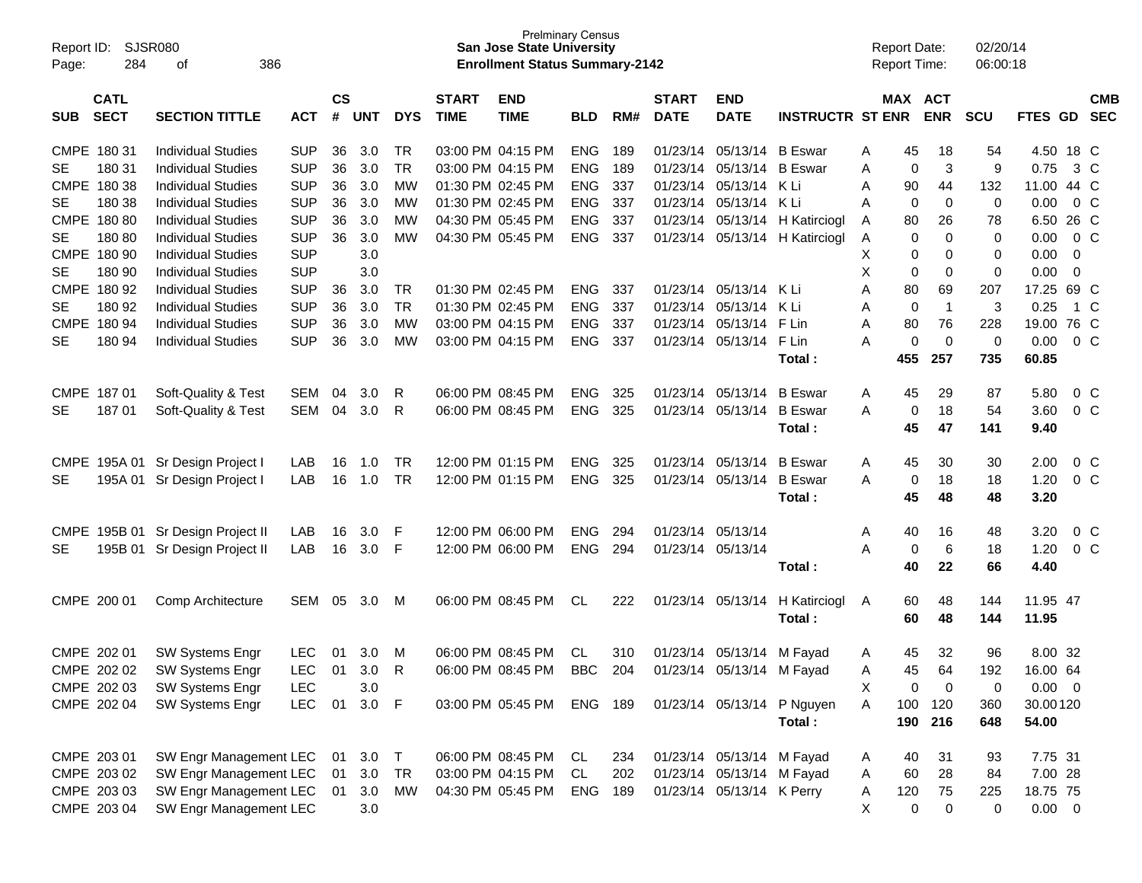| Report ID:<br>Page: | 284                        | SJSR080<br>386<br>οf         |            |                    |            |            |                             | <b>San Jose State University</b><br><b>Enrollment Status Summary-2142</b> | <b>Prelminary Census</b> |     |                             |                           |                            | <b>Report Date:</b><br><b>Report Time:</b> |             |                         | 02/20/14<br>06:00:18 |             |   |                          |
|---------------------|----------------------------|------------------------------|------------|--------------------|------------|------------|-----------------------------|---------------------------------------------------------------------------|--------------------------|-----|-----------------------------|---------------------------|----------------------------|--------------------------------------------|-------------|-------------------------|----------------------|-------------|---|--------------------------|
| <b>SUB</b>          | <b>CATL</b><br><b>SECT</b> | <b>SECTION TITTLE</b>        | <b>ACT</b> | $\mathsf{cs}$<br># | <b>UNT</b> | <b>DYS</b> | <b>START</b><br><b>TIME</b> | <b>END</b><br><b>TIME</b>                                                 | BLD                      | RM# | <b>START</b><br><b>DATE</b> | <b>END</b><br><b>DATE</b> | <b>INSTRUCTR ST ENR</b>    |                                            |             | MAX ACT<br><b>ENR</b>   | <b>SCU</b>           | FTES GD     |   | <b>CMB</b><br><b>SEC</b> |
| CMPE 180 31         |                            | <b>Individual Studies</b>    | <b>SUP</b> | 36                 | 3.0        | TR         |                             | 03:00 PM 04:15 PM                                                         | <b>ENG</b>               | 189 | 01/23/14                    | 05/13/14                  | <b>B</b> Eswar             | A                                          | 45          | 18                      | 54                   | 4.50 18 C   |   |                          |
| <b>SE</b>           | 180 31                     | <b>Individual Studies</b>    | <b>SUP</b> | 36                 | 3.0        | TR         |                             | 03:00 PM 04:15 PM                                                         | <b>ENG</b>               | 189 | 01/23/14                    | 05/13/14                  | <b>B</b> Eswar             | A                                          | 0           | 3                       | 9                    | 0.75        |   | 3 C                      |
|                     | CMPE 180 38                | <b>Individual Studies</b>    | <b>SUP</b> | 36                 | 3.0        | МW         |                             | 01:30 PM 02:45 PM                                                         | <b>ENG</b>               | 337 | 01/23/14                    | 05/13/14 K Li             |                            | A                                          | 90          | 44                      | 132                  | 11.00 44 C  |   |                          |
| <b>SE</b>           | 180 38                     | <b>Individual Studies</b>    | <b>SUP</b> | 36                 | 3.0        | МW         |                             | 01:30 PM 02:45 PM                                                         | <b>ENG</b>               | 337 | 01/23/14                    | 05/13/14                  | K Li                       | A                                          | 0           | 0                       | 0                    | 0.00        |   | $0\,C$                   |
|                     | CMPE 180 80                | <b>Individual Studies</b>    | <b>SUP</b> | 36                 | 3.0        | МW         |                             | 04:30 PM 05:45 PM                                                         | <b>ENG</b>               | 337 | 01/23/14                    | 05/13/14                  | H Katirciogl               | A                                          | 80          | 26                      | 78                   | 6.50 26 C   |   |                          |
| <b>SE</b>           | 18080                      | <b>Individual Studies</b>    | <b>SUP</b> | 36                 | 3.0        | MW         |                             | 04:30 PM 05:45 PM                                                         | <b>ENG</b>               | 337 | 01/23/14                    | 05/13/14                  | H Katirciogl               | Α                                          | 0           | $\Omega$                | 0                    | 0.00        |   | $0\,C$                   |
|                     | CMPE 180 90                | <b>Individual Studies</b>    | <b>SUP</b> |                    | 3.0        |            |                             |                                                                           |                          |     |                             |                           |                            | X                                          | 0           | 0                       | 0                    | 0.00        | 0 |                          |
| <b>SE</b>           | 180 90                     | <b>Individual Studies</b>    | <b>SUP</b> |                    | 3.0        |            |                             |                                                                           |                          |     |                             |                           |                            | х                                          | 0           | 0                       | $\mathbf 0$          | 0.00        | 0 |                          |
|                     | CMPE 180 92                | <b>Individual Studies</b>    | <b>SUP</b> | 36                 | 3.0        | TR         |                             | 01:30 PM 02:45 PM                                                         | <b>ENG</b>               | 337 | 01/23/14                    | 05/13/14 K Li             |                            | Α                                          | 80          | 69                      | 207                  | 17.25 69 C  |   |                          |
| <b>SE</b>           | 180 92                     | <b>Individual Studies</b>    | <b>SUP</b> | 36                 | 3.0        | <b>TR</b>  |                             | 01:30 PM 02:45 PM                                                         | <b>ENG</b>               | 337 | 01/23/14                    | 05/13/14                  | K Li                       | Α                                          | $\mathbf 0$ | $\overline{\mathbf{1}}$ | 3                    | 0.25        |   | 1 C                      |
| <b>CMPE</b>         | 18094                      | <b>Individual Studies</b>    | <b>SUP</b> | 36                 | 3.0        | МW         |                             | 03:00 PM 04:15 PM                                                         | <b>ENG</b>               | 337 | 01/23/14                    | 05/13/14                  | F Lin                      | A                                          | 80          | 76                      | 228                  | 19.00 76 C  |   |                          |
| <b>SE</b>           | 180 94                     | <b>Individual Studies</b>    | <b>SUP</b> | 36                 | 3.0        | МW         |                             | 03:00 PM 04:15 PM                                                         | <b>ENG</b>               | 337 |                             | 01/23/14 05/13/14         | F Lin                      | A                                          | 0           | $\mathbf 0$             | 0                    | 0.00        |   | 0 C                      |
|                     |                            |                              |            |                    |            |            |                             |                                                                           |                          |     |                             |                           | Total:                     |                                            | 455         | 257                     | 735                  | 60.85       |   |                          |
| CMPE 187 01         |                            | Soft-Quality & Test          | SEM        | 04                 | 3.0        | R          |                             | 06:00 PM 08:45 PM                                                         | <b>ENG</b>               | 325 | 01/23/14                    | 05/13/14                  | <b>B</b> Eswar             | A                                          | 45          | 29                      | 87                   | 5.80        |   | $0\,C$                   |
| <b>SE</b>           | 18701                      | Soft-Quality & Test          | SEM        | 04                 | 3.0        | R          |                             | 06:00 PM 08:45 PM                                                         | <b>ENG</b>               | 325 |                             | 01/23/14 05/13/14         | <b>B</b> Eswar             | A                                          | 0           | 18                      | 54                   | 3.60        |   | $0\,C$                   |
|                     |                            |                              |            |                    |            |            |                             |                                                                           |                          |     |                             |                           | Total :                    |                                            | 45          | 47                      | 141                  | 9.40        |   |                          |
| <b>CMPE</b>         |                            | 195A 01 Sr Design Project I  | LAB        | 16                 | 1.0        | TR         |                             | 12:00 PM 01:15 PM                                                         | <b>ENG</b>               | 325 | 01/23/14                    | 05/13/14                  | <b>B</b> Eswar             | A                                          | 45          | 30                      | 30                   | 2.00        |   | 0 <sup>C</sup>           |
| <b>SE</b>           |                            | 195A 01 Sr Design Project I  | LAB        | 16                 | 1.0        | TR         |                             | 12:00 PM 01:15 PM                                                         | <b>ENG</b>               | 325 |                             | 01/23/14 05/13/14         | <b>B</b> Eswar             | A                                          | 0           | 18                      | 18                   | 1.20        |   | $0\,C$                   |
|                     |                            |                              |            |                    |            |            |                             |                                                                           |                          |     |                             |                           | Total :                    |                                            | 45          | 48                      | 48                   | 3.20        |   |                          |
| <b>CMPE</b>         |                            | 195B 01 Sr Design Project II | LAB        | 16                 | 3.0        | F          |                             | 12:00 PM 06:00 PM                                                         | <b>ENG</b>               | 294 |                             | 01/23/14 05/13/14         |                            | A                                          | 40          | 16                      | 48                   | 3.20        |   | 0 <sup>C</sup>           |
| <b>SE</b>           |                            | 195B 01 Sr Design Project II | LAB        | 16                 | 3.0        | F          |                             | 12:00 PM 06:00 PM                                                         | <b>ENG</b>               | 294 |                             | 01/23/14 05/13/14         |                            | A                                          | 0           | 6                       | 18                   | 1.20        |   | $0\,C$                   |
|                     |                            |                              |            |                    |            |            |                             |                                                                           |                          |     |                             |                           | Total:                     |                                            | 40          | 22                      | 66                   | 4.40        |   |                          |
| CMPE 200 01         |                            | Comp Architecture            | SEM        | 05                 | 3.0        | M          |                             | 06:00 PM 08:45 PM                                                         | <b>CL</b>                | 222 |                             | 01/23/14 05/13/14         | H Katirciogl               | A                                          | 60          | 48                      | 144                  | 11.95 47    |   |                          |
|                     |                            |                              |            |                    |            |            |                             |                                                                           |                          |     |                             |                           | Total :                    |                                            | 60          | 48                      | 144                  | 11.95       |   |                          |
| CMPE 202 01         |                            | SW Systems Engr              | <b>LEC</b> | 01                 | 3.0        | м          |                             | 06:00 PM 08:45 PM                                                         | <b>CL</b>                | 310 |                             | 01/23/14 05/13/14 M Fayad |                            | A                                          | 45          | 32                      | 96                   | 8.00 32     |   |                          |
|                     | CMPE 202 02                | <b>SW Systems Engr</b>       | <b>LEC</b> |                    | 01 3.0     | R          |                             | 06:00 PM 08:45 PM                                                         | <b>BBC</b>               | 204 |                             | 01/23/14 05/13/14 M Fayad |                            | A                                          | 45          | 64                      | 192                  | 16.00 64    |   |                          |
|                     | CMPE 202 03                | SW Systems Engr              | LEC        |                    | 3.0        |            |                             |                                                                           |                          |     |                             |                           |                            | X                                          | 0           | 0                       | 0                    | $0.00 \t 0$ |   |                          |
|                     | CMPE 202 04                | SW Systems Engr              | <b>LEC</b> | 01                 | 3.0 F      |            |                             | 03:00 PM 05:45 PM                                                         | ENG 189                  |     |                             |                           | 01/23/14 05/13/14 P Nguyen | A                                          | 100         | 120                     | 360                  | 30.00120    |   |                          |
|                     |                            |                              |            |                    |            |            |                             |                                                                           |                          |     |                             |                           | Total:                     |                                            | 190         | 216                     | 648                  | 54.00       |   |                          |
| CMPE 203 01         |                            | SW Engr Management LEC       |            | 01                 | 3.0        | $\top$     |                             | 06:00 PM 08:45 PM                                                         | CL                       | 234 |                             | 01/23/14 05/13/14 M Fayad |                            | A                                          | 40          | 31                      | 93                   | 7.75 31     |   |                          |
|                     | CMPE 203 02                | SW Engr Management LEC       |            | 01                 | 3.0        | <b>TR</b>  |                             | 03:00 PM 04:15 PM                                                         | CL                       | 202 |                             | 01/23/14 05/13/14 M Fayad |                            | A                                          | 60          | 28                      | 84                   | 7.00 28     |   |                          |
|                     | CMPE 203 03                | SW Engr Management LEC       |            | 01                 | 3.0        | МW         |                             | 04:30 PM 05:45 PM                                                         | ENG                      | 189 |                             | 01/23/14 05/13/14 K Perry |                            | A                                          | 120         | 75                      | 225                  | 18.75 75    |   |                          |
|                     | CMPE 203 04                | SW Engr Management LEC       |            |                    | 3.0        |            |                             |                                                                           |                          |     |                             |                           |                            | X                                          | 0           | 0                       | 0                    | $0.00 \t 0$ |   |                          |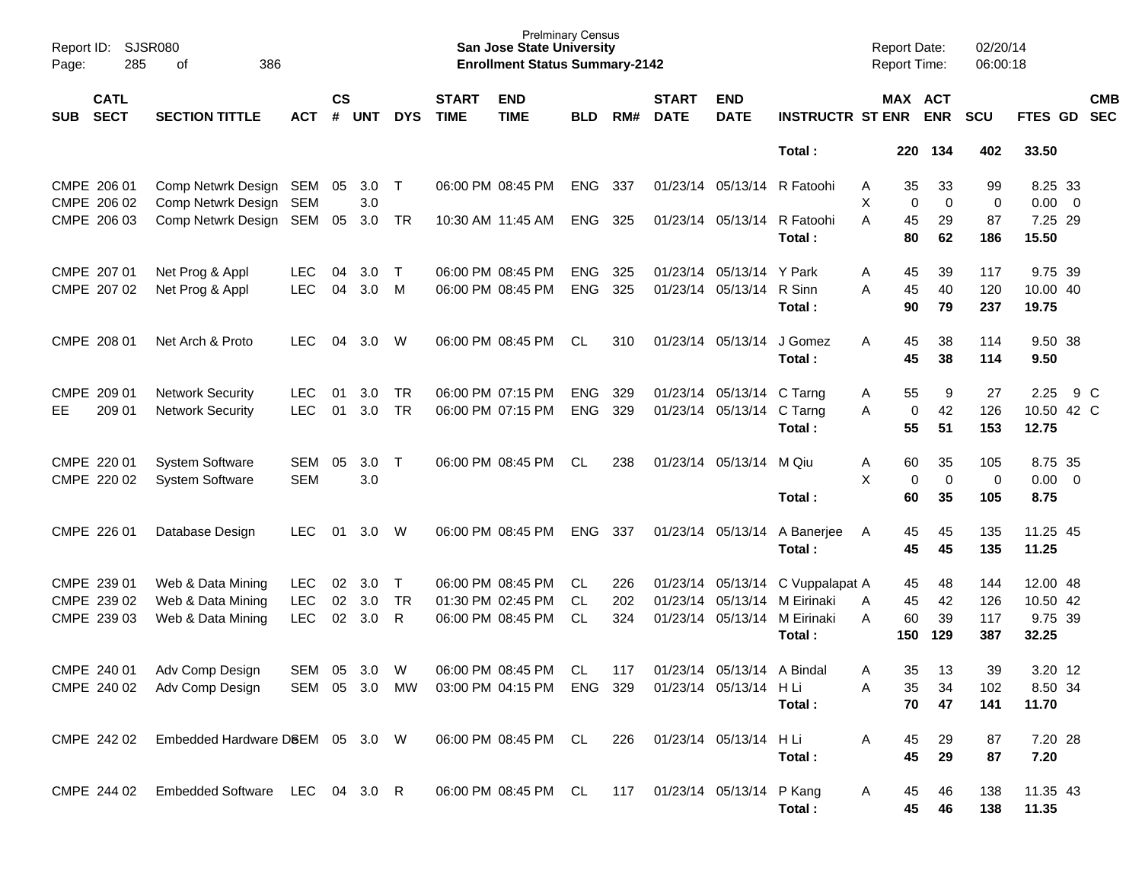| Report ID:<br>Page: | <b>SJSR080</b><br>285                     | 386<br>of                                                   |                                        |                    |                   |                     |                             | <b>Prelminary Census</b><br><b>San Jose State University</b><br><b>Enrollment Status Summary-2142</b> |                               |                   |                             |                                                        |                                                                                          | <b>Report Date:</b><br>Report Time: |                              | 02/20/14<br>06:00:18     |                                          |     |                          |
|---------------------|-------------------------------------------|-------------------------------------------------------------|----------------------------------------|--------------------|-------------------|---------------------|-----------------------------|-------------------------------------------------------------------------------------------------------|-------------------------------|-------------------|-----------------------------|--------------------------------------------------------|------------------------------------------------------------------------------------------|-------------------------------------|------------------------------|--------------------------|------------------------------------------|-----|--------------------------|
| <b>SUB</b>          | <b>CATL</b><br><b>SECT</b>                | <b>SECTION TITTLE</b>                                       | <b>ACT</b>                             | $\mathsf{cs}$<br># | <b>UNT</b>        | <b>DYS</b>          | <b>START</b><br><b>TIME</b> | <b>END</b><br><b>TIME</b>                                                                             | <b>BLD</b>                    | RM#               | <b>START</b><br><b>DATE</b> | <b>END</b><br><b>DATE</b>                              | <b>INSTRUCTR ST ENR</b>                                                                  |                                     | MAX ACT<br><b>ENR</b>        | <b>SCU</b>               | FTES GD                                  |     | <b>CMB</b><br><b>SEC</b> |
|                     |                                           |                                                             |                                        |                    |                   |                     |                             |                                                                                                       |                               |                   |                             |                                                        | Total:                                                                                   | 220                                 | 134                          | 402                      | 33.50                                    |     |                          |
|                     | CMPE 206 01                               | Comp Netwrk Design SEM                                      |                                        | 05                 | 3.0               | $\top$              |                             | 06:00 PM 08:45 PM                                                                                     | <b>ENG</b>                    | 337               |                             | 01/23/14 05/13/14                                      | R Fatoohi                                                                                | 35<br>Α                             | 33<br>$\mathbf 0$            | 99                       | 8.25 33<br>$0.00 \t 0$                   |     |                          |
|                     | CMPE 206 02<br>CMPE 206 03                | Comp Netwrk Design<br>Comp Netwrk Design SEM                | SEM                                    | 05                 | 3.0<br>3.0        | TR                  |                             | 10:30 AM 11:45 AM                                                                                     | <b>ENG</b>                    | 325               |                             | 01/23/14 05/13/14                                      | R Fatoohi<br>Total:                                                                      | Χ<br>A<br>45<br>80                  | 0<br>29<br>62                | 0<br>87<br>186           | 7.25 29<br>15.50                         |     |                          |
|                     | CMPE 207 01<br>CMPE 207 02                | Net Prog & Appl<br>Net Prog & Appl                          | <b>LEC</b><br><b>LEC</b>               | 04<br>04           | 3.0<br>3.0        | $\top$<br>M         |                             | 06:00 PM 08:45 PM<br>06:00 PM 08:45 PM                                                                | <b>ENG</b><br><b>ENG</b>      | 325<br>325        |                             | 01/23/14 05/13/14<br>01/23/14 05/13/14                 | Y Park<br>R Sinn<br>Total:                                                               | 45<br>Α<br>45<br>A<br>90            | 39<br>40<br>79               | 117<br>120<br>237        | 9.75 39<br>10.00 40<br>19.75             |     |                          |
|                     | CMPE 208 01                               | Net Arch & Proto                                            | <b>LEC</b>                             | 04                 | 3.0               | W                   |                             | 06:00 PM 08:45 PM                                                                                     | CL.                           | 310               |                             | 01/23/14 05/13/14                                      | J Gomez<br>Total:                                                                        | 45<br>A<br>45                       | 38<br>38                     | 114<br>114               | 9.50 38<br>9.50                          |     |                          |
| EE                  | CMPE 209 01<br>209 01                     | <b>Network Security</b><br><b>Network Security</b>          | <b>LEC</b><br><b>LEC</b>               | 01<br>01           | 3.0<br>3.0        | TR<br><b>TR</b>     |                             | 06:00 PM 07:15 PM<br>06:00 PM 07:15 PM                                                                | <b>ENG</b><br><b>ENG</b>      | 329<br>329        |                             | 01/23/14 05/13/14 C Tarng<br>01/23/14 05/13/14 C Tarng | Total:                                                                                   | 55<br>A<br>A<br>55                  | 9<br>42<br>0<br>51           | 27<br>126<br>153         | 2.25<br>10.50 42 C<br>12.75              | 9 C |                          |
|                     | CMPE 220 01<br>CMPE 220 02                | <b>System Software</b><br><b>System Software</b>            | SEM<br><b>SEM</b>                      | 05                 | 3.0<br>3.0        | $\top$              |                             | 06:00 PM 08:45 PM                                                                                     | <b>CL</b>                     | 238               |                             | 01/23/14 05/13/14 M Qiu                                | Total:                                                                                   | Α<br>60<br>X<br>60                  | 35<br>$\mathbf 0$<br>0<br>35 | 105<br>0<br>105          | 8.75 35<br>$0.00 \t 0$<br>8.75           |     |                          |
|                     | CMPE 226 01                               | Database Design                                             | <b>LEC</b>                             | 01                 | 3.0               | W                   |                             | 06:00 PM 08:45 PM                                                                                     | <b>ENG</b>                    | 337               |                             | 01/23/14 05/13/14                                      | A Banerjee<br>Total:                                                                     | 45<br>A<br>45                       | 45<br>45                     | 135<br>135               | 11.25 45<br>11.25                        |     |                          |
|                     | CMPE 239 01<br>CMPE 239 02<br>CMPE 239 03 | Web & Data Mining<br>Web & Data Mining<br>Web & Data Mining | <b>LEC</b><br><b>LEC</b><br><b>LEC</b> | 02<br>02<br>02     | 3.0<br>3.0<br>3.0 | Τ<br><b>TR</b><br>R |                             | 06:00 PM 08:45 PM<br>01:30 PM 02:45 PM<br>06:00 PM 08:45 PM                                           | <b>CL</b><br>CL.<br><b>CL</b> | 226<br>202<br>324 |                             | 01/23/14 05/13/14                                      | C Vuppalapat A<br>01/23/14 05/13/14 M Eirinaki<br>01/23/14 05/13/14 M Eirinaki<br>Total: | 45<br>45<br>A<br>60<br>Α<br>150     | 48<br>42<br>39<br>129        | 144<br>126<br>117<br>387 | 12.00 48<br>10.50 42<br>9.75 39<br>32.25 |     |                          |
|                     | CMPE 240 01                               | Adv Comp Design<br>CMPE 240 02 Adv Comp Design              | SEM                                    | 05                 | 3.0               | W<br>SEM 05 3.0 MW  |                             | 06:00 PM 08:45 PM<br>03:00 PM 04:15 PM ENG 329                                                        | CL                            | 117               |                             | 01/23/14 05/13/14 A Bindal<br>01/23/14 05/13/14 H Li   | Total:                                                                                   | 35<br>A<br>35<br>70                 | 13<br>34<br>47               | 39<br>102<br>141         | 3.20 12<br>8.50 34<br>11.70              |     |                          |
|                     |                                           | CMPE 242 02 Embedded Hardware D8EM 05 3.0 W                 |                                        |                    |                   |                     |                             | 06:00 PM 08:45 PM CL                                                                                  |                               | 226               |                             | 01/23/14 05/13/14 HLi                                  | Total:                                                                                   | 45<br>Α<br>45                       | 29<br>29                     | 87<br>87                 | 7.20 28<br>7.20                          |     |                          |
|                     |                                           | CMPE 244 02 Embedded Software LEC 04 3.0 R                  |                                        |                    |                   |                     |                             | 06:00 PM 08:45 PM CL                                                                                  |                               |                   |                             | 117 01/23/14 05/13/14 P Kang                           | Total:                                                                                   | A<br>45<br>45                       | 46<br>46                     | 138<br>138               | 11.35 43<br>11.35                        |     |                          |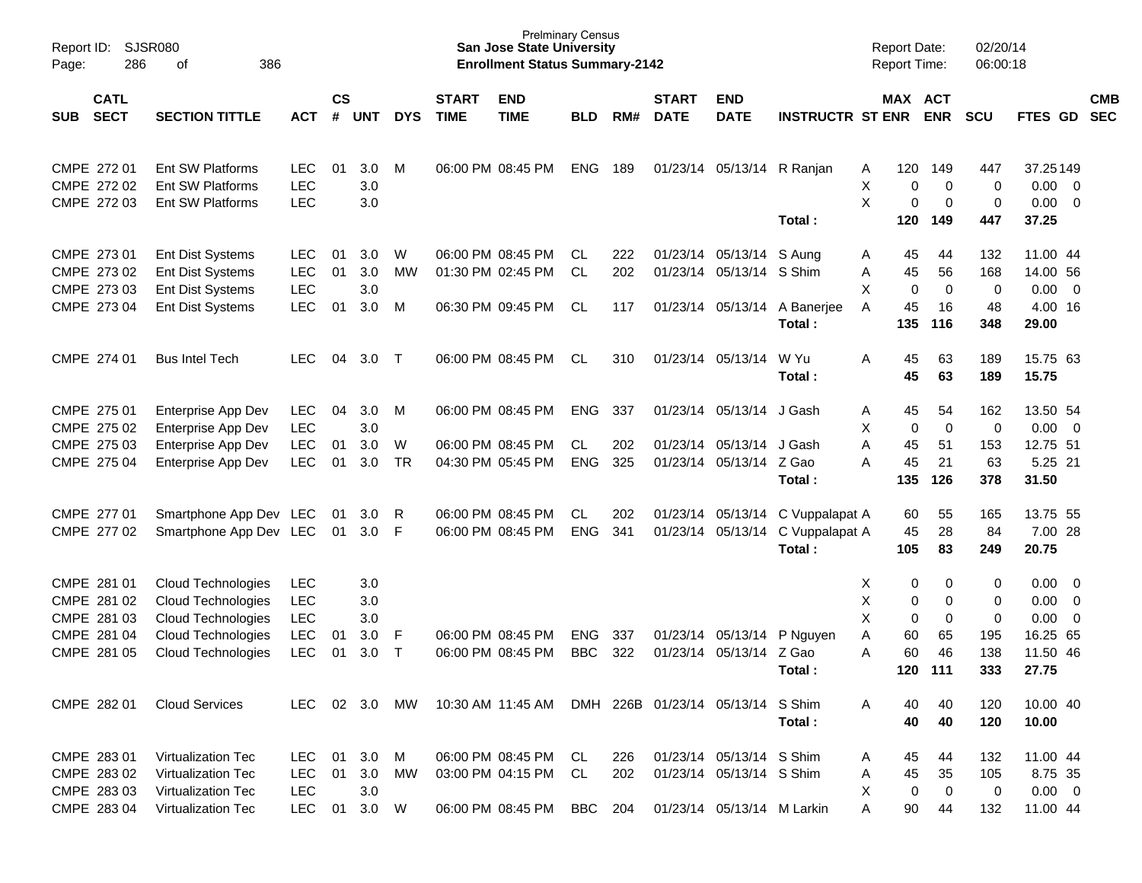| Page:                     | <b>SJSR080</b><br>Report ID:<br>286<br>386<br>of<br><b>CATL</b> |                           |               |                |            |            |                             | <b>Prelminary Census</b><br><b>San Jose State University</b><br><b>Enrollment Status Summary-2142</b> |            |     |                             |                            |                         | <b>Report Date:</b><br><b>Report Time:</b> |             | 02/20/14<br>06:00:18 |                                  |            |
|---------------------------|-----------------------------------------------------------------|---------------------------|---------------|----------------|------------|------------|-----------------------------|-------------------------------------------------------------------------------------------------------|------------|-----|-----------------------------|----------------------------|-------------------------|--------------------------------------------|-------------|----------------------|----------------------------------|------------|
| <b>SECT</b><br><b>SUB</b> |                                                                 | <b>SECTION TITTLE</b>     | <b>ACT</b>    | <b>CS</b><br># | <b>UNT</b> | <b>DYS</b> | <b>START</b><br><b>TIME</b> | <b>END</b><br><b>TIME</b>                                                                             | <b>BLD</b> | RM# | <b>START</b><br><b>DATE</b> | <b>END</b><br><b>DATE</b>  | <b>INSTRUCTR ST ENR</b> | MAX ACT                                    | <b>ENR</b>  | <b>SCU</b>           | FTES GD SEC                      | <b>CMB</b> |
| CMPE 272 01               |                                                                 | Ent SW Platforms          | <b>LEC</b>    | 01             | 3.0        | M          |                             | 06:00 PM 08:45 PM                                                                                     | <b>ENG</b> | 189 |                             | 01/23/14 05/13/14 R Ranjan |                         | 120<br>A                                   | 149         | 447                  | 37.25149                         |            |
| CMPE 272 02               |                                                                 | Ent SW Platforms          | <b>LEC</b>    |                | 3.0        |            |                             |                                                                                                       |            |     |                             |                            |                         | X<br>0                                     | $\mathbf 0$ | 0                    | $0.00 \t 0$                      |            |
| CMPE 272 03               |                                                                 | Ent SW Platforms          | <b>LEC</b>    |                | 3.0        |            |                             |                                                                                                       |            |     |                             |                            |                         | X<br>$\pmb{0}$                             | 0           | 0                    | $0.00 \t 0$                      |            |
|                           |                                                                 |                           |               |                |            |            |                             |                                                                                                       |            |     |                             |                            | Total:                  | 120                                        | 149         | 447                  | 37.25                            |            |
| CMPE 273 01               |                                                                 | Ent Dist Systems          | <b>LEC</b>    | 01             | 3.0        | W          |                             | 06:00 PM 08:45 PM                                                                                     | CL.        | 222 |                             | 01/23/14 05/13/14          | S Aung                  | 45<br>A                                    | 44          | 132                  | 11.00 44                         |            |
| CMPE 273 02               |                                                                 | Ent Dist Systems          | <b>LEC</b>    | 01             | 3.0        | MW         |                             | 01:30 PM 02:45 PM                                                                                     | <b>CL</b>  | 202 |                             | 01/23/14 05/13/14 S Shim   |                         | 45<br>Α                                    | 56          | 168                  | 14.00 56                         |            |
| CMPE 273 03               |                                                                 | Ent Dist Systems          | <b>LEC</b>    |                | 3.0        |            |                             |                                                                                                       |            |     |                             |                            |                         | X<br>0                                     | $\mathbf 0$ | 0                    | $0.00 \t 0$                      |            |
| CMPE 273 04               |                                                                 | Ent Dist Systems          | <b>LEC</b>    | 01             | 3.0        | М          |                             | 06:30 PM 09:45 PM                                                                                     | CL         | 117 |                             | 01/23/14 05/13/14          | A Banerjee              | 45<br>A                                    | 16          | 48                   | 4.00 16                          |            |
|                           |                                                                 |                           |               |                |            |            |                             |                                                                                                       |            |     |                             |                            | Total:                  | 135                                        | 116         | 348                  | 29.00                            |            |
| CMPE 274 01               |                                                                 | <b>Bus Intel Tech</b>     | LEC.          | 04             | 3.0        | $\top$     |                             | 06:00 PM 08:45 PM                                                                                     | <b>CL</b>  | 310 |                             | 01/23/14 05/13/14          | W Yu                    | A<br>45                                    | 63          | 189                  | 15.75 63                         |            |
|                           |                                                                 |                           |               |                |            |            |                             |                                                                                                       |            |     |                             |                            | Total:                  | 45                                         | 63          | 189                  | 15.75                            |            |
| CMPE 275 01               |                                                                 | Enterprise App Dev        | <b>LEC</b>    | 04             | 3.0        | M          |                             | 06:00 PM 08:45 PM                                                                                     | <b>ENG</b> | 337 |                             | 01/23/14 05/13/14 J Gash   |                         | 45<br>A                                    | 54          | 162                  | 13.50 54                         |            |
| CMPE 275 02               |                                                                 | Enterprise App Dev        | <b>LEC</b>    |                | 3.0        |            |                             |                                                                                                       |            |     |                             |                            |                         | X<br>0                                     | $\mathbf 0$ | 0                    | $0.00 \t 0$                      |            |
| CMPE 275 03               |                                                                 | Enterprise App Dev        | <b>LEC</b>    | 01             | 3.0        | W          |                             | 06:00 PM 08:45 PM                                                                                     | CL         | 202 |                             | 01/23/14 05/13/14          | J Gash                  | 45<br>Α                                    | 51          | 153                  | 12.75 51                         |            |
| CMPE 275 04               |                                                                 | Enterprise App Dev        | <b>LEC</b>    | 01             | $3.0\,$    | <b>TR</b>  |                             | 04:30 PM 05:45 PM                                                                                     | <b>ENG</b> | 325 |                             | 01/23/14 05/13/14 Z Gao    |                         | 45<br>Α                                    | 21          | 63                   | 5.25 21                          |            |
|                           |                                                                 |                           |               |                |            |            |                             |                                                                                                       |            |     |                             |                            | Total:                  | 135                                        | 126         | 378                  | 31.50                            |            |
| CMPE 277 01               |                                                                 | Smartphone App Dev LEC    |               | -01            | 3.0        | R          |                             | 06:00 PM 08:45 PM                                                                                     | CL         | 202 |                             | 01/23/14 05/13/14          | C Vuppalapat A          | 60                                         | 55          | 165                  | 13.75 55                         |            |
| CMPE 277 02               |                                                                 | Smartphone App Dev LEC    |               | 01             | 3.0        | - F        |                             | 06:00 PM 08:45 PM                                                                                     | <b>ENG</b> | 341 |                             | 01/23/14 05/13/14          | C Vuppalapat A          | 45                                         | 28          | 84                   | 7.00 28                          |            |
|                           |                                                                 |                           |               |                |            |            |                             |                                                                                                       |            |     |                             |                            | Total:                  | 105                                        | 83          | 249                  | 20.75                            |            |
| CMPE 281 01               |                                                                 | Cloud Technologies        | <b>LEC</b>    |                | 3.0        |            |                             |                                                                                                       |            |     |                             |                            |                         | 0<br>Х                                     | 0           | 0                    | 0.00<br>$\overline{\phantom{0}}$ |            |
| CMPE 281 02               |                                                                 | <b>Cloud Technologies</b> | <b>LEC</b>    |                | 3.0        |            |                             |                                                                                                       |            |     |                             |                            |                         | Χ<br>0                                     | 0           | 0                    | 0.00<br>$\overline{\phantom{0}}$ |            |
| CMPE 281 03               |                                                                 | Cloud Technologies        | <b>LEC</b>    |                | 3.0        |            |                             |                                                                                                       |            |     |                             |                            |                         | X<br>$\mathbf 0$                           | 0           | 0                    | 0.00<br>$\overline{\mathbf{0}}$  |            |
| CMPE 281 04               |                                                                 | Cloud Technologies        | <b>LEC</b>    | 01             | 3.0        | F          |                             | 06:00 PM 08:45 PM                                                                                     | ENG        | 337 |                             | 01/23/14 05/13/14          | P Nguyen                | 60<br>Α                                    | 65          | 195                  | 16.25 65                         |            |
| CMPE 281 05               |                                                                 | <b>Cloud Technologies</b> | <b>LEC</b>    | 01             | 3.0        | Т          |                             | 06:00 PM 08:45 PM                                                                                     | <b>BBC</b> | 322 |                             | 01/23/14 05/13/14          | Z Gao                   | A<br>60                                    | 46          | 138                  | 11.50 46                         |            |
|                           |                                                                 |                           |               |                |            |            |                             |                                                                                                       |            |     |                             |                            | Total :                 | 120                                        | 111         | 333                  | 27.75                            |            |
| CMPE 282 01               |                                                                 | <b>Cloud Services</b>     | LEC 02 3.0 MW |                |            |            |                             | 10:30 AM 11:45 AM DMH 226B 01/23/14 05/13/14 S Shim                                                   |            |     |                             |                            |                         | 40<br>A                                    | 40          | 120                  | 10.00 40                         |            |
|                           |                                                                 |                           |               |                |            |            |                             |                                                                                                       |            |     |                             |                            | Total:                  | 40                                         | 40          | 120                  | 10.00                            |            |
| CMPE 283 01               |                                                                 | Virtualization Tec        | LEC 01        |                | 3.0        | M          |                             | 06:00 PM 08:45 PM                                                                                     | CL         | 226 |                             | 01/23/14 05/13/14 S Shim   |                         | 45<br>A                                    | 44          | 132                  | 11.00 44                         |            |
| CMPE 283 02               |                                                                 | <b>Virtualization Tec</b> | LEC           | 01             | 3.0        | MW         |                             | 03:00 PM 04:15 PM                                                                                     | CL         | 202 |                             | 01/23/14 05/13/14 S Shim   |                         | 45<br>A                                    | 35          | 105                  | 8.75 35                          |            |
| CMPE 283 03               |                                                                 | Virtualization Tec        | LEC           |                | 3.0        |            |                             |                                                                                                       |            |     |                             |                            |                         | X<br>0                                     | $\mathbf 0$ | 0                    | $0.00 \t 0$                      |            |
| CMPE 283 04               |                                                                 | Virtualization Tec        | LEC 01 3.0 W  |                |            |            |                             | 06:00 PM 08:45 PM BBC 204                                                                             |            |     |                             | 01/23/14 05/13/14 M Larkin |                         | 90<br>Α                                    | 44          | 132                  | 11.00 44                         |            |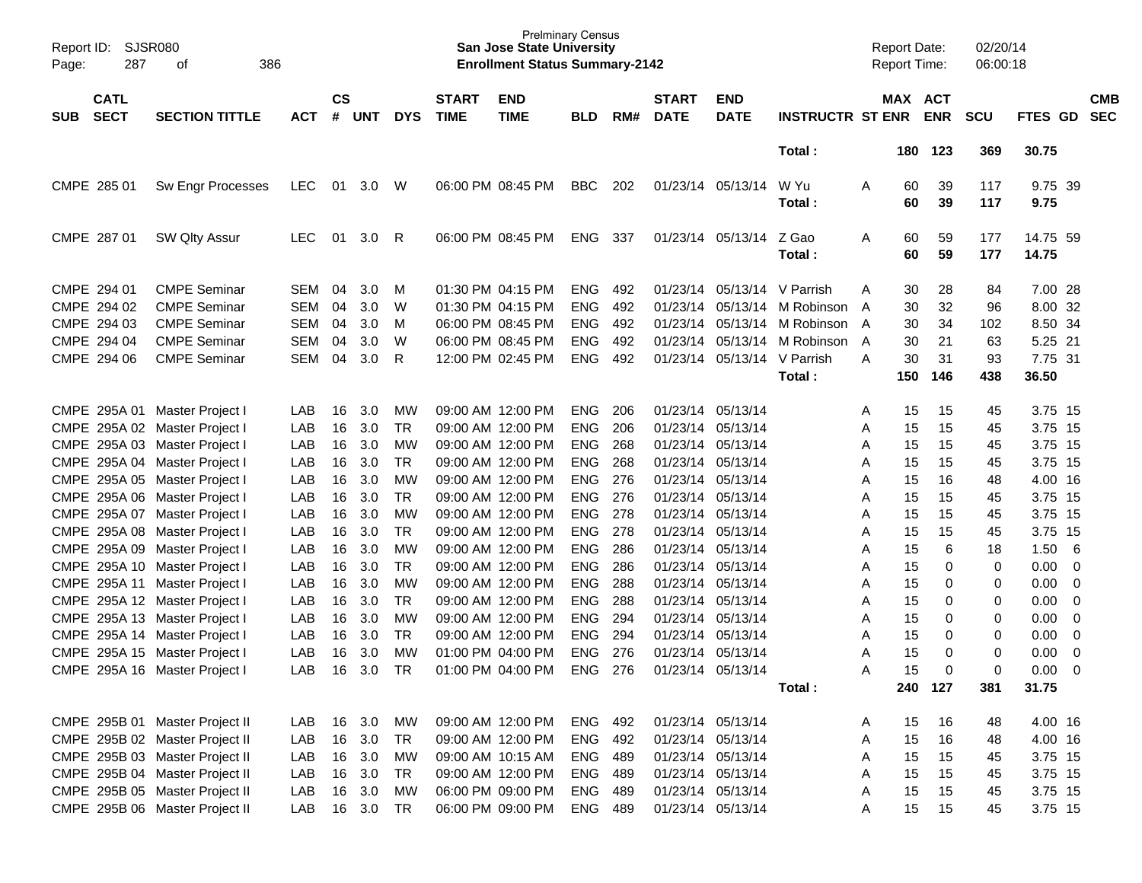| Report ID:<br>Page:                                      | <b>SJSR080</b><br>386<br>287<br>οf                                                                                                                                                                       |                                                      |                            |                                                 |                                                               |                             | <b>San Jose State University</b><br><b>Enrollment Status Summary-2142</b>                                                  | <b>Prelminary Census</b>                                           |                                 |                                                                                                                            |                                                                   |                                                     |                            | <b>Report Date:</b><br><b>Report Time:</b> |                            | 02/20/14<br>06:00:18             |                                                                |                          |
|----------------------------------------------------------|----------------------------------------------------------------------------------------------------------------------------------------------------------------------------------------------------------|------------------------------------------------------|----------------------------|-------------------------------------------------|---------------------------------------------------------------|-----------------------------|----------------------------------------------------------------------------------------------------------------------------|--------------------------------------------------------------------|---------------------------------|----------------------------------------------------------------------------------------------------------------------------|-------------------------------------------------------------------|-----------------------------------------------------|----------------------------|--------------------------------------------|----------------------------|----------------------------------|----------------------------------------------------------------|--------------------------|
| <b>CATL</b><br><b>SECT</b><br><b>SUB</b>                 | <b>SECTION TITTLE</b>                                                                                                                                                                                    | <b>ACT</b>                                           | $\mathsf{cs}$<br>#         | <b>UNT</b>                                      | <b>DYS</b>                                                    | <b>START</b><br><b>TIME</b> | <b>END</b><br><b>TIME</b>                                                                                                  | <b>BLD</b>                                                         | RM#                             | <b>START</b><br><b>DATE</b>                                                                                                | <b>END</b><br><b>DATE</b>                                         | <b>INSTRUCTR ST ENR</b>                             |                            |                                            | MAX ACT<br><b>ENR</b>      | <b>SCU</b>                       | FTES GD                                                        | <b>CMB</b><br><b>SEC</b> |
|                                                          |                                                                                                                                                                                                          |                                                      |                            |                                                 |                                                               |                             |                                                                                                                            |                                                                    |                                 |                                                                                                                            |                                                                   | Total:                                              |                            | 180                                        | 123                        | 369                              | 30.75                                                          |                          |
| CMPE 285 01                                              | Sw Engr Processes                                                                                                                                                                                        | <b>LEC</b>                                           | 01                         | 3.0                                             | W                                                             |                             | 06:00 PM 08:45 PM                                                                                                          | <b>BBC</b>                                                         | 202                             |                                                                                                                            | 01/23/14 05/13/14                                                 | W Yu<br>Total :                                     | Α                          | 60<br>60                                   | 39<br>39                   | 117<br>117                       | 9.75 39<br>9.75                                                |                          |
| CMPE 287 01                                              | SW Qlty Assur                                                                                                                                                                                            | <b>LEC</b>                                           | 01                         | 3.0                                             | R                                                             |                             | 06:00 PM 08:45 PM                                                                                                          | <b>ENG</b>                                                         | 337                             |                                                                                                                            | 01/23/14 05/13/14                                                 | Z Gao<br>Total:                                     | Α                          | 60<br>60                                   | 59<br>59                   | 177<br>177                       | 14.75 59<br>14.75                                              |                          |
| CMPE 294 01<br>CMPE 294 02<br>CMPE 294 03<br>CMPE 294 04 | <b>CMPE Seminar</b><br><b>CMPE Seminar</b><br><b>CMPE Seminar</b><br><b>CMPE Seminar</b>                                                                                                                 | <b>SEM</b><br><b>SEM</b><br><b>SEM</b><br><b>SEM</b> | 04<br>04<br>04<br>04       | 3.0<br>3.0<br>3.0<br>3.0                        | M<br>W<br>M<br>W                                              |                             | 01:30 PM 04:15 PM<br>01:30 PM 04:15 PM<br>06:00 PM 08:45 PM<br>06:00 PM 08:45 PM                                           | <b>ENG</b><br><b>ENG</b><br><b>ENG</b><br><b>ENG</b>               | 492<br>492<br>492<br>492        | 01/23/14<br>01/23/14<br>01/23/14<br>01/23/14                                                                               | 05/13/14<br>05/13/14<br>05/13/14<br>05/13/14                      | V Parrish<br>M Robinson<br>M Robinson<br>M Robinson | A<br>A<br>A<br>A           | 30<br>30<br>30<br>30                       | 28<br>32<br>34<br>21       | 84<br>96<br>102<br>63            | 7.00 28<br>8.00 32<br>8.50 34<br>5.25 21                       |                          |
| CMPE 294 06                                              | <b>CMPE Seminar</b>                                                                                                                                                                                      | <b>SEM</b>                                           | 04                         | 3.0                                             | R                                                             |                             | 12:00 PM 02:45 PM                                                                                                          | <b>ENG</b>                                                         | 492                             | 01/23/14                                                                                                                   | 05/13/14                                                          | V Parrish<br>Total:                                 | Α                          | 30<br>150                                  | 31<br>146                  | 93<br>438                        | 7.75 31<br>36.50                                               |                          |
| CMPE 295A 01                                             | Master Project I<br>CMPE 295A 02 Master Project I<br>CMPE 295A 03 Master Project I<br>CMPE 295A 04 Master Project I<br>CMPE 295A 05 Master Project I                                                     | LAB<br>LAB<br>LAB<br>LAB<br>LAB                      | 16<br>16<br>16<br>16<br>16 | 3.0<br>3.0<br>3.0<br>3.0<br>3.0                 | MW<br><b>TR</b><br><b>MW</b><br><b>TR</b><br><b>MW</b>        |                             | 09:00 AM 12:00 PM<br>09:00 AM 12:00 PM<br>09:00 AM 12:00 PM<br>09:00 AM 12:00 PM<br>09:00 AM 12:00 PM                      | <b>ENG</b><br><b>ENG</b><br><b>ENG</b><br><b>ENG</b><br><b>ENG</b> | 206<br>206<br>268<br>268<br>276 | 01/23/14<br>01/23/14<br>01/23/14<br>01/23/14                                                                               | 01/23/14 05/13/14<br>05/13/14<br>05/13/14<br>05/13/14<br>05/13/14 |                                                     | Α<br>A<br>A<br>A<br>A      | 15<br>15<br>15<br>15<br>15                 | 15<br>15<br>15<br>15<br>16 | 45<br>45<br>45<br>45<br>48       | 3.75 15<br>3.75 15<br>3.75 15<br>3.75 15<br>4.00 16            |                          |
| CMPE 295A 07                                             | CMPE 295A 06 Master Project I<br>Master Project I<br>CMPE 295A 08 Master Project I<br>CMPE 295A 09 Master Project I<br>CMPE 295A 10 Master Project I                                                     | LAB<br>LAB<br>LAB<br>LAB<br>LAB                      | 16<br>16<br>16<br>16<br>16 | 3.0<br>3.0<br>3.0<br>3.0<br>3.0                 | <b>TR</b><br><b>MW</b><br><b>TR</b><br><b>MW</b><br><b>TR</b> |                             | 09:00 AM 12:00 PM<br>09:00 AM 12:00 PM<br>09:00 AM 12:00 PM<br>09:00 AM 12:00 PM<br>09:00 AM 12:00 PM                      | <b>ENG</b><br><b>ENG</b><br><b>ENG</b><br><b>ENG</b><br><b>ENG</b> | 276<br>278<br>278<br>286<br>286 | 01/23/14<br>01/23/14<br>01/23/14<br>01/23/14<br>01/23/14                                                                   | 05/13/14<br>05/13/14<br>05/13/14<br>05/13/14<br>05/13/14          |                                                     | Α<br>A<br>A<br>Α<br>Α      | 15<br>15<br>15<br>15<br>15                 | 15<br>15<br>15<br>6<br>0   | 45<br>45<br>45<br>18<br>0        | 3.75 15<br>3.75 15<br>3.75 15<br>1.50<br>0.00                  | 6<br>0                   |
|                                                          | CMPE 295A 11 Master Project I<br>CMPE 295A 12 Master Project I<br>CMPE 295A 13 Master Project I<br>CMPE 295A 14 Master Project I<br>CMPE 295A 15 Master Project I                                        | LAB<br>LAB<br>LAB<br>LAB<br>LAB                      | 16<br>16<br>16<br>16<br>16 | 3.0<br>3.0<br>3.0<br>3.0<br>3.0                 | <b>MW</b><br><b>TR</b><br><b>MW</b><br><b>TR</b><br><b>MW</b> |                             | 09:00 AM 12:00 PM<br>09:00 AM 12:00 PM<br>09:00 AM 12:00 PM<br>09:00 AM 12:00 PM<br>01:00 PM 04:00 PM                      | <b>ENG</b><br><b>ENG</b><br><b>ENG</b><br><b>ENG</b><br><b>ENG</b> | 288<br>288<br>294<br>294<br>276 | 01/23/14<br>01/23/14<br>01/23/14<br>01/23/14                                                                               | 05/13/14<br>05/13/14<br>05/13/14<br>05/13/14<br>01/23/14 05/13/14 |                                                     | A<br>Α<br>A<br>A<br>A      | 15<br>15<br>15<br>15<br>15                 | 0<br>0<br>0<br>0<br>0      | 0<br>0<br>0<br>0<br>0            | 0.00<br>0.00<br>0.00<br>0.00<br>0.00                           | 0<br>0<br>0<br>0<br>0    |
|                                                          | CMPE 295A 16 Master Project I                                                                                                                                                                            | LAB                                                  |                            | 16 3.0                                          | TR                                                            |                             | 01:00 PM 04:00 PM                                                                                                          | ENG 276                                                            |                                 | 01/23/14 05/13/14                                                                                                          |                                                                   | Total:                                              | A                          | 15                                         | 0<br>240 127               | 0<br>381                         | $0.00 \t 0$<br>31.75                                           |                          |
|                                                          | CMPE 295B 01 Master Project II<br>CMPE 295B 02 Master Project II<br>CMPE 295B 03 Master Project II<br>CMPE 295B 04 Master Project II<br>CMPE 295B 05 Master Project II<br>CMPE 295B 06 Master Project II | LAB<br>LAB<br>LAB<br>LAB<br>LAB<br>LAB               | 16<br>16<br>16<br>16       | 16 3.0<br>3.0<br>3.0<br>3.0<br>3.0<br>16 3.0 TR | MW<br>TR<br>МW<br>TR<br><b>MW</b>                             |                             | 09:00 AM 12:00 PM<br>09:00 AM 12:00 PM<br>09:00 AM 10:15 AM<br>09:00 AM 12:00 PM<br>06:00 PM 09:00 PM<br>06:00 PM 09:00 PM | ENG 492<br>ENG<br>ENG 489<br>ENG 489<br>ENG<br>ENG 489             | - 492<br>- 489                  | 01/23/14 05/13/14<br>01/23/14 05/13/14<br>01/23/14 05/13/14<br>01/23/14 05/13/14<br>01/23/14 05/13/14<br>01/23/14 05/13/14 |                                                                   |                                                     | A<br>Α<br>Α<br>Α<br>Α<br>Α | 15<br>15<br>15<br>15<br>15<br>15           | 16<br>16<br>15<br>15<br>15 | 48<br>48<br>45<br>45<br>45<br>45 | 4.00 16<br>4.00 16<br>3.75 15<br>3.75 15<br>3.75 15<br>3.75 15 |                          |
|                                                          |                                                                                                                                                                                                          |                                                      |                            |                                                 |                                                               |                             |                                                                                                                            |                                                                    |                                 |                                                                                                                            |                                                                   |                                                     |                            |                                            | 15                         |                                  |                                                                |                          |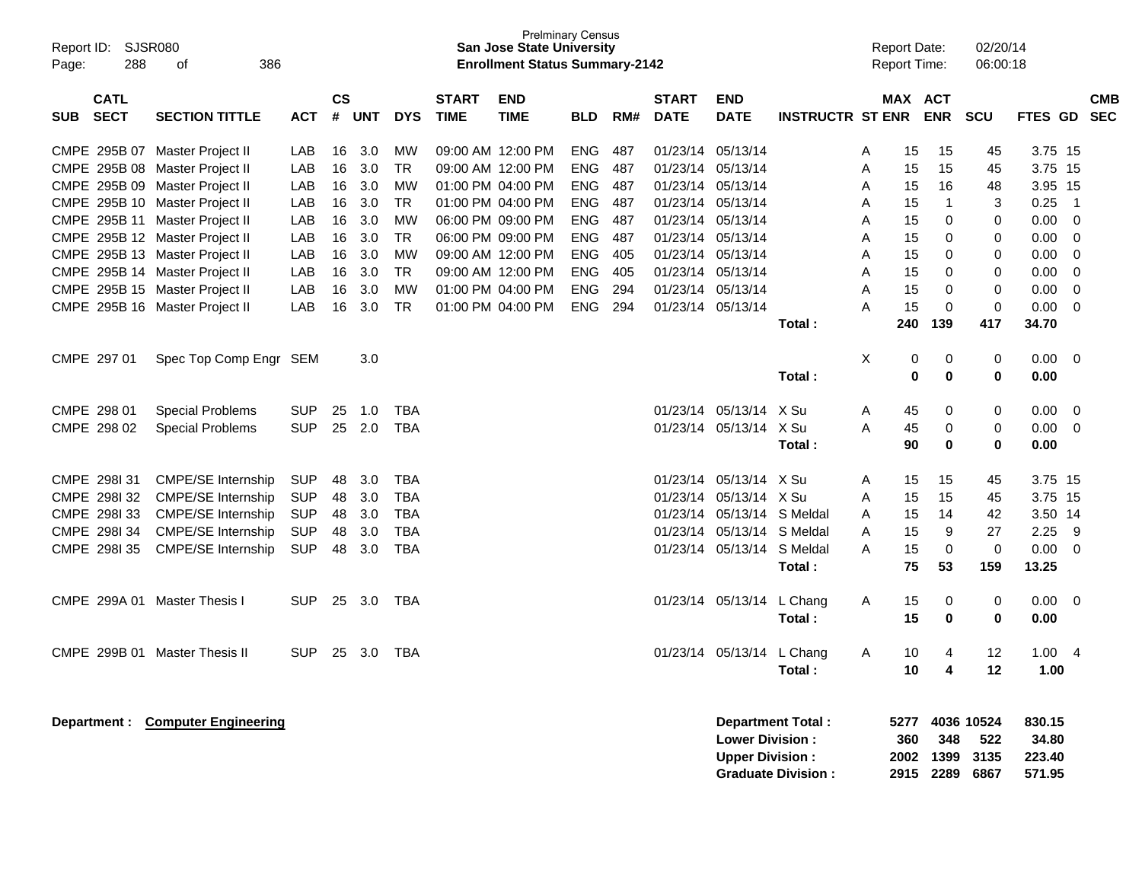| Report ID:<br>Page: | <b>SJSR080</b><br>288      | 386<br>οf                        |            |                    |            |            |                             | <b>San Jose State University</b><br><b>Enrollment Status Summary-2142</b> | <b>Prelminary Census</b> |     |                             |                           |                           |   | <b>Report Date:</b><br><b>Report Time:</b> |                             | 02/20/14<br>06:00:18 |                  |                            |                          |
|---------------------|----------------------------|----------------------------------|------------|--------------------|------------|------------|-----------------------------|---------------------------------------------------------------------------|--------------------------|-----|-----------------------------|---------------------------|---------------------------|---|--------------------------------------------|-----------------------------|----------------------|------------------|----------------------------|--------------------------|
| <b>SUB</b>          | <b>CATL</b><br><b>SECT</b> | <b>SECTION TITTLE</b>            | <b>ACT</b> | $\mathsf{cs}$<br># | <b>UNT</b> | <b>DYS</b> | <b>START</b><br><b>TIME</b> | <b>END</b><br><b>TIME</b>                                                 | <b>BLD</b>               | RM# | <b>START</b><br><b>DATE</b> | <b>END</b><br><b>DATE</b> | <b>INSTRUCTR ST ENR</b>   |   | MAX ACT                                    | <b>ENR</b>                  | <b>SCU</b>           | FTES GD          |                            | <b>CMB</b><br><b>SEC</b> |
|                     |                            | CMPE 295B 07 Master Project II   | LAB        | 16                 | 3.0        | МW         |                             | 09:00 AM 12:00 PM                                                         | <b>ENG</b>               | 487 | 01/23/14                    | 05/13/14                  |                           | A | 15                                         | 15                          | 45                   | 3.75 15          |                            |                          |
|                     |                            | CMPE 295B 08 Master Project II   | LAB        | 16                 | 3.0        | <b>TR</b>  |                             | 09:00 AM 12:00 PM                                                         | <b>ENG</b>               | 487 | 01/23/14                    | 05/13/14                  |                           | A | 15                                         | 15                          | 45                   | 3.75 15          |                            |                          |
|                     |                            | CMPE 295B 09 Master Project II   | LAB        | 16                 | 3.0        | <b>MW</b>  |                             | 01:00 PM 04:00 PM                                                         | ENG                      | 487 | 01/23/14                    | 05/13/14                  |                           | A | 15                                         | 16                          | 48                   | 3.95 15          |                            |                          |
|                     |                            | CMPE 295B 10 Master Project II   | LAB        | 16                 | 3.0        | <b>TR</b>  |                             | 01:00 PM 04:00 PM                                                         | ENG                      | 487 | 01/23/14                    | 05/13/14                  |                           | A | 15                                         | $\mathbf{1}$                | 3                    | 0.25             | $\overline{\phantom{0}}$ 1 |                          |
|                     |                            | CMPE 295B 11 Master Project II   | LAB        | 16                 | 3.0        | <b>MW</b>  |                             | 06:00 PM 09:00 PM                                                         | ENG                      | 487 | 01/23/14                    | 05/13/14                  |                           | Α | 15                                         | 0                           | 0                    | 0.00             | $\overline{0}$             |                          |
|                     |                            | CMPE 295B 12 Master Project II   | LAB        | 16                 | 3.0        | <b>TR</b>  |                             | 06:00 PM 09:00 PM                                                         | ENG                      | 487 | 01/23/14                    | 05/13/14                  |                           | Α | 15                                         | 0                           | 0                    | 0.00             | 0                          |                          |
|                     |                            | CMPE 295B 13 Master Project II   | LAB        | 16                 | 3.0        | <b>MW</b>  |                             | 09:00 AM 12:00 PM                                                         | ENG                      | 405 | 01/23/14                    | 05/13/14                  |                           | Α | 15                                         | 0                           | 0                    | 0.00             | 0                          |                          |
|                     |                            | CMPE 295B 14 Master Project II   | LAB        | 16                 | 3.0        | <b>TR</b>  |                             | 09:00 AM 12:00 PM                                                         | ENG                      | 405 | 01/23/14                    | 05/13/14                  |                           | A | 15                                         | 0                           | 0                    | 0.00             | 0                          |                          |
|                     |                            | CMPE 295B 15 Master Project II   | LAB        | 16                 | 3.0        | <b>MW</b>  |                             | 01:00 PM 04:00 PM                                                         | <b>ENG</b>               | 294 | 01/23/14                    | 05/13/14                  |                           | A | 15                                         | 0                           | 0                    | 0.00             | 0                          |                          |
|                     |                            | CMPE 295B 16 Master Project II   | LAB        | 16                 | 3.0        | <b>TR</b>  |                             | 01:00 PM 04:00 PM                                                         | <b>ENG</b>               | 294 | 01/23/14                    | 05/13/14                  |                           | А | 15                                         | 0                           | 0                    | 0.00             | - 0                        |                          |
|                     |                            |                                  |            |                    |            |            |                             |                                                                           |                          |     |                             |                           | Total:                    |   | 240                                        | 139                         | 417                  | 34.70            |                            |                          |
|                     | CMPE 297 01                | Spec Top Comp Engr SEM           |            |                    | 3.0        |            |                             |                                                                           |                          |     |                             |                           |                           | X | 0                                          | 0                           | 0                    | 0.00             | 0                          |                          |
|                     |                            |                                  |            |                    |            |            |                             |                                                                           |                          |     |                             |                           | Total:                    |   | 0                                          | $\mathbf 0$                 | 0                    | 0.00             |                            |                          |
|                     |                            |                                  |            |                    |            |            |                             |                                                                           |                          |     |                             |                           |                           |   |                                            |                             |                      |                  |                            |                          |
|                     | CMPE 298 01                | <b>Special Problems</b>          | <b>SUP</b> | 25                 | 1.0        | <b>TBA</b> |                             |                                                                           |                          |     | 01/23/14                    | 05/13/14                  | X Su                      | Α | 45                                         | 0                           | 0                    | 0.00             | 0                          |                          |
|                     | CMPE 298 02                | <b>Special Problems</b>          | <b>SUP</b> | 25                 | 2.0        | <b>TBA</b> |                             |                                                                           |                          |     | 01/23/14                    | 05/13/14                  | X Su                      | A | 45                                         | 0                           | 0                    | 0.00             | 0                          |                          |
|                     |                            |                                  |            |                    |            |            |                             |                                                                           |                          |     |                             |                           | Total:                    |   | 90                                         | 0                           | 0                    | 0.00             |                            |                          |
|                     | CMPE 298131                | <b>CMPE/SE Internship</b>        | <b>SUP</b> | 48                 | 3.0        | <b>TBA</b> |                             |                                                                           |                          |     | 01/23/14                    | 05/13/14 X Su             |                           | Α | 15                                         | 15                          | 45                   | 3.75 15          |                            |                          |
|                     | CMPE 2981 32               | <b>CMPE/SE Internship</b>        | <b>SUP</b> | 48                 | 3.0        | <b>TBA</b> |                             |                                                                           |                          |     | 01/23/14                    | 05/13/14 X Su             |                           | A | 15                                         | 15                          | 45                   | 3.75 15          |                            |                          |
|                     | CMPE 298133                | <b>CMPE/SE Internship</b>        | <b>SUP</b> | 48                 | 3.0        | <b>TBA</b> |                             |                                                                           |                          |     | 01/23/14                    | 05/13/14                  | S Meldal                  | A | 15                                         | 14                          | 42                   | 3.50 14          |                            |                          |
|                     | CMPE 298I 34               | <b>CMPE/SE Internship</b>        | <b>SUP</b> | 48                 | 3.0        | <b>TBA</b> |                             |                                                                           |                          |     | 01/23/14                    | 05/13/14                  | S Meldal                  | A | 15                                         | 9                           | 27                   | 2.25             | -9                         |                          |
|                     | CMPE 298I 35               | <b>CMPE/SE Internship</b>        | <b>SUP</b> | 48                 | 3.0        | <b>TBA</b> |                             |                                                                           |                          |     | 01/23/14                    | 05/13/14                  | S Meldal                  | A | 15                                         | 0                           | 0                    | 0.00             | - 0                        |                          |
|                     |                            |                                  |            |                    |            |            |                             |                                                                           |                          |     |                             |                           | Total:                    |   | 75                                         | 53                          | 159                  | 13.25            |                            |                          |
|                     |                            | CMPE 299A 01 Master Thesis I     | <b>SUP</b> | 25                 | 3.0        | TBA        |                             |                                                                           |                          |     |                             | 01/23/14 05/13/14 L Chang |                           | Α | 15                                         | 0                           | 0                    | 0.00             | $\overline{\mathbf{0}}$    |                          |
|                     |                            |                                  |            |                    |            |            |                             |                                                                           |                          |     |                             |                           | Total:                    |   | 15                                         | 0                           | 0                    | 0.00             |                            |                          |
|                     |                            | CMPE 299B 01 Master Thesis II    | <b>SUP</b> | 25                 | 3.0        | TBA        |                             |                                                                           |                          |     | 01/23/14                    | 05/13/14 L Chang          |                           | Α | 10                                         | 4                           | 12                   | 1.00             | - 4                        |                          |
|                     |                            |                                  |            |                    |            |            |                             |                                                                           |                          |     |                             |                           | Total:                    |   | 10                                         | 4                           | 12                   | 1.00             |                            |                          |
|                     |                            |                                  |            |                    |            |            |                             |                                                                           |                          |     |                             |                           |                           |   |                                            |                             |                      |                  |                            |                          |
|                     |                            | Department: Computer Engineering |            |                    |            |            |                             |                                                                           |                          |     |                             | <b>Lower Division:</b>    | <b>Department Total:</b>  |   | 5277<br>360                                | 348                         | 4036 10524           | 830.15<br>34.80  |                            |                          |
|                     |                            |                                  |            |                    |            |            |                             |                                                                           |                          |     |                             |                           |                           |   |                                            |                             | 522                  |                  |                            |                          |
|                     |                            |                                  |            |                    |            |            |                             |                                                                           |                          |     |                             | <b>Upper Division:</b>    | <b>Graduate Division:</b> |   |                                            | 2002 1399<br>2915 2289 6867 | 3135                 | 223.40<br>571.95 |                            |                          |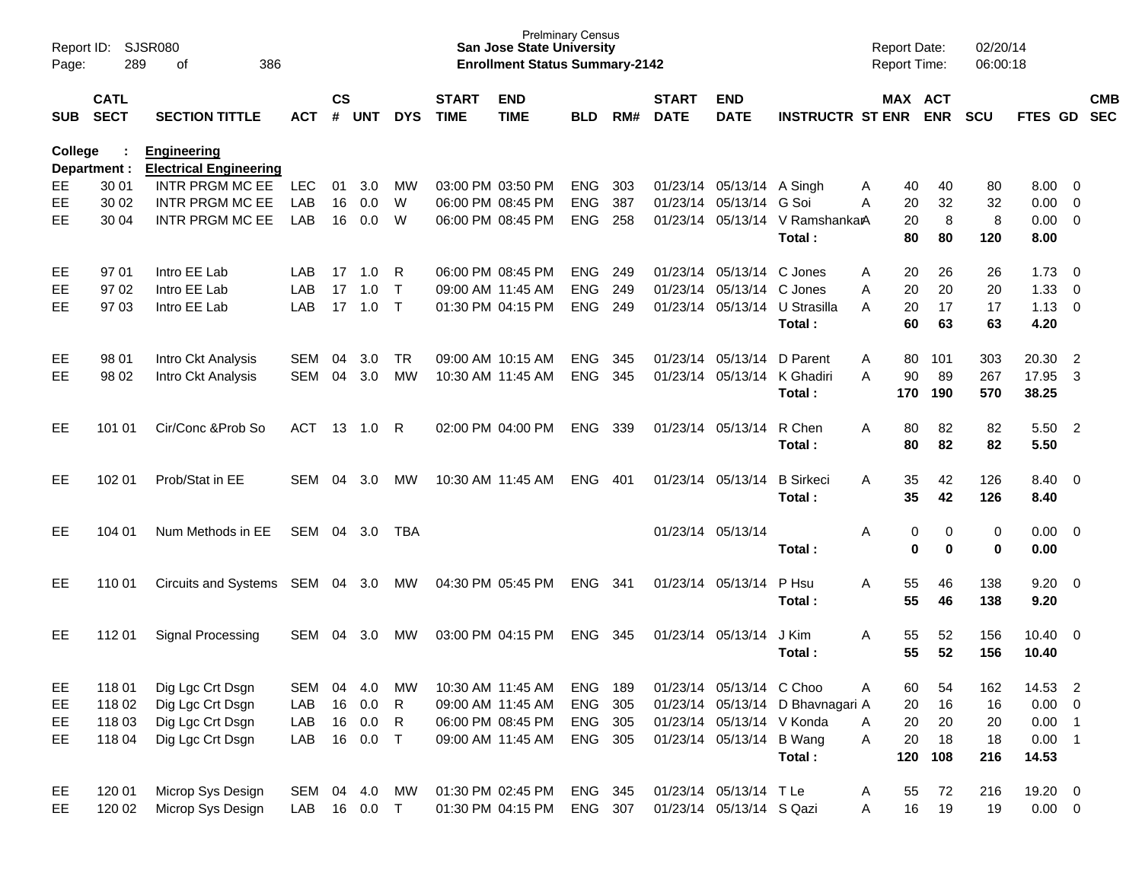| Report ID:<br>Page: | 289                        | SJSR080<br>386<br>of                                |              |                |            |              |                             | <b>San Jose State University</b><br><b>Enrollment Status Summary-2142</b> | <b>Prelminary Census</b> |     |                             |                             |                                           | <b>Report Date:</b><br><b>Report Time:</b> |            | 02/20/14<br>06:00:18 |                 |                         |            |
|---------------------|----------------------------|-----------------------------------------------------|--------------|----------------|------------|--------------|-----------------------------|---------------------------------------------------------------------------|--------------------------|-----|-----------------------------|-----------------------------|-------------------------------------------|--------------------------------------------|------------|----------------------|-----------------|-------------------------|------------|
| SUB                 | <b>CATL</b><br><b>SECT</b> | <b>SECTION TITTLE</b>                               | <b>ACT</b>   | <b>CS</b><br># | <b>UNT</b> | <b>DYS</b>   | <b>START</b><br><b>TIME</b> | <b>END</b><br><b>TIME</b>                                                 | <b>BLD</b>               | RM# | <b>START</b><br><b>DATE</b> | <b>END</b><br><b>DATE</b>   | <b>INSTRUCTR ST ENR</b>                   | MAX ACT                                    | <b>ENR</b> | <b>SCU</b>           | FTES GD SEC     |                         | <b>CMB</b> |
| <b>College</b>      | Department :               | <b>Engineering</b><br><b>Electrical Engineering</b> |              |                |            |              |                             |                                                                           |                          |     |                             |                             |                                           |                                            |            |                      |                 |                         |            |
| EE.                 | 30 01                      | INTR PRGM MC EE                                     | <b>LEC</b>   | 01             | 3.0        | MW           |                             | 03:00 PM 03:50 PM                                                         | <b>ENG</b>               | 303 |                             | 01/23/14 05/13/14 A Singh   |                                           | 40<br>A                                    | 40         | 80                   | 8.00            | $\overline{\mathbf{0}}$ |            |
| EE                  | 30 02                      | <b>INTR PRGM MC EE</b>                              | LAB          | 16             | 0.0        | W            |                             | 06:00 PM 08:45 PM                                                         | <b>ENG</b>               | 387 |                             | 01/23/14 05/13/14           | G Soi                                     | 20<br>A                                    | 32         | 32                   | 0.00            | $\overline{0}$          |            |
| <b>EE</b>           | 30 04                      | <b>INTR PRGM MC EE</b>                              | LAB          | 16             | 0.0        | W            |                             | 06:00 PM 08:45 PM                                                         | <b>ENG</b>               | 258 |                             |                             | 01/23/14 05/13/14 V RamshankarA<br>Total: | 20<br>80                                   | 8<br>80    | 8<br>120             | 0.00<br>8.00    | $\overline{0}$          |            |
| EE                  | 97 01                      | Intro EE Lab                                        | LAB          | 17             | 1.0        | R            |                             | 06:00 PM 08:45 PM                                                         | <b>ENG</b>               | 249 |                             | 01/23/14 05/13/14 C Jones   |                                           | 20<br>A                                    | 26         | 26                   | 1.73            | - 0                     |            |
| EE                  | 97 02                      | Intro EE Lab                                        | LAB          | 17             | 1.0        | $\mathsf{T}$ |                             | 09:00 AM 11:45 AM                                                         | <b>ENG</b>               | 249 |                             | 01/23/14 05/13/14 C Jones   |                                           | 20<br>A                                    | 20         | 20                   | 1.33            | $\overline{0}$          |            |
| EЕ                  | 97 03                      | Intro EE Lab                                        | <b>LAB</b>   |                | $17$ 1.0   | $\top$       |                             | 01:30 PM 04:15 PM                                                         | ENG                      | 249 |                             |                             | 01/23/14 05/13/14 U Strasilla             | 20<br>A                                    | 17         | 17                   | 1.13            | $\overline{0}$          |            |
|                     |                            |                                                     |              |                |            |              |                             |                                                                           |                          |     |                             |                             | Total:                                    | 60                                         | 63         | 63                   | 4.20            |                         |            |
| EE.                 | 98 01                      | Intro Ckt Analysis                                  | <b>SEM</b>   | 04             | 3.0        | TR.          |                             | 09:00 AM 10:15 AM                                                         | <b>ENG</b>               | 345 |                             | 01/23/14 05/13/14           | D Parent                                  | 80<br>A                                    | 101        | 303                  | 20.30           | $\overline{2}$          |            |
| EЕ                  | 98 02                      | Intro Ckt Analysis                                  | <b>SEM</b>   | 04             | 3.0        | <b>MW</b>    |                             | 10:30 AM 11:45 AM                                                         | <b>ENG</b>               | 345 |                             | 01/23/14 05/13/14 K Ghadiri |                                           | 90<br>A                                    | 89         | 267                  | 17.95           | 3                       |            |
|                     |                            |                                                     |              |                |            |              |                             |                                                                           |                          |     |                             |                             | Total:                                    | 170                                        | 190        | 570                  | 38.25           |                         |            |
| EЕ                  | 101 01                     | Cir/Conc & Prob So                                  | ACT          |                | 13 1.0     | R            |                             | 02:00 PM 04:00 PM                                                         | ENG                      | 339 |                             | 01/23/14 05/13/14           | R Chen                                    | 80<br>A                                    | 82         | 82                   | 5.50            | $\overline{2}$          |            |
|                     |                            |                                                     |              |                |            |              |                             |                                                                           |                          |     |                             |                             | Total:                                    | 80                                         | 82         | 82                   | 5.50            |                         |            |
| EЕ                  | 102 01                     | Prob/Stat in EE                                     | <b>SEM</b>   | 04             | 3.0        | МW           |                             | 10:30 AM 11:45 AM                                                         | ENG                      | 401 |                             | 01/23/14 05/13/14           | <b>B</b> Sirkeci                          | 35<br>A                                    | 42         | 126                  | 8.40            | $\overline{\mathbf{0}}$ |            |
|                     |                            |                                                     |              |                |            |              |                             |                                                                           |                          |     |                             |                             | Total:                                    | 35                                         | 42         | 126                  | 8.40            |                         |            |
| EЕ                  | 104 01                     | Num Methods in EE                                   | SEM          |                | 04 3.0     | TBA          |                             |                                                                           |                          |     |                             | 01/23/14 05/13/14           |                                           | 0<br>Α                                     | 0          | 0                    | 0.00            | $\overline{\mathbf{0}}$ |            |
|                     |                            |                                                     |              |                |            |              |                             |                                                                           |                          |     |                             |                             | Total:                                    | $\bf{0}$                                   | $\bf{0}$   | $\mathbf 0$          | 0.00            |                         |            |
| EЕ                  | 110 01                     | <b>Circuits and Systems</b>                         | SEM 04 3.0   |                |            | MW           |                             | 04:30 PM 05:45 PM                                                         | ENG                      | 341 |                             | 01/23/14 05/13/14           | P Hsu                                     | 55<br>A                                    | 46         | 138                  | 9.20            | $\overline{\mathbf{0}}$ |            |
|                     |                            |                                                     |              |                |            |              |                             |                                                                           |                          |     |                             |                             | Total:                                    | 55                                         | 46         | 138                  | 9.20            |                         |            |
| EЕ                  | 11201                      | Signal Processing                                   | <b>SEM</b>   | 04             | 3.0        | MW           |                             | 03:00 PM 04:15 PM                                                         | ENG                      | 345 |                             | 01/23/14 05/13/14           | J Kim                                     | 55<br>A                                    | 52         | 156                  | $10.40 \quad 0$ |                         |            |
|                     |                            |                                                     |              |                |            |              |                             |                                                                           |                          |     |                             |                             | Total:                                    | 55                                         | 52         | 156                  | 10.40           |                         |            |
| EE                  | 11801                      | Dig Lgc Crt Dsgn                                    | SEM          | 04             | 4.0        | MW           |                             | 10:30 AM 11:45 AM                                                         | <b>ENG 189</b>           |     |                             | 01/23/14 05/13/14 C Choo    |                                           | 60<br>Α                                    | 54         | 162                  | 14.53 2         |                         |            |
| EE                  | 11802                      | Dig Lgc Crt Dsgn                                    | LAB          |                | 16 0.0     | R            |                             | 09:00 AM 11:45 AM                                                         | ENG 305                  |     |                             |                             | 01/23/14 05/13/14 D Bhavnagari A          | 20                                         | 16         | 16                   | $0.00 \t 0$     |                         |            |
| EE                  | 11803                      | Dig Lgc Crt Dsgn                                    | LAB          |                | 16 0.0     | R            |                             | 06:00 PM 08:45 PM                                                         | ENG 305                  |     |                             | 01/23/14 05/13/14 V Konda   |                                           | 20<br>A                                    | 20         | 20                   | $0.00$ 1        |                         |            |
| EE                  | 118 04                     | Dig Lgc Crt Dsgn                                    | LAB          |                | 16 0.0     | $\top$       |                             | 09:00 AM 11:45 AM                                                         | ENG 305                  |     |                             | 01/23/14 05/13/14 B Wang    |                                           | 20<br>Α                                    | 18         | 18                   | $0.00$ 1        |                         |            |
|                     |                            |                                                     |              |                |            |              |                             |                                                                           |                          |     |                             |                             | Total:                                    | 120                                        | 108        | 216                  | 14.53           |                         |            |
| EE                  | 120 01                     | Microp Sys Design                                   | SEM 04 4.0   |                |            | MW           |                             | 01:30 PM 02:45 PM                                                         | ENG 345                  |     |                             | 01/23/14 05/13/14 TLe       |                                           | 55<br>A                                    | 72         | 216                  | 19.20 0         |                         |            |
| EE                  | 120 02                     | Microp Sys Design                                   | LAB 16 0.0 T |                |            |              |                             | 01:30 PM 04:15 PM                                                         | ENG 307                  |     |                             | 01/23/14 05/13/14 S Qazi    |                                           | 16<br>A                                    | 19         | 19                   | $0.00 \t 0$     |                         |            |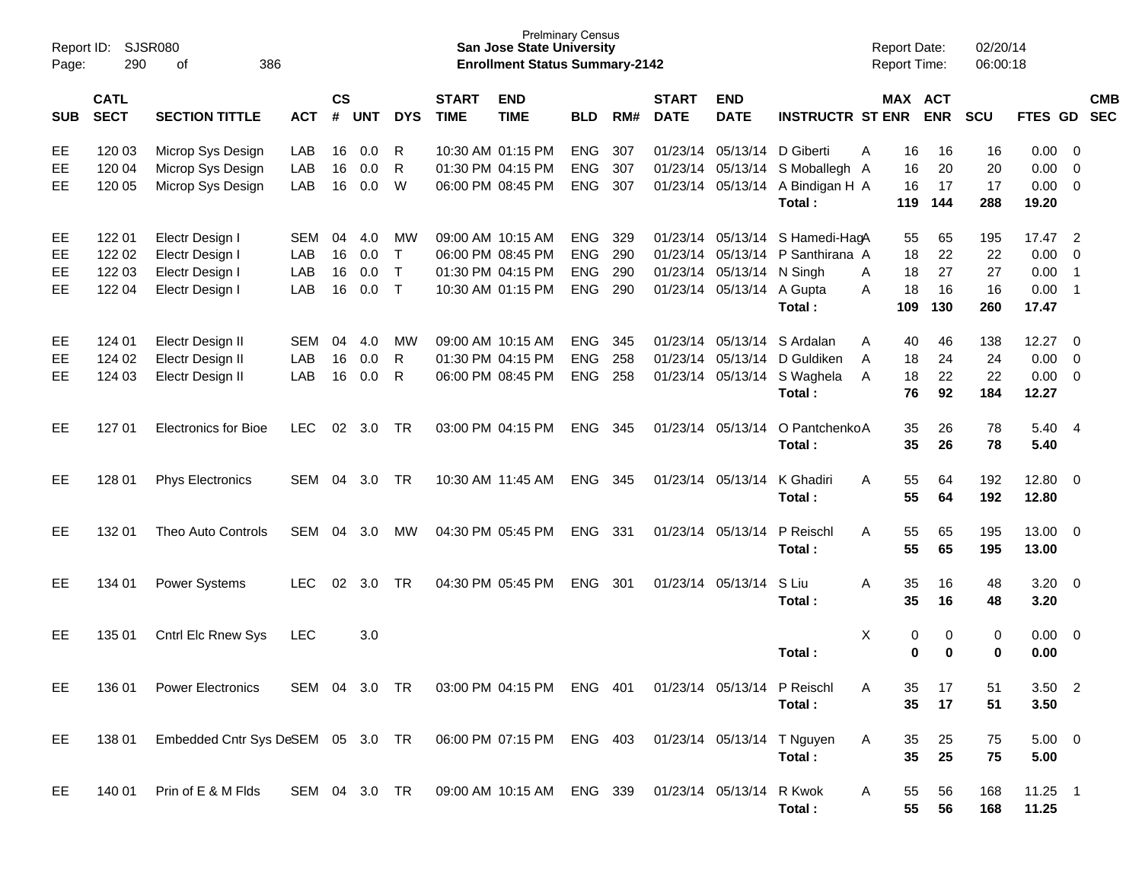| Report ID:<br>Page:  | 290                                  | SJSR080<br>386<br>of                                                                   |                          |                      |                          |                                        |                             | <b>San Jose State University</b><br><b>Enrollment Status Summary-2142</b>        | <b>Prelminary Census</b>                             |                          |                             |                                                             |                                                                               | <b>Report Date:</b><br><b>Report Time:</b> |                             | 02/20/14<br>06:00:18         |                                        |                                                         |            |
|----------------------|--------------------------------------|----------------------------------------------------------------------------------------|--------------------------|----------------------|--------------------------|----------------------------------------|-----------------------------|----------------------------------------------------------------------------------|------------------------------------------------------|--------------------------|-----------------------------|-------------------------------------------------------------|-------------------------------------------------------------------------------|--------------------------------------------|-----------------------------|------------------------------|----------------------------------------|---------------------------------------------------------|------------|
| <b>SUB</b>           | <b>CATL</b><br><b>SECT</b>           | <b>SECTION TITTLE</b>                                                                  | <b>ACT</b>               | $\mathsf{cs}$        | # UNT                    | <b>DYS</b>                             | <b>START</b><br><b>TIME</b> | <b>END</b><br><b>TIME</b>                                                        | <b>BLD</b>                                           | RM#                      | <b>START</b><br><b>DATE</b> | <b>END</b><br><b>DATE</b>                                   | <b>INSTRUCTR ST ENR</b>                                                       | MAX ACT                                    | <b>ENR</b>                  | SCU                          | FTES GD SEC                            |                                                         | <b>CMB</b> |
| EE<br>EE<br>EE       | 120 03<br>120 04<br>120 05           | Microp Sys Design<br>Microp Sys Design<br>Microp Sys Design                            | LAB<br>LAB<br>LAB        | 16<br>16<br>16       | 0.0<br>0.0<br>0.0        | R<br>R<br>W                            |                             | 10:30 AM 01:15 PM<br>01:30 PM 04:15 PM<br>06:00 PM 08:45 PM                      | <b>ENG</b><br>ENG<br><b>ENG</b>                      | 307<br>307<br>307        |                             | 01/23/14 05/13/14 D Giberti<br>01/23/14 05/13/14            | S Moballegh A<br>01/23/14 05/13/14 A Bindigan H A<br>Total:                   | A<br>16<br>16<br>16<br>119                 | 16<br>20<br>17<br>144       | 16<br>20<br>17<br>288        | 0.00<br>0.00<br>0.00<br>19.20          | 0<br>$\overline{0}$<br>$\overline{0}$                   |            |
| EE<br>EE<br>EE<br>EE | 122 01<br>122 02<br>122 03<br>122 04 | Electr Design I<br>Electr Design I<br>Electr Design I<br>Electr Design I               | SEM<br>LAB<br>LAB<br>LAB | 04<br>16<br>16<br>16 | 4.0<br>0.0<br>0.0<br>0.0 | МW<br>$\top$<br>$\mathsf{T}$<br>$\top$ |                             | 09:00 AM 10:15 AM<br>06:00 PM 08:45 PM<br>01:30 PM 04:15 PM<br>10:30 AM 01:15 PM | <b>ENG</b><br><b>ENG</b><br><b>ENG</b><br><b>ENG</b> | 329<br>290<br>290<br>290 |                             | 01/23/14 05/13/14 N Singh<br>01/23/14 05/13/14 A Gupta      | 01/23/14 05/13/14 S Hamedi-HagA<br>01/23/14 05/13/14 P Santhirana A<br>Total: | 55<br>18<br>18<br>A<br>18<br>A<br>109      | 65<br>22<br>27<br>16<br>130 | 195<br>22<br>27<br>16<br>260 | 17.47<br>0.00<br>0.00<br>0.00<br>17.47 | $\overline{2}$<br>0<br>$\overline{1}$<br>$\overline{1}$ |            |
| EE<br>EE<br>EE       | 124 01<br>124 02<br>124 03           | Electr Design II<br>Electr Design II<br>Electr Design II                               | SEM<br>LAB<br>LAB        | 04<br>16<br>16       | 4.0<br>0.0<br>0.0        | МW<br>R<br>R                           |                             | 09:00 AM 10:15 AM<br>01:30 PM 04:15 PM<br>06:00 PM 08:45 PM                      | <b>ENG</b><br>ENG<br><b>ENG</b>                      | 345<br>258<br>258        |                             | 01/23/14 05/13/14<br>01/23/14 05/13/14<br>01/23/14 05/13/14 | S Ardalan<br>D Guldiken<br>S Waghela<br>Total:                                | A<br>40<br>A<br>18<br>18<br>A<br>76        | 46<br>24<br>22<br>92        | 138<br>24<br>22<br>184       | 12.27<br>0.00<br>0.00<br>12.27         | 0<br>$\overline{0}$<br>$\overline{\mathbf{0}}$          |            |
| EE                   | 127 01                               | <b>Electronics for Bioe</b>                                                            | LEC.                     | 02                   | 3.0                      | <b>TR</b>                              |                             | 03:00 PM 04:15 PM                                                                | ENG                                                  | 345                      |                             | 01/23/14 05/13/14                                           | O PantchenkoA<br>Total:                                                       | 35<br>35                                   | 26<br>26                    | 78<br>78                     | 5.40 4<br>5.40                         |                                                         |            |
| EE                   | 128 01                               | <b>Phys Electronics</b>                                                                | SEM                      | 04                   | 3.0                      | TR                                     |                             | 10:30 AM 11:45 AM                                                                | ENG                                                  | - 345                    |                             | 01/23/14 05/13/14                                           | K Ghadiri<br>Total:                                                           | 55<br>A<br>55                              | 64<br>64                    | 192<br>192                   | 12.80 0<br>12.80                       |                                                         |            |
| EE                   | 132 01                               | Theo Auto Controls                                                                     | SEM                      | 04                   | 3.0                      | МW                                     |                             | 04:30 PM 05:45 PM                                                                | <b>ENG</b>                                           | - 331                    |                             | 01/23/14 05/13/14                                           | P Reischl<br>Total:                                                           | 55<br>A<br>55                              | 65<br>65                    | 195<br>195                   | 13.00 0<br>13.00                       |                                                         |            |
| EE                   | 134 01                               | <b>Power Systems</b>                                                                   | <b>LEC</b>               | 02                   | 3.0                      | <b>TR</b>                              |                             | 04:30 PM 05:45 PM                                                                | <b>ENG</b>                                           | 301                      |                             | 01/23/14 05/13/14                                           | S Liu<br>Total:                                                               | A<br>35<br>35                              | 16<br>16                    | 48<br>48                     | $3.20 \ 0$<br>3.20                     |                                                         |            |
| EE                   | 135 01                               | Cntrl Elc Rnew Sys                                                                     | <b>LEC</b>               |                      | 3.0                      |                                        |                             |                                                                                  |                                                      |                          |                             |                                                             | Total:                                                                        | X<br>0<br>0                                | 0<br>$\bf{0}$               | 0<br>$\bf{0}$                | $0.00 \t 0$<br>0.00                    |                                                         |            |
| EE                   | 136 01                               | <b>Power Electronics</b>                                                               | SEM 04 3.0 TR            |                      |                          |                                        |                             | 03:00 PM 04:15 PM ENG 401                                                        |                                                      |                          |                             | 01/23/14 05/13/14 P Reischl                                 | Total:                                                                        | A<br>35<br>35                              | 17<br>17                    | 51<br>51                     | $3.50$ 2<br>3.50                       |                                                         |            |
| EE                   | 138 01                               | Embedded Cntr Sys DeSEM 05 3.0 TR 06:00 PM 07:15 PM ENG 403 01/23/14 05/13/14 T Nguyen |                          |                      |                          |                                        |                             |                                                                                  |                                                      |                          |                             |                                                             | Total:                                                                        | A<br>35<br>35                              | 25<br>25                    | 75<br>75                     | $5.00 \t 0$<br>5.00                    |                                                         |            |
| EE                   | 140 01                               | Prin of E & M Flds                                                                     | SEM 04 3.0 TR            |                      |                          |                                        |                             | 09:00 AM 10:15 AM ENG 339                                                        |                                                      |                          |                             | 01/23/14 05/13/14 R Kwok                                    | Total:                                                                        | A<br>55<br>55                              | 56<br>56                    | 168<br>168                   | $11.25$ 1<br>11.25                     |                                                         |            |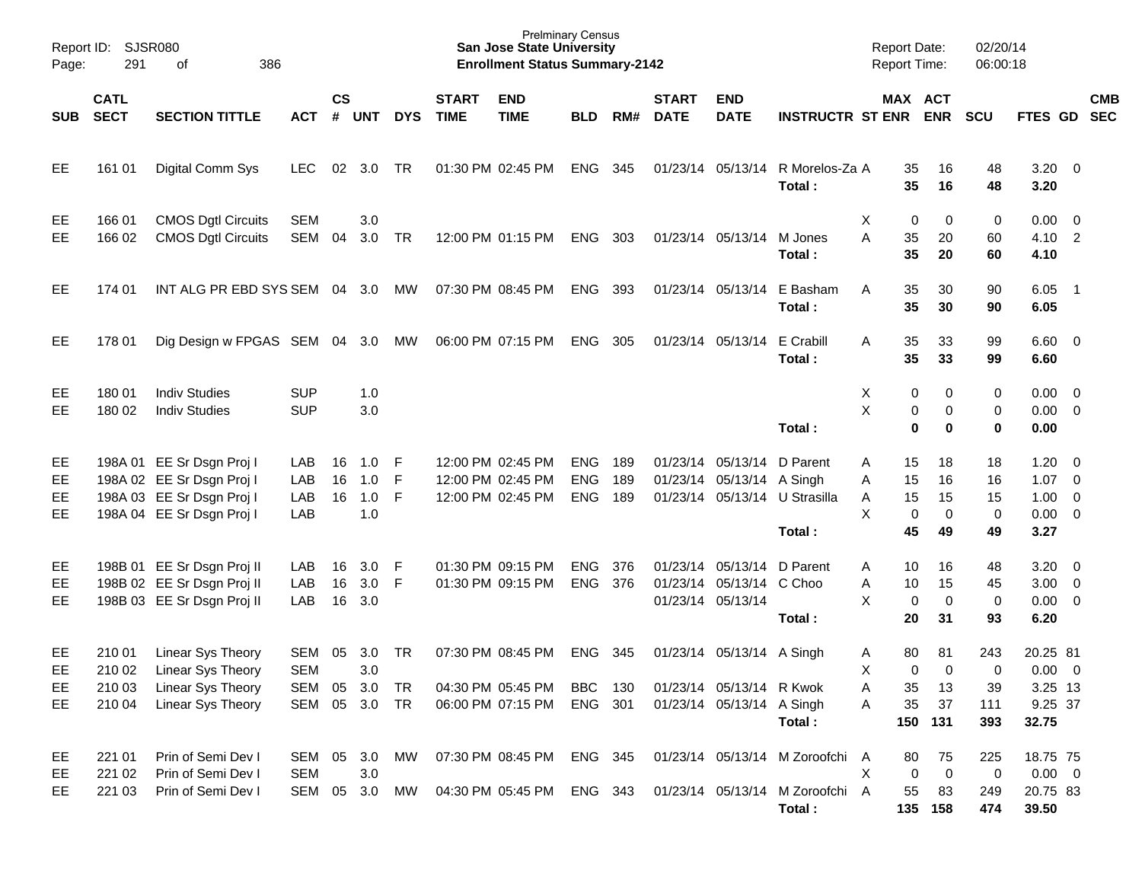| Page:                 | Report ID: SJSR080<br>291            |                                                                                                                  |                                              |                    |                          |                        | <b>Prelminary Census</b><br><b>San Jose State University</b><br><b>Enrollment Status Summary-2142</b> |                                                             |                                        |                   |                             |                                                                                    | <b>Report Date:</b>                                                          |                  | <b>Report Time:</b>           | 02/20/14<br>06:00:18                  |                                  |                                                           |                          |            |
|-----------------------|--------------------------------------|------------------------------------------------------------------------------------------------------------------|----------------------------------------------|--------------------|--------------------------|------------------------|-------------------------------------------------------------------------------------------------------|-------------------------------------------------------------|----------------------------------------|-------------------|-----------------------------|------------------------------------------------------------------------------------|------------------------------------------------------------------------------|------------------|-------------------------------|---------------------------------------|----------------------------------|-----------------------------------------------------------|--------------------------|------------|
| SUB                   | <b>CATL</b><br><b>SECT</b>           | <b>SECTION TITTLE</b>                                                                                            | <b>ACT</b>                                   | $\mathsf{cs}$<br># | <b>UNT</b>               | <b>DYS</b>             | <b>START</b><br><b>TIME</b>                                                                           | <b>END</b><br><b>TIME</b>                                   | <b>BLD</b>                             | RM#               | <b>START</b><br><b>DATE</b> | <b>END</b><br><b>DATE</b>                                                          | <b>INSTRUCTR ST ENR</b>                                                      |                  |                               | MAX ACT<br><b>ENR</b>                 | <b>SCU</b>                       | FTES GD SEC                                               |                          | <b>CMB</b> |
| EE                    | 161 01                               | Digital Comm Sys                                                                                                 | LEC.                                         | 02                 | 3.0                      | TR                     |                                                                                                       | 01:30 PM 02:45 PM                                           | <b>ENG</b>                             | 345               |                             | 01/23/14 05/13/14                                                                  | R Morelos-Za A<br>Total:                                                     |                  | 35<br>35                      | 16<br>16                              | 48<br>48                         | $3.20 \ 0$<br>3.20                                        |                          |            |
| EE<br>EE              | 166 01<br>166 02                     | <b>CMOS Dgtl Circuits</b><br><b>CMOS Dgtl Circuits</b>                                                           | <b>SEM</b><br><b>SEM</b>                     | 04                 | 3.0<br>3.0               | <b>TR</b>              |                                                                                                       | 12:00 PM 01:15 PM                                           | <b>ENG</b>                             | 303               | 01/23/14 05/13/14           |                                                                                    | M Jones<br>Total:                                                            | X<br>A           | 0<br>35<br>35                 | 0<br>20<br>20                         | 0<br>60<br>60                    | $0.00 \t 0$<br>4.10 2<br>4.10                             |                          |            |
| EE                    | 174 01                               | INT ALG PR EBD SYS SEM 04 3.0                                                                                    |                                              |                    |                          | МW                     |                                                                                                       | 07:30 PM 08:45 PM                                           | <b>ENG</b>                             | 393               | 01/23/14 05/13/14           |                                                                                    | E Basham<br>Total:                                                           | A                | 35<br>35                      | 30<br>30                              | 90<br>90                         | 6.05<br>6.05                                              | $\overline{\phantom{1}}$ |            |
| EE                    | 178 01                               | Dig Design w FPGAS SEM 04 3.0                                                                                    |                                              |                    |                          | MW                     |                                                                                                       | 06:00 PM 07:15 PM                                           | <b>ENG</b>                             | 305               | 01/23/14 05/13/14           |                                                                                    | E Crabill<br>Total:                                                          | A                | 35<br>35                      | 33<br>33                              | 99<br>99                         | $6.60$ 0<br>6.60                                          |                          |            |
| EE<br>EE.             | 180 01<br>180 02                     | <b>Indiv Studies</b><br><b>Indiv Studies</b>                                                                     | <b>SUP</b><br><b>SUP</b>                     |                    | 1.0<br>3.0               |                        |                                                                                                       |                                                             |                                        |                   |                             |                                                                                    | Total:                                                                       | х<br>X           | 0<br>0<br>$\mathbf 0$         | 0<br>0<br>0                           | 0<br>0<br>$\bf{0}$               | $0.00 \t 0$<br>$0.00 \t 0$<br>0.00                        |                          |            |
| EE<br>EE<br>EE<br>EE  |                                      | 198A 01 EE Sr Dsgn Proj I<br>198A 02 EE Sr Dsgn Proj I<br>198A 03 EE Sr Dsgn Proj I<br>198A 04 EE Sr Dsgn Proj I | LAB<br>LAB<br>LAB<br>LAB                     | 16<br>16<br>16     | 1.0<br>1.0<br>1.0<br>1.0 | F<br>F<br>F            |                                                                                                       | 12:00 PM 02:45 PM<br>12:00 PM 02:45 PM<br>12:00 PM 02:45 PM | <b>ENG</b><br><b>ENG</b><br><b>ENG</b> | 189<br>189<br>189 |                             | 01/23/14 05/13/14<br>01/23/14 05/13/14 A Singh<br>01/23/14 05/13/14                | D Parent<br>U Strasilla<br>Total:                                            | A<br>Α<br>Α<br>X | 15<br>15<br>15<br>0<br>45     | 18<br>16<br>15<br>$\mathbf 0$<br>49   | 18<br>16<br>15<br>0<br>49        | 1.20<br>$1.07 \t 0$<br>$1.00 \t 0$<br>$0.00 \t 0$<br>3.27 | $\overline{\phantom{0}}$ |            |
| EE<br>EE<br>EE        |                                      | 198B 01 EE Sr Dsgn Proj II<br>198B 02 EE Sr Dsgn Proj II<br>198B 03 EE Sr Dsgn Proj II                           | LAB<br>LAB<br>LAB                            | 16<br>16<br>16     | 3.0<br>3.0<br>3.0        | F<br>F                 |                                                                                                       | 01:30 PM 09:15 PM<br>01:30 PM 09:15 PM                      | <b>ENG</b><br><b>ENG</b>               | 376<br>376        | 01/23/14 05/13/14           | 01/23/14 05/13/14<br>01/23/14 05/13/14 C Choo                                      | D Parent<br>Total:                                                           | A<br>Α<br>X      | 10<br>10<br>$\mathbf 0$<br>20 | 16<br>15<br>$\mathbf 0$<br>31         | 48<br>45<br>$\mathbf 0$<br>93    | $3.20 \ 0$<br>$3.00 \ 0$<br>$0.00 \t 0$<br>6.20           |                          |            |
| EE<br>EE.<br>EE<br>EE | 210 01<br>210 02<br>210 03<br>210 04 | Linear Sys Theory<br>Linear Sys Theory<br>Linear Sys Theory<br>Linear Sys Theory                                 | SEM<br><b>SEM</b><br>SEM 05<br>SEM 05 3.0 TR | 05                 | 3.0<br>3.0<br>3.0        | <b>TR</b><br><b>TR</b> |                                                                                                       | 07:30 PM 08:45 PM<br>04:30 PM 05:45 PM<br>06:00 PM 07:15 PM | <b>ENG</b><br><b>BBC</b><br>ENG 301    | 345<br>130        |                             | 01/23/14 05/13/14 A Singh<br>01/23/14 05/13/14 R Kwok<br>01/23/14 05/13/14 A Singh | Total:                                                                       | A<br>X<br>Α<br>Α | 80<br>$\mathbf 0$<br>35<br>35 | 81<br>$\Omega$<br>13<br>37<br>150 131 | 243<br>0<br>39<br>111<br>393     | 20.25 81<br>$0.00 \t 0$<br>3.25 13<br>9.25 37<br>32.75    |                          |            |
| EE<br>EE<br>EE        | 221 01<br>221 02<br>221 03           | Prin of Semi Dev I<br>Prin of Semi Dev I<br>Prin of Semi Dev I                                                   | SEM 05<br><b>SEM</b><br>SEM                  | 05                 | 3.0<br>3.0<br>3.0        | MW<br>МW               |                                                                                                       | 07:30 PM 08:45 PM<br>04:30 PM 05:45 PM                      | ENG 345<br>ENG 343                     |                   |                             |                                                                                    | 01/23/14 05/13/14 M Zoroofchi A<br>01/23/14 05/13/14 M Zoroofchi A<br>Total: | Χ                | 80<br>0<br>55                 | 75<br>$\overline{0}$<br>83<br>135 158 | 225<br>$\mathbf 0$<br>249<br>474 | 18.75 75<br>$0.00 \t 0$<br>20.75 83<br>39.50              |                          |            |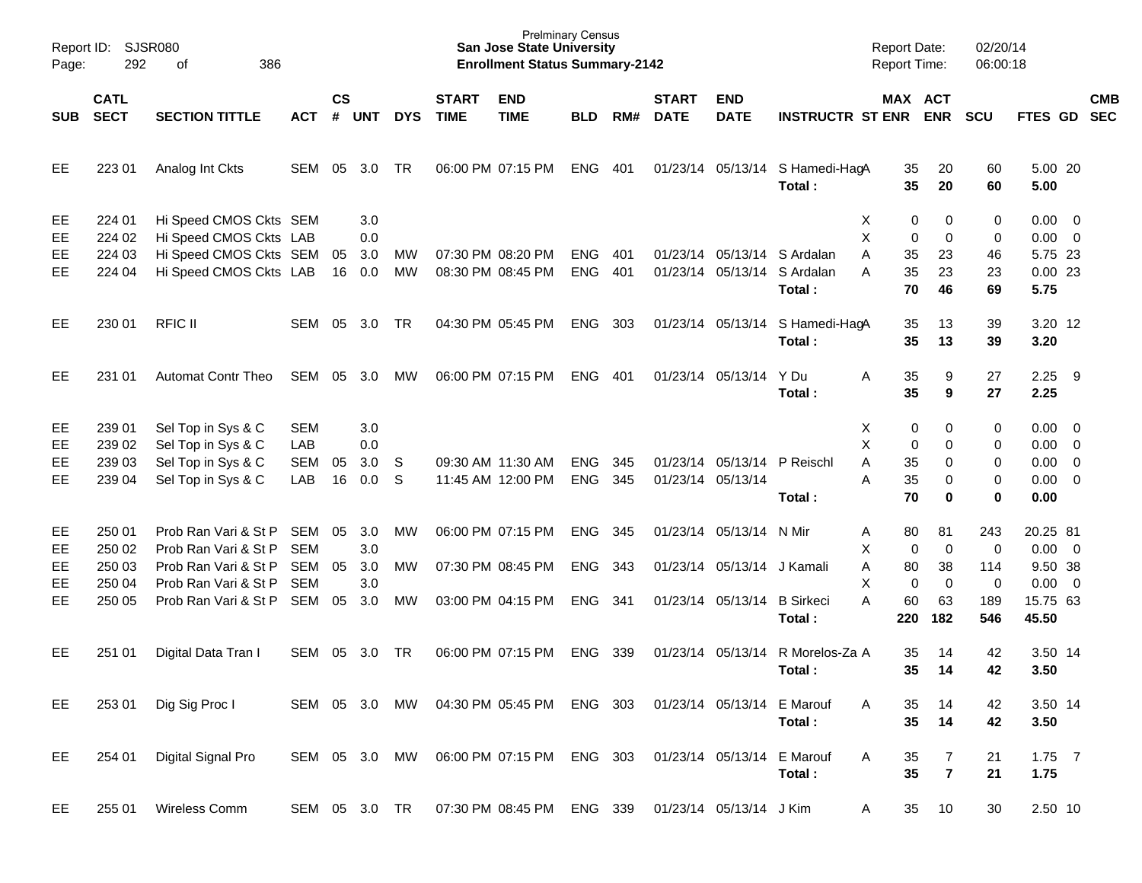| Report ID:<br>Page: | 292                        | SJSR080<br>386<br>of                                                       |                          |                    |                   |            |                             | <b>San Jose State University</b><br><b>Enrollment Status Summary-2142</b> | <b>Prelminary Census</b> |     |                             |                             |                                           | <b>Report Date:</b><br><b>Report Time:</b> |                     | 02/20/14<br>06:00:18    |                                       |     |            |
|---------------------|----------------------------|----------------------------------------------------------------------------|--------------------------|--------------------|-------------------|------------|-----------------------------|---------------------------------------------------------------------------|--------------------------|-----|-----------------------------|-----------------------------|-------------------------------------------|--------------------------------------------|---------------------|-------------------------|---------------------------------------|-----|------------|
| <b>SUB</b>          | <b>CATL</b><br><b>SECT</b> | <b>SECTION TITTLE</b>                                                      | <b>ACT</b>               | $\mathsf{cs}$<br># | <b>UNT</b>        | <b>DYS</b> | <b>START</b><br><b>TIME</b> | <b>END</b><br><b>TIME</b>                                                 | <b>BLD</b>               | RM# | <b>START</b><br><b>DATE</b> | <b>END</b><br><b>DATE</b>   | <b>INSTRUCTR ST ENR ENR</b>               | MAX ACT                                    |                     | <b>SCU</b>              | FTES GD SEC                           |     | <b>CMB</b> |
| EE                  | 223 01                     | Analog Int Ckts                                                            | <b>SEM</b>               | 05                 | 3.0               | <b>TR</b>  |                             | 06:00 PM 07:15 PM                                                         | <b>ENG</b>               | 401 |                             |                             | 01/23/14 05/13/14 S Hamedi-HagA<br>Total: | 35<br>35                                   | 20<br>20            | 60<br>60                | 5.00 20<br>5.00                       |     |            |
| EE<br>EE<br>EE      | 224 01<br>224 02<br>224 03 | Hi Speed CMOS Ckts SEM<br>Hi Speed CMOS Ckts LAB<br>Hi Speed CMOS Ckts SEM |                          | 05                 | 3.0<br>0.0<br>3.0 | <b>MW</b>  |                             | 07:30 PM 08:20 PM                                                         | <b>ENG</b>               | 401 |                             |                             | 01/23/14 05/13/14 S Ardalan               | X<br>0<br>X<br>0<br>A<br>35                | 0<br>0<br>23        | 0<br>0<br>46            | $0.00 \t 0$<br>$0.00 \t 0$<br>5.75 23 |     |            |
| <b>EE</b>           | 224 04                     | Hi Speed CMOS Ckts LAB                                                     |                          | 16                 | 0.0               | <b>MW</b>  |                             | 08:30 PM 08:45 PM                                                         | <b>ENG</b>               | 401 |                             |                             | 01/23/14 05/13/14 S Ardalan<br>Total:     | 35<br>A<br>70                              | 23<br>46            | 23<br>69                | $0.00$ 23<br>5.75                     |     |            |
| EE                  | 230 01                     | <b>RFIC II</b>                                                             | SEM                      | 05                 | 3.0               | TR         |                             | 04:30 PM 05:45 PM                                                         | <b>ENG</b>               | 303 |                             |                             | 01/23/14 05/13/14 S Hamedi-HagA<br>Total: | 35<br>35                                   | 13<br>13            | 39<br>39                | 3.20 12<br>3.20                       |     |            |
| EE                  | 231 01                     | <b>Automat Contr Theo</b>                                                  | <b>SEM</b>               | 05                 | 3.0               | МW         |                             | 06:00 PM 07:15 PM                                                         | <b>ENG</b>               | 401 |                             | 01/23/14 05/13/14           | Y Du<br>Total:                            | Α<br>35<br>35                              | 9<br>9              | 27<br>27                | 2.25<br>2.25                          | - 9 |            |
| EE<br>EE            | 239 01<br>239 02           | Sel Top in Sys & C<br>Sel Top in Sys & C                                   | <b>SEM</b><br>LAB        |                    | 3.0<br>0.0        |            |                             |                                                                           |                          |     |                             |                             |                                           | Χ<br>0<br>X<br>0                           | 0<br>0              | 0<br>0                  | $0.00 \t 0$<br>$0.00 \t 0$            |     |            |
| EE                  | 239 03                     | Sel Top in Sys & C                                                         | <b>SEM</b>               | 05                 | 3.0               | - S        |                             | 09:30 AM 11:30 AM                                                         | <b>ENG</b>               | 345 |                             | 01/23/14 05/13/14 P Reischl |                                           | A<br>35                                    | $\Omega$            | $\mathbf 0$             | $0.00 \t 0$                           |     |            |
| EE                  | 239 04                     | Sel Top in Sys & C                                                         | LAB                      | 16                 | 0.0               | S          |                             | 11:45 AM 12:00 PM                                                         | <b>ENG</b>               | 345 |                             | 01/23/14 05/13/14           | Total:                                    | A<br>35<br>70                              | 0<br>$\bf{0}$       | $\mathbf 0$<br>$\bf{0}$ | $0.00 \t 0$<br>0.00                   |     |            |
| EE<br>EE            | 250 01<br>250 02           | Prob Ran Vari & St P<br>Prob Ran Vari & St P                               | <b>SEM</b><br><b>SEM</b> | 05                 | 3.0<br>3.0        | <b>MW</b>  |                             | 06:00 PM 07:15 PM                                                         | <b>ENG</b>               | 345 |                             | 01/23/14 05/13/14 N Mir     |                                           | 80<br>Α<br>Χ<br>0                          | 81<br>$\pmb{0}$     | 243<br>$\mathbf 0$      | 20.25 81<br>$0.00 \t 0$               |     |            |
| EE<br>EE            | 250 03<br>250 04           | Prob Ran Vari & St P<br>Prob Ran Vari & St P                               | <b>SEM</b><br><b>SEM</b> | 05                 | 3.0<br>3.0        | MW         |                             | 07:30 PM 08:45 PM                                                         | <b>ENG</b>               | 343 |                             | 01/23/14 05/13/14 J Kamali  |                                           | Α<br>80<br>Χ<br>$\mathbf 0$                | 38<br>$\mathbf 0$   | 114<br>$\mathbf 0$      | 9.50 38<br>$0.00 \t 0$                |     |            |
| EE                  | 250 05                     | Prob Ran Vari & St P                                                       | SEM                      | 05                 | 3.0               | <b>MW</b>  |                             | 03:00 PM 04:15 PM                                                         | <b>ENG</b>               | 341 |                             | 01/23/14 05/13/14           | <b>B</b> Sirkeci<br>Total:                | A<br>60<br>220                             | 63<br>182           | 189<br>546              | 15.75 63<br>45.50                     |     |            |
| EE                  | 251 01                     | Digital Data Tran I                                                        | <b>SEM</b>               | 05                 | 3.0               | TR         |                             | 06:00 PM 07:15 PM                                                         | <b>ENG</b>               | 339 |                             | 01/23/14 05/13/14           | R Morelos-Za A<br>Total:                  | 35<br>35                                   | 14<br>14            | 42<br>42                | 3.50 14<br>3.50                       |     |            |
| EE                  | 253 01                     | Dig Sig Proc I                                                             | SEM 05 3.0               |                    |                   | MW         |                             | 04:30 PM 05:45 PM                                                         | ENG 303                  |     |                             | 01/23/14 05/13/14 E Marouf  | Total:                                    | 35<br>A<br>35                              | 14<br>14            | 42<br>42                | 3.50 14<br>3.50                       |     |            |
| EE                  | 254 01                     | Digital Signal Pro                                                         | SEM 05 3.0               |                    |                   | MW         |                             | 06:00 PM 07:15 PM                                                         | ENG 303                  |     |                             | 01/23/14 05/13/14           | E Marouf<br>Total:                        | 35<br>A<br>35                              | 7<br>$\overline{7}$ | 21<br>21                | $1.75$ 7<br>1.75                      |     |            |
| EE                  | 255 01                     | Wireless Comm                                                              | SEM 05 3.0 TR            |                    |                   |            |                             | 07:30 PM 08:45 PM ENG 339                                                 |                          |     |                             | 01/23/14 05/13/14 J Kim     |                                           | 35<br>A                                    | 10                  | 30                      | 2.50 10                               |     |            |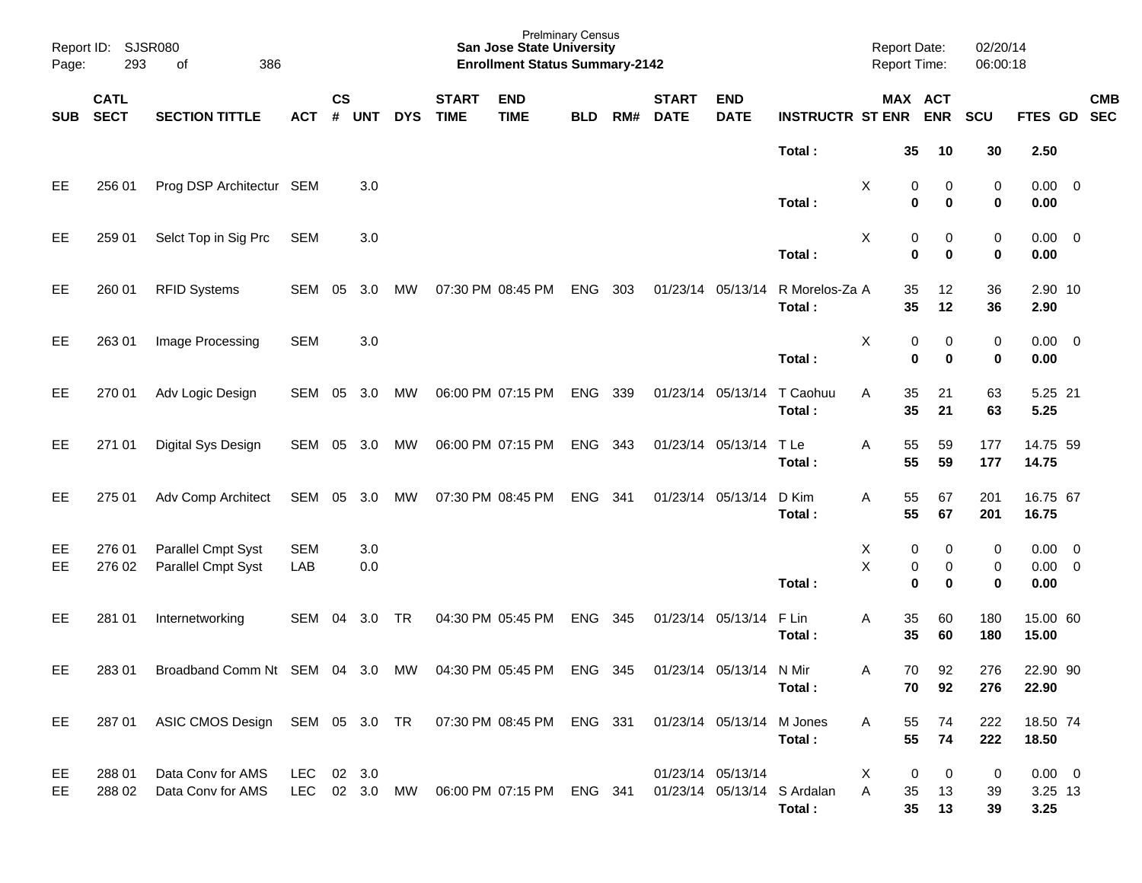| Report ID:<br>Page: | SJSR080<br>293             |                                                                                           |                   |                |            |            | <b>Prelminary Census</b><br><b>San Jose State University</b><br><b>Enrollment Status Summary-2142</b> |                                                                     |            |     |                             |                           | <b>Report Date:</b><br><b>Report Time:</b> |                             | 02/20/14<br>06:00:18  |               |                                    |                          |
|---------------------|----------------------------|-------------------------------------------------------------------------------------------|-------------------|----------------|------------|------------|-------------------------------------------------------------------------------------------------------|---------------------------------------------------------------------|------------|-----|-----------------------------|---------------------------|--------------------------------------------|-----------------------------|-----------------------|---------------|------------------------------------|--------------------------|
| <b>SUB</b>          | <b>CATL</b><br><b>SECT</b> | <b>SECTION TITTLE</b>                                                                     | <b>ACT</b>        | <b>CS</b><br># | <b>UNT</b> | <b>DYS</b> | <b>START</b><br><b>TIME</b>                                                                           | <b>END</b><br><b>TIME</b>                                           | <b>BLD</b> | RM# | <b>START</b><br><b>DATE</b> | <b>END</b><br><b>DATE</b> | <b>INSTRUCTR ST ENR</b>                    |                             | MAX ACT<br><b>ENR</b> | <b>SCU</b>    | FTES GD                            | <b>CMB</b><br><b>SEC</b> |
|                     |                            |                                                                                           |                   |                |            |            |                                                                                                       |                                                                     |            |     |                             |                           | Total:                                     | 35                          | 10                    | 30            | 2.50                               |                          |
| EE                  | 256 01                     | Prog DSP Architectur SEM                                                                  |                   |                | 3.0        |            |                                                                                                       |                                                                     |            |     |                             |                           | Total:                                     | х<br>0<br>$\bf{0}$          | 0<br>0                | 0<br>0        | $0.00 \t 0$<br>0.00                |                          |
| EE                  | 259 01                     | Selct Top in Sig Prc                                                                      | <b>SEM</b>        |                | 3.0        |            |                                                                                                       |                                                                     |            |     |                             |                           | Total:                                     | х<br>0<br>$\bf{0}$          | 0<br>0                | 0<br>0        | $0.00 \t 0$<br>0.00                |                          |
| EE                  | 260 01                     | <b>RFID Systems</b>                                                                       | SEM               | 05             | 3.0        | МW         |                                                                                                       | 07:30 PM 08:45 PM                                                   | <b>ENG</b> | 303 |                             | 01/23/14 05/13/14         | R Morelos-Za A<br>Total:                   | 35<br>35                    | 12<br>12              | 36<br>36      | 2.90 10<br>2.90                    |                          |
| EE                  | 263 01                     | Image Processing                                                                          | <b>SEM</b>        |                | 3.0        |            |                                                                                                       |                                                                     |            |     |                             |                           | Total:                                     | Х<br>0<br>$\bf{0}$          | 0<br>0                | 0<br>0        | $0.00 \t 0$<br>0.00                |                          |
| EE                  | 270 01                     | Adv Logic Design                                                                          | SEM               | 05             | 3.0        | МW         |                                                                                                       | 06:00 PM 07:15 PM                                                   | <b>ENG</b> | 339 |                             | 01/23/14 05/13/14         | T Caohuu<br>Total:                         | Α<br>35<br>35               | 21<br>21              | 63<br>63      | 5.25 21<br>5.25                    |                          |
| EE                  | 271 01                     | Digital Sys Design                                                                        | SEM 05 3.0        |                |            | МW         |                                                                                                       | 06:00 PM 07:15 PM                                                   | <b>ENG</b> | 343 |                             | 01/23/14 05/13/14         | T Le<br>Total:                             | 55<br>Α<br>55               | 59<br>59              | 177<br>177    | 14.75 59<br>14.75                  |                          |
| EE                  | 275 01                     | Adv Comp Architect                                                                        | SEM 05 3.0        |                |            | MW         |                                                                                                       | 07:30 PM 08:45 PM                                                   | <b>ENG</b> | 341 |                             | 01/23/14 05/13/14         | D Kim<br>Total:                            | 55<br>Α<br>55               | 67<br>67              | 201<br>201    | 16.75 67<br>16.75                  |                          |
| EE<br>EE            | 276 01<br>276 02           | Parallel Cmpt Syst<br>Parallel Cmpt Syst                                                  | <b>SEM</b><br>LAB |                | 3.0<br>0.0 |            |                                                                                                       |                                                                     |            |     |                             |                           | Total:                                     | 0<br>Х<br>X<br>0<br>0       | 0<br>0<br>$\bf{0}$    | 0<br>0<br>0   | $0.00 \t 0$<br>$0.00 \t 0$<br>0.00 |                          |
| EE                  | 281 01                     | Internetworking                                                                           | SEM 04            |                | 3.0        | TR         |                                                                                                       | 04:30 PM 05:45 PM                                                   | <b>ENG</b> | 345 |                             | 01/23/14 05/13/14         | F Lin<br>Total:                            | 35<br>Α<br>35               | 60<br>60              | 180<br>180    | 15.00 60<br>15.00                  |                          |
| EE                  | 283 01                     | Broadband Comm Nt SEM 04 3.0                                                              |                   |                |            | MW         |                                                                                                       | 04:30 PM 05:45 PM                                                   | ENG 345    |     |                             | 01/23/14 05/13/14 N Mir   | Total:                                     | 70<br>A<br>70               | 92<br>92              | 276<br>276    | 22.90 90<br>22.90                  |                          |
| EE                  |                            | 287 01 ASIC CMOS Design SEM 05 3.0 TR 07:30 PM 08:45 PM ENG 331 01/23/14 05/13/14 M Jones |                   |                |            |            |                                                                                                       |                                                                     |            |     |                             |                           | Total:                                     | Α<br>55<br>55               | 74<br>74              | 222<br>222    | 18.50 74<br>18.50                  |                          |
| EE<br>EE            | 288 01<br>288 02           | Data Conv for AMS<br>Data Conv for AMS                                                    | LEC 02 3.0        |                |            |            |                                                                                                       | LEC 02 3.0 MW 06:00 PM 07:15 PM ENG 341 01/23/14 05/13/14 S Ardalan |            |     |                             | 01/23/14 05/13/14         | Total:                                     | $\mathbf 0$<br>X<br>A<br>35 | 0<br>13<br>35 13      | 0<br>39<br>39 | $0.00 \t 0$<br>3.25 13<br>3.25     |                          |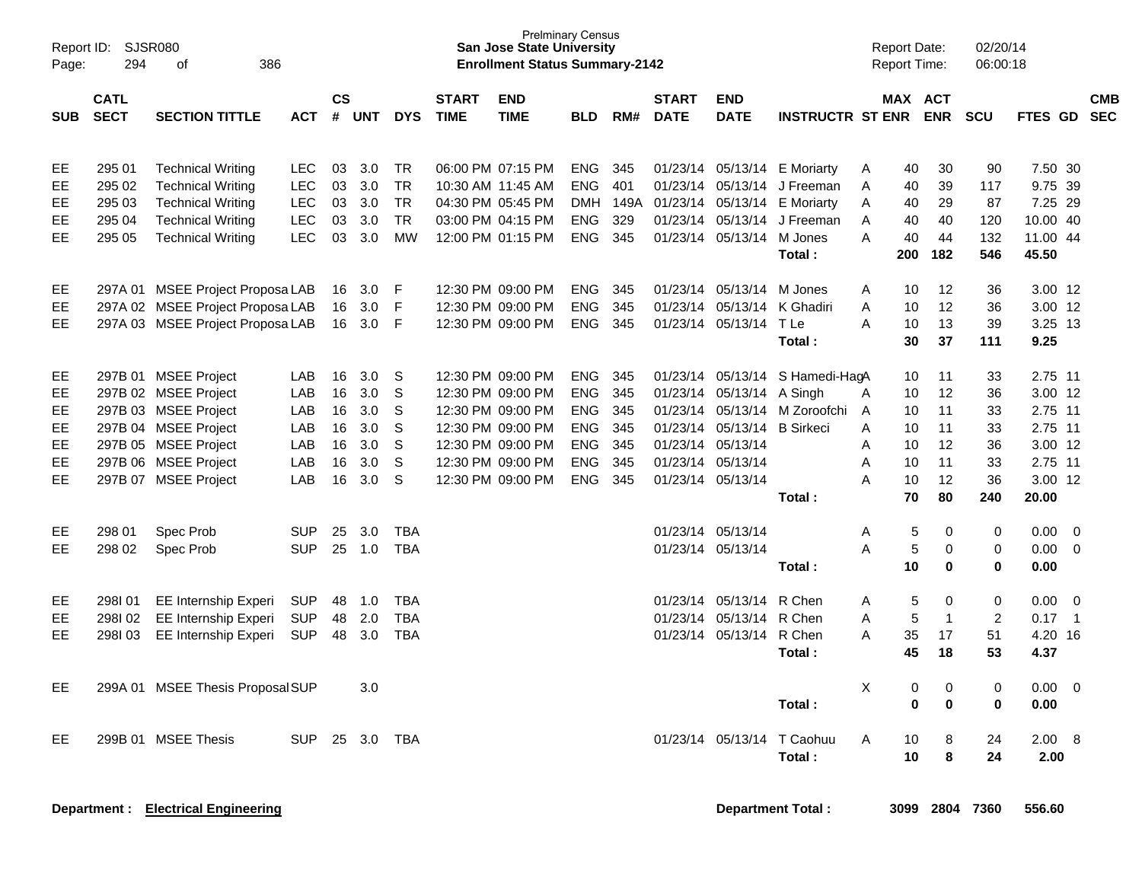| Page:      | Report ID: SJSR080<br>294<br>386<br>οf<br><b>CATL</b> |                                                      |                          |                    |            |                        |                             | <b>San Jose State University</b><br><b>Enrollment Status Summary-2142</b> | <b>Prelminary Census</b> |              |                             |                             |                                           |        | <b>Report Date:</b><br><b>Report Time:</b> |                   | 02/20/14<br>06:00:18 |                    |                            |            |
|------------|-------------------------------------------------------|------------------------------------------------------|--------------------------|--------------------|------------|------------------------|-----------------------------|---------------------------------------------------------------------------|--------------------------|--------------|-----------------------------|-----------------------------|-------------------------------------------|--------|--------------------------------------------|-------------------|----------------------|--------------------|----------------------------|------------|
| <b>SUB</b> | <b>SECT</b>                                           | <b>SECTION TITTLE</b>                                | <b>ACT</b>               | $\mathsf{cs}$<br># | <b>UNT</b> | <b>DYS</b>             | <b>START</b><br><b>TIME</b> | <b>END</b><br><b>TIME</b>                                                 | <b>BLD</b>               | RM#          | <b>START</b><br><b>DATE</b> | <b>END</b><br><b>DATE</b>   | <b>INSTRUCTR ST ENR</b>                   |        | <b>MAX ACT</b>                             | <b>ENR</b>        | <b>SCU</b>           | FTES GD SEC        |                            | <b>CMB</b> |
|            |                                                       |                                                      |                          |                    |            |                        |                             |                                                                           |                          |              |                             |                             |                                           |        |                                            |                   |                      |                    |                            |            |
| EE<br>EE   | 295 01<br>295 02                                      | <b>Technical Writing</b><br><b>Technical Writing</b> | <b>LEC</b><br><b>LEC</b> | 03<br>03           | 3.0<br>3.0 | <b>TR</b><br><b>TR</b> |                             | 06:00 PM 07:15 PM<br>10:30 AM 11:45 AM                                    | <b>ENG</b><br><b>ENG</b> | - 345<br>401 |                             | 01/23/14 05/13/14           | 01/23/14 05/13/14 E Moriarty<br>J Freeman | A<br>A | 40<br>40                                   | 30<br>39          | 90<br>117            | 7.50 30<br>9.75 39 |                            |            |
| EЕ         | 295 03                                                | <b>Technical Writing</b>                             | <b>LEC</b>               | 03                 | 3.0        | <b>TR</b>              |                             | 04:30 PM 05:45 PM                                                         | <b>DMH</b>               | 149A         |                             |                             | 01/23/14 05/13/14 E Moriarty              | Α      | 40                                         | 29                | 87                   | 7.25 29            |                            |            |
| EE         | 295 04                                                | <b>Technical Writing</b>                             | <b>LEC</b>               | 03                 | 3.0        | <b>TR</b>              |                             | 03:00 PM 04:15 PM                                                         | <b>ENG</b>               | 329          |                             |                             | 01/23/14 05/13/14 J Freeman               | A      | 40                                         | 40                | 120                  | 10.00 40           |                            |            |
| EE.        |                                                       |                                                      | <b>LEC</b>               | 03                 | 3.0        | <b>MW</b>              |                             | 12:00 PM 01:15 PM                                                         | <b>ENG</b>               | 345          |                             | 01/23/14 05/13/14 M Jones   |                                           | A      | 40                                         | 44                | 132                  | 11.00 44           |                            |            |
|            | 295 05<br><b>Technical Writing</b>                    |                                                      |                          |                    |            |                        |                             |                                                                           |                          |              |                             |                             | Total:                                    |        | 200                                        | 182               | 546                  | 45.50              |                            |            |
|            |                                                       |                                                      |                          |                    |            |                        |                             |                                                                           |                          |              |                             |                             |                                           |        |                                            |                   |                      |                    |                            |            |
| EE         |                                                       | 297A 01 MSEE Project Proposa LAB                     |                          | 16                 | 3.0        | F                      |                             | 12:30 PM 09:00 PM                                                         | <b>ENG</b>               | 345          |                             | 01/23/14 05/13/14 M Jones   |                                           | A      | 10                                         | $12 \overline{ }$ | 36                   | 3.00 12            |                            |            |
| <b>EE</b>  |                                                       | 297A 02 MSEE Project Proposa LAB                     |                          | 16                 | 3.0        | F                      |                             | 12:30 PM 09:00 PM                                                         | <b>ENG</b>               | 345          | 01/23/14                    | 05/13/14                    | K Ghadiri                                 | A      | 10                                         | 12                | 36                   | 3.00 12            |                            |            |
| <b>EE</b>  |                                                       | 297A 03 MSEE Project Proposa LAB                     |                          | 16                 | 3.0        | F                      |                             | 12:30 PM 09:00 PM                                                         | <b>ENG</b>               | 345          |                             | 01/23/14 05/13/14           | T Le                                      | A      | 10                                         | 13                | 39                   | 3.25 13            |                            |            |
|            |                                                       |                                                      |                          |                    |            |                        |                             |                                                                           |                          |              |                             |                             | Total:                                    |        | 30                                         | 37                | 111                  | 9.25               |                            |            |
|            |                                                       |                                                      |                          |                    |            |                        |                             |                                                                           |                          |              |                             |                             |                                           |        |                                            |                   |                      |                    |                            |            |
| EЕ         |                                                       | 297B 01 MSEE Project                                 | LAB                      | 16                 | 3.0        | S                      |                             | 12:30 PM 09:00 PM                                                         | <b>ENG</b>               | 345          |                             |                             | 01/23/14 05/13/14 S Hamedi-HagA           |        | 10                                         | 11                | 33                   | 2.75 11            |                            |            |
| EE         |                                                       | 297B 02 MSEE Project                                 | LAB                      | 16                 | 3.0<br>3.0 | S<br>S                 |                             | 12:30 PM 09:00 PM                                                         | <b>ENG</b><br><b>ENG</b> | 345          |                             | 01/23/14 05/13/14 A Singh   |                                           | A      | 10                                         | 12                | 36                   | 3.00 12<br>2.75 11 |                            |            |
| EE<br>EE   |                                                       | 297B 03 MSEE Project<br>297B 04 MSEE Project         | LAB<br>LAB               | 16<br>16           | 3.0        | S                      |                             | 12:30 PM 09:00 PM<br>12:30 PM 09:00 PM                                    | <b>ENG</b>               | 345<br>345   |                             | 01/23/14 05/13/14 B Sirkeci | 01/23/14 05/13/14 M Zoroofchi             | A<br>A | 10<br>10                                   | 11<br>11          | 33<br>33             | 2.75 11            |                            |            |
| EE         |                                                       | 297B 05 MSEE Project                                 | LAB                      | 16                 | 3.0        | S                      |                             | 12:30 PM 09:00 PM                                                         | <b>ENG</b>               | 345          |                             | 01/23/14 05/13/14           |                                           | A      | 10                                         | 12                | 36                   | 3.00 12            |                            |            |
| EE         |                                                       | 297B 06 MSEE Project                                 | LAB                      | 16                 | 3.0        | S                      |                             | 12:30 PM 09:00 PM                                                         | <b>ENG</b>               | 345          |                             | 01/23/14 05/13/14           |                                           | A      | 10                                         | 11                | 33                   | 2.75 11            |                            |            |
| EE         |                                                       | 297B 07 MSEE Project                                 | LAB                      | 16                 | 3.0        | S                      |                             | 12:30 PM 09:00 PM                                                         | <b>ENG</b>               | - 345        |                             | 01/23/14 05/13/14           |                                           | A      | 10                                         | 12                | 36                   | 3.00 12            |                            |            |
|            |                                                       |                                                      |                          |                    |            |                        |                             |                                                                           |                          |              |                             |                             | Total:                                    |        | 70                                         | 80                | 240                  | 20.00              |                            |            |
|            |                                                       |                                                      |                          |                    |            |                        |                             |                                                                           |                          |              |                             |                             |                                           |        |                                            |                   |                      |                    |                            |            |
| EЕ         | 298 01                                                | Spec Prob                                            | <b>SUP</b>               | 25                 | 3.0        | <b>TBA</b>             |                             |                                                                           |                          |              |                             | 01/23/14 05/13/14           |                                           | Α      | 5                                          | $\Omega$          | $\mathbf 0$          | 0.00               | $\Omega$                   |            |
| <b>EE</b>  | 298 02                                                | Spec Prob                                            | <b>SUP</b>               | 25                 | 1.0        | <b>TBA</b>             |                             |                                                                           |                          |              |                             | 01/23/14 05/13/14           |                                           | A      | 5                                          | 0                 | $\pmb{0}$            | 0.00               | $\overline{0}$             |            |
|            |                                                       |                                                      |                          |                    |            |                        |                             |                                                                           |                          |              |                             |                             | Total:                                    |        | 10                                         | 0                 | 0                    | 0.00               |                            |            |
|            |                                                       |                                                      |                          |                    |            |                        |                             |                                                                           |                          |              |                             |                             |                                           |        |                                            |                   |                      |                    |                            |            |
| EЕ         | 298101                                                | EE Internship Experi                                 | <b>SUP</b>               | 48                 | 1.0        | <b>TBA</b>             |                             |                                                                           |                          |              |                             | 01/23/14 05/13/14 R Chen    |                                           | Α      | 5                                          | 0                 | $\pmb{0}$            | 0.00               | $\overline{0}$             |            |
| EE         | 298I 02                                               | <b>EE Internship Experi</b>                          | <b>SUP</b>               | 48                 | 2.0        | <b>TBA</b>             |                             |                                                                           |                          |              |                             | 01/23/14 05/13/14 R Chen    |                                           | A      | 5                                          | $\overline{1}$    | $\overline{2}$       | 0.17               | $\overline{\phantom{0}}$ 1 |            |
| EE         | 298I 03                                               | <b>EE Internship Experi</b>                          | <b>SUP</b>               | 48                 | 3.0        | <b>TBA</b>             |                             |                                                                           |                          |              |                             | 01/23/14 05/13/14 R Chen    |                                           | A      | 35                                         | 17                | 51                   | 4.20 16            |                            |            |
|            |                                                       |                                                      |                          |                    |            |                        |                             |                                                                           |                          |              |                             |                             | Total:                                    |        | 45                                         | 18                | 53                   | 4.37               |                            |            |
|            | 299A 01 MSEE Thesis Proposal SUP                      |                                                      |                          |                    |            |                        |                             |                                                                           |                          |              |                             |                             |                                           |        |                                            |                   |                      |                    |                            |            |
| EE.        |                                                       |                                                      |                          |                    | 3.0        |                        |                             |                                                                           |                          |              |                             |                             |                                           | X      | $\mathbf 0$                                | 0                 | $\mathbf 0$          | 0.00               | $\overline{\phantom{0}}$   |            |
|            |                                                       |                                                      |                          |                    |            |                        |                             |                                                                           |                          |              |                             |                             | Total:                                    |        | $\bf{0}$                                   | $\bf{0}$          | $\pmb{0}$            | 0.00               |                            |            |
| EE         |                                                       | 299B 01 MSEE Thesis                                  | <b>SUP</b>               | 25                 | 3.0        | <b>TBA</b>             |                             |                                                                           |                          |              |                             | 01/23/14 05/13/14           | T Caohuu                                  | A      | 10                                         | 8                 | 24                   | 2.00               | - 8                        |            |
|            |                                                       |                                                      |                          |                    |            |                        |                             |                                                                           |                          |              |                             |                             | Total:                                    |        | 10                                         | 8                 | 24                   | 2.00               |                            |            |
|            |                                                       |                                                      |                          |                    |            |                        |                             |                                                                           |                          |              |                             |                             |                                           |        |                                            |                   |                      |                    |                            |            |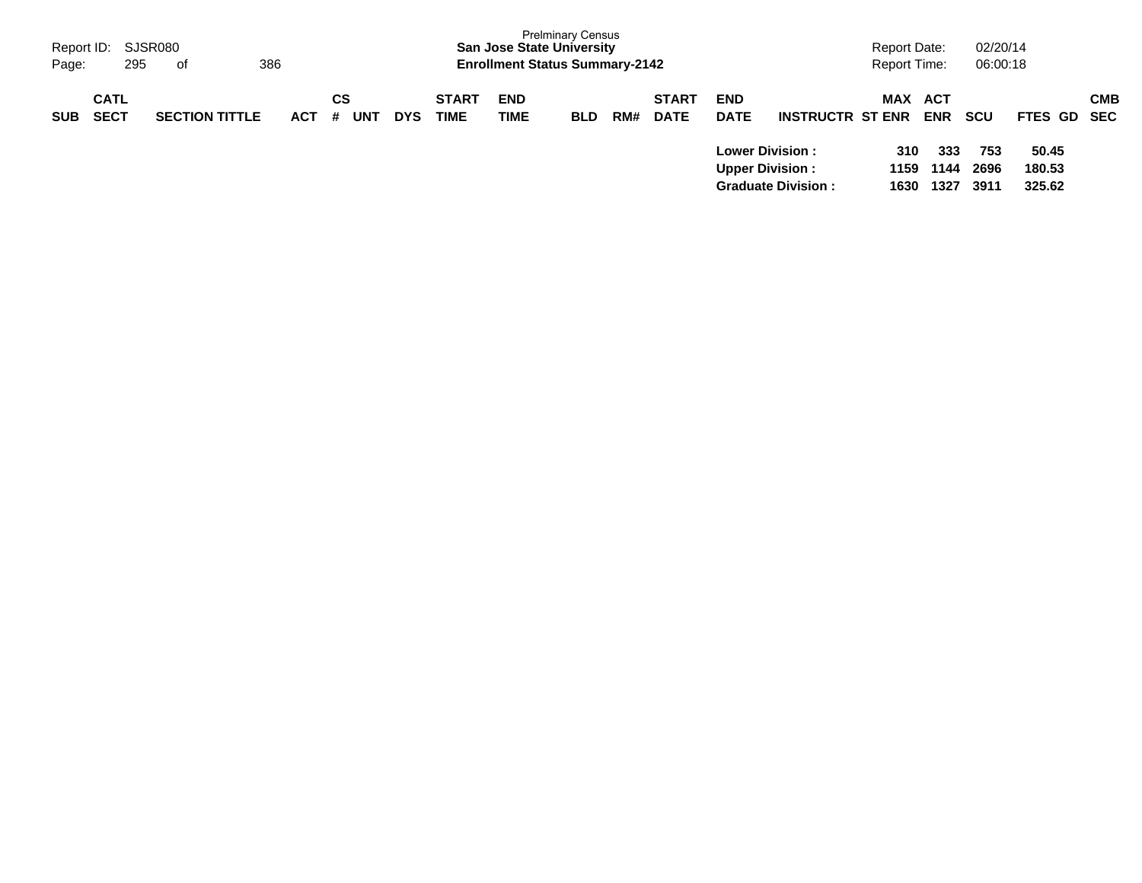| Report ID: SJSR080<br>Page:              | 295<br>of             | 386        |                |            |                             | <b>Prelminary Census</b><br><b>San Jose State University</b><br><b>Enrollment Status Summary-2142</b> |            |     |                             |                                                                                |                                                      | Report Date:<br><b>Report Time:</b> |                                          | 02/20/14<br>06:00:18              |                                          |            |
|------------------------------------------|-----------------------|------------|----------------|------------|-----------------------------|-------------------------------------------------------------------------------------------------------|------------|-----|-----------------------------|--------------------------------------------------------------------------------|------------------------------------------------------|-------------------------------------|------------------------------------------|-----------------------------------|------------------------------------------|------------|
| <b>CATL</b><br><b>SECT</b><br><b>SUB</b> | <b>SECTION TITTLE</b> | <b>ACT</b> | CS<br>UNT<br># | <b>DYS</b> | <b>START</b><br><b>TIME</b> | <b>END</b><br><b>TIME</b>                                                                             | <b>BLD</b> | RM# | <b>START</b><br><b>DATE</b> | <b>END</b><br><b>DATE</b><br><b>Lower Division :</b><br><b>Upper Division:</b> | <b>INSTRUCTR ST ENR</b><br><b>Graduate Division:</b> | MAX<br>310<br>1159<br>1630          | ACT<br><b>ENR</b><br>333<br>1144<br>1327 | <b>SCU</b><br>753<br>2696<br>3911 | FTES GD SEC<br>50.45<br>180.53<br>325.62 | <b>CMB</b> |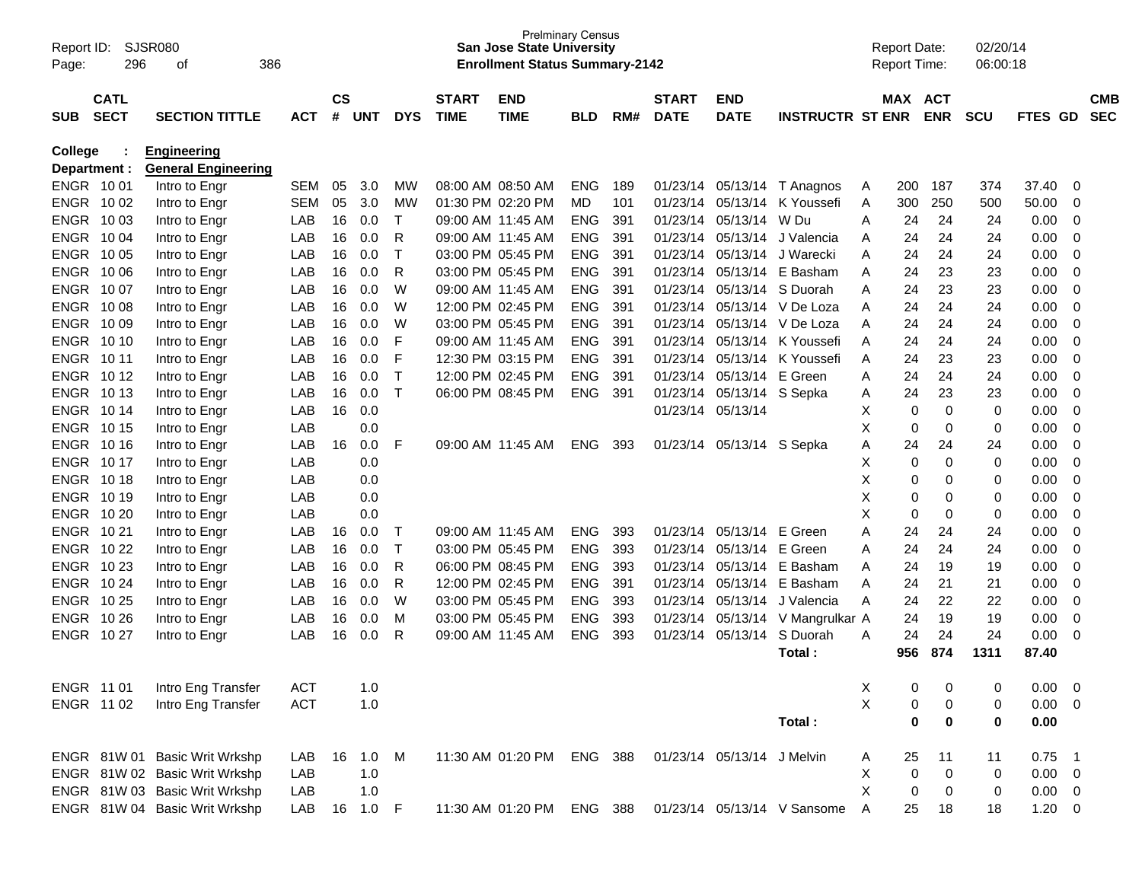| Page:                  | SJSR080<br>Report ID:<br>296<br>386<br>οf                                               |                                |              |                    |            |                    |                             | <b>San Jose State University</b><br><b>Enrollment Status Summary-2142</b> | <b>Prelminary Census</b> |            |                             |                            |                             |              | <b>Report Date:</b><br><b>Report Time:</b> |             | 02/20/14<br>06:00:18 |              |                            |                          |
|------------------------|-----------------------------------------------------------------------------------------|--------------------------------|--------------|--------------------|------------|--------------------|-----------------------------|---------------------------------------------------------------------------|--------------------------|------------|-----------------------------|----------------------------|-----------------------------|--------------|--------------------------------------------|-------------|----------------------|--------------|----------------------------|--------------------------|
| <b>SUB</b>             | <b>CATL</b><br><b>SECT</b><br><b>SECTION TITTLE</b><br><b>ACT</b><br><b>Engineering</b> |                                |              | $\mathsf{cs}$<br># | <b>UNT</b> | <b>DYS</b>         | <b>START</b><br><b>TIME</b> | <b>END</b><br><b>TIME</b>                                                 | <b>BLD</b>               | RM#        | <b>START</b><br><b>DATE</b> | <b>END</b><br><b>DATE</b>  | <b>INSTRUCTR ST ENR</b>     |              | MAX ACT                                    | <b>ENR</b>  | <b>SCU</b>           | FTES GD      |                            | <b>CMB</b><br><b>SEC</b> |
| College                |                                                                                         |                                |              |                    |            |                    |                             |                                                                           |                          |            |                             |                            |                             |              |                                            |             |                      |              |                            |                          |
| Department :           |                                                                                         | <b>General Engineering</b>     |              |                    |            |                    |                             |                                                                           |                          |            |                             |                            |                             |              |                                            |             |                      |              |                            |                          |
| ENGR 1001<br>ENGR 1002 |                                                                                         | Intro to Engr                  | <b>SEM</b>   | 05                 | 3.0        | МW                 |                             | 08:00 AM 08:50 AM                                                         | <b>ENG</b>               | 189        |                             |                            | 01/23/14 05/13/14 T Anagnos | A            | 200                                        | 187         | 374                  | 37.40        | $\mathbf 0$                |                          |
| ENGR 1003              |                                                                                         | Intro to Engr                  | <b>SEM</b>   | 05<br>16           | 3.0        | MW<br>$\mathsf{T}$ |                             | 01:30 PM 02:20 PM                                                         | MD                       | 101        | 01/23/14                    | 05/13/14 W Du              | 05/13/14 K Youssefi         | Α            | 300                                        | 250<br>24   | 500                  | 50.00        | $\mathbf 0$                |                          |
| ENGR 1004              |                                                                                         | Intro to Engr                  | LAB<br>LAB   | 16                 | 0.0<br>0.0 | R                  |                             | 09:00 AM 11:45 AM<br>09:00 AM 11:45 AM                                    | <b>ENG</b><br><b>ENG</b> | 391<br>391 | 01/23/14<br>01/23/14        |                            | 05/13/14 J Valencia         | A            | 24<br>24                                   | 24          | 24<br>24             | 0.00<br>0.00 | $\mathbf 0$<br>$\mathbf 0$ |                          |
| ENGR 10 05             |                                                                                         | Intro to Engr                  | LAB          | 16                 | 0.0        | T                  |                             | 03:00 PM 05:45 PM                                                         | <b>ENG</b>               | 391        | 01/23/14                    |                            | 05/13/14 J Warecki          | A<br>Α       | 24                                         | 24          | 24                   | 0.00         | $\mathbf 0$                |                          |
| ENGR 10 06             |                                                                                         | Intro to Engr                  | LAB          | 16                 | 0.0        | R                  |                             | 03:00 PM 05:45 PM                                                         | <b>ENG</b>               | 391        | 01/23/14                    |                            | 05/13/14 E Basham           | A            | 24                                         | 23          | 23                   | 0.00         | $\mathbf 0$                |                          |
| ENGR 1007              |                                                                                         | Intro to Engr<br>Intro to Engr | LAB          | 16                 | 0.0        | W                  |                             | 09:00 AM 11:45 AM                                                         | <b>ENG</b>               | 391        | 01/23/14                    |                            | 05/13/14 S Duorah           | A            | 24                                         | 23          | 23                   | 0.00         | $\mathbf 0$                |                          |
| ENGR 1008              |                                                                                         | Intro to Engr                  | LAB          | 16                 | 0.0        | W                  |                             | 12:00 PM 02:45 PM                                                         | <b>ENG</b>               | 391        | 01/23/14                    |                            | 05/13/14 V De Loza          | A            | 24                                         | 24          | 24                   | 0.00         | $\mathbf 0$                |                          |
| ENGR 10 09             |                                                                                         | Intro to Engr                  | LAB          | 16                 | 0.0        | W                  |                             | 03:00 PM 05:45 PM                                                         | <b>ENG</b>               | 391        | 01/23/14                    |                            | 05/13/14 V De Loza          | A            | 24                                         | 24          | 24                   | 0.00         | $\mathbf 0$                |                          |
| ENGR 10 10             |                                                                                         | Intro to Engr                  | LAB          | 16                 | 0.0        | F                  |                             | 09:00 AM 11:45 AM                                                         | <b>ENG</b>               | 391        | 01/23/14                    |                            | 05/13/14 K Youssefi         | A            | 24                                         | 24          | 24                   | 0.00         | $\mathbf 0$                |                          |
| ENGR 1011              |                                                                                         | Intro to Engr                  | LAB          | 16                 | 0.0        | F                  |                             | 12:30 PM 03:15 PM                                                         | <b>ENG</b>               | 391        | 01/23/14                    |                            | 05/13/14 K Youssefi         | A            | 24                                         | 23          | 23                   | 0.00         | $\mathbf 0$                |                          |
| ENGR 1012              |                                                                                         | Intro to Engr                  | LAB          | 16                 | 0.0        | $\mathsf{T}$       |                             | 12:00 PM 02:45 PM                                                         | <b>ENG</b>               | 391        | 01/23/14                    | 05/13/14 E Green           |                             | A            | 24                                         | 24          | 24                   | 0.00         | $\mathbf 0$                |                          |
| ENGR 1013              |                                                                                         | Intro to Engr                  | LAB          | 16                 | 0.0        | $\mathsf{T}$       |                             | 06:00 PM 08:45 PM                                                         | <b>ENG</b>               | 391        | 01/23/14                    | 05/13/14 S Sepka           |                             | Α            | 24                                         | 23          | 23                   | 0.00         | $\mathbf 0$                |                          |
| ENGR 1014              |                                                                                         | Intro to Engr                  | LAB          | 16                 | 0.0        |                    |                             |                                                                           |                          |            |                             | 01/23/14 05/13/14          |                             | Х            | 0                                          | $\mathbf 0$ | $\mathbf 0$          | 0.00         | $\mathbf 0$                |                          |
| ENGR 1015              |                                                                                         | Intro to Engr                  | LAB          |                    | 0.0        |                    |                             |                                                                           |                          |            |                             |                            |                             | X            | 0                                          | $\mathbf 0$ | 0                    | 0.00         | $\mathbf 0$                |                          |
| ENGR 10 16             |                                                                                         | Intro to Engr                  | LAB          | 16                 | 0.0        | F                  |                             | 09:00 AM 11:45 AM                                                         | <b>ENG</b>               | 393        | 01/23/14                    | 05/13/14 S Sepka           |                             | A            | 24                                         | 24          | 24                   | 0.00         | $\mathbf 0$                |                          |
| ENGR 1017              |                                                                                         | Intro to Engr                  | LAB          |                    | 0.0        |                    |                             |                                                                           |                          |            |                             |                            |                             | Х            | 0                                          | $\mathbf 0$ | 0                    | 0.00         | $\mathbf 0$                |                          |
| ENGR 1018              |                                                                                         | Intro to Engr                  | LAB          |                    | 0.0        |                    |                             |                                                                           |                          |            |                             |                            |                             | X            | 0                                          | 0           | 0                    | 0.00         | $\mathbf 0$                |                          |
| ENGR 10 19             |                                                                                         | Intro to Engr                  | LAB          |                    | 0.0        |                    |                             |                                                                           |                          |            |                             |                            |                             | X            | 0                                          | 0           | 0                    | 0.00         | $\mathbf 0$                |                          |
| ENGR 10 20             |                                                                                         | Intro to Engr                  | LAB          |                    | 0.0        |                    |                             |                                                                           |                          |            |                             |                            |                             | X            | 0                                          | $\mathbf 0$ | 0                    | 0.00         | $\mathbf 0$                |                          |
| ENGR 1021              |                                                                                         | Intro to Engr                  | LAB          | 16                 | 0.0        | T                  |                             | 09:00 AM 11:45 AM                                                         | <b>ENG</b>               | 393        | 01/23/14                    | 05/13/14 E Green           |                             | A            | 24                                         | 24          | 24                   | 0.00         | $\mathbf 0$                |                          |
| ENGR 10 22             |                                                                                         | Intro to Engr                  | LAB          | 16                 | 0.0        | T                  |                             | 03:00 PM 05:45 PM                                                         | <b>ENG</b>               | 393        | 01/23/14                    | 05/13/14 E Green           |                             | Α            | 24                                         | 24          | 24                   | 0.00         | $\mathbf 0$                |                          |
| ENGR 10 23             |                                                                                         | Intro to Engr                  | LAB          | 16                 | 0.0        | R                  |                             | 06:00 PM 08:45 PM                                                         | <b>ENG</b>               | 393        | 01/23/14                    |                            | 05/13/14 E Basham           | A            | 24                                         | 19          | 19                   | 0.00         | $\mathbf 0$                |                          |
| ENGR 10 24             |                                                                                         | Intro to Engr                  | LAB          | 16                 | 0.0        | R                  |                             | 12:00 PM 02:45 PM                                                         | <b>ENG</b>               | 391        | 01/23/14                    |                            | 05/13/14 E Basham           | A            | 24                                         | 21          | 21                   | 0.00         | $\mathbf 0$                |                          |
| ENGR 10 25             |                                                                                         | Intro to Engr                  | LAB          | 16                 | 0.0        | W                  |                             | 03:00 PM 05:45 PM                                                         | <b>ENG</b>               | 393        | 01/23/14                    |                            | 05/13/14 J Valencia         | A            | 24                                         | 22          | 22                   | 0.00         | $\mathbf 0$                |                          |
| ENGR 10 26             |                                                                                         | Intro to Engr                  | LAB          | 16                 | 0.0        | M                  |                             | 03:00 PM 05:45 PM                                                         | <b>ENG</b>               | 393        | 01/23/14                    |                            | 05/13/14 V Mangrulkar A     |              | 24                                         | 19          | 19                   | 0.00         | $\mathbf 0$                |                          |
| ENGR 1027              |                                                                                         | Intro to Engr                  | LAB          | 16                 | 0.0        | R                  |                             | 09:00 AM 11:45 AM                                                         | <b>ENG</b>               | 393        | 01/23/14                    | 05/13/14                   | S Duorah                    | A            | 24                                         | 24          | 24                   | 0.00         | $\mathbf 0$                |                          |
|                        |                                                                                         |                                |              |                    |            |                    |                             |                                                                           |                          |            |                             |                            | Total:                      |              | 956                                        | 874         | 1311                 | 87.40        |                            |                          |
| ENGR 11 01             |                                                                                         | Intro Eng Transfer             | <b>ACT</b>   |                    | 1.0        |                    |                             |                                                                           |                          |            |                             |                            |                             | X            | 0                                          | 0           | 0                    | 0.00         | $\overline{\mathbf{0}}$    |                          |
| ENGR 1102              |                                                                                         | Intro Eng Transfer             | <b>ACT</b>   |                    | 1.0        |                    |                             |                                                                           |                          |            |                             |                            |                             | X            | 0                                          | 0           | 0                    | 0.00         | $\overline{\mathbf{0}}$    |                          |
|                        |                                                                                         |                                |              |                    |            |                    |                             |                                                                           |                          |            |                             |                            | Total:                      |              | $\bf{0}$                                   | $\bf{0}$    | $\bf{0}$             | 0.00         |                            |                          |
|                        |                                                                                         | ENGR 81W 01 Basic Writ Wrkshp  | LAB          | 16                 | 1.0        | M                  |                             | 11:30 AM 01:20 PM ENG 388                                                 |                          |            |                             | 01/23/14 05/13/14 J Melvin |                             | A            | 25                                         | 11          | 11                   | 0.75         | $\overline{\phantom{0}}$ 1 |                          |
|                        |                                                                                         | ENGR 81W 02 Basic Writ Wrkshp  | LAB          |                    | 1.0        |                    |                             |                                                                           |                          |            |                             |                            |                             | X            | $\mathbf 0$                                | $\mathbf 0$ | 0                    | $0.00 \t 0$  |                            |                          |
|                        |                                                                                         | ENGR 81W 03 Basic Writ Wrkshp  | LAB          |                    | 1.0        |                    |                             |                                                                           |                          |            |                             |                            |                             | X            | 0                                          | 0           | 0                    | $0.00 \t 0$  |                            |                          |
|                        |                                                                                         | ENGR 81W 04 Basic Writ Wrkshp  | LAB 16 1.0 F |                    |            |                    |                             | 11:30 AM 01:20 PM ENG 388                                                 |                          |            |                             |                            | 01/23/14 05/13/14 V Sansome | $\mathsf{A}$ | 25                                         | 18          | 18                   | $1.20 \t 0$  |                            |                          |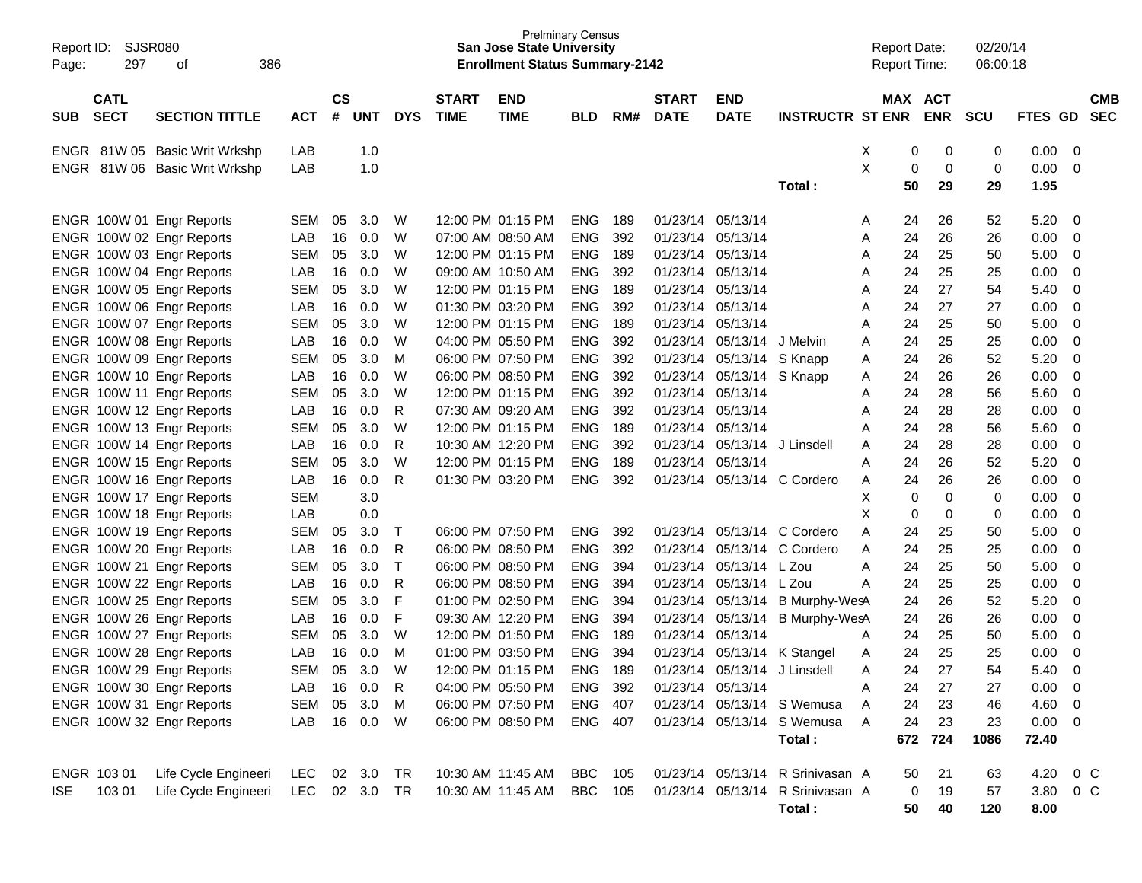| Report ID:<br>Page: | SJSR080<br>297 | 386<br>οf                                              |                   |               |            |              |              | <b>Prelminary Census</b><br><b>San Jose State University</b><br><b>Enrollment Status Summary-2142</b> |                          |            |              |                                                |                                  | <b>Report Date:</b><br>Report Time: |          |            | 02/20/14<br>06:00:18 |              |                                  |            |
|---------------------|----------------|--------------------------------------------------------|-------------------|---------------|------------|--------------|--------------|-------------------------------------------------------------------------------------------------------|--------------------------|------------|--------------|------------------------------------------------|----------------------------------|-------------------------------------|----------|------------|----------------------|--------------|----------------------------------|------------|
|                     | <b>CATL</b>    |                                                        |                   | $\mathsf{cs}$ |            |              | <b>START</b> | <b>END</b>                                                                                            |                          |            | <b>START</b> | <b>END</b>                                     |                                  |                                     |          | MAX ACT    |                      |              |                                  | <b>CMB</b> |
| <b>SUB</b>          | <b>SECT</b>    | <b>SECTION TITTLE</b>                                  | <b>ACT</b>        | #             | <b>UNT</b> | <b>DYS</b>   | <b>TIME</b>  | <b>TIME</b>                                                                                           | <b>BLD</b>               | RM#        | <b>DATE</b>  | <b>DATE</b>                                    | <b>INSTRUCTR ST ENR</b>          |                                     |          | <b>ENR</b> | <b>SCU</b>           | FTES GD SEC  |                                  |            |
|                     |                | ENGR 81W 05 Basic Writ Wrkshp                          | LAB               |               | 1.0        |              |              |                                                                                                       |                          |            |              |                                                |                                  | Χ                                   | 0        | 0          | 0                    | 0.00         | - 0                              |            |
| <b>ENGR</b>         |                | 81W 06 Basic Writ Wrkshp                               | LAB               |               | 1.0        |              |              |                                                                                                       |                          |            |              |                                                | Total:                           | Χ                                   | 0<br>50  | 0<br>29    | 0<br>29              | 0.00<br>1.95 | - 0                              |            |
|                     |                |                                                        |                   |               |            |              |              |                                                                                                       |                          |            |              |                                                |                                  |                                     |          |            |                      |              |                                  |            |
|                     |                | ENGR 100W 01 Engr Reports                              | <b>SEM</b>        | 05            | 3.0        | W            |              | 12:00 PM 01:15 PM                                                                                     | <b>ENG</b>               | 189        |              | 01/23/14 05/13/14                              |                                  | A                                   | 24       | 26         | 52                   | 5.20         | - 0                              |            |
|                     |                | ENGR 100W 02 Engr Reports                              | LAB               | 16            | 0.0        | W            |              | 07:00 AM 08:50 AM                                                                                     | <b>ENG</b>               | 392        |              | 01/23/14 05/13/14                              |                                  | Α                                   | 24       | 26         | 26                   | 0.00         | - 0                              |            |
|                     |                | ENGR 100W 03 Engr Reports                              | <b>SEM</b>        | 05            | 3.0        | W            |              | 12:00 PM 01:15 PM                                                                                     | <b>ENG</b>               | 189        |              | 01/23/14 05/13/14                              |                                  | Α                                   | 24       | 25         | 50                   | 5.00         | 0                                |            |
|                     |                | ENGR 100W 04 Engr Reports                              | LAB               | 16            | 0.0        | W            |              | 09:00 AM 10:50 AM                                                                                     | <b>ENG</b>               | 392        |              | 01/23/14 05/13/14                              |                                  | Α                                   | 24       | 25         | 25                   | 0.00         | $\overline{0}$                   |            |
|                     |                | ENGR 100W 05 Engr Reports                              | <b>SEM</b>        | 05            | 3.0        | W            |              | 12:00 PM 01:15 PM                                                                                     | <b>ENG</b>               | 189        |              | 01/23/14 05/13/14                              |                                  | Α                                   | 24       | 27         | 54                   | 5.40         | - 0                              |            |
|                     |                | ENGR 100W 06 Engr Reports                              | LAB               | 16            | 0.0        | W            |              | 01:30 PM 03:20 PM                                                                                     | <b>ENG</b>               | 392        |              | 01/23/14 05/13/14                              |                                  | Α                                   | 24       | 27         | 27                   | 0.00         | $\overline{0}$                   |            |
|                     |                | ENGR 100W 07 Engr Reports                              | <b>SEM</b>        | 05            | 3.0        | W            |              | 12:00 PM 01:15 PM                                                                                     | <b>ENG</b>               | 189        |              | 01/23/14 05/13/14                              |                                  | Α                                   | 24       | 25         | 50                   | 5.00         | $\overline{0}$                   |            |
|                     |                | ENGR 100W 08 Engr Reports                              | LAB               | 16            | 0.0        | W            |              | 04:00 PM 05:50 PM                                                                                     | <b>ENG</b>               | 392        |              | 01/23/14 05/13/14                              | J Melvin                         | Α                                   | 24       | 25         | 25                   | 0.00         | $\overline{0}$                   |            |
|                     |                | ENGR 100W 09 Engr Reports<br>ENGR 100W 10 Engr Reports | <b>SEM</b>        | 05            | 3.0        | M<br>W       |              | 06:00 PM 07:50 PM                                                                                     | <b>ENG</b>               | 392        |              | 01/23/14 05/13/14 S Knapp                      |                                  | Α                                   | 24       | 26         | 52                   | 5.20         | - 0                              |            |
|                     |                | ENGR 100W 11 Engr Reports                              | LAB<br><b>SEM</b> | 16<br>05      | 0.0<br>3.0 | W            |              | 06:00 PM 08:50 PM<br>12:00 PM 01:15 PM                                                                | <b>ENG</b><br><b>ENG</b> | 392<br>392 |              | 01/23/14 05/13/14 S Knapp<br>01/23/14 05/13/14 |                                  | Α                                   | 24<br>24 | 26<br>28   | 26<br>56             | 0.00<br>5.60 | $\overline{0}$<br>$\overline{0}$ |            |
|                     |                | ENGR 100W 12 Engr Reports                              | LAB               | 16            | 0.0        | R            |              | 07:30 AM 09:20 AM                                                                                     | <b>ENG</b>               | 392        |              | 01/23/14 05/13/14                              |                                  | Α<br>Α                              | 24       | 28         | 28                   | 0.00         | $\overline{0}$                   |            |
|                     |                | ENGR 100W 13 Engr Reports                              | <b>SEM</b>        | 05            | 3.0        | W            |              | 12:00 PM 01:15 PM                                                                                     | <b>ENG</b>               | 189        |              | 01/23/14 05/13/14                              |                                  | Α                                   | 24       | 28         | 56                   | 5.60         | - 0                              |            |
|                     |                | ENGR 100W 14 Engr Reports                              | LAB               | 16            | 0.0        | R            |              | 10:30 AM 12:20 PM                                                                                     | <b>ENG</b>               | 392        |              | 01/23/14 05/13/14                              | J Linsdell                       | Α                                   | 24       | 28         | 28                   | 0.00         | $\overline{0}$                   |            |
|                     |                | ENGR 100W 15 Engr Reports                              | <b>SEM</b>        | 05            | 3.0        | W            |              | 12:00 PM 01:15 PM                                                                                     | <b>ENG</b>               | 189        | 01/23/14     | 05/13/14                                       |                                  | Α                                   | 24       | 26         | 52                   | 5.20         | $\overline{0}$                   |            |
|                     |                | ENGR 100W 16 Engr Reports                              | LAB               | 16            | 0.0        | R            |              | 01:30 PM 03:20 PM                                                                                     | <b>ENG</b>               | 392        |              |                                                | 01/23/14 05/13/14 C Cordero      | A                                   | 24       | 26         | 26                   | 0.00         | - 0                              |            |
|                     |                | ENGR 100W 17 Engr Reports                              | <b>SEM</b>        |               | 3.0        |              |              |                                                                                                       |                          |            |              |                                                |                                  | Χ                                   | 0        | 0          | 0                    | 0.00         | $\mathbf 0$                      |            |
|                     |                | ENGR 100W 18 Engr Reports                              | LAB               |               | 0.0        |              |              |                                                                                                       |                          |            |              |                                                |                                  | X                                   | 0        | 0          | 0                    | 0.00         | $\overline{0}$                   |            |
|                     |                | ENGR 100W 19 Engr Reports                              | <b>SEM</b>        | 05            | 3.0        | Т            |              | 06:00 PM 07:50 PM                                                                                     | <b>ENG</b>               | 392        |              |                                                | 01/23/14 05/13/14 C Cordero      | Α                                   | 24       | 25         | 50                   | 5.00         | - 0                              |            |
|                     |                | ENGR 100W 20 Engr Reports                              | LAB               | 16            | 0.0        | R            |              | 06:00 PM 08:50 PM                                                                                     | <b>ENG</b>               | 392        | 01/23/14     |                                                | 05/13/14 C Cordero               | Α                                   | 24       | 25         | 25                   | 0.00         | 0                                |            |
|                     |                | ENGR 100W 21 Engr Reports                              | <b>SEM</b>        | 05            | 3.0        | $\top$       |              | 06:00 PM 08:50 PM                                                                                     | <b>ENG</b>               | 394        | 01/23/14     | 05/13/14 L Zou                                 |                                  | Α                                   | 24       | 25         | 50                   | 5.00         | $\overline{0}$                   |            |
|                     |                | ENGR 100W 22 Engr Reports                              | LAB               | 16            | 0.0        | R            |              | 06:00 PM 08:50 PM                                                                                     | <b>ENG</b>               | 394        | 01/23/14     | 05/13/14 L Zou                                 |                                  | Α                                   | 24       | 25         | 25                   | 0.00         | $\overline{0}$                   |            |
|                     |                | ENGR 100W 25 Engr Reports                              | <b>SEM</b>        | 05            | 3.0        | F            |              | 01:00 PM 02:50 PM                                                                                     | <b>ENG</b>               | 394        |              |                                                | 01/23/14 05/13/14 B Murphy-WesA  |                                     | 24       | 26         | 52                   | 5.20         | - 0                              |            |
|                     |                | ENGR 100W 26 Engr Reports                              | LAB               | 16            | 0.0        | F            |              | 09:30 AM 12:20 PM                                                                                     | <b>ENG</b>               | 394        |              |                                                | 01/23/14 05/13/14 B Murphy-WesA  |                                     | 24       | 26         | 26                   | 0.00         | 0                                |            |
|                     |                | ENGR 100W 27 Engr Reports                              | <b>SEM</b>        | 05            | 3.0        | W            |              | 12:00 PM 01:50 PM                                                                                     | <b>ENG</b>               | 189        | 01/23/14     | 05/13/14                                       |                                  | A                                   | 24       | 25         | 50                   | 5.00         | 0                                |            |
|                     |                | ENGR 100W 28 Engr Reports                              | LAB               | 16            | 0.0        | M            |              | 01:00 PM 03:50 PM                                                                                     | <b>ENG</b>               | 394        |              |                                                | 01/23/14 05/13/14 K Stangel      | A                                   | 24       | 25         | 25                   | 0.00         | $\overline{0}$                   |            |
|                     |                | ENGR 100W 29 Engr Reports                              | <b>SEM</b>        | 05            | 3.0        | W            |              | 12:00 PM 01:15 PM                                                                                     | <b>ENG</b>               | 189        |              | 01/23/14 05/13/14 J Linsdell                   |                                  | Α                                   | 24       | 27         | 54                   | 5.40         | $\overline{0}$                   |            |
|                     |                | ENGR 100W 30 Engr Reports                              | LAB               | 16            | 0.0        | $\mathsf{R}$ |              | 04:00 PM 05:50 PM                                                                                     | ENG 392                  |            |              | 01/23/14 05/13/14                              |                                  | Α                                   | 24       | 27         | 27                   | 0.00         | $\overline{\phantom{0}}$         |            |
|                     |                | ENGR 100W 31 Engr Reports                              | SEM               | 05            | 3.0        | M            |              | 06:00 PM 07:50 PM                                                                                     | ENG 407                  |            |              |                                                | 01/23/14 05/13/14 S Wemusa       | A                                   | 24       | 23         | 46                   | $4.60$ 0     |                                  |            |
|                     |                | ENGR 100W 32 Engr Reports                              | LAB               |               | 16  0.0  W |              |              | 06:00 PM 08:50 PM                                                                                     | ENG 407                  |            |              |                                                | 01/23/14 05/13/14 S Wemusa       | A                                   | 24       | 23         | 23                   | $0.00 \t 0$  |                                  |            |
|                     |                |                                                        |                   |               |            |              |              |                                                                                                       |                          |            |              |                                                | Total:                           |                                     |          | 672 724    | 1086                 | 72.40        |                                  |            |
| ENGR 103 01         |                | Life Cycle Engineeri                                   | LEC               |               | 02 3.0 TR  |              |              | 10:30 AM 11:45 AM                                                                                     | <b>BBC</b> 105           |            |              |                                                | 01/23/14 05/13/14 R Srinivasan A |                                     | 50       | 21         | 63                   | 4.20         | 0 C                              |            |
| <b>ISE</b>          | 103 01         | Life Cycle Engineeri                                   | LEC 02 3.0 TR     |               |            |              |              | 10:30 AM 11:45 AM                                                                                     | <b>BBC</b> 105           |            |              |                                                | 01/23/14 05/13/14 R Srinivasan A |                                     | 0        | 19         | 57                   | 3.80 0 C     |                                  |            |
|                     |                |                                                        |                   |               |            |              |              |                                                                                                       |                          |            |              |                                                | Total:                           |                                     | 50       | 40         | 120                  | 8.00         |                                  |            |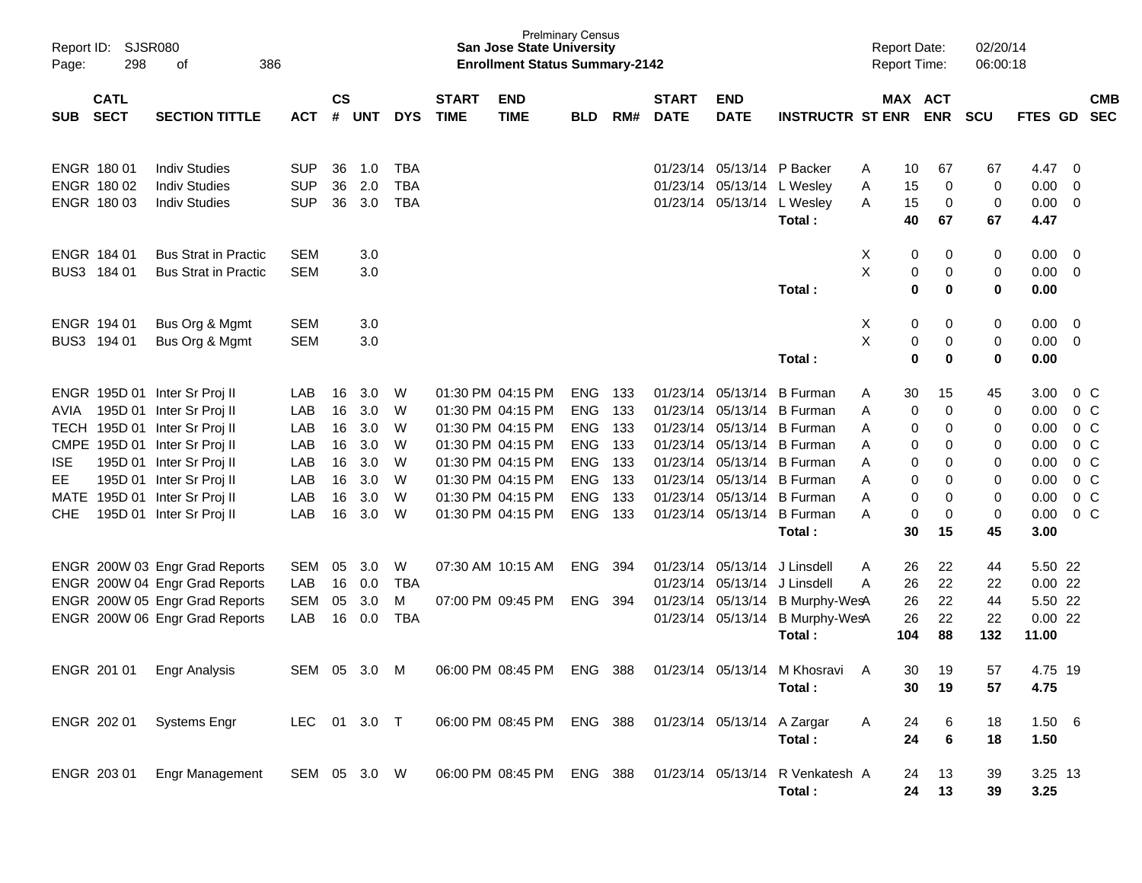| Report ID:<br>Page:      | SJSR080<br>298             | 386<br>of                                                                                          |                                 |                    |                   |                      |                             | <b>Prelminary Census</b><br>San Jose State University<br><b>Enrollment Status Summary-2142</b> |                                        |                   |                                  |                                           |                                                       | <b>Report Date:</b><br><b>Report Time:</b> |                       |                    | 02/20/14<br>06:00:18 |                                 |                                            |                          |
|--------------------------|----------------------------|----------------------------------------------------------------------------------------------------|---------------------------------|--------------------|-------------------|----------------------|-----------------------------|------------------------------------------------------------------------------------------------|----------------------------------------|-------------------|----------------------------------|-------------------------------------------|-------------------------------------------------------|--------------------------------------------|-----------------------|--------------------|----------------------|---------------------------------|--------------------------------------------|--------------------------|
| <b>SUB</b>               | <b>CATL</b><br><b>SECT</b> | <b>SECTION TITTLE</b>                                                                              | <b>ACT</b>                      | $\mathsf{cs}$<br># | <b>UNT</b>        | <b>DYS</b>           | <b>START</b><br><b>TIME</b> | <b>END</b><br><b>TIME</b>                                                                      | <b>BLD</b>                             | RM#               | <b>START</b><br><b>DATE</b>      | <b>END</b><br><b>DATE</b>                 | <b>INSTRUCTR ST ENR</b>                               |                                            | MAX ACT<br><b>ENR</b> |                    | <b>SCU</b>           | <b>FTES GD</b>                  |                                            | <b>CMB</b><br><b>SEC</b> |
|                          | ENGR 180 01<br>ENGR 180 02 | <b>Indiv Studies</b><br><b>Indiv Studies</b>                                                       | <b>SUP</b><br><b>SUP</b>        | 36<br>36           | 1.0<br>2.0        | TBA<br><b>TBA</b>    |                             |                                                                                                |                                        |                   | 01/23/14<br>01/23/14             | 05/13/14<br>05/13/14                      | P Backer<br>L Wesley                                  | A<br>Α                                     | 10<br>15              | 67<br>0            | 67<br>0              | 4.47<br>0.00                    | - 0<br>0                                   |                          |
|                          | ENGR 180 03                | <b>Indiv Studies</b>                                                                               | <b>SUP</b>                      | 36                 | 3.0               | <b>TBA</b>           |                             |                                                                                                |                                        |                   |                                  | 01/23/14 05/13/14                         | L Wesley<br>Total:                                    | A                                          | 15<br>40              | 0<br>67            | 0<br>67              | 0.00<br>4.47                    | - 0                                        |                          |
|                          | ENGR 184 01<br>BUS3 184 01 | <b>Bus Strat in Practic</b><br><b>Bus Strat in Practic</b>                                         | <b>SEM</b><br><b>SEM</b>        |                    | 3.0<br>3.0        |                      |                             |                                                                                                |                                        |                   |                                  |                                           | Total:                                                | X<br>Χ                                     | 0<br>$\pmb{0}$<br>0   | 0<br>0<br>$\bf{0}$ | 0<br>0<br>0          | 0.00<br>0.00<br>0.00            | - 0<br>- 0                                 |                          |
|                          | ENGR 194 01                | Bus Org & Mgmt                                                                                     | <b>SEM</b>                      |                    | 3.0               |                      |                             |                                                                                                |                                        |                   |                                  |                                           |                                                       | X                                          | 0                     | 0                  | 0                    | 0.00                            | - 0                                        |                          |
|                          | BUS3 194 01                | Bus Org & Mgmt                                                                                     | <b>SEM</b>                      |                    | 3.0               |                      |                             |                                                                                                |                                        |                   |                                  |                                           | Total:                                                | $\sf X$                                    | $\pmb{0}$<br>0        | 0<br>$\bf{0}$      | 0<br>0               | 0.00<br>0.00                    | $\overline{\mathbf{0}}$                    |                          |
| AVIA                     |                            | ENGR 195D 01 Inter Sr Proj II<br>195D 01 Inter Sr Proj II<br>TECH 195D 01 Inter Sr Proj II         | LAB<br>LAB                      | 16<br>16           | 3.0<br>3.0        | W<br>W               |                             | 01:30 PM 04:15 PM<br>01:30 PM 04:15 PM                                                         | ENG<br><b>ENG</b>                      | 133<br>133        | 01/23/14<br>01/23/14<br>01/23/14 | 05/13/14<br>05/13/14                      | <b>B</b> Furman<br><b>B</b> Furman                    | A<br>Α                                     | 30<br>0               | 15<br>0            | 45<br>0              | 3.00<br>0.00                    | 0 C<br>$0\,C$                              |                          |
| <b>ISE</b>               |                            | CMPE 195D 01 Inter Sr Proj II<br>195D 01 Inter Sr Proj II                                          | LAB<br>LAB<br>LAB               | 16<br>16<br>16     | 3.0<br>3.0<br>3.0 | W<br>W<br>W          |                             | 01:30 PM 04:15 PM<br>01:30 PM 04:15 PM<br>01:30 PM 04:15 PM                                    | <b>ENG</b><br><b>ENG</b><br><b>ENG</b> | 133<br>133<br>133 | 01/23/14<br>01/23/14             | 05/13/14<br>05/13/14<br>05/13/14          | <b>B</b> Furman<br><b>B</b> Furman<br><b>B</b> Furman | Α<br>Α<br>A                                | 0<br>0<br>0           | 0<br>0<br>0        | 0<br>0<br>0          | 0.00<br>0.00<br>0.00            | $0\,C$<br>$0\,C$<br>0 <sup>C</sup>         |                          |
| EE<br>MATE<br><b>CHE</b> |                            | 195D 01 Inter Sr Proj II<br>195D 01 Inter Sr Proj II<br>195D 01 Inter Sr Proj II                   | LAB<br>LAB<br>LAB               | 16<br>16<br>16     | 3.0<br>3.0<br>3.0 | W<br>W<br>W          |                             | 01:30 PM 04:15 PM<br>01:30 PM 04:15 PM<br>01:30 PM 04:15 PM                                    | <b>ENG</b><br><b>ENG</b><br><b>ENG</b> | 133<br>133<br>133 | 01/23/14<br>01/23/14             | 05/13/14<br>05/13/14<br>01/23/14 05/13/14 | <b>B</b> Furman<br><b>B</b> Furman<br><b>B</b> Furman | A<br>A<br>A                                | 0<br>0<br>0           | 0<br>0<br>0        | 0<br>0<br>0          | 0.00<br>0.00<br>0.00            | 0 <sup>C</sup><br>$0\,C$<br>0 <sup>C</sup> |                          |
|                          |                            |                                                                                                    |                                 |                    |                   |                      |                             |                                                                                                |                                        |                   |                                  |                                           | Total:                                                |                                            | 30                    | 15                 | 45                   | 3.00                            |                                            |                          |
|                          |                            | ENGR 200W 03 Engr Grad Reports<br>ENGR 200W 04 Engr Grad Reports<br>ENGR 200W 05 Engr Grad Reports | <b>SEM</b><br>LAB<br><b>SEM</b> | 05<br>16<br>05     | 3.0<br>0.0<br>3.0 | W<br><b>TBA</b><br>M |                             | 07:30 AM 10:15 AM<br>07:00 PM 09:45 PM                                                         | ENG<br><b>ENG</b>                      | 394<br>394        | 01/23/14<br>01/23/14             | 05/13/14<br>05/13/14<br>01/23/14 05/13/14 | J Linsdell<br>J Linsdell<br>B Murphy-WesA             | A<br>A                                     | 26<br>26<br>26        | 22<br>22<br>22     | 44<br>22<br>44       | 5.50 22<br>$0.00$ 22<br>5.50 22 |                                            |                          |
|                          |                            | ENGR 200W 06 Engr Grad Reports                                                                     | LAB                             | 16                 | 0.0               | <b>TBA</b>           |                             |                                                                                                |                                        |                   |                                  | 01/23/14 05/13/14                         | <b>B Murphy-WesA</b><br>Total:                        | 104                                        | 26                    | 22<br>88           | 22<br>132            | 0.0022<br>11.00                 |                                            |                          |
|                          | ENGR 201 01                | Engr Analysis                                                                                      | SEM                             | 05                 | 3.0               | M                    |                             | 06:00 PM 08:45 PM                                                                              | ENG                                    | 388               |                                  | 01/23/14 05/13/14                         | M Khosravi<br>Total:                                  | A                                          | 30<br>30              | 19<br>19           | 57<br>57             | 4.75 19<br>4.75                 |                                            |                          |
|                          | ENGR 202 01                | <b>Systems Engr</b>                                                                                | <b>LEC</b>                      |                    | 01 3.0 T          |                      |                             | 06:00 PM 08:45 PM ENG 388                                                                      |                                        |                   |                                  | 01/23/14 05/13/14                         | A Zargar<br>Total:                                    | A                                          | 24<br>24              | 6<br>6             | 18<br>18             | 1.50 6<br>1.50                  |                                            |                          |
|                          | ENGR 203 01                | <b>Engr Management</b>                                                                             | SEM 05 3.0 W                    |                    |                   |                      |                             | 06:00 PM 08:45 PM                                                                              | ENG 388                                |                   |                                  | 01/23/14 05/13/14                         | R Venkatesh A<br>Total:                               |                                            | 24<br>24              | 13<br>13           | 39<br>39             | 3.25 13<br>3.25                 |                                            |                          |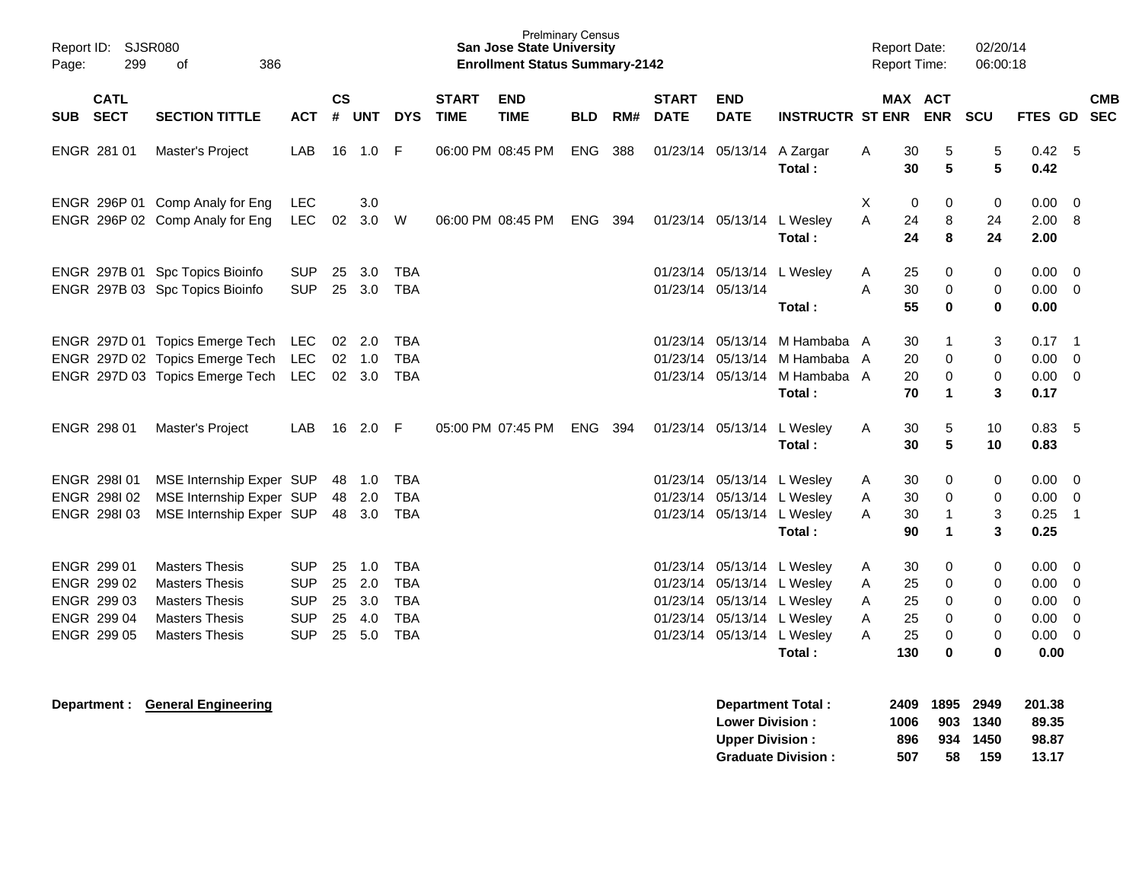| Report ID:<br>Page: | SJSR080<br>299                                                                                       | 386<br>οf                       |            |    |                        |            |                             | <b>Prelminary Census</b><br><b>San Jose State University</b><br><b>Enrollment Status Summary-2142</b> |            |     |                             |                            |                         |     | <b>Report Date:</b><br><b>Report Time:</b> | 02/20/14<br>06:00:18 |              |                          |
|---------------------|------------------------------------------------------------------------------------------------------|---------------------------------|------------|----|------------------------|------------|-----------------------------|-------------------------------------------------------------------------------------------------------|------------|-----|-----------------------------|----------------------------|-------------------------|-----|--------------------------------------------|----------------------|--------------|--------------------------|
| <b>SUB</b>          | <b>CATL</b><br><b>SECT</b><br><b>SECTION TITTLE</b><br><b>ACT</b><br>ENGR 281 01<br>Master's Project |                                 |            |    | $\mathsf{cs}$<br># UNT | <b>DYS</b> | <b>START</b><br><b>TIME</b> | <b>END</b><br><b>TIME</b>                                                                             | <b>BLD</b> | RM# | <b>START</b><br><b>DATE</b> | <b>END</b><br><b>DATE</b>  | <b>INSTRUCTR ST ENR</b> |     | MAX ACT<br><b>ENR</b>                      | <b>SCU</b>           | FTES GD      | <b>CMB</b><br><b>SEC</b> |
|                     |                                                                                                      |                                 | LAB        | 16 | 1.0                    | F          |                             | 06:00 PM 08:45 PM                                                                                     | ENG        | 388 |                             | 01/23/14 05/13/14          | A Zargar<br>Total:      | A   | 5<br>30<br>5<br>30                         | 5<br>5               | 0.42<br>0.42 | - 5                      |
|                     |                                                                                                      | ENGR 296P 01 Comp Analy for Eng | <b>LEC</b> |    | 3.0                    |            |                             |                                                                                                       |            |     |                             |                            |                         | X   | 0<br>$\mathbf 0$                           | 0                    | 0.00         | $\overline{0}$           |
|                     |                                                                                                      | ENGR 296P 02 Comp Analy for Eng | <b>LEC</b> | 02 | 3.0                    | W          |                             | 06:00 PM 08:45 PM                                                                                     | ENG        | 394 |                             | 01/23/14 05/13/14          | L Wesley                | A   | 24<br>8                                    | 24                   | 2.00         | - 8                      |
|                     |                                                                                                      |                                 |            |    |                        |            |                             |                                                                                                       |            |     |                             |                            | Total:                  |     | 24<br>8                                    | 24                   | 2.00         |                          |
|                     |                                                                                                      | ENGR 297B 01 Spc Topics Bioinfo | <b>SUP</b> | 25 | 3.0                    | <b>TBA</b> |                             |                                                                                                       |            |     | 01/23/14                    | 05/13/14                   | L Wesley                | A   | 25<br>0                                    | 0                    | 0.00         | - 0                      |
|                     |                                                                                                      | ENGR 297B 03 Spc Topics Bioinfo | <b>SUP</b> | 25 | 3.0                    | <b>TBA</b> |                             |                                                                                                       |            |     |                             | 01/23/14 05/13/14          |                         | A   | 30<br>$\Omega$                             | 0                    | 0.00         | $\Omega$                 |
|                     |                                                                                                      |                                 |            |    |                        |            |                             |                                                                                                       |            |     |                             |                            | Total:                  |     | 55<br>$\bf{0}$                             | $\bf{0}$             | 0.00         |                          |
|                     |                                                                                                      | ENGR 297D 01 Topics Emerge Tech | LEC        |    | 02 2.0                 | <b>TBA</b> |                             |                                                                                                       |            |     | 01/23/14                    | 05/13/14                   | M Hambaba A             |     | 30<br>$\mathbf{1}$                         | 3                    | 0.17         | $\overline{\phantom{0}}$ |
|                     |                                                                                                      | ENGR 297D 02 Topics Emerge Tech | <b>LEC</b> |    | 02 1.0                 | <b>TBA</b> |                             |                                                                                                       |            |     | 01/23/14                    | 05/13/14                   | M Hambaba A             |     | $\mathbf 0$<br>20                          | $\Omega$             | 0.00         | $\overline{0}$           |
|                     |                                                                                                      | ENGR 297D 03 Topics Emerge Tech | <b>LEC</b> |    | 02 3.0                 | <b>TBA</b> |                             |                                                                                                       |            |     |                             | 01/23/14 05/13/14          | M Hambaba A             |     | 20<br>$\mathbf 0$                          | $\mathbf 0$          | 0.00         | $\overline{0}$           |
|                     |                                                                                                      |                                 |            |    |                        |            |                             |                                                                                                       |            |     |                             |                            | Total:                  |     | 70<br>$\blacktriangleleft$                 | 3                    | 0.17         |                          |
|                     | ENGR 298 01                                                                                          | Master's Project                | LAB        | 16 | $2.0$ F                |            |                             | 05:00 PM 07:45 PM                                                                                     | ENG        | 394 |                             | 01/23/14 05/13/14 L Wesley |                         | Α   | 30<br>5                                    | 10                   | 0.83, 5      |                          |
|                     |                                                                                                      |                                 |            |    |                        |            |                             |                                                                                                       |            |     |                             |                            | Total:                  |     | 30<br>5                                    | 10                   | 0.83         |                          |
|                     | ENGR 298101                                                                                          | MSE Internship Exper SUP        |            | 48 | 1.0                    | <b>TBA</b> |                             |                                                                                                       |            |     | 01/23/14                    |                            | 05/13/14 L Wesley       | A   | 30<br>$\mathbf 0$                          | 0                    | 0.00         | $\overline{0}$           |
|                     | ENGR 298102                                                                                          | MSE Internship Exper SUP        |            | 48 | 2.0                    | <b>TBA</b> |                             |                                                                                                       |            |     | 01/23/14                    | 05/13/14                   | L Wesley                | A   | 30<br>$\Omega$                             | 0                    | 0.00         | $\Omega$                 |
|                     | ENGR 298103                                                                                          | MSE Internship Exper SUP        |            |    | 48 3.0                 | <b>TBA</b> |                             |                                                                                                       |            |     |                             | 01/23/14 05/13/14          | L Wesley                | A   | $\overline{1}$<br>30                       | 3                    | 0.25         | $\overline{1}$           |
|                     |                                                                                                      |                                 |            |    |                        |            |                             |                                                                                                       |            |     |                             |                            | Total:                  |     | 90<br>$\blacktriangleleft$                 | 3                    | 0.25         |                          |
|                     | ENGR 299 01                                                                                          | <b>Masters Thesis</b>           | <b>SUP</b> | 25 | 1.0                    | <b>TBA</b> |                             |                                                                                                       |            |     |                             | 01/23/14 05/13/14          | L Wesley                | A   | 30<br>0                                    | 0                    | 0.00         | $\overline{0}$           |
|                     | ENGR 299 02                                                                                          | <b>Masters Thesis</b>           | <b>SUP</b> | 25 | 2.0                    | <b>TBA</b> |                             |                                                                                                       |            |     |                             | 01/23/14 05/13/14          | L Wesley                | A   | $\mathbf 0$<br>25                          | 0                    | 0.00         | $\overline{0}$           |
|                     | ENGR 299 03                                                                                          | <b>Masters Thesis</b>           | <b>SUP</b> | 25 | 3.0                    | <b>TBA</b> |                             |                                                                                                       |            |     | 01/23/14                    | 05/13/14                   | L Wesley                | A   | 25<br>$\mathbf 0$                          | $\Omega$             | 0.00         | $\Omega$                 |
|                     | ENGR 299 04                                                                                          | <b>Masters Thesis</b>           | <b>SUP</b> | 25 | 4.0                    | <b>TBA</b> |                             |                                                                                                       |            |     | 01/23/14                    |                            | 05/13/14 L Wesley       | A   | 25<br>$\Omega$                             | $\Omega$             | 0.00         | $\mathbf 0$              |
|                     | ENGR 299 05                                                                                          | <b>Masters Thesis</b>           | <b>SUP</b> | 25 | 5.0                    | <b>TBA</b> |                             |                                                                                                       |            |     |                             | 01/23/14 05/13/14          | L Wesley                | A   | 25<br>$\Omega$                             | $\Omega$             | 0.00         | $\overline{0}$           |
|                     |                                                                                                      |                                 |            |    |                        |            |                             |                                                                                                       |            |     |                             |                            | Total:                  | 130 | $\mathbf 0$                                | $\bf{0}$             | 0.00         |                          |
|                     |                                                                                                      |                                 |            |    |                        |            |                             |                                                                                                       |            |     |                             |                            |                         |     |                                            |                      |              |                          |

| <b>Department Total:</b>  |      | 2409 1895 2949 |          | 201.38 |
|---------------------------|------|----------------|----------|--------|
| <b>Lower Division:</b>    | 1006 |                | 903 1340 | 89.35  |
| <b>Upper Division:</b>    | 896  |                | 934 1450 | 98.87  |
| <b>Graduate Division:</b> | 507  | 58             | 159      | 13.17  |

**Department : General Engineering**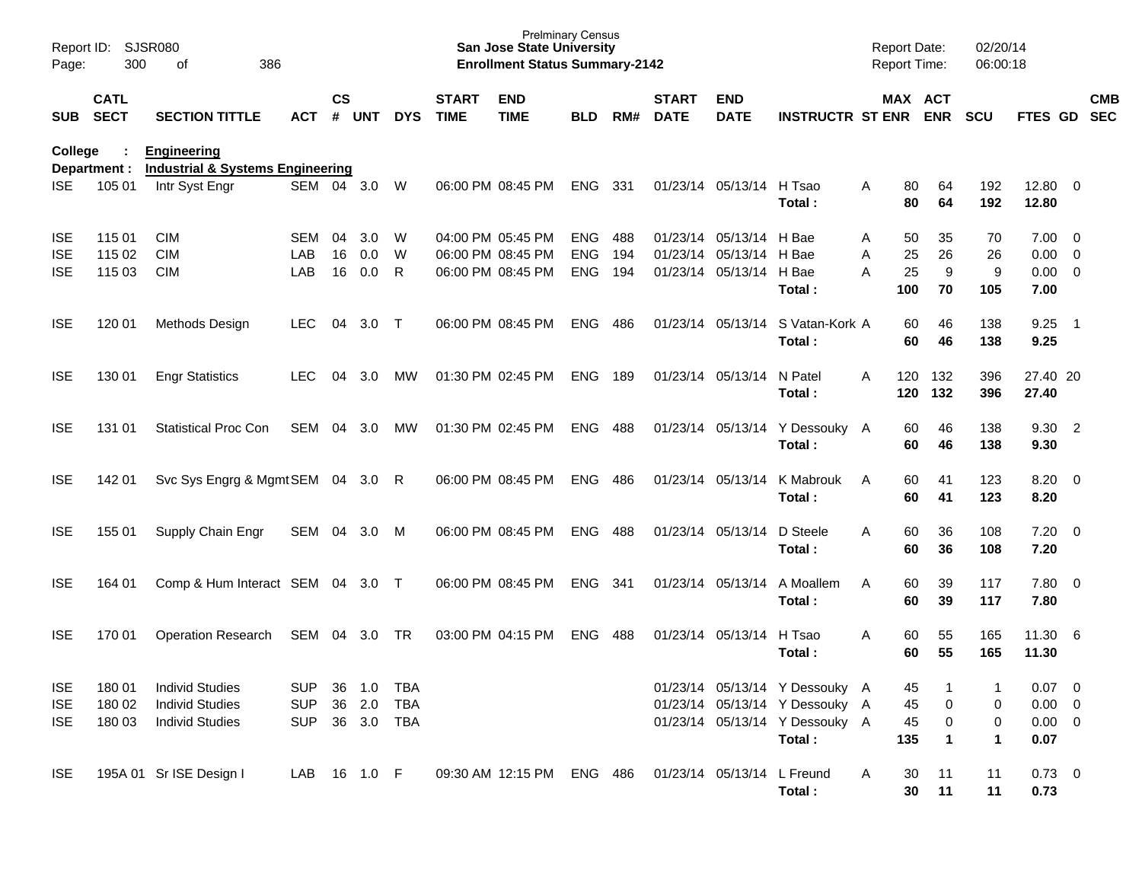| Page:                    | Report ID: SJSR080<br>300<br>386<br>of<br><b>CATL</b> |                                                                   |                          |                    |                   |            |                             | <b>Prelminary Census</b><br><b>San Jose State University</b><br><b>Enrollment Status Summary-2142</b> |                          |            |                             |                                        |                                                                  | <b>Report Date:</b><br><b>Report Time:</b> |                              | 02/20/14<br>06:00:18 |                                    |                          |            |
|--------------------------|-------------------------------------------------------|-------------------------------------------------------------------|--------------------------|--------------------|-------------------|------------|-----------------------------|-------------------------------------------------------------------------------------------------------|--------------------------|------------|-----------------------------|----------------------------------------|------------------------------------------------------------------|--------------------------------------------|------------------------------|----------------------|------------------------------------|--------------------------|------------|
|                          | SUB SECT                                              | <b>SECTION TITTLE</b>                                             | <b>ACT</b>               | $\mathsf{cs}$<br># | <b>UNT</b>        | <b>DYS</b> | <b>START</b><br><b>TIME</b> | <b>END</b><br><b>TIME</b>                                                                             | <b>BLD</b>               | RM#        | <b>START</b><br><b>DATE</b> | <b>END</b><br><b>DATE</b>              | <b>INSTRUCTR ST ENR</b>                                          |                                            | MAX ACT<br><b>ENR</b>        | <b>SCU</b>           | FTES GD SEC                        |                          | <b>CMB</b> |
| <b>College</b>           | Department :                                          | <b>Engineering</b><br><b>Industrial &amp; Systems Engineering</b> |                          |                    |                   |            |                             |                                                                                                       |                          |            |                             |                                        |                                                                  |                                            |                              |                      |                                    |                          |            |
| <b>ISE</b>               | 105 01                                                | Intr Syst Engr                                                    | SEM 04 3.0               |                    |                   | W          |                             | 06:00 PM 08:45 PM                                                                                     | <b>ENG</b>               | 331        |                             | 01/23/14 05/13/14                      | H Tsao<br>Total:                                                 | 80<br>A<br>80                              | 64<br>64                     | 192<br>192           | 12.80 0<br>12.80                   |                          |            |
| <b>ISE</b>               | 115 01                                                | <b>CIM</b>                                                        | SEM                      | 04                 | 3.0               | W          |                             | 04:00 PM 05:45 PM                                                                                     | <b>ENG</b>               | 488        |                             | 01/23/14 05/13/14                      | H Bae                                                            | 50<br>A                                    | 35                           | 70                   | $7.00 \t 0$                        |                          |            |
| <b>ISE</b><br><b>ISE</b> | 115 02<br>115 03                                      | <b>CIM</b><br><b>CIM</b>                                          | LAB<br>LAB               | 16<br>16           | 0.0<br>0.0        | W<br>R     |                             | 06:00 PM 08:45 PM<br>06:00 PM 08:45 PM                                                                | <b>ENG</b><br><b>ENG</b> | 194<br>194 |                             | 01/23/14 05/13/14<br>01/23/14 05/13/14 | H Bae<br>H Bae<br>Total:                                         | A<br>25<br>25<br>A<br>100                  | 26<br>$\boldsymbol{9}$<br>70 | 26<br>9<br>105       | $0.00 \t 0$<br>$0.00 \t 0$<br>7.00 |                          |            |
| <b>ISE</b>               | 120 01                                                | Methods Design                                                    | <b>LEC</b>               | 04                 | $3.0$ T           |            |                             | 06:00 PM 08:45 PM                                                                                     | <b>ENG</b>               | 486        |                             | 01/23/14 05/13/14                      | S Vatan-Kork A<br>Total:                                         | 60<br>60                                   | 46<br>46                     | 138<br>138           | 9.25<br>9.25                       | $\overline{\phantom{1}}$ |            |
| <b>ISE</b>               | 130 01                                                | <b>Engr Statistics</b>                                            | LEC.                     | 04                 | 3.0               | МW         |                             | 01:30 PM 02:45 PM                                                                                     | <b>ENG</b>               | 189        |                             | 01/23/14 05/13/14                      | N Patel<br>Total:                                                | 120<br>A<br>120                            | 132<br>132                   | 396<br>396           | 27.40 20<br>27.40                  |                          |            |
| <b>ISE</b>               | 131 01                                                | <b>Statistical Proc Con</b>                                       | SEM                      | 04                 | 3.0               | МW         |                             | 01:30 PM 02:45 PM                                                                                     | <b>ENG</b>               | 488        |                             | 01/23/14 05/13/14                      | Y Dessouky A<br>Total:                                           | 60<br>60                                   | 46<br>46                     | 138<br>138           | 9.30 2<br>9.30                     |                          |            |
| <b>ISE</b>               | 142 01                                                | Svc Sys Engrg & Mgmt SEM 04 3.0 R                                 |                          |                    |                   |            |                             | 06:00 PM 08:45 PM                                                                                     | <b>ENG</b>               | 486        |                             | 01/23/14 05/13/14                      | K Mabrouk<br>Total:                                              | 60<br>A<br>60                              | 41<br>41                     | 123<br>123           | $8.20 \ 0$<br>8.20                 |                          |            |
| <b>ISE</b>               | 155 01                                                | Supply Chain Engr                                                 | SEM                      | 04                 | 3.0               | M          |                             | 06:00 PM 08:45 PM                                                                                     | <b>ENG</b>               | 488        |                             | 01/23/14 05/13/14                      | D Steele<br>Total:                                               | 60<br>A<br>60                              | 36<br>36                     | 108<br>108           | $7.20 \t 0$<br>7.20                |                          |            |
| <b>ISE</b>               | 164 01                                                | Comp & Hum Interact SEM 04 3.0 T                                  |                          |                    |                   |            |                             | 06:00 PM 08:45 PM                                                                                     | <b>ENG</b>               | 341        |                             | 01/23/14 05/13/14                      | A Moallem<br>Total:                                              | 60<br>A<br>60                              | 39<br>39                     | 117<br>117           | 7.80 0<br>7.80                     |                          |            |
| <b>ISE</b>               | 170 01                                                | <b>Operation Research</b>                                         | SEM                      | 04                 | 3.0               | <b>TR</b>  |                             | 03:00 PM 04:15 PM                                                                                     | <b>ENG</b>               | 488        |                             | 01/23/14 05/13/14                      | H Tsao<br>Total:                                                 | 60<br>Α<br>60                              | 55<br>55                     | 165<br>165           | 11.30 6<br>11.30                   |                          |            |
| <b>ISE</b>               | 180 01                                                | <b>Individ Studies</b>                                            | <b>SUP</b>               | 36                 | 1.0               | <b>TBA</b> |                             |                                                                                                       |                          |            |                             |                                        | 01/23/14 05/13/14 Y Dessouky A                                   | 45                                         |                              |                      | $0.07$ 0                           |                          |            |
| <b>ISE</b><br><b>ISE</b> | 180 02<br>180 03                                      | <b>Individ Studies</b><br><b>Individ Studies</b>                  | <b>SUP</b><br><b>SUP</b> | 36                 | 2.0<br>36 3.0 TBA | <b>TBA</b> |                             |                                                                                                       |                          |            |                             |                                        | 01/23/14 05/13/14 Y Dessouky A<br>01/23/14 05/13/14 Y Dessouky A | 45<br>45                                   | 0<br>0                       | 0<br>$\pmb{0}$       | $0.00 \t 0$<br>$0.00 \t 0$         |                          |            |
|                          |                                                       |                                                                   |                          |                    |                   |            |                             |                                                                                                       |                          |            |                             |                                        | Total:                                                           | 135                                        | $\mathbf 1$                  | 1                    | 0.07                               |                          |            |
| <b>ISE</b>               |                                                       | 195A 01 Sr ISE Design I                                           | LAB 16 1.0 F             |                    |                   |            |                             | 09:30 AM 12:15 PM ENG 486                                                                             |                          |            |                             | 01/23/14 05/13/14 L Freund             | Total:                                                           | 30<br>A<br>30                              | 11<br>11                     | 11<br>11             | $0.73 \ 0$<br>0.73                 |                          |            |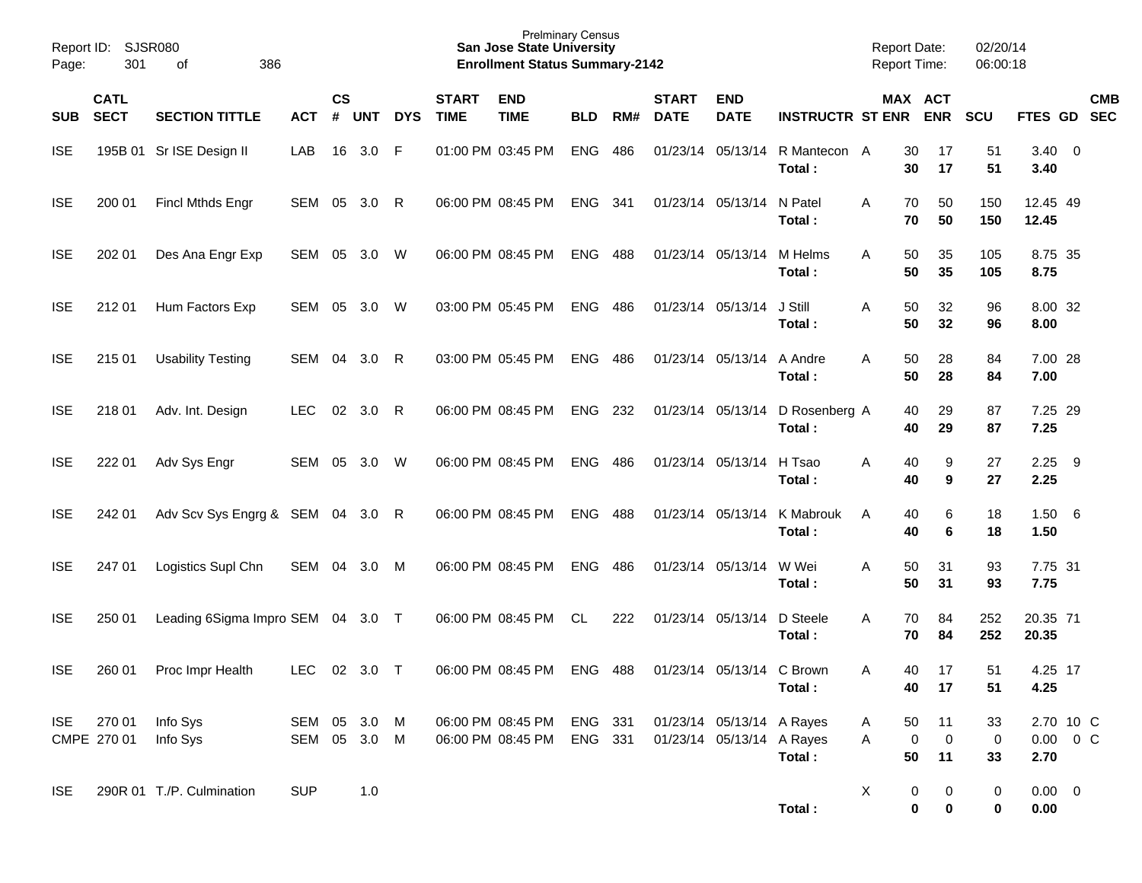| Page:      | Report ID: SJSR080<br>301  | 386<br>of                         |                        |                    |            |            |                             | <b>Prelminary Census</b><br><b>San Jose State University</b><br><b>Enrollment Status Summary-2142</b> |                    |     |                             |                                                        |                                           | <b>Report Date:</b> | <b>Report Time:</b>                      | 02/20/14<br>06:00:18 |                                    |     |            |
|------------|----------------------------|-----------------------------------|------------------------|--------------------|------------|------------|-----------------------------|-------------------------------------------------------------------------------------------------------|--------------------|-----|-----------------------------|--------------------------------------------------------|-------------------------------------------|---------------------|------------------------------------------|----------------------|------------------------------------|-----|------------|
| <b>SUB</b> | <b>CATL</b><br><b>SECT</b> | <b>SECTION TITTLE</b>             | <b>ACT</b>             | $\mathsf{cs}$<br># | <b>UNT</b> | <b>DYS</b> | <b>START</b><br><b>TIME</b> | <b>END</b><br><b>TIME</b>                                                                             | <b>BLD</b>         | RM# | <b>START</b><br><b>DATE</b> | <b>END</b><br><b>DATE</b>                              | <b>INSTRUCTR ST ENR</b>                   |                     | MAX ACT<br><b>ENR</b>                    | <b>SCU</b>           | FTES GD SEC                        |     | <b>CMB</b> |
| <b>ISE</b> |                            | 195B 01 Sr ISE Design II          | LAB                    | 16                 | 3.0        | - F        |                             | 01:00 PM 03:45 PM                                                                                     | <b>ENG</b>         | 486 |                             | 01/23/14 05/13/14                                      | R Mantecon A<br>Total:                    |                     | 30<br>17<br>17<br>30                     | 51<br>51             | $3.40 \ 0$<br>3.40                 |     |            |
| <b>ISE</b> | 200 01                     | Fincl Mthds Engr                  | SEM 05 3.0 R           |                    |            |            |                             | 06:00 PM 08:45 PM                                                                                     | ENG                | 341 |                             | 01/23/14 05/13/14                                      | N Patel<br>Total:                         | Α                   | 50<br>70<br>70<br>50                     | 150<br>150           | 12.45 49<br>12.45                  |     |            |
| <b>ISE</b> | 202 01                     | Des Ana Engr Exp                  | SEM 05                 |                    | 3.0 W      |            |                             | 06:00 PM 08:45 PM                                                                                     | <b>ENG</b>         | 488 | 01/23/14 05/13/14           |                                                        | M Helms<br>Total:                         | A                   | 50<br>35<br>50<br>35                     | 105<br>105           | 8.75 35<br>8.75                    |     |            |
| <b>ISE</b> | 212 01                     | Hum Factors Exp                   | SEM 05                 |                    | 3.0        | - W        |                             | 03:00 PM 05:45 PM                                                                                     | <b>ENG</b>         | 486 | 01/23/14 05/13/14           |                                                        | J Still<br>Total:                         | Α                   | 50<br>32<br>50<br>32                     | 96<br>96             | 8.00 32<br>8.00                    |     |            |
| <b>ISE</b> | 215 01                     | <b>Usability Testing</b>          | SEM                    | 04                 | 3.0        | R          |                             | 03:00 PM 05:45 PM                                                                                     | <b>ENG</b>         | 486 |                             | 01/23/14 05/13/14                                      | A Andre<br>Total:                         | A                   | 50<br>28<br>50<br>28                     | 84<br>84             | 7.00 28<br>7.00                    |     |            |
| <b>ISE</b> | 218 01                     | Adv. Int. Design                  | <b>LEC</b>             | 02                 | 3.0        | R          |                             | 06:00 PM 08:45 PM                                                                                     | <b>ENG</b>         | 232 |                             |                                                        | 01/23/14 05/13/14 D Rosenberg A<br>Total: |                     | 29<br>40<br>40<br>29                     | 87<br>87             | 7.25 29<br>7.25                    |     |            |
| <b>ISE</b> | 222 01                     | Adv Sys Engr                      | SEM                    | 05                 | 3.0        | W          |                             | 06:00 PM 08:45 PM                                                                                     | <b>ENG</b>         | 486 | 01/23/14 05/13/14           |                                                        | H Tsao<br>Total:                          | Α                   | 40<br>9<br>40<br>9                       | 27<br>27             | 2.25<br>2.25                       | - 9 |            |
| <b>ISE</b> | 242 01                     | Adv Scv Sys Engrg & SEM 04 3.0 R  |                        |                    |            |            |                             | 06:00 PM 08:45 PM                                                                                     | <b>ENG</b>         | 488 | 01/23/14 05/13/14           |                                                        | K Mabrouk<br>Total:                       | A                   | 6<br>40<br>40<br>6                       | 18<br>18             | 1.506<br>1.50                      |     |            |
| <b>ISE</b> | 247 01                     | Logistics Supl Chn                | SEM 04                 |                    | $3.0$ M    |            |                             | 06:00 PM 08:45 PM                                                                                     | <b>ENG</b>         | 486 | 01/23/14 05/13/14           |                                                        | W Wei<br>Total:                           | Α                   | 50<br>31<br>50<br>31                     | 93<br>93             | 7.75 31<br>7.75                    |     |            |
| <b>ISE</b> | 250 01                     | Leading 6Sigma Impro SEM 04 3.0 T |                        |                    |            |            |                             | 06:00 PM 08:45 PM                                                                                     | CL                 | 222 | 01/23/14 05/13/14           |                                                        | D Steele<br>Total:                        | Α                   | 84<br>70<br>70<br>84                     | 252<br>252           | 20.35 71<br>20.35                  |     |            |
| <b>ISE</b> | 260 01                     | Proc Impr Health                  | <b>LEC</b>             |                    | 02 3.0 T   |            |                             | 06:00 PM 08:45 PM                                                                                     | ENG                | 488 |                             | 01/23/14 05/13/14 C Brown                              | Total:                                    | A                   | 40<br>17<br>40<br>17                     | 51<br>51             | 4.25 17<br>4.25                    |     |            |
| <b>ISE</b> | 270 01<br>CMPE 270 01      | Info Sys<br>Info Sys              | SEM 05<br>SEM 05 3.0 M |                    | 3.0 M      |            |                             | 06:00 PM 08:45 PM<br>06:00 PM 08:45 PM                                                                | ENG 331<br>ENG 331 |     |                             | 01/23/14 05/13/14 A Rayes<br>01/23/14 05/13/14 A Rayes | Total:                                    | A<br>A              | 50<br>11<br>0<br>$\mathbf 0$<br>50<br>11 | 33<br>0<br>33        | 2.70 10 C<br>$0.00 \t 0 C$<br>2.70 |     |            |
| <b>ISE</b> |                            | 290R 01 T./P. Culmination         | <b>SUP</b>             |                    | 1.0        |            |                             |                                                                                                       |                    |     |                             |                                                        | Total:                                    | X                   | 0<br>0<br>$\bf{0}$<br>$\mathbf 0$        | 0<br>0               | $0.00 \t 0$<br>0.00                |     |            |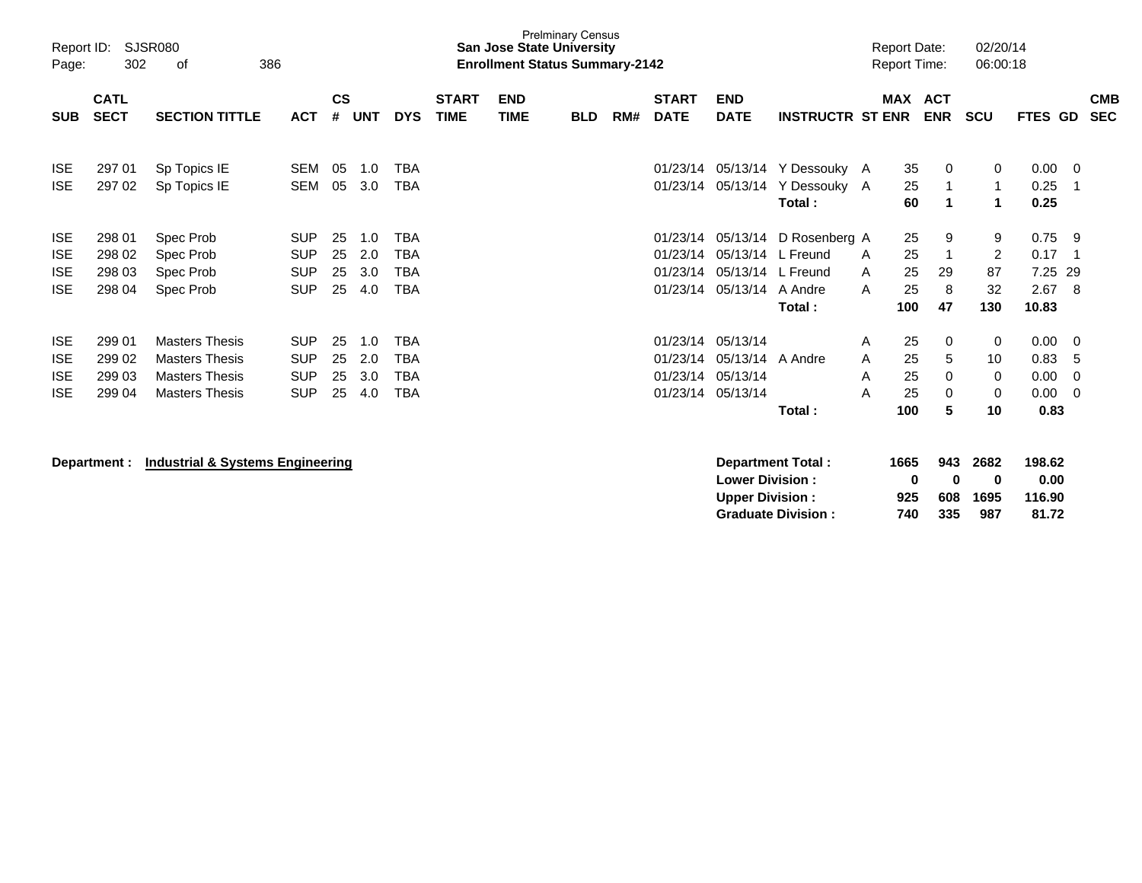| Report ID:<br>Page:                                  | SJSR080<br>302                       | 386                                                                                              |                                                      |                      |                          |                                                      | <b>San Jose State University</b><br><b>Enrollment Status Summary-2142</b> | <b>Prelminary Census</b>  |            |     |                                              |                                                               |                                                                   | <b>Report Date:</b><br><b>Report Time:</b> |                             | 02/20/14<br>06:00:18     |                                        |                                          |                                                   |                          |
|------------------------------------------------------|--------------------------------------|--------------------------------------------------------------------------------------------------|------------------------------------------------------|----------------------|--------------------------|------------------------------------------------------|---------------------------------------------------------------------------|---------------------------|------------|-----|----------------------------------------------|---------------------------------------------------------------|-------------------------------------------------------------------|--------------------------------------------|-----------------------------|--------------------------|----------------------------------------|------------------------------------------|---------------------------------------------------|--------------------------|
| <b>SUB</b>                                           | <b>CATL</b><br><b>SECT</b>           | <b>SECTION TITTLE</b>                                                                            | <b>ACT</b>                                           | $\mathsf{cs}$<br>#   | <b>UNT</b>               | <b>DYS</b>                                           | <b>START</b><br><b>TIME</b>                                               | <b>END</b><br><b>TIME</b> | <b>BLD</b> | RM# | <b>START</b><br><b>DATE</b>                  | <b>END</b><br><b>DATE</b>                                     | <b>INSTRUCTR ST ENR</b>                                           | <b>MAX</b>                                 |                             | <b>ACT</b><br><b>ENR</b> | <b>SCU</b>                             | FTES GD                                  |                                                   | <b>CMB</b><br><b>SEC</b> |
| <b>ISE</b><br><b>ISE</b>                             | 297 01<br>297 02                     | Sp Topics IE<br>Sp Topics IE                                                                     | SEM<br><b>SEM</b>                                    | 05<br>05             | 1.0<br>3.0               | <b>TBA</b><br>TBA                                    |                                                                           |                           |            |     | 01/23/14<br>01/23/14                         | 05/13/14                                                      | 05/13/14 Y Dessouky A<br>Y Dessouky A<br>Total:                   |                                            | 35<br>25<br>60              | 0<br>1<br>1              | 0                                      | 0.00<br>0.25<br>0.25                     | $\Omega$                                          |                          |
| <b>ISE</b><br><b>ISE</b><br><b>ISE</b><br><b>ISE</b> | 298 01<br>298 02<br>298 03<br>298 04 | Spec Prob<br>Spec Prob<br>Spec Prob<br>Spec Prob                                                 | <b>SUP</b><br><b>SUP</b><br><b>SUP</b><br><b>SUP</b> | 25<br>25<br>25<br>25 | 1.0<br>2.0<br>3.0<br>4.0 | <b>TBA</b><br>TBA<br>TBA<br><b>TBA</b>               |                                                                           |                           |            |     | 01/23/14<br>01/23/14<br>01/23/14<br>01/23/14 | 05/13/14<br>05/13/14 A Andre                                  | D Rosenberg A<br>05/13/14 L Freund<br>05/13/14 L Freund<br>Total: | A<br>A<br>A                                | 25<br>25<br>25<br>25<br>100 | 9<br>1<br>29<br>8<br>47  | 9<br>$\overline{2}$<br>87<br>32<br>130 | 0.75<br>0.17<br>7.25 29<br>2.67<br>10.83 | -9<br>-8                                          |                          |
| <b>ISE</b><br><b>ISE</b><br><b>ISE</b><br><b>ISE</b> | 299 01<br>299 02<br>299 03<br>299 04 | <b>Masters Thesis</b><br><b>Masters Thesis</b><br><b>Masters Thesis</b><br><b>Masters Thesis</b> | <b>SUP</b><br><b>SUP</b><br><b>SUP</b><br><b>SUP</b> | 25<br>25<br>25<br>25 | 1.0<br>2.0<br>3.0<br>4.0 | <b>TBA</b><br><b>TBA</b><br><b>TBA</b><br><b>TBA</b> |                                                                           |                           |            |     | 01/23/14<br>01/23/14<br>01/23/14             | 01/23/14 05/13/14<br>05/13/14 A Andre<br>05/13/14<br>05/13/14 | Total:                                                            | A<br>A<br>A<br>A                           | 25<br>25<br>25<br>25<br>100 | 0<br>5<br>0<br>0<br>5    | 0<br>10<br>0<br>0<br>10                | 0.00<br>0.83<br>0.00<br>0.00<br>0.83     | $\overline{0}$<br>5<br>$\Omega$<br>$\overline{0}$ |                          |

**Department : Industrial & Systems Engineering**<br> **Department Total : 1665 943 2682 198.62**<br>
Lower Division : 0 0 0 0 0.00 **Lower Division : Upper Division : 925 608 1695 116.90 Graduate Division : 740 335 987 81.72**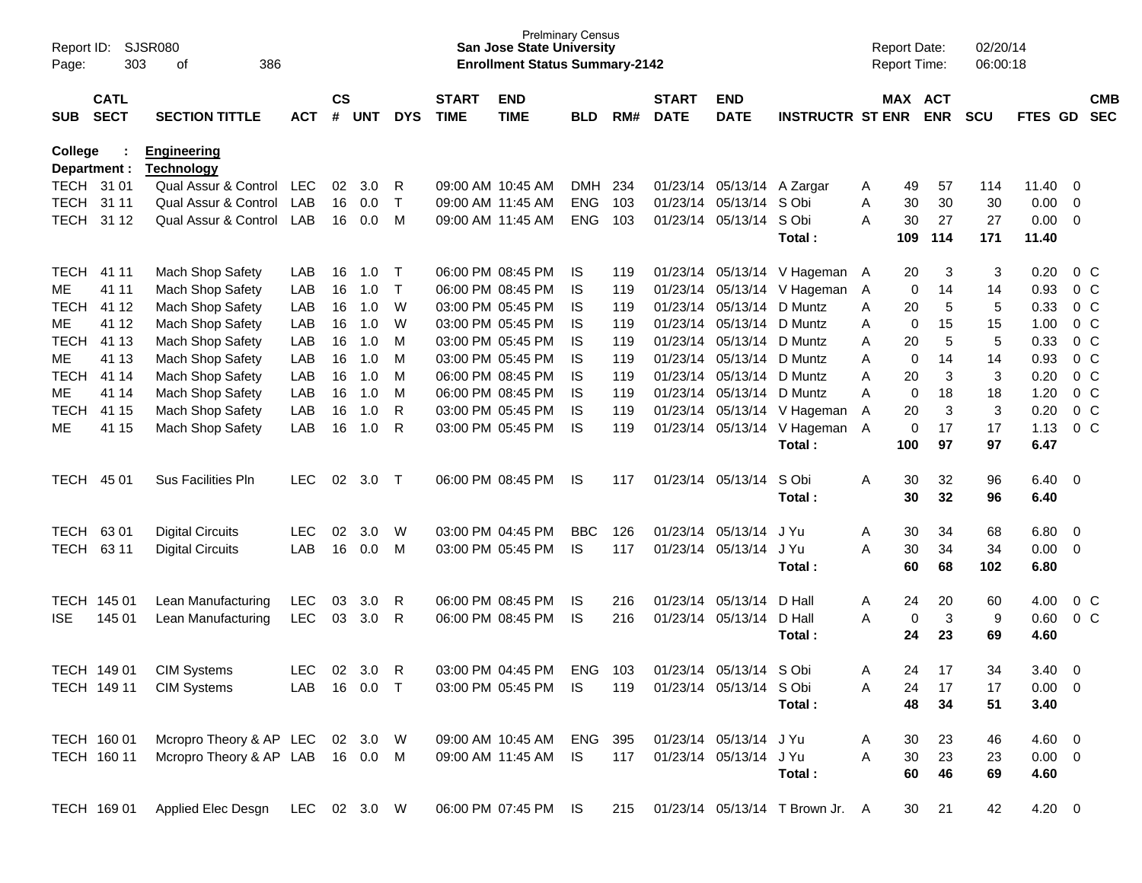| Page:       | SJSR080<br>Report ID:<br>303<br>386<br>οf<br><b>CATL</b> |                                           |              |                |            |              |                             | <b>San Jose State University</b><br><b>Enrollment Status Summary-2142</b> | <b>Prelminary Census</b> |     |                             |                            |                                 |   | <b>Report Date:</b><br><b>Report Time:</b> |            | 02/20/14<br>06:00:18 |             |                         |                          |
|-------------|----------------------------------------------------------|-------------------------------------------|--------------|----------------|------------|--------------|-----------------------------|---------------------------------------------------------------------------|--------------------------|-----|-----------------------------|----------------------------|---------------------------------|---|--------------------------------------------|------------|----------------------|-------------|-------------------------|--------------------------|
| <b>SUB</b>  | <b>SECT</b>                                              | <b>SECTION TITTLE</b>                     | <b>ACT</b>   | <b>CS</b><br># | <b>UNT</b> | <b>DYS</b>   | <b>START</b><br><b>TIME</b> | <b>END</b><br><b>TIME</b>                                                 | <b>BLD</b>               | RM# | <b>START</b><br><b>DATE</b> | <b>END</b><br><b>DATE</b>  | <b>INSTRUCTR ST ENR</b>         |   | MAX ACT                                    | <b>ENR</b> | <b>SCU</b>           | FTES GD     |                         | <b>CMB</b><br><b>SEC</b> |
| College     |                                                          | <b>Engineering</b>                        |              |                |            |              |                             |                                                                           |                          |     |                             |                            |                                 |   |                                            |            |                      |             |                         |                          |
| TECH 31 01  | Department :                                             | <b>Technology</b><br>Qual Assur & Control | <b>LEC</b>   | 02             | 3.0        | R            |                             | 09:00 AM 10:45 AM                                                         | <b>DMH</b>               | 234 |                             | 01/23/14 05/13/14 A Zargar |                                 | A | 49                                         | 57         | 114                  | 11.40       | 0                       |                          |
| <b>TECH</b> | 31 11                                                    | Qual Assur & Control                      | LAB          | 16             | 0.0        | $\top$       |                             | 09:00 AM 11:45 AM                                                         | <b>ENG</b>               | 103 | 01/23/14                    | 05/13/14                   | S Obi                           | Α | 30                                         | 30         | 30                   | 0.00        | 0                       |                          |
|             | TECH 31 12                                               | Qual Assur & Control                      | LAB          | 16             | 0.0        | M            |                             | 09:00 AM 11:45 AM                                                         | <b>ENG</b>               | 103 |                             | 01/23/14 05/13/14 S Obi    |                                 | A | 30                                         | 27         | 27                   | 0.00        | 0                       |                          |
|             |                                                          |                                           |              |                |            |              |                             |                                                                           |                          |     |                             |                            | Total:                          |   | 109                                        | 114        | 171                  | 11.40       |                         |                          |
| <b>TECH</b> | 41 11                                                    | Mach Shop Safety                          | LAB          | 16             | 1.0        | $\mathsf T$  |                             | 06:00 PM 08:45 PM                                                         | IS.                      | 119 |                             | 01/23/14 05/13/14          | V Hageman                       | A | 20                                         | 3          | 3                    | 0.20        |                         | $0\,$ C                  |
| ME          | 41 11                                                    | Mach Shop Safety                          | LAB          | 16             | 1.0        | $\mathsf{T}$ |                             | 06:00 PM 08:45 PM                                                         | IS                       | 119 | 01/23/14                    | 05/13/14                   | V Hageman                       | A | 0                                          | 14         | 14                   | 0.93        |                         | 0 <sup>o</sup>           |
| <b>TECH</b> | 41 12                                                    | Mach Shop Safety                          | LAB          | 16             | 1.0        | W            |                             | 03:00 PM 05:45 PM                                                         | IS                       | 119 | 01/23/14                    | 05/13/14                   | D Muntz                         | Α | 20                                         | 5          | 5                    | 0.33        |                         | 0 <sup>o</sup>           |
| ME          | 41 12                                                    | Mach Shop Safety                          | LAB          | 16             | 1.0        | W            |                             | 03:00 PM 05:45 PM                                                         | IS                       | 119 | 01/23/14                    | 05/13/14                   | D Muntz                         | Α | 0                                          | 15         | 15                   | 1.00        |                         | 0 <sup>o</sup>           |
| <b>TECH</b> | 41 13                                                    | Mach Shop Safety                          | LAB          | 16             | 1.0        | M            |                             | 03:00 PM 05:45 PM                                                         | IS                       | 119 | 01/23/14                    | 05/13/14                   | D Muntz                         | Α | 20                                         | 5          | 5                    | 0.33        |                         | 0 <sup>o</sup>           |
| ME          | 41 13                                                    | Mach Shop Safety                          | LAB          | 16             | 1.0        | M            |                             | 03:00 PM 05:45 PM                                                         | IS                       | 119 | 01/23/14                    | 05/13/14                   | D Muntz                         | Α | 0                                          | 14         | 14                   | 0.93        |                         | 0 <sup>o</sup>           |
| <b>TECH</b> | 41 14                                                    | Mach Shop Safety                          | LAB          | 16             | 1.0        | M            |                             | 06:00 PM 08:45 PM                                                         | IS                       | 119 | 01/23/14                    | 05/13/14                   | D Muntz                         | Α | 20                                         | 3          | 3                    | 0.20        |                         | 0 <sup>o</sup>           |
| ME          | 41 14                                                    | Mach Shop Safety                          | LAB          | 16             | 1.0        | M            |                             | 06:00 PM 08:45 PM                                                         | IS                       | 119 | 01/23/14                    | 05/13/14                   | D Muntz                         | A | 0                                          | 18         | 18                   | 1.20        |                         | 0 <sup>o</sup>           |
| <b>TECH</b> | 41 15                                                    | Mach Shop Safety                          | LAB          | 16             | 1.0        | R            |                             | 03:00 PM 05:45 PM                                                         | <b>IS</b>                | 119 |                             | 01/23/14 05/13/14          | V Hageman                       | Α | 20                                         | 3          | 3                    | 0.20        |                         | 0 <sup>o</sup>           |
| MЕ          | 41 15                                                    | Mach Shop Safety                          | LAB          | 16             | 1.0        | R            |                             | 03:00 PM 05:45 PM                                                         | <b>IS</b>                | 119 |                             | 01/23/14 05/13/14          | V Hageman                       | A | 0                                          | 17         | 17                   | 1.13        |                         | 0 <sup>o</sup>           |
|             |                                                          |                                           |              |                |            |              |                             |                                                                           |                          |     |                             |                            | Total:                          |   | 100                                        | 97         | 97                   | 6.47        |                         |                          |
| <b>TECH</b> | 45 01                                                    | <b>Sus Facilities Pln</b>                 | <b>LEC</b>   | 02             | 3.0        | $\top$       |                             | 06:00 PM 08:45 PM                                                         | IS                       | 117 |                             | 01/23/14 05/13/14          | S Obi                           | Α | 30                                         | 32         | 96                   | 6.40        | $\overline{\mathbf{0}}$ |                          |
|             |                                                          |                                           |              |                |            |              |                             |                                                                           |                          |     |                             |                            | Total:                          |   | 30                                         | 32         | 96                   | 6.40        |                         |                          |
| <b>TECH</b> | 6301                                                     | <b>Digital Circuits</b>                   | <b>LEC</b>   | 02             | 3.0        | W            |                             | 03:00 PM 04:45 PM                                                         | <b>BBC</b>               | 126 |                             | 01/23/14 05/13/14          | J Yu                            | A | 30                                         | 34         | 68                   | 6.80        | 0                       |                          |
| TECH        | 63 11                                                    | <b>Digital Circuits</b>                   | LAB          | 16             | 0.0        | M            |                             | 03:00 PM 05:45 PM                                                         | IS                       | 117 |                             | 01/23/14 05/13/14 J Yu     |                                 | Α | 30                                         | 34         | 34                   | 0.00        | 0                       |                          |
|             |                                                          |                                           |              |                |            |              |                             |                                                                           |                          |     |                             |                            | Total:                          |   | 60                                         | 68         | 102                  | 6.80        |                         |                          |
|             | TECH 145 01                                              | Lean Manufacturing                        | <b>LEC</b>   | 03             | 3.0        | R            |                             | 06:00 PM 08:45 PM                                                         | IS                       | 216 | 01/23/14                    | 05/13/14                   | D Hall                          | A | 24                                         | 20         | 60                   | 4.00        |                         | 0 <sup>o</sup>           |
| <b>ISE</b>  | 145 01                                                   | Lean Manufacturing                        | <b>LEC</b>   | 03             | 3.0        | -R           |                             | 06:00 PM 08:45 PM                                                         | <b>IS</b>                | 216 |                             | 01/23/14 05/13/14          | D Hall                          | A | 0                                          | 3          | 9                    | 0.60        |                         | 0 <sup>o</sup>           |
|             |                                                          |                                           |              |                |            |              |                             |                                                                           |                          |     |                             |                            | Total:                          |   | 24                                         | 23         | 69                   | 4.60        |                         |                          |
|             | TECH 149 01                                              | <b>CIM Systems</b>                        | <b>LEC</b>   | 02             | 3.0        | R            |                             | 03:00 PM 04:45 PM                                                         | ENG                      | 103 |                             | 01/23/14 05/13/14          | S Obi                           | Α | 24                                         | 17         | 34                   | 3.40        | 0                       |                          |
|             | TECH 149 11                                              | <b>CIM Systems</b>                        | LAB          |                | 16  0.0  T |              |                             | 03:00 PM 05:45 PM IS                                                      |                          | 119 |                             | 01/23/14 05/13/14 S Obi    |                                 | Α | 24                                         | 17         | 17                   | $0.00 \t 0$ |                         |                          |
|             |                                                          |                                           |              |                |            |              |                             |                                                                           |                          |     |                             |                            | Total:                          |   | 48                                         | 34         | 51                   | 3.40        |                         |                          |
|             | TECH 160 01                                              | Mcropro Theory & AP LEC 02 3.0 W          |              |                |            |              |                             | 09:00 AM 10:45 AM                                                         | ENG 395                  |     |                             | 01/23/14 05/13/14 J Yu     |                                 | A | 30                                         | 23         | 46                   | $4.60$ 0    |                         |                          |
|             | TECH 160 11                                              | Mcropro Theory & AP LAB 16 0.0 M          |              |                |            |              |                             | 09:00 AM 11:45 AM                                                         | <b>IS</b>                | 117 |                             | 01/23/14 05/13/14 J Yu     |                                 | A | 30                                         | 23         | 23                   | $0.00 \t 0$ |                         |                          |
|             |                                                          |                                           |              |                |            |              |                             |                                                                           |                          |     |                             |                            | Total:                          |   | 60                                         | 46         | 69                   | 4.60        |                         |                          |
|             | TECH 169 01                                              | Applied Elec Desgn                        | LEC 02 3.0 W |                |            |              |                             | 06:00 PM 07:45 PM IS                                                      |                          | 215 |                             |                            | 01/23/14 05/13/14 T Brown Jr. A |   | 30                                         | 21         | 42                   | 4.20 0      |                         |                          |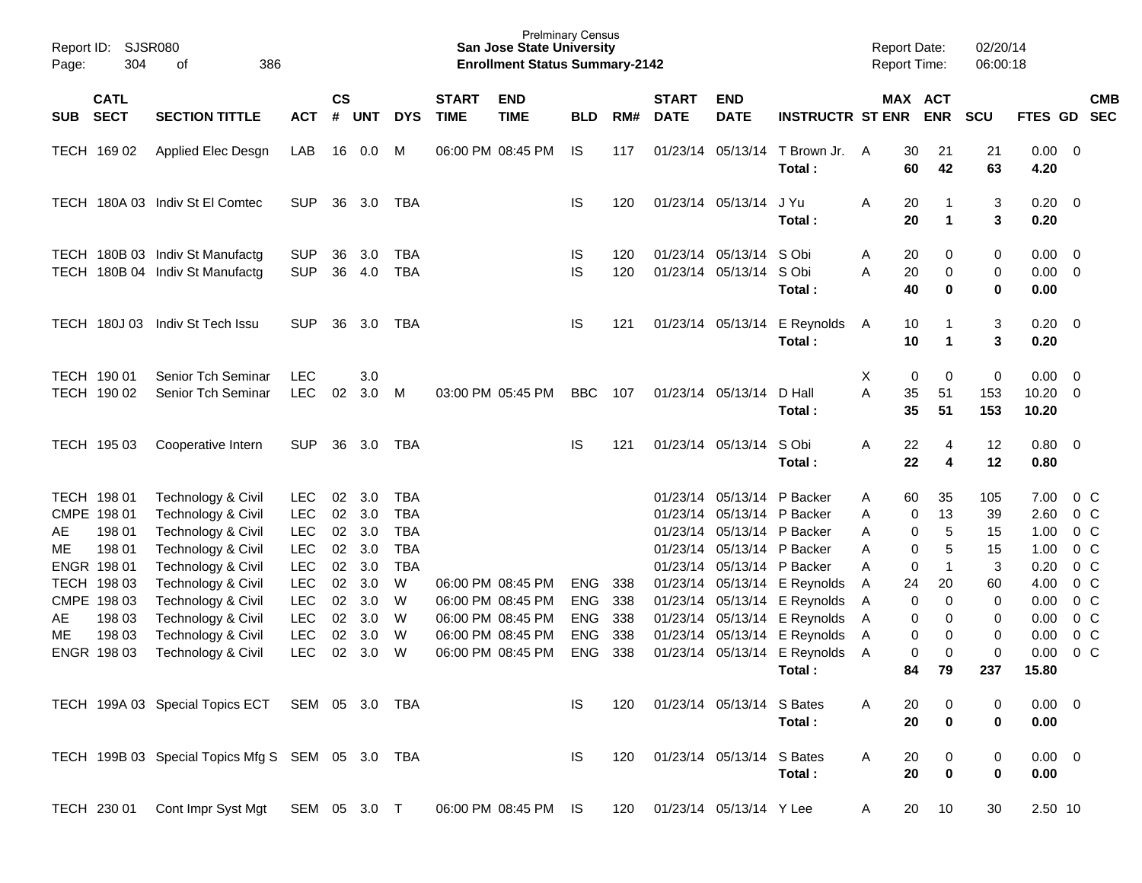| Report ID:<br>Page: | <b>SJSR080</b><br>304      | 386<br>οf                                                                                    |                          |                    |            |            |                             | <b>Prelminary Census</b><br><b>San Jose State University</b><br><b>Enrollment Status Summary-2142</b> |            |     |                             |                            |                              |        | <b>Report Date:</b><br><b>Report Time:</b> |                       | 02/20/14<br>06:00:18 |                        |                                            |
|---------------------|----------------------------|----------------------------------------------------------------------------------------------|--------------------------|--------------------|------------|------------|-----------------------------|-------------------------------------------------------------------------------------------------------|------------|-----|-----------------------------|----------------------------|------------------------------|--------|--------------------------------------------|-----------------------|----------------------|------------------------|--------------------------------------------|
| <b>SUB</b>          | <b>CATL</b><br><b>SECT</b> | <b>SECTION TITTLE</b>                                                                        | <b>ACT</b>               | $\mathsf{cs}$<br># | <b>UNT</b> | <b>DYS</b> | <b>START</b><br><b>TIME</b> | <b>END</b><br><b>TIME</b>                                                                             | <b>BLD</b> | RM# | <b>START</b><br><b>DATE</b> | <b>END</b><br><b>DATE</b>  | <b>INSTRUCTR ST ENR</b>      |        |                                            | MAX ACT<br><b>ENR</b> | <b>SCU</b>           | FTES GD                | <b>CMB</b><br><b>SEC</b>                   |
|                     |                            |                                                                                              |                          |                    |            |            |                             |                                                                                                       |            |     |                             |                            |                              |        |                                            |                       |                      |                        |                                            |
|                     | TECH 169 02                | Applied Elec Desgn                                                                           | LAB                      | 16                 | 0.0        | м          |                             | 06:00 PM 08:45 PM                                                                                     | IS.        | 117 |                             | 01/23/14 05/13/14          | T Brown Jr.<br>Total:        | A      | 30<br>60                                   | 21<br>42              | 21<br>63             | 0.00<br>4.20           | $\overline{\mathbf{0}}$                    |
| TECH                |                            | 180A 03 Indiv St El Comtec                                                                   | <b>SUP</b>               | 36                 | 3.0        | TBA        |                             |                                                                                                       | <b>IS</b>  | 120 |                             | 01/23/14 05/13/14          | J Yu<br>Total:               | Α      | 20<br>20                                   | -1<br>$\mathbf 1$     | 3<br>3               | 0.20<br>0.20           | $\overline{\mathbf{0}}$                    |
| TECH                |                            | 180B 03 Indiv St Manufactg                                                                   | <b>SUP</b>               | 36                 | 3.0        | <b>TBA</b> |                             |                                                                                                       | IS         | 120 |                             | 01/23/14 05/13/14          | S Obi                        | Α      | 20                                         | 0                     | 0                    | 0.00                   | $\overline{0}$                             |
| TECH                |                            | 180B 04 Indiv St Manufactg                                                                   | <b>SUP</b>               | 36                 | 4.0        | <b>TBA</b> |                             |                                                                                                       | IS         | 120 |                             | 01/23/14 05/13/14          | S Obi<br>Total:              | A      | 20<br>40                                   | 0<br>0                | 0<br>$\bf{0}$        | 0.00<br>0.00           | $\overline{\mathbf{0}}$                    |
| TECH                | 180J 03                    | Indiv St Tech Issu                                                                           | <b>SUP</b>               | 36                 | 3.0        | TBA        |                             |                                                                                                       | <b>IS</b>  | 121 |                             | 01/23/14 05/13/14          | E Reynolds<br>Total:         | A      | 10<br>10                                   | $\mathbf 1$           | 3<br>3               | 0.20<br>0.20           | $\overline{\mathbf{0}}$                    |
|                     |                            | Senior Tch Seminar                                                                           |                          |                    |            |            |                             |                                                                                                       |            |     |                             |                            |                              |        |                                            |                       |                      |                        |                                            |
|                     | TECH 190 01<br>TECH 190 02 | Senior Tch Seminar                                                                           | <b>LEC</b><br><b>LEC</b> | 02                 | 3.0<br>3.0 | м          |                             | 03:00 PM 05:45 PM                                                                                     | <b>BBC</b> | 107 |                             | 01/23/14 05/13/14          | D Hall                       | X<br>Α | 0<br>35                                    | 0<br>51               | $\mathbf 0$<br>153   | 0.00<br>10.20          | $\overline{0}$<br>$\overline{\phantom{0}}$ |
|                     |                            |                                                                                              |                          |                    |            |            |                             |                                                                                                       |            |     |                             |                            | Total:                       |        | 35                                         | 51                    | 153                  | 10.20                  |                                            |
|                     | TECH 195 03                | Cooperative Intern                                                                           | <b>SUP</b>               | 36                 | 3.0        | TBA        |                             |                                                                                                       | <b>IS</b>  | 121 |                             | 01/23/14 05/13/14          | S Obi                        | Α      | 22                                         | 4                     | 12                   | 0.80                   | $\overline{\phantom{0}}$                   |
|                     |                            |                                                                                              |                          |                    |            |            |                             |                                                                                                       |            |     |                             |                            | Total:                       |        | 22                                         | 4                     | 12                   | 0.80                   |                                            |
|                     | TECH 198 01                | Technology & Civil                                                                           | <b>LEC</b>               | 02                 | 3.0        | <b>TBA</b> |                             |                                                                                                       |            |     |                             | 01/23/14 05/13/14 P Backer |                              | Α      | 60                                         | 35                    | 105                  | 7.00                   | $0\,$ C                                    |
|                     | CMPE 198 01                | Technology & Civil                                                                           | <b>LEC</b>               | 02                 | 3.0        | <b>TBA</b> |                             |                                                                                                       |            |     |                             | 01/23/14 05/13/14 P Backer |                              | A      | 0                                          | 13                    | 39                   | 2.60                   | 0 <sup>o</sup>                             |
| AE                  | 198 01                     | Technology & Civil                                                                           | <b>LEC</b>               | 02                 | 3.0        | <b>TBA</b> |                             |                                                                                                       |            |     |                             | 01/23/14 05/13/14 P Backer |                              | A      | 0                                          | 5                     | 15                   | 1.00                   | 0 <sup>o</sup>                             |
| МE                  | 198 01                     | Technology & Civil                                                                           | <b>LEC</b>               | 02                 | 3.0        | <b>TBA</b> |                             |                                                                                                       |            |     |                             | 01/23/14 05/13/14 P Backer |                              | A      | 0                                          | 5                     | 15                   | 1.00                   | 0 <sup>o</sup>                             |
|                     | ENGR 198 01                | Technology & Civil                                                                           | <b>LEC</b>               | 02                 | 3.0        | <b>TBA</b> |                             |                                                                                                       |            |     |                             | 01/23/14 05/13/14 P Backer |                              | A      | $\mathbf 0$                                | 1                     | 3                    | 0.20                   | 0 <sup>o</sup>                             |
| <b>TECH</b>         | 198 03                     | Technology & Civil                                                                           | <b>LEC</b>               | 02                 | 3.0        | W          |                             | 06:00 PM 08:45 PM                                                                                     | <b>ENG</b> | 338 |                             |                            | 01/23/14 05/13/14 E Reynolds | A      | 24                                         | 20                    | 60                   | 4.00                   | 0 <sup>o</sup>                             |
|                     | CMPE 198 03                | Technology & Civil                                                                           | LEC                      | 02                 | 3.0        | W          |                             | 06:00 PM 08:45 PM                                                                                     | <b>ENG</b> | 338 |                             |                            | 01/23/14 05/13/14 E Reynolds | A      | 0                                          | $\mathbf 0$           | 0                    | 0.00                   | 0 <sup>o</sup>                             |
| AE                  | 198 03                     | Technology & Civil                                                                           | <b>LEC</b>               | 02                 | 3.0        | W          |                             | 06:00 PM 08:45 PM                                                                                     | <b>ENG</b> | 338 |                             |                            | 01/23/14 05/13/14 E Reynolds | A      | 0                                          | 0                     | 0                    | 0.00                   | 0 <sup>o</sup>                             |
| МE                  | 198 03                     | Technology & Civil                                                                           | <b>LEC</b>               | 02                 | 3.0        | W          |                             | 06:00 PM 08:45 PM                                                                                     | <b>ENG</b> | 338 | 01/23/14                    |                            | 05/13/14 E Reynolds          | A      | $\mathbf 0$                                | 0                     | 0                    | 0.00                   | 0 <sup>o</sup>                             |
|                     | ENGR 198 03                | Technology & Civil                                                                           | <b>LEC</b>               | 02                 | 3.0        | W          |                             | 06:00 PM 08:45 PM                                                                                     | <b>ENG</b> | 338 |                             |                            | 01/23/14 05/13/14 E Reynolds | A      | 0                                          | 0                     | $\mathbf 0$          | 0.00                   | $0\,C$                                     |
|                     |                            |                                                                                              |                          |                    |            |            |                             |                                                                                                       |            |     |                             |                            | Total:                       |        | 84                                         | 79                    | 237                  | 15.80                  |                                            |
|                     |                            | TECH 199A 03 Special Topics ECT SEM 05 3.0 TBA                                               |                          |                    |            |            |                             |                                                                                                       | IS.        | 120 |                             | 01/23/14 05/13/14 S Bates  |                              | A      | 20                                         | 0                     | 0                    | $0.00 \quad 0$         |                                            |
|                     |                            |                                                                                              |                          |                    |            |            |                             |                                                                                                       |            |     |                             |                            | Total:                       |        | 20                                         | $\bf{0}$              | $\bf{0}$             | 0.00                   |                                            |
|                     |                            | TECH 199B 03 Special Topics Mfg S SEM 05 3.0 TBA                                             |                          |                    |            |            |                             |                                                                                                       | IS.        | 120 |                             | 01/23/14 05/13/14 S Bates  | Total:                       | A      | 20<br>20                                   | 0<br>$\mathbf 0$      | 0<br>$\bf{0}$        | $0.00 \quad 0$<br>0.00 |                                            |
|                     |                            | TECH 230 01 Cont Impr Syst Mgt SEM 05 3.0 T 06:00 PM 08:45 PM IS 120 01/23/14 05/13/14 Y Lee |                          |                    |            |            |                             |                                                                                                       |            |     |                             |                            |                              | A      |                                            | 20 10                 | 30                   | 2.50 10                |                                            |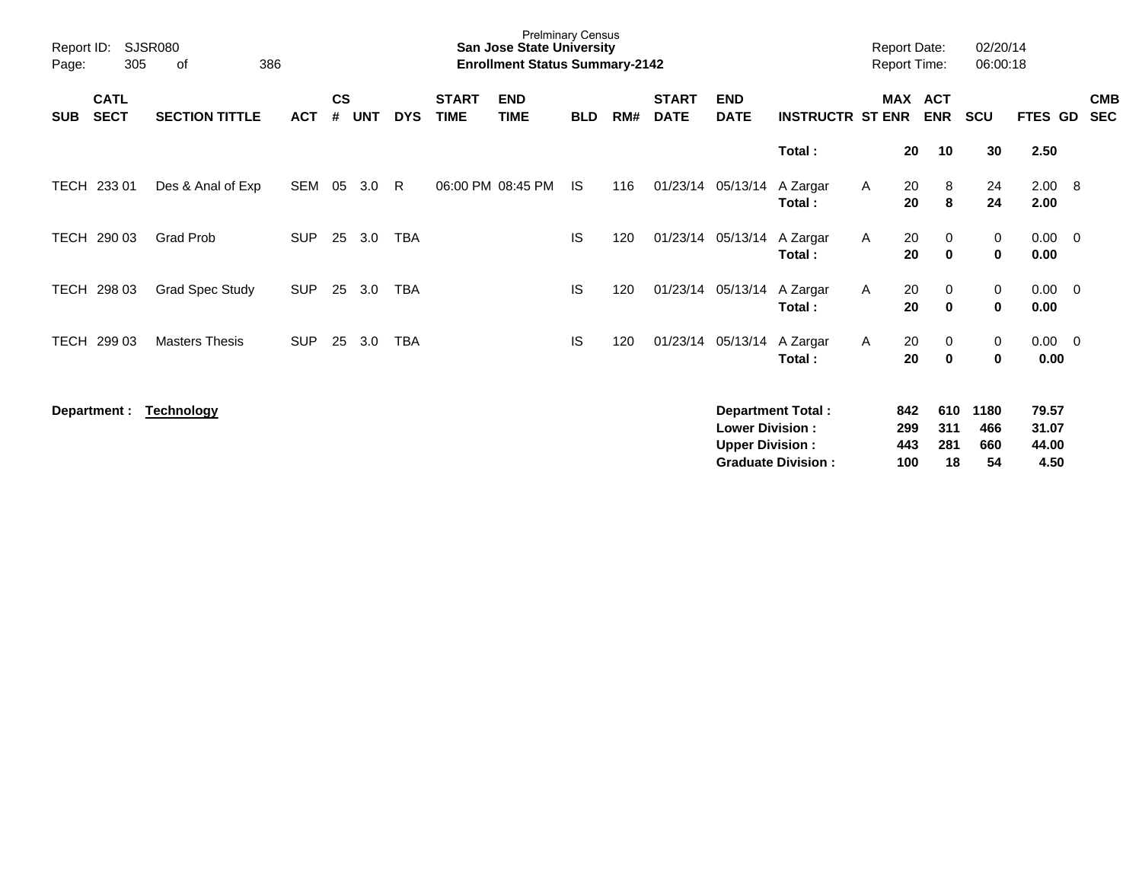| Report ID:<br>Page: | 305                        | <b>SJSR080</b><br>386<br>of |            |                    |            |            |                             | <b>Prelminary Census</b><br><b>San Jose State University</b><br><b>Enrollment Status Summary-2142</b> |            |     |                             |                                                  |                                                       |   | <b>Report Date:</b><br><b>Report Time:</b> |                          | 02/20/14<br>06:00:18     |                                 |                          |
|---------------------|----------------------------|-----------------------------|------------|--------------------|------------|------------|-----------------------------|-------------------------------------------------------------------------------------------------------|------------|-----|-----------------------------|--------------------------------------------------|-------------------------------------------------------|---|--------------------------------------------|--------------------------|--------------------------|---------------------------------|--------------------------|
| <b>SUB</b>          | <b>CATL</b><br><b>SECT</b> | <b>SECTION TITTLE</b>       | <b>ACT</b> | $\mathsf{cs}$<br># | <b>UNT</b> | <b>DYS</b> | <b>START</b><br><b>TIME</b> | <b>END</b><br><b>TIME</b>                                                                             | <b>BLD</b> | RM# | <b>START</b><br><b>DATE</b> | <b>END</b><br><b>DATE</b>                        | <b>INSTRUCTR ST ENR</b>                               |   | <b>MAX</b>                                 | <b>ACT</b><br><b>ENR</b> | <b>SCU</b>               | FTES GD                         | <b>CMB</b><br><b>SEC</b> |
|                     |                            |                             |            |                    |            |            |                             |                                                                                                       |            |     |                             |                                                  | Total:                                                |   | 20                                         | 10                       | 30                       | 2.50                            |                          |
| <b>TECH</b>         | 233 01                     | Des & Anal of Exp           | <b>SEM</b> | 05                 | 3.0        | R          |                             | 06:00 PM 08:45 PM                                                                                     | <b>IS</b>  | 116 |                             | 01/23/14 05/13/14                                | A Zargar<br>Total:                                    | A | 20<br>20                                   | 8<br>8                   | 24<br>24                 | 2.00 8<br>2.00                  |                          |
| TECH                | 290 03                     | <b>Grad Prob</b>            | <b>SUP</b> | 25                 | 3.0        | <b>TBA</b> |                             |                                                                                                       | IS         | 120 |                             | 01/23/14 05/13/14 A Zargar                       | Total:                                                | A | 20<br>20                                   | 0<br>$\bf{0}$            | 0<br>0                   | $0.00 \ 0$<br>0.00              |                          |
| TECH                | 298 03                     | <b>Grad Spec Study</b>      | <b>SUP</b> | 25                 | 3.0        | <b>TBA</b> |                             |                                                                                                       | IS         | 120 |                             | 01/23/14 05/13/14 A Zargar                       | Total:                                                | A | 20<br>20                                   | 0<br>$\bf{0}$            | 0<br>$\mathbf 0$         | $0.00 \t 0$<br>0.00             |                          |
| <b>TECH</b>         | 299 03                     | <b>Masters Thesis</b>       | <b>SUP</b> | 25                 | 3.0        | <b>TBA</b> |                             |                                                                                                       | <b>IS</b>  | 120 |                             | 01/23/14 05/13/14 A Zargar                       | Total:                                                | A | 20<br>20                                   | 0<br>$\bf{0}$            | 0<br>$\mathbf 0$         | $0.00 \t 0$<br>0.00             |                          |
|                     | Department :               | <b>Technology</b>           |            |                    |            |            |                             |                                                                                                       |            |     |                             | <b>Lower Division:</b><br><b>Upper Division:</b> | <b>Department Total:</b><br><b>Graduate Division:</b> |   | 842<br>299<br>443<br>100                   | 610<br>311<br>281<br>18  | 1180<br>466<br>660<br>54 | 79.57<br>31.07<br>44.00<br>4.50 |                          |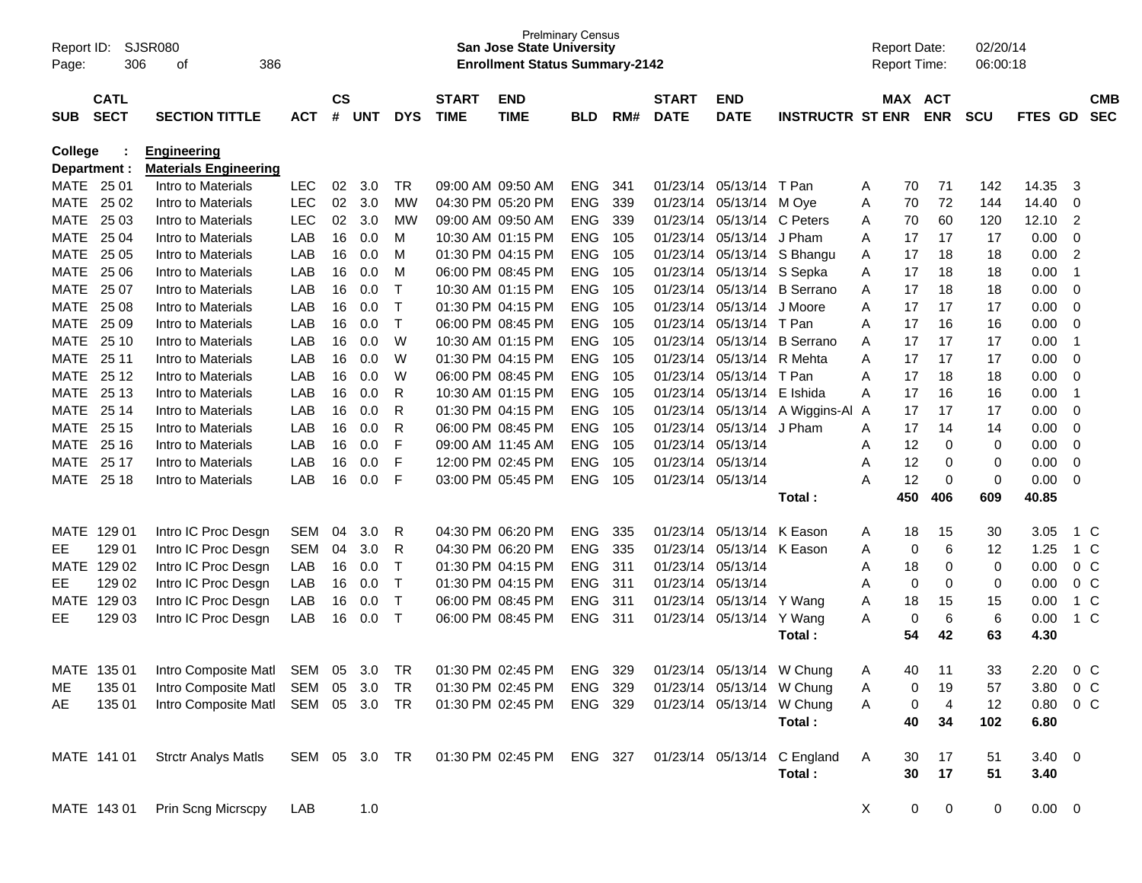| Report ID:<br>Page: | 306                        | SJSR080<br>386<br>οf               |               |                    |            |            |                             | <b>Prelminary Census</b><br><b>San Jose State University</b><br><b>Enrollment Status Summary-2142</b> |            |     |                             |                           |                         |              | <b>Report Date:</b><br><b>Report Time:</b> |                | 02/20/14<br>06:00:18 |             |                          |
|---------------------|----------------------------|------------------------------------|---------------|--------------------|------------|------------|-----------------------------|-------------------------------------------------------------------------------------------------------|------------|-----|-----------------------------|---------------------------|-------------------------|--------------|--------------------------------------------|----------------|----------------------|-------------|--------------------------|
| <b>SUB</b>          | <b>CATL</b><br><b>SECT</b> | <b>SECTION TITTLE</b>              | <b>ACT</b>    | $\mathsf{cs}$<br># | <b>UNT</b> | <b>DYS</b> | <b>START</b><br><b>TIME</b> | <b>END</b><br><b>TIME</b>                                                                             | <b>BLD</b> | RM# | <b>START</b><br><b>DATE</b> | <b>END</b><br><b>DATE</b> | <b>INSTRUCTR ST ENR</b> |              | MAX ACT                                    | <b>ENR</b>     | <b>SCU</b>           | FTES GD     | <b>CMB</b><br><b>SEC</b> |
| <b>College</b>      |                            | <b>Engineering</b>                 |               |                    |            |            |                             |                                                                                                       |            |     |                             |                           |                         |              |                                            |                |                      |             |                          |
|                     | Department :               | <b>Materials Engineering</b>       |               |                    |            |            |                             |                                                                                                       |            |     |                             |                           |                         |              |                                            |                |                      |             |                          |
|                     | MATE 25 01                 | Intro to Materials                 | <b>LEC</b>    | 02                 | 3.0        | TR         |                             | 09:00 AM 09:50 AM                                                                                     | <b>ENG</b> | 341 | 01/23/14                    | 05/13/14 T Pan            |                         | A            | 70                                         | 71             | 142                  | 14.35       | 3                        |
| MATE                | 25 02                      | Intro to Materials                 | <b>LEC</b>    | 02                 | 3.0        | MW         |                             | 04:30 PM 05:20 PM                                                                                     | <b>ENG</b> | 339 | 01/23/14                    | 05/13/14                  | M Ove                   | A            | 70                                         | 72             | 144                  | 14.40       | 0                        |
| MATE                | 25 03                      | Intro to Materials                 | <b>LEC</b>    | 02                 | 3.0        | MW         |                             | 09:00 AM 09:50 AM                                                                                     | <b>ENG</b> | 339 | 01/23/14                    | 05/13/14                  | C Peters                | A            | 70                                         | 60             | 120                  | 12.10       | 2                        |
| MATE                | 25 04                      | Intro to Materials                 | LAB           | 16                 | 0.0        | м          |                             | 10:30 AM 01:15 PM                                                                                     | <b>ENG</b> | 105 | 01/23/14                    | 05/13/14                  | J Pham                  | Α            | 17                                         | 17             | 17                   | 0.00        | 0                        |
| MATE                | 25 05                      | Intro to Materials                 | LAB           | 16                 | 0.0        | м          |                             | 01:30 PM 04:15 PM                                                                                     | <b>ENG</b> | 105 | 01/23/14                    | 05/13/14                  | S Bhangu                | A            | 17                                         | 18             | 18                   | 0.00        | $\overline{2}$           |
| MATE                | 25 06                      | Intro to Materials                 | LAB           | 16                 | 0.0        | м          |                             | 06:00 PM 08:45 PM                                                                                     | <b>ENG</b> | 105 | 01/23/14                    | 05/13/14                  | S Sepka                 | Α            | 17                                         | 18             | 18                   | 0.00        | -1                       |
| MATE                | 25 07                      | Intro to Materials                 | LAB           | 16                 | 0.0        | Т          |                             | 10:30 AM 01:15 PM                                                                                     | <b>ENG</b> | 105 | 01/23/14                    | 05/13/14                  | <b>B</b> Serrano        | Α            | 17                                         | 18             | 18                   | 0.00        | 0                        |
| MATE                | 25 08                      | Intro to Materials                 | LAB           | 16                 | 0.0        | Т          |                             | 01:30 PM 04:15 PM                                                                                     | <b>ENG</b> | 105 | 01/23/14                    | 05/13/14                  | J Moore                 | A            | 17                                         | 17             | 17                   | 0.00        | 0                        |
| MATE                | 25 09                      | Intro to Materials                 | LAB           | 16                 | 0.0        | T          |                             | 06:00 PM 08:45 PM                                                                                     | <b>ENG</b> | 105 | 01/23/14                    | 05/13/14                  | T Pan                   | A            | 17                                         | 16             | 16                   | 0.00        | 0                        |
| MATE                | 25 10                      | Intro to Materials                 | LAB           | 16                 | 0.0        | W          |                             | 10:30 AM 01:15 PM                                                                                     | <b>ENG</b> | 105 | 01/23/14                    | 05/13/14                  | <b>B</b> Serrano        | Α            | 17                                         | 17             | 17                   | 0.00        | -1                       |
| MATE                | 25 11                      | Intro to Materials                 | LAB           | 16                 | 0.0        | W          |                             | 01:30 PM 04:15 PM                                                                                     | <b>ENG</b> | 105 | 01/23/14                    | 05/13/14                  | R Mehta                 | A            | 17                                         | 17             | 17                   | 0.00        | 0                        |
| MATE                | 25 12                      | Intro to Materials                 | LAB           | 16                 | 0.0        | W          |                             | 06:00 PM 08:45 PM                                                                                     | <b>ENG</b> | 105 | 01/23/14                    | 05/13/14                  | T Pan                   | A            | 17                                         | 18             | 18                   | 0.00        | 0                        |
| MATE                | 25 13                      | Intro to Materials                 | LAB           | 16                 | 0.0        | R          |                             | 10:30 AM 01:15 PM                                                                                     | <b>ENG</b> | 105 | 01/23/14                    | 05/13/14                  | E Ishida                | A            | 17                                         | 16             | 16                   | 0.00        | -1                       |
| MATE                | 25 14                      | Intro to Materials                 | LAB           | 16                 | 0.0        | R          |                             | 01:30 PM 04:15 PM                                                                                     | <b>ENG</b> | 105 | 01/23/14                    | 05/13/14                  | A Wiggins-Al            | A            | 17                                         | 17             | 17                   | 0.00        | 0                        |
| MATE                | 25 15                      | Intro to Materials                 | LAB           | 16                 | 0.0        | R          |                             | 06:00 PM 08:45 PM                                                                                     | <b>ENG</b> | 105 | 01/23/14                    | 05/13/14                  | J Pham                  | A            | 17                                         | 14             | 14                   | 0.00        | 0                        |
| MATE                | 25 16                      | Intro to Materials                 | LAB           | 16                 | 0.0        | F          |                             | 09:00 AM 11:45 AM                                                                                     | <b>ENG</b> | 105 | 01/23/14                    | 05/13/14                  |                         | Α            | 12                                         | 0              | 0                    | 0.00        | 0                        |
| MATE                | 25 17                      | Intro to Materials                 | LAB           | 16                 | 0.0        | F          |                             | 12:00 PM 02:45 PM                                                                                     | <b>ENG</b> | 105 | 01/23/14                    | 05/13/14                  |                         | A            | 12                                         | 0              | 0                    | 0.00        | 0                        |
| MATE                | 25 18                      | Intro to Materials                 | LAB           | 16                 | 0.0        | F          |                             | 03:00 PM 05:45 PM                                                                                     | <b>ENG</b> | 105 | 01/23/14 05/13/14           |                           |                         | Α            | 12                                         | 0              | 0                    | 0.00        | 0                        |
|                     |                            |                                    |               |                    |            |            |                             |                                                                                                       |            |     |                             |                           | Total:                  |              | 450                                        | 406            | 609                  | 40.85       |                          |
|                     | MATE 129 01                | Intro IC Proc Desgn                | <b>SEM</b>    | 04                 | 3.0        | R          |                             | 04:30 PM 06:20 PM                                                                                     | <b>ENG</b> | 335 | 01/23/14                    | 05/13/14                  | K Eason                 | A            | 18                                         | 15             | 30                   | 3.05        | 1 C                      |
| EE.                 | 129 01                     | Intro IC Proc Desgn                | <b>SEM</b>    | 04                 | 3.0        | R          |                             | 04:30 PM 06:20 PM                                                                                     | <b>ENG</b> | 335 | 01/23/14                    | 05/13/14                  | K Eason                 | A            | 0                                          | 6              | 12                   | 1.25        | 1 C                      |
| <b>MATE</b>         | 129 02                     | Intro IC Proc Desgn                | LAB           | 16                 | 0.0        | Т          |                             | 01:30 PM 04:15 PM                                                                                     | <b>ENG</b> | 311 | 01/23/14                    | 05/13/14                  |                         | Α            | 18                                         | 0              | 0                    | 0.00        | 0 <sup>o</sup>           |
| EE.                 | 129 02                     | Intro IC Proc Desgn                | LAB           | 16                 | 0.0        | Т          |                             | 01:30 PM 04:15 PM                                                                                     | <b>ENG</b> | 311 | 01/23/14                    | 05/13/14                  |                         | Α            | 0                                          | 0              | 0                    | 0.00        | $0\,C$                   |
| MATE                | 129 03                     | Intro IC Proc Desgn                | LAB           | 16                 | 0.0        | Т          |                             | 06:00 PM 08:45 PM                                                                                     | <b>ENG</b> | 311 | 01/23/14                    | 05/13/14                  | Y Wang                  | Α            | 18                                         | 15             | 15                   | 0.00        | $1\,C$                   |
| EЕ                  | 129 03                     | Intro IC Proc Desgn                | LAB           | 16                 | 0.0        | $\top$     |                             | 06:00 PM 08:45 PM                                                                                     | <b>ENG</b> | 311 | 01/23/14                    | 05/13/14                  | Y Wang                  | A            | 0                                          | 6              | 6                    | 0.00        | $1\,C$                   |
|                     |                            |                                    |               |                    |            |            |                             |                                                                                                       |            |     |                             |                           | Total :                 |              | 54                                         | 42             | 63                   | 4.30        |                          |
| MATE                | 135 01                     | Intro Composite Matl               | SEM 05        |                    | 3.0        | TR         |                             | 01:30 PM 02:45 PM                                                                                     | ENG        | 329 | 01/23/14                    | 05/13/14                  | W Chung                 | A            | 40                                         | 11             | 33                   | 2.20        | $0\,C$                   |
| ME                  | 135 01                     | Intro Composite Matl               | SEM 05 3.0    |                    |            | TR         |                             | 01:30 PM 02:45 PM                                                                                     | ENG 329    |     |                             | 01/23/14 05/13/14 W Chung |                         | A            | 0                                          | 19             | 57                   | 3.80        | 0 C                      |
| AE                  | 135 01                     | Intro Composite Matl SEM 05 3.0 TR |               |                    |            |            |                             | 01:30 PM 02:45 PM                                                                                     | ENG 329    |     |                             | 01/23/14 05/13/14 W Chung |                         | Α            | 0                                          | $\overline{4}$ | 12                   | 0.80        | $0\,C$                   |
|                     |                            |                                    |               |                    |            |            |                             |                                                                                                       |            |     |                             |                           | Total:                  |              | 40                                         | 34             | 102                  | 6.80        |                          |
|                     | MATE 141 01                | <b>Strctr Analys Matls</b>         | SEM 05 3.0 TR |                    |            |            |                             | 01:30 PM 02:45 PM ENG 327 01/23/14 05/13/14 C England                                                 |            |     |                             |                           |                         | A            | 30                                         | 17             | 51                   | $3.40 \ 0$  |                          |
|                     |                            |                                    |               |                    |            |            |                             |                                                                                                       |            |     |                             |                           | Total:                  |              | 30                                         | 17             | 51                   | 3.40        |                          |
|                     | MATE 143 01                | Prin Scng Micrscpy                 | LAB           |                    | 1.0        |            |                             |                                                                                                       |            |     |                             |                           |                         | $\mathsf{X}$ | 0                                          | $\mathbf 0$    | 0                    | $0.00 \t 0$ |                          |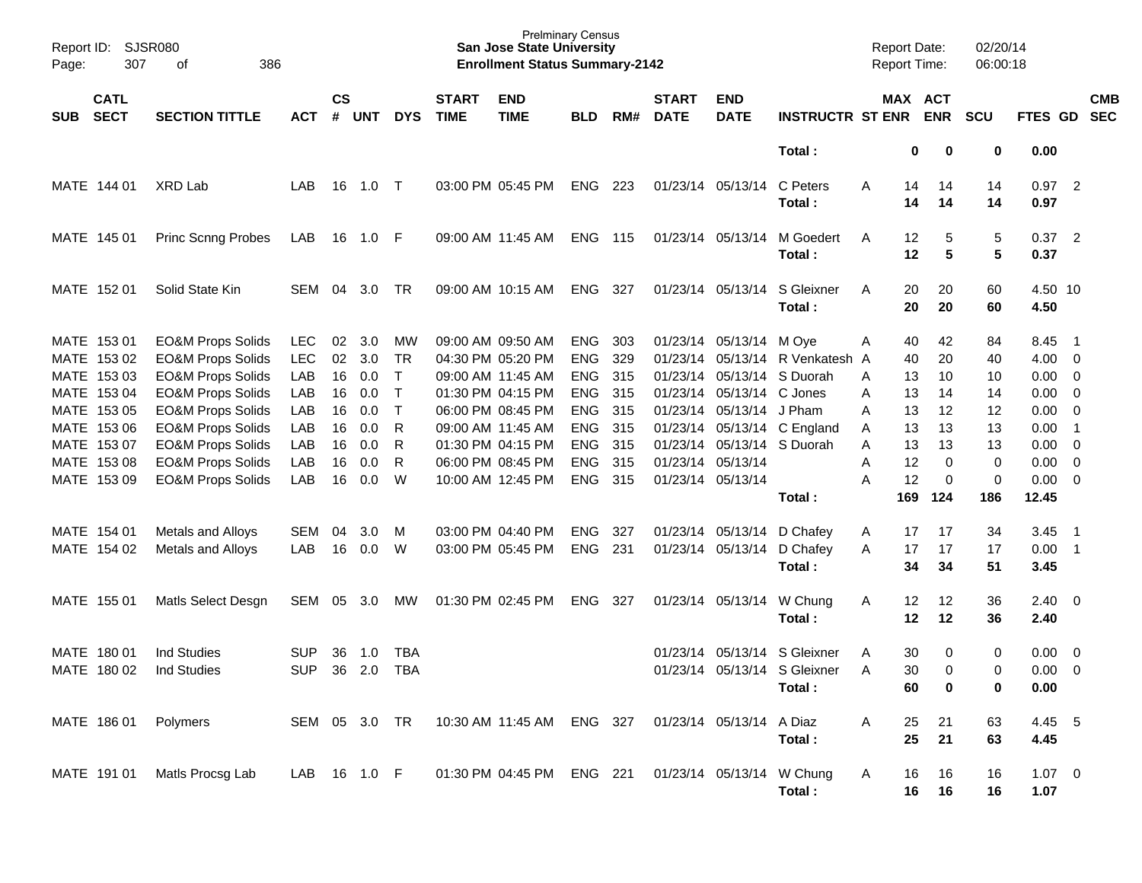| Page: | Report ID: SJSR080<br>307                 | 386<br>оf                                                                                    |                          |                    |                   |                                  |                             | <b>Prelminary Census</b><br><b>San Jose State University</b><br><b>Enrollment Status Summary-2142</b> |                                        |                   |                             |                                                                    |                                                           | <b>Report Date:</b><br><b>Report Time:</b> |                         | 02/20/14<br>06:00:18 |                                           |                          |                          |
|-------|-------------------------------------------|----------------------------------------------------------------------------------------------|--------------------------|--------------------|-------------------|----------------------------------|-----------------------------|-------------------------------------------------------------------------------------------------------|----------------------------------------|-------------------|-----------------------------|--------------------------------------------------------------------|-----------------------------------------------------------|--------------------------------------------|-------------------------|----------------------|-------------------------------------------|--------------------------|--------------------------|
| SUB   | <b>CATL</b><br><b>SECT</b>                | <b>SECTION TITTLE</b>                                                                        | <b>ACT</b>               | $\mathsf{cs}$<br># | <b>UNT</b>        | <b>DYS</b>                       | <b>START</b><br><b>TIME</b> | <b>END</b><br><b>TIME</b>                                                                             | <b>BLD</b>                             | RM#               | <b>START</b><br><b>DATE</b> | <b>END</b><br><b>DATE</b>                                          | <b>INSTRUCTR ST ENR</b>                                   |                                            | MAX ACT<br><b>ENR</b>   | <b>SCU</b>           | FTES GD                                   |                          | <b>CMB</b><br><b>SEC</b> |
|       |                                           |                                                                                              |                          |                    |                   |                                  |                             |                                                                                                       |                                        |                   |                             |                                                                    | Total:                                                    | 0                                          | 0                       | 0                    | 0.00                                      |                          |                          |
|       | MATE 144 01                               | XRD Lab                                                                                      | LAB                      | 16                 | 1.0 T             |                                  |                             | 03:00 PM 05:45 PM                                                                                     | <b>ENG</b>                             | 223               | 01/23/14 05/13/14           |                                                                    | C Peters<br>Total:                                        | Α<br>14<br>14                              | 14<br>14                | 14<br>14             | 0.97<br>0.97                              | $\overline{\phantom{0}}$ |                          |
|       | MATE 145 01                               | <b>Princ Scnng Probes</b>                                                                    | LAB                      | 16                 | 1.0               | - F                              |                             | 09:00 AM 11:45 AM                                                                                     | <b>ENG</b>                             | 115               | 01/23/14 05/13/14           |                                                                    | M Goedert<br>Total:                                       | 12<br>A<br>12                              | 5<br>$5\phantom{.0}$    | 5<br>5               | 0.37<br>0.37                              | $\overline{\phantom{0}}$ |                          |
|       | MATE 152 01                               | Solid State Kin                                                                              | SEM                      | 04                 | 3.0               | TR                               |                             | 09:00 AM 10:15 AM                                                                                     | <b>ENG</b>                             | 327               |                             | 01/23/14 05/13/14                                                  | S Gleixner<br>Total:                                      | 20<br>A<br>20                              | 20<br>20                | 60<br>60             | 4.50 10<br>4.50                           |                          |                          |
|       | MATE 153 01<br>MATE 153 02                | <b>EO&amp;M Props Solids</b><br><b>EO&amp;M Props Solids</b>                                 | <b>LEC</b><br><b>LEC</b> | 02<br>02           | 3.0<br>3.0        | МW<br>TR                         |                             | 09:00 AM 09:50 AM<br>04:30 PM 05:20 PM                                                                | <b>ENG</b><br><b>ENG</b>               | 303<br>329        |                             | 01/23/14 05/13/14<br>01/23/14 05/13/14                             | M Oye<br>R Venkatesh A                                    | 40<br>A<br>40                              | 42<br>20                | 84<br>40             | 8.45 1<br>$4.00 \ 0$                      |                          |                          |
|       | MATE 153 03<br>MATE 153 04<br>MATE 153 05 | <b>EO&amp;M Props Solids</b><br><b>EO&amp;M Props Solids</b><br><b>EO&amp;M Props Solids</b> | LAB<br>LAB<br>LAB        | 16<br>16<br>16     | 0.0<br>0.0<br>0.0 | $\top$<br>$\top$<br>$\mathsf{T}$ |                             | 09:00 AM 11:45 AM<br>01:30 PM 04:15 PM<br>06:00 PM 08:45 PM                                           | <b>ENG</b><br><b>ENG</b><br><b>ENG</b> | 315<br>315<br>315 |                             | 01/23/14 05/13/14<br>01/23/14 05/13/14<br>01/23/14 05/13/14 J Pham | S Duorah<br>C Jones                                       | 13<br>A<br>13<br>Α<br>13<br>A              | 10<br>14<br>12          | 10<br>14<br>12       | $0.00 \t 0$<br>$0.00 \t 0$<br>$0.00 \t 0$ |                          |                          |
|       | MATE 153 06<br>MATE 153 07<br>MATE 153 08 | <b>EO&amp;M Props Solids</b><br><b>EO&amp;M Props Solids</b><br><b>EO&amp;M Props Solids</b> | LAB<br>LAB<br>LAB        | 16<br>16<br>16     | 0.0<br>0.0<br>0.0 | R<br>R<br>R                      |                             | 09:00 AM 11:45 AM<br>01:30 PM 04:15 PM<br>06:00 PM 08:45 PM                                           | <b>ENG</b><br><b>ENG</b><br><b>ENG</b> | 315<br>315<br>315 | 01/23/14 05/13/14           |                                                                    | 01/23/14 05/13/14 C England<br>01/23/14 05/13/14 S Duorah | 13<br>Α<br>13<br>Α<br>12<br>Α              | 13<br>13<br>$\mathbf 0$ | 13<br>13<br>0        | $0.00$ 1<br>$0.00 \t 0$<br>$0.00 \t 0$    |                          |                          |
|       | MATE 153 09                               | <b>EO&amp;M Props Solids</b>                                                                 | LAB                      | 16                 | 0.0               | W                                |                             | 10:00 AM 12:45 PM                                                                                     | <b>ENG</b>                             | 315               | 01/23/14 05/13/14           |                                                                    | Total:                                                    | 12<br>A<br>169                             | 0<br>124                | 0<br>186             | $0.00 \t 0$<br>12.45                      |                          |                          |
|       | MATE 154 01<br>MATE 154 02                | Metals and Alloys<br>Metals and Alloys                                                       | <b>SEM</b><br>LAB        | 04<br>16           | 3.0<br>0.0        | M<br>W                           |                             | 03:00 PM 04:40 PM<br>03:00 PM 05:45 PM                                                                | <b>ENG</b><br><b>ENG</b>               | 327<br>231        |                             | 01/23/14 05/13/14<br>01/23/14 05/13/14                             | D Chafey<br>D Chafey<br>Total:                            | 17<br>A<br>17<br>A<br>34                   | 17<br>17<br>34          | 34<br>17<br>51       | 3.45<br>$0.00$ 1<br>3.45                  | $\overline{\phantom{1}}$ |                          |
|       | MATE 155 01                               | Matls Select Desgn                                                                           | <b>SEM</b>               | 05                 | 3.0               | MW                               | 01:30 PM 02:45 PM           |                                                                                                       | <b>ENG</b>                             | 327               |                             | 01/23/14 05/13/14                                                  | W Chung<br>Total:                                         | Α<br>12<br>12                              | 12<br>12                | 36<br>36             | $2.40 \ 0$<br>2.40                        |                          |                          |
|       | MATE 180 01<br>MATE 180 02                | <b>Ind Studies</b><br><b>Ind Studies</b>                                                     | <b>SUP</b><br><b>SUP</b> | 36<br>36           | 1.0<br>2.0        | TBA<br><b>TBA</b>                |                             |                                                                                                       |                                        |                   |                             | 01/23/14 05/13/14                                                  | S Gleixner<br>01/23/14 05/13/14 S Gleixner<br>Total:      | 30<br>A<br>30<br>A<br>60                   | 0<br>$\Omega$<br>0      | 0<br>0<br>0          | $0.00 \t 0$<br>$0.00 \t 0$<br>0.00        |                          |                          |
|       | MATE 186 01                               | Polymers                                                                                     | SEM 05 3.0 TR            |                    |                   |                                  |                             | 10:30 AM 11:45 AM                                                                                     | ENG 327                                |                   |                             | 01/23/14 05/13/14                                                  | A Diaz<br>Total:                                          | 25<br>Α<br>25                              | 21<br>21                | 63<br>63             | 4.45 5<br>4.45                            |                          |                          |
|       | MATE 191 01                               | Matls Procsg Lab                                                                             | LAB 16 1.0 F             |                    |                   |                                  |                             | 01:30 PM 04:45 PM                                                                                     | ENG 221                                |                   |                             | 01/23/14 05/13/14                                                  | W Chung<br>Total:                                         | 16<br>A<br>16                              | 16<br>16                | 16<br>16             | $1.07 \t 0$<br>1.07                       |                          |                          |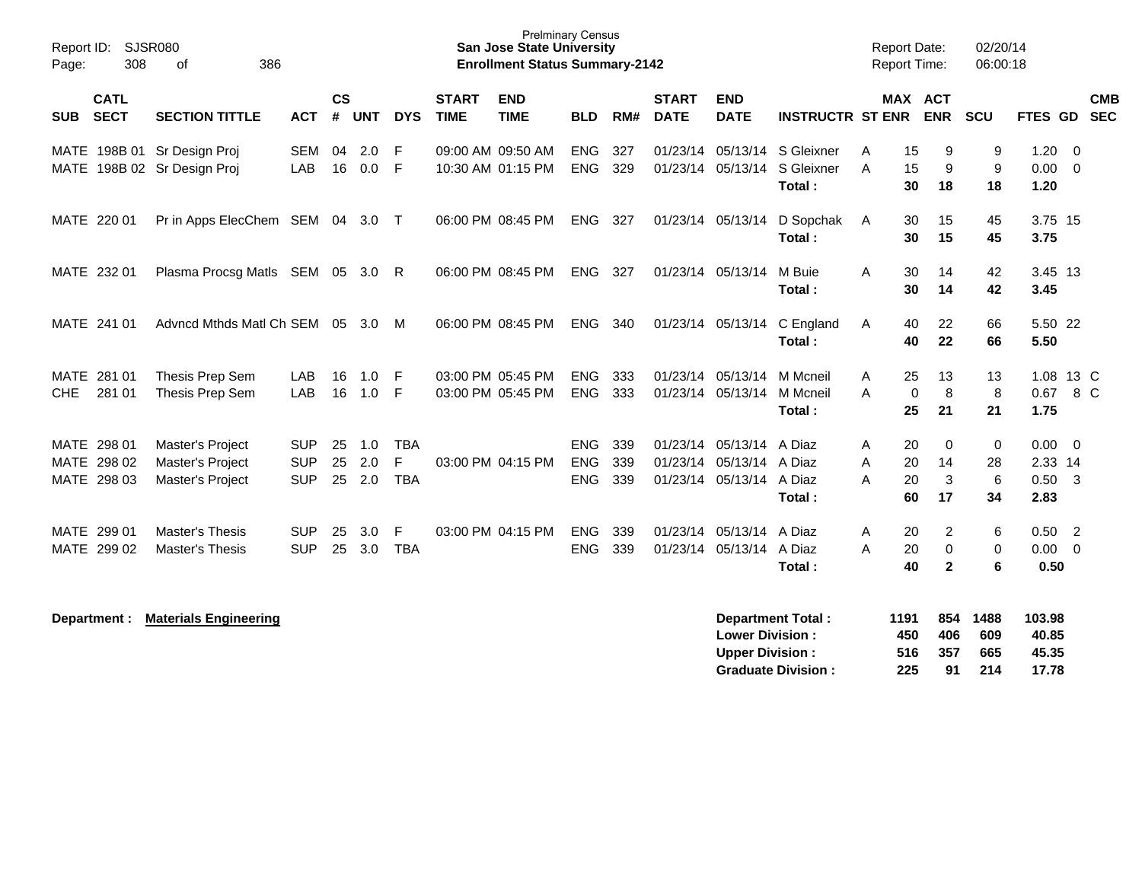| Report ID:<br>Page: | 308                                       | <b>SJSR080</b><br>οf<br>386                                     |                                        |                    |                   |                               |                             | <b>Prelminary Census</b><br>San Jose State University<br><b>Enrollment Status Summary-2142</b> |                                        |                   |                                  |                                         |                                    | <b>Report Date:</b><br><b>Report Time:</b> |                                                    | 02/20/14<br>06:00:18  |                                     |                          |
|---------------------|-------------------------------------------|-----------------------------------------------------------------|----------------------------------------|--------------------|-------------------|-------------------------------|-----------------------------|------------------------------------------------------------------------------------------------|----------------------------------------|-------------------|----------------------------------|-----------------------------------------|------------------------------------|--------------------------------------------|----------------------------------------------------|-----------------------|-------------------------------------|--------------------------|
| <b>SUB</b>          | <b>CATL</b><br><b>SECT</b>                | <b>SECTION TITTLE</b>                                           | <b>ACT</b>                             | $\mathsf{cs}$<br># | <b>UNT</b>        | <b>DYS</b>                    | <b>START</b><br><b>TIME</b> | <b>END</b><br><b>TIME</b>                                                                      | <b>BLD</b>                             | RM#               | <b>START</b><br><b>DATE</b>      | <b>END</b><br><b>DATE</b>               | <b>INSTRUCTR ST ENR</b>            |                                            | <b>MAX ACT</b><br><b>ENR</b>                       | SCU                   | FTES GD                             | <b>CMB</b><br><b>SEC</b> |
|                     |                                           | MATE 198B 01 Sr Design Proj<br>MATE 198B 02 Sr Design Proj      | <b>SEM</b><br>LAB                      | 04<br>16           | 2.0<br>0.0        | F<br>-F                       |                             | 09:00 AM 09:50 AM<br>10:30 AM 01:15 PM                                                         | <b>ENG</b><br><b>ENG</b>               | 327<br>329        | 01/23/14<br>01/23/14             | 05/13/14<br>05/13/14                    | S Gleixner<br>S Gleixner<br>Total: | Α<br>A                                     | 15<br>9<br>15<br>9<br>30<br>18                     | 9<br>9<br>18          | 1.20<br>$0.00 \t 0$<br>1.20         | - 0                      |
|                     | MATE 220 01                               | Pr in Apps ElecChem SEM 04 3.0 T                                |                                        |                    |                   |                               |                             | 06:00 PM 08:45 PM                                                                              | ENG                                    | 327               | 01/23/14 05/13/14                |                                         | D Sopchak<br>Total:                | A                                          | 30<br>15<br>15<br>30                               | 45<br>45              | 3.75 15<br>3.75                     |                          |
|                     | MATE 232 01                               | Plasma Procsg Matls SEM 05 3.0 R                                |                                        |                    |                   |                               |                             | 06:00 PM 08:45 PM                                                                              | <b>ENG</b>                             | 327               | 01/23/14 05/13/14                |                                         | M Buie<br>Total:                   | A                                          | 30<br>14<br>30<br>14                               | 42<br>42              | 3.45 13<br>3.45                     |                          |
|                     | MATE 241 01                               | Advncd Mthds Matl Ch SEM 05 3.0                                 |                                        |                    |                   | M                             |                             | 06:00 PM 08:45 PM                                                                              | ENG                                    | 340               |                                  | 01/23/14 05/13/14                       | C England<br>Total:                | A                                          | 22<br>40<br>22<br>40                               | 66<br>66              | 5.50 22<br>5.50                     |                          |
| CHE                 | MATE 281 01<br>281 01                     | Thesis Prep Sem<br>Thesis Prep Sem                              | LAB<br>LAB                             | 16<br>16           | 1.0<br>1.0        | -F<br>F                       |                             | 03:00 PM 05:45 PM<br>03:00 PM 05:45 PM                                                         | <b>ENG</b><br><b>ENG</b>               | 333<br>333        | 01/23/14<br>01/23/14             | 05/13/14<br>05/13/14                    | M Mcneil<br>M Mcneil<br>Total:     | A<br>A                                     | 25<br>13<br>8<br>$\mathbf 0$<br>25<br>21           | 13<br>8<br>21         | 0.67<br>1.75                        | 1.08 13 C<br>8 C         |
|                     | MATE 298 01<br>MATE 298 02<br>MATE 298 03 | Master's Project<br>Master's Project<br><b>Master's Project</b> | <b>SUP</b><br><b>SUP</b><br><b>SUP</b> | 25<br>25<br>25     | 1.0<br>2.0<br>2.0 | <b>TBA</b><br>F<br><b>TBA</b> |                             | 03:00 PM 04:15 PM                                                                              | <b>ENG</b><br><b>ENG</b><br><b>ENG</b> | 339<br>339<br>339 | 01/23/14<br>01/23/14<br>01/23/14 | 05/13/14<br>05/13/14 A Diaz<br>05/13/14 | A Diaz<br>A Diaz<br>Total:         | Α<br>A<br>A                                | 20<br>0<br>20<br>14<br>3<br>20<br>60<br>17         | 0<br>28<br>6<br>34    | 0.00<br>2.33 14<br>$0.50$ 3<br>2.83 | $\overline{0}$           |
|                     | MATE 299 01<br>MATE 299 02                | <b>Master's Thesis</b><br><b>Master's Thesis</b>                | <b>SUP</b><br><b>SUP</b>               | 25<br>25           | 3.0<br>3.0        | F<br><b>TBA</b>               |                             | 03:00 PM 04:15 PM                                                                              | <b>ENG</b><br><b>ENG</b>               | 339<br>339        | 01/23/14<br>01/23/14             | 05/13/14 A Diaz<br>05/13/14 A Diaz      | Total:                             | Α<br>A                                     | 20<br>2<br>20<br>$\mathbf 0$<br>40<br>$\mathbf{2}$ | 6<br>$\mathbf 0$<br>6 | 0.50<br>$0.00 \t 0$<br>0.50         | $\overline{2}$           |
|                     | Department :                              | <b>Materials Engineering</b>                                    |                                        |                    |                   |                               |                             |                                                                                                |                                        |                   |                                  |                                         | <b>Department Total:</b>           | 1191                                       |                                                    | 854 1488              | 103.98                              |                          |

| <b>Lower Division:</b>    | 450  | 406  | 609 | 40.85 |
|---------------------------|------|------|-----|-------|
| <b>Upper Division:</b>    | 516. | -357 | 665 | 45.35 |
| <b>Graduate Division:</b> | 225  | 91   | 214 | 17.78 |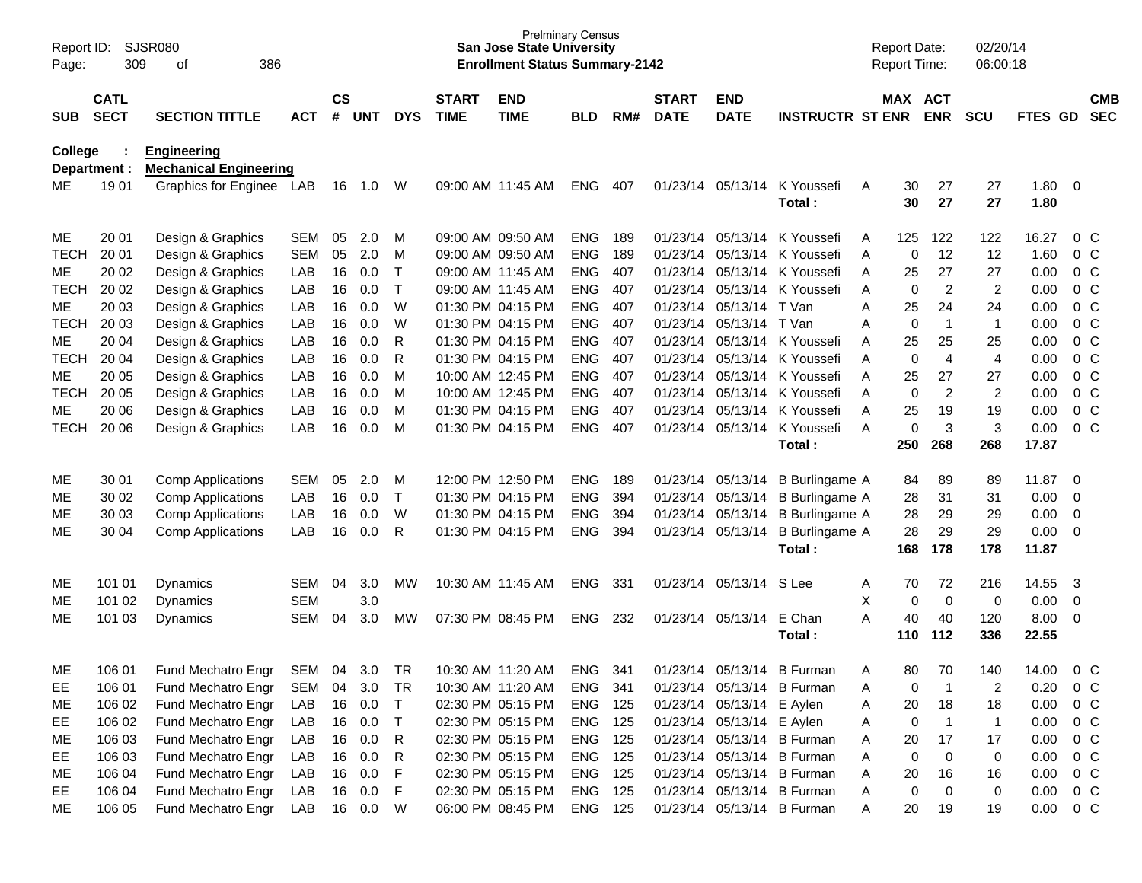| Report ID:<br>Page: | 309                        | SJSR080<br>386<br>οf                                |            |                    |            |             |                             | <b>San Jose State University</b><br><b>Enrollment Status Summary-2142</b> | <b>Prelminary Census</b> |      |                             |                           |                              |   | <b>Report Date:</b><br><b>Report Time:</b> |                | 02/20/14<br>06:00:18    |              |                         |                |
|---------------------|----------------------------|-----------------------------------------------------|------------|--------------------|------------|-------------|-----------------------------|---------------------------------------------------------------------------|--------------------------|------|-----------------------------|---------------------------|------------------------------|---|--------------------------------------------|----------------|-------------------------|--------------|-------------------------|----------------|
| SUB.                | <b>CATL</b><br><b>SECT</b> | <b>SECTION TITTLE</b>                               | <b>ACT</b> | $\mathsf{cs}$<br># | <b>UNT</b> | <b>DYS</b>  | <b>START</b><br><b>TIME</b> | <b>END</b><br><b>TIME</b>                                                 | <b>BLD</b>               | RM#  | <b>START</b><br><b>DATE</b> | <b>END</b><br><b>DATE</b> | <b>INSTRUCTR ST ENR</b>      |   | MAX ACT                                    | <b>ENR</b>     | <b>SCU</b>              | FTES GD SEC  |                         | <b>CMB</b>     |
| College             | Department :               | <b>Engineering</b><br><b>Mechanical Engineering</b> |            |                    |            |             |                             |                                                                           |                          |      |                             |                           |                              |   |                                            |                |                         |              |                         |                |
| ME                  | 19 01                      | Graphics for Enginee LAB                            |            | 16                 | 1.0        | W           |                             | 09:00 AM 11:45 AM                                                         | <b>ENG</b>               | 407  |                             | 01/23/14 05/13/14         | K Youssefi<br>Total:         | A | 30<br>30                                   | 27<br>27       | 27<br>27                | 1.80<br>1.80 | $\overline{\mathbf{0}}$ |                |
| ME                  | 20 01                      | Design & Graphics                                   | <b>SEM</b> | 05                 | 2.0        | M           |                             | 09:00 AM 09:50 AM                                                         | <b>ENG</b>               | -189 |                             | 01/23/14 05/13/14         | K Youssefi                   | A | 125                                        | 122            | 122                     | 16.27        |                         | $0\,$ C        |
| <b>TECH</b>         | 20 01                      | Design & Graphics                                   | <b>SEM</b> | 05                 | 2.0        | м           |                             | 09:00 AM 09:50 AM                                                         | <b>ENG</b>               | 189  |                             | 01/23/14 05/13/14         | K Youssefi                   | Α | $\mathbf 0$                                | 12             | 12                      | 1.60         |                         | 0 <sup>C</sup> |
| ME                  | 20 02                      | Design & Graphics                                   | LAB        | 16                 | 0.0        | $\mathsf T$ |                             | 09:00 AM 11:45 AM                                                         | <b>ENG</b>               | 407  |                             | 01/23/14 05/13/14         | K Youssefi                   | A | 25                                         | 27             | 27                      | 0.00         |                         | 0 <sup>C</sup> |
| <b>TECH</b>         | 20 02                      | Design & Graphics                                   | LAB        | 16                 | 0.0        | $\top$      |                             | 09:00 AM 11:45 AM                                                         | <b>ENG</b>               | 407  |                             |                           | 01/23/14 05/13/14 K Youssefi | A | 0                                          | $\overline{c}$ | $\overline{2}$          | 0.00         |                         | 0 <sup>C</sup> |
| MЕ                  | 20 03                      | Design & Graphics                                   | LAB        | 16                 | 0.0        | W           |                             | 01:30 PM 04:15 PM                                                         | <b>ENG</b>               | 407  |                             | 01/23/14 05/13/14 T Van   |                              | Α | 25                                         | 24             | 24                      | 0.00         |                         | 0 <sup>C</sup> |
| <b>TECH</b>         | 20 03                      | Design & Graphics                                   | LAB        | 16                 | 0.0        | W           |                             | 01:30 PM 04:15 PM                                                         | <b>ENG</b>               | 407  |                             | 01/23/14 05/13/14         | T Van                        | Α | 0                                          | $\overline{1}$ | $\mathbf 1$             | 0.00         |                         | 0 <sup>C</sup> |
| ME                  | 20 04                      | Design & Graphics                                   | LAB        | 16                 | 0.0        | R           |                             | 01:30 PM 04:15 PM                                                         | <b>ENG</b>               | 407  |                             | 01/23/14 05/13/14         | K Youssefi                   | Α | 25                                         | 25             | 25                      | 0.00         |                         | 0 <sup>C</sup> |
| <b>TECH</b>         | 20 04                      | Design & Graphics                                   | LAB        | 16                 | 0.0        | R           |                             | 01:30 PM 04:15 PM                                                         | <b>ENG</b>               | 407  |                             |                           | 01/23/14 05/13/14 K Youssefi | A | 0                                          | $\overline{4}$ | $\overline{\mathbf{4}}$ | 0.00         |                         | 0 <sup>C</sup> |
| MЕ                  | 20 05                      | Design & Graphics                                   | LAB        | 16                 | 0.0        | M           |                             | 10:00 AM 12:45 PM                                                         | <b>ENG</b>               | 407  |                             | 01/23/14 05/13/14         | K Youssefi                   | A | 25                                         | 27             | 27                      | 0.00         |                         | 0 <sup>C</sup> |
| <b>TECH</b>         | 20 05                      | Design & Graphics                                   | LAB        | 16                 | 0.0        | M           |                             | 10:00 AM 12:45 PM                                                         | <b>ENG</b>               | 407  |                             | 01/23/14 05/13/14         | K Youssefi                   | Α | 0                                          | $\overline{c}$ | $\overline{c}$          | 0.00         |                         | 0 <sup>C</sup> |
| MЕ                  | 20 06                      | Design & Graphics                                   | LAB        | 16                 | 0.0        | м           |                             | 01:30 PM 04:15 PM                                                         | <b>ENG</b>               | 407  | 01/23/14                    | 05/13/14                  | K Youssefi                   | Α | 25                                         | 19             | 19                      | 0.00         |                         | 0 <sup>C</sup> |
| <b>TECH</b>         | 20 06                      | Design & Graphics                                   | LAB        | 16                 | 0.0        | M           |                             | 01:30 PM 04:15 PM                                                         | <b>ENG</b>               | 407  |                             | 01/23/14 05/13/14         | K Youssefi                   | A | 0                                          | 3              | 3                       | 0.00         |                         | 0 <sup>C</sup> |
|                     |                            |                                                     |            |                    |            |             |                             |                                                                           |                          |      |                             |                           | Total:                       |   | 250                                        | 268            | 268                     | 17.87        |                         |                |
| ME                  | 30 01                      | <b>Comp Applications</b>                            | <b>SEM</b> | 05                 | 2.0        | м           |                             | 12:00 PM 12:50 PM                                                         | <b>ENG</b>               | 189  |                             | 01/23/14 05/13/14         | <b>B</b> Burlingame A        |   | 84                                         | 89             | 89                      | 11.87        | 0                       |                |
| ME                  | 30 02                      | Comp Applications                                   | LAB        | 16                 | 0.0        | $\top$      |                             | 01:30 PM 04:15 PM                                                         | <b>ENG</b>               | 394  |                             | 01/23/14 05/13/14         | <b>B</b> Burlingame A        |   | 28                                         | 31             | 31                      | 0.00         | 0                       |                |
| MЕ                  | 30 03                      | Comp Applications                                   | LAB        | 16                 | 0.0        | W           |                             | 01:30 PM 04:15 PM                                                         | <b>ENG</b>               | 394  |                             | 01/23/14 05/13/14         | <b>B</b> Burlingame A        |   | 28                                         | 29             | 29                      | 0.00         | 0                       |                |
| MЕ                  | 30 04                      | <b>Comp Applications</b>                            | LAB        | 16                 | 0.0        | R           |                             | 01:30 PM 04:15 PM                                                         | <b>ENG</b>               | 394  |                             | 01/23/14 05/13/14         | <b>B</b> Burlingame A        |   | 28                                         | 29             | 29                      | 0.00         | $\overline{0}$          |                |
|                     |                            |                                                     |            |                    |            |             |                             |                                                                           |                          |      |                             |                           | Total:                       |   | 168                                        | 178            | 178                     | 11.87        |                         |                |
| ME                  | 101 01                     | Dynamics                                            | <b>SEM</b> | 04                 | 3.0        | <b>MW</b>   |                             | 10:30 AM 11:45 AM                                                         | <b>ENG</b>               | 331  |                             | 01/23/14 05/13/14         | S Lee                        | A | 70                                         | 72             | 216                     | 14.55        | 3                       |                |
| ME                  | 101 02                     | Dynamics                                            | <b>SEM</b> |                    | 3.0        |             |                             |                                                                           |                          |      |                             |                           |                              | X | 0                                          | 0              | 0                       | 0.00         | 0                       |                |
| МE                  | 101 03                     | Dynamics                                            | <b>SEM</b> | 04                 | 3.0        | <b>MW</b>   |                             | 07:30 PM 08:45 PM                                                         | <b>ENG</b>               | 232  |                             | 01/23/14 05/13/14         | E Chan                       | A | 40                                         | 40             | 120                     | 8.00         | 0                       |                |
|                     |                            |                                                     |            |                    |            |             |                             |                                                                           |                          |      |                             |                           | Total :                      |   | 110                                        | 112            | 336                     | 22.55        |                         |                |
| ME                  | 106 01                     | <b>Fund Mechatro Engr</b>                           | SEM        | 04                 | 3.0        | TR          |                             | 10:30 AM 11:20 AM                                                         | <b>ENG</b>               | 341  |                             | 01/23/14 05/13/14         | <b>B</b> Furman              | A | 80                                         | 70             | 140                     | 14.00        |                         | $0\,C$         |
| EE                  | 106 01                     | Fund Mechatro Engr                                  | SEM        | 04                 | 3.0        | TR          |                             | 10:30 AM 11:20 AM                                                         | ENG 341                  |      |                             |                           | 01/23/14 05/13/14 B Furman   | Α | 0                                          | -1             | 2                       | 0.20         |                         | $0\,C$         |
| ME                  | 106 02                     | Fund Mechatro Engr                                  | LAB        |                    | 16 0.0     | $\top$      |                             | 02:30 PM 05:15 PM                                                         | ENG 125                  |      |                             | 01/23/14 05/13/14 E Aylen |                              | A | 20                                         | 18             | 18                      | 0.00         |                         | 0 <sup>o</sup> |
| EE.                 | 106 02                     | Fund Mechatro Engr                                  | LAB        |                    | 16 0.0     | $\top$      |                             | 02:30 PM 05:15 PM                                                         | ENG 125                  |      |                             | 01/23/14 05/13/14 E Aylen |                              | A | 0                                          | $\overline{1}$ | $\mathbf{1}$            | 0.00         |                         | 0 C            |
| ME                  | 106 03                     | Fund Mechatro Engr                                  | LAB        |                    | 16 0.0     | R           |                             | 02:30 PM 05:15 PM                                                         | <b>ENG 125</b>           |      |                             |                           | 01/23/14 05/13/14 B Furman   | A | 20                                         | 17             | 17                      | 0.00         |                         | $0\,C$         |
| EE                  | 106 03                     | Fund Mechatro Engr                                  | LAB        |                    | 16 0.0     | R           |                             | 02:30 PM 05:15 PM                                                         | <b>ENG 125</b>           |      |                             |                           | 01/23/14 05/13/14 B Furman   | A | 0                                          | $\mathbf 0$    | 0                       | 0.00         |                         | $0\,C$         |
| ME                  | 106 04                     | Fund Mechatro Engr                                  | LAB        |                    | 16 0.0     | F           |                             | 02:30 PM 05:15 PM                                                         | ENG 125                  |      |                             |                           | 01/23/14 05/13/14 B Furman   | A | 20                                         | 16             | 16                      | 0.00         |                         | $0\,C$         |
| EE                  | 106 04                     | Fund Mechatro Engr                                  | LAB        |                    | 16 0.0     | -F          |                             | 02:30 PM 05:15 PM                                                         | ENG 125                  |      |                             |                           | 01/23/14 05/13/14 B Furman   | A | 0                                          | $\mathbf 0$    | 0                       | 0.00         |                         | $0\,C$         |
| ME                  | 106 05                     | Fund Mechatro Engr                                  | LAB        |                    | 16  0.0  W |             |                             | 06:00 PM 08:45 PM                                                         | ENG 125                  |      |                             |                           | 01/23/14 05/13/14 B Furman   | Α | 20                                         | 19             | 19                      | 0.00         | $0\,C$                  |                |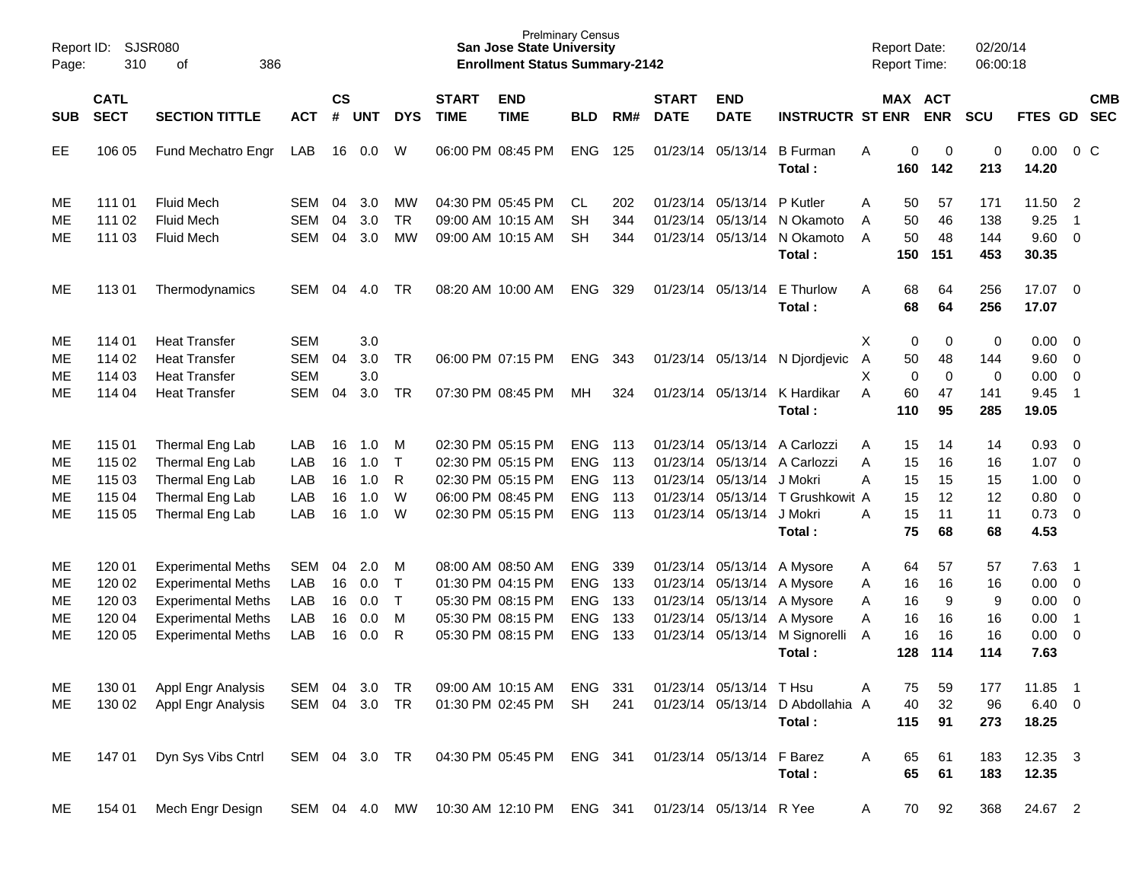| Report ID:<br>Page: | 310                        | <b>SJSR080</b><br>386<br>оf |               |                    |            |            |                             | <b>San Jose State University</b><br><b>Enrollment Status Summary-2142</b> | <b>Prelminary Census</b> |     |                             |                           |                           |                | <b>Report Date:</b><br><b>Report Time:</b> |            | 02/20/14<br>06:00:18 |                  |                          |            |
|---------------------|----------------------------|-----------------------------|---------------|--------------------|------------|------------|-----------------------------|---------------------------------------------------------------------------|--------------------------|-----|-----------------------------|---------------------------|---------------------------|----------------|--------------------------------------------|------------|----------------------|------------------|--------------------------|------------|
| <b>SUB</b>          | <b>CATL</b><br><b>SECT</b> | <b>SECTION TITTLE</b>       | <b>ACT</b>    | $\mathsf{cs}$<br># | <b>UNT</b> | <b>DYS</b> | <b>START</b><br><b>TIME</b> | <b>END</b><br><b>TIME</b>                                                 | <b>BLD</b>               | RM# | <b>START</b><br><b>DATE</b> | <b>END</b><br><b>DATE</b> | <b>INSTRUCTR ST ENR</b>   |                | MAX ACT                                    | <b>ENR</b> | SCU                  | FTES GD SEC      |                          | <b>CMB</b> |
|                     |                            |                             |               |                    |            |            |                             |                                                                           |                          |     |                             |                           |                           |                |                                            |            |                      |                  |                          |            |
| EE                  | 106 05                     | Fund Mechatro Engr          | LAB           | 16                 | 0.0        | W          |                             | 06:00 PM 08:45 PM                                                         | <b>ENG</b>               | 125 |                             | 01/23/14 05/13/14         | <b>B</b> Furman<br>Total: | Α              | 0<br>160                                   | 0<br>142   | $\pmb{0}$<br>213     | 0.00<br>14.20    |                          | $0\,$ C    |
| ME                  | 111 01                     | <b>Fluid Mech</b>           | SEM           | 04                 | 3.0        | MW         |                             | 04:30 PM 05:45 PM                                                         | CL.                      | 202 |                             | 01/23/14 05/13/14         | P Kutler                  | Α              | 50                                         | 57         | 171                  | 11.50            | $\overline{2}$           |            |
| МE                  | 111 02                     | <b>Fluid Mech</b>           | <b>SEM</b>    | 04                 | 3.0        | <b>TR</b>  |                             | 09:00 AM 10:15 AM                                                         | <b>SH</b>                | 344 |                             | 01/23/14 05/13/14         | N Okamoto                 | A              | 50                                         | 46         | 138                  | 9.25             | $\overline{1}$           |            |
| МE                  | 111 03                     | <b>Fluid Mech</b>           | <b>SEM</b>    | 04                 | 3.0        | <b>MW</b>  |                             | 09:00 AM 10:15 AM                                                         | <b>SH</b>                | 344 |                             | 01/23/14 05/13/14         | N Okamoto                 | A              | 50                                         | 48         | 144                  | 9.60 0           |                          |            |
|                     |                            |                             |               |                    |            |            |                             |                                                                           |                          |     |                             |                           | Total:                    |                | 150                                        | 151        | 453                  | 30.35            |                          |            |
| ME                  | 11301                      | Thermodynamics              | <b>SEM</b>    | 04                 | 4.0        | TR         |                             | 08:20 AM 10:00 AM                                                         | <b>ENG</b>               | 329 |                             | 01/23/14 05/13/14         | E Thurlow<br>Total:       | A              | 68<br>68                                   | 64<br>64   | 256<br>256           | 17.07 0<br>17.07 |                          |            |
| ME                  | 114 01                     | <b>Heat Transfer</b>        | <b>SEM</b>    |                    | 3.0        |            |                             |                                                                           |                          |     |                             |                           |                           | Χ              | $\pmb{0}$                                  | 0          | $\,0\,$              | $0.00 \t 0$      |                          |            |
| MЕ                  | 114 02                     | <b>Heat Transfer</b>        | <b>SEM</b>    | 04                 | 3.0        | <b>TR</b>  |                             | 06:00 PM 07:15 PM                                                         | <b>ENG</b>               | 343 |                             | 01/23/14 05/13/14         | N Djordjevic              | $\overline{A}$ | 50                                         | 48         | 144                  | 9.60 0           |                          |            |
| МE                  | 114 03                     | <b>Heat Transfer</b>        | <b>SEM</b>    |                    | 3.0        |            |                             |                                                                           |                          |     |                             |                           |                           | X              | $\mathbf 0$                                | 0          | 0                    | 0.00             | $\overline{\phantom{0}}$ |            |
| МE                  | 114 04                     | <b>Heat Transfer</b>        | <b>SEM</b>    | 04                 | 3.0        | <b>TR</b>  |                             | 07:30 PM 08:45 PM                                                         | MH                       | 324 |                             | 01/23/14 05/13/14         | K Hardikar                | A              | 60                                         | 47         | 141                  | 9.45             | $\overline{\phantom{0}}$ |            |
|                     |                            |                             |               |                    |            |            |                             |                                                                           |                          |     |                             |                           | Total:                    |                | 110                                        | 95         | 285                  | 19.05            |                          |            |
| ME                  | 115 01                     | Thermal Eng Lab             | LAB           | 16                 | 1.0        | M          |                             | 02:30 PM 05:15 PM                                                         | <b>ENG</b>               | 113 |                             | 01/23/14 05/13/14         | A Carlozzi                | A              | 15                                         | 14         | 14                   | 0.93             | $\overline{\phantom{0}}$ |            |
| МE                  | 115 02                     | Thermal Eng Lab             | LAB           | 16                 | 1.0        | $\top$     |                             | 02:30 PM 05:15 PM                                                         | <b>ENG</b>               | 113 |                             | 01/23/14 05/13/14         | A Carlozzi                | A              | 15                                         | 16         | 16                   | 1.07             | $\overline{\phantom{0}}$ |            |
| MЕ                  | 115 03                     | Thermal Eng Lab             | LAB           | 16                 | 1.0        | R          |                             | 02:30 PM 05:15 PM                                                         | <b>ENG</b>               | 113 |                             | 01/23/14 05/13/14         | J Mokri                   | A              | 15                                         | 15         | 15                   | $1.00 \t 0$      |                          |            |
| MЕ                  | 115 04                     | Thermal Eng Lab             | LAB           | 16                 | 1.0        | W          |                             | 06:00 PM 08:45 PM                                                         | <b>ENG</b>               | 113 |                             | 01/23/14 05/13/14         | T Grushkowit A            |                | 15                                         | 12         | 12                   | 0.80 0           |                          |            |
| MЕ                  | 115 05                     | Thermal Eng Lab             | LAB           | 16                 | 1.0        | W          |                             | 02:30 PM 05:15 PM                                                         | <b>ENG</b>               | 113 |                             | 01/23/14 05/13/14         | J Mokri                   | A              | 15                                         | 11         | 11                   | $0.73 \quad 0$   |                          |            |
|                     |                            |                             |               |                    |            |            |                             |                                                                           |                          |     |                             |                           | Total:                    |                | 75                                         | 68         | 68                   | 4.53             |                          |            |
| ME                  | 120 01                     | <b>Experimental Meths</b>   | <b>SEM</b>    | 04                 | 2.0        | M          |                             | 08:00 AM 08:50 AM                                                         | <b>ENG</b>               | 339 |                             | 01/23/14 05/13/14         | A Mysore                  | A              | 64                                         | 57         | 57                   | 7.63             | $\overline{\phantom{1}}$ |            |
| ME                  | 120 02                     | <b>Experimental Meths</b>   | LAB           | 16                 | 0.0        | $\top$     |                             | 01:30 PM 04:15 PM                                                         | <b>ENG</b>               | 133 |                             | 01/23/14 05/13/14         | A Mysore                  | Α              | 16                                         | 16         | 16                   | $0.00 \t 0$      |                          |            |
| MЕ                  | 120 03                     | <b>Experimental Meths</b>   | LAB           | 16                 | 0.0        | $\top$     |                             | 05:30 PM 08:15 PM                                                         | <b>ENG</b>               | 133 |                             | 01/23/14 05/13/14         | A Mysore                  | Α              | 16                                         | 9          | 9                    | $0.00 \t 0$      |                          |            |
| MЕ                  | 120 04                     | <b>Experimental Meths</b>   | LAB           | 16                 | 0.0        | M          |                             | 05:30 PM 08:15 PM                                                         | <b>ENG</b>               | 133 |                             | 01/23/14 05/13/14         | A Mysore                  | Α              | 16                                         | 16         | 16                   | 0.00             | $\overline{1}$           |            |
| МE                  | 120 05                     | <b>Experimental Meths</b>   | LAB           | 16                 | 0.0        | R          |                             | 05:30 PM 08:15 PM                                                         | <b>ENG</b>               | 133 |                             | 01/23/14 05/13/14         | M Signorelli              | A              | 16                                         | 16         | 16                   | $0.00 \t 0$      |                          |            |
|                     |                            |                             |               |                    |            |            |                             |                                                                           |                          |     |                             |                           | Total:                    |                | 128                                        | 114        | 114                  | 7.63             |                          |            |
| ME                  | 130 01                     | Appl Engr Analysis          | SEM 04        |                    | 3.0        | <b>TR</b>  |                             | 09:00 AM 10:15 AM                                                         | ENG 331                  |     |                             | 01/23/14 05/13/14 T Hsu   |                           | Α              | 75                                         | 59         | 177                  | 11.85 1          |                          |            |
| ME                  | 130 02                     | Appl Engr Analysis          | SEM 04 3.0 TR |                    |            |            |                             | 01:30 PM 02:45 PM                                                         | SH                       | 241 |                             | 01/23/14 05/13/14         | D Abdollahia A            |                | 40                                         | 32         | 96                   | $6.40\ 0$        |                          |            |
|                     |                            |                             |               |                    |            |            |                             |                                                                           |                          |     |                             |                           | Total:                    |                | 115                                        | 91         | 273                  | 18.25            |                          |            |
| ME                  | 147 01                     | Dyn Sys Vibs Cntrl          | SEM 04 3.0 TR |                    |            |            |                             | 04:30 PM 05:45 PM                                                         | ENG 341                  |     |                             | 01/23/14 05/13/14 F Barez |                           | A              | 65                                         | 61         | 183                  | 12.35 3          |                          |            |
|                     |                            |                             |               |                    |            |            |                             |                                                                           |                          |     |                             |                           | Total:                    |                | 65                                         | 61         | 183                  | 12.35            |                          |            |
| ME                  | 154 01                     | Mech Engr Design            | SEM 04 4.0 MW |                    |            |            |                             | 10:30 AM 12:10 PM                                                         | ENG 341                  |     |                             | 01/23/14 05/13/14 R Yee   |                           | A              | 70                                         | 92         | 368                  | 24.67 2          |                          |            |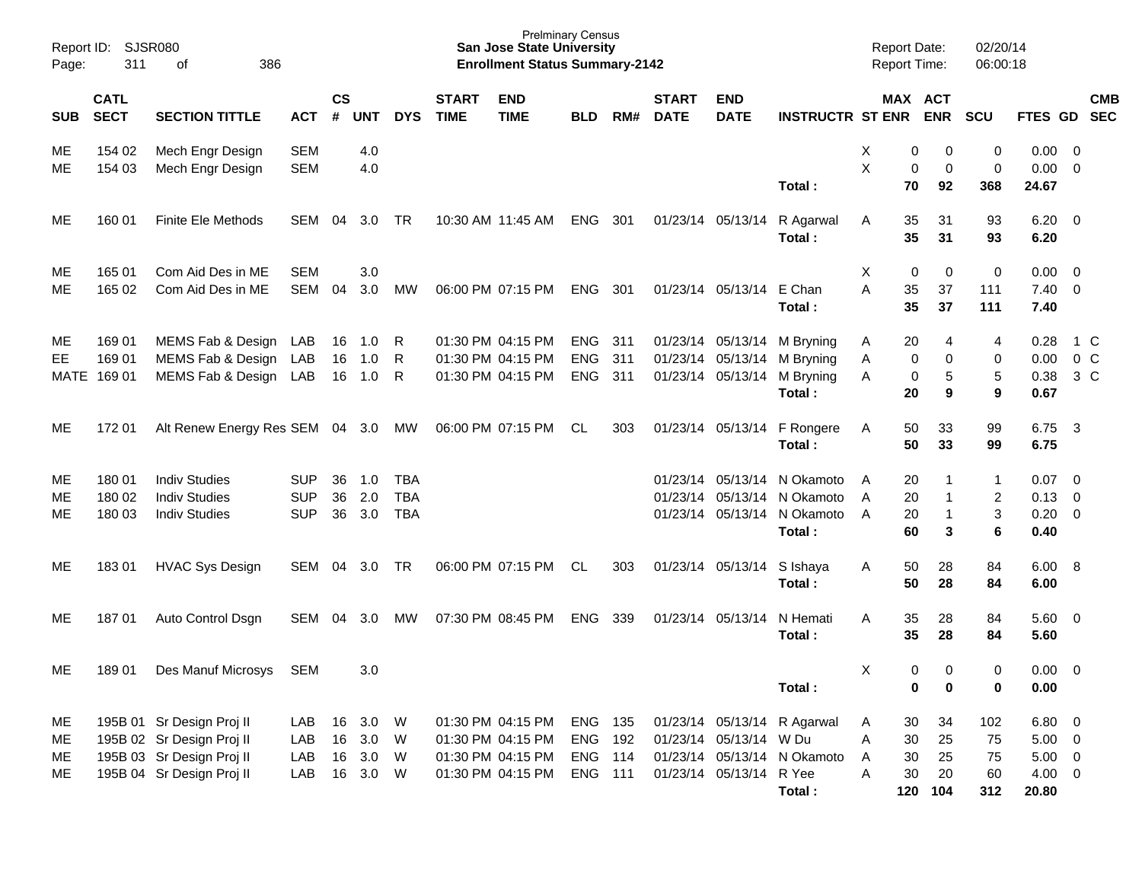| Page:                | Report ID: SJSR080<br>311       | 386<br>of                                                                                                        |                                        |                    |                                  |                                        |                             | <b>San Jose State University</b><br><b>Enrollment Status Summary-2142</b>        | <b>Prelminary Census</b>                                      |                   |                             |                                                   |                                                                                                     | <b>Report Date:</b><br><b>Report Time:</b> |                                                         | 02/20/14<br>06:00:18         |                                                               |                             |
|----------------------|---------------------------------|------------------------------------------------------------------------------------------------------------------|----------------------------------------|--------------------|----------------------------------|----------------------------------------|-----------------------------|----------------------------------------------------------------------------------|---------------------------------------------------------------|-------------------|-----------------------------|---------------------------------------------------|-----------------------------------------------------------------------------------------------------|--------------------------------------------|---------------------------------------------------------|------------------------------|---------------------------------------------------------------|-----------------------------|
| <b>SUB</b>           | <b>CATL</b><br><b>SECT</b>      | <b>SECTION TITTLE</b>                                                                                            | <b>ACT</b>                             | $\mathsf{cs}$<br># | <b>UNT</b>                       | <b>DYS</b>                             | <b>START</b><br><b>TIME</b> | <b>END</b><br><b>TIME</b>                                                        | <b>BLD</b>                                                    | RM#               | <b>START</b><br><b>DATE</b> | <b>END</b><br><b>DATE</b>                         | <b>INSTRUCTR ST ENR ENR</b>                                                                         |                                            | MAX ACT                                                 | <b>SCU</b>                   | FTES GD SEC                                                   | <b>CMB</b>                  |
| ME.<br>ME.           | 154 02<br>154 03                | Mech Engr Design<br>Mech Engr Design                                                                             | <b>SEM</b><br><b>SEM</b>               |                    | 4.0<br>4.0                       |                                        |                             |                                                                                  |                                                               |                   |                             |                                                   | Total:                                                                                              | Х<br>X                                     | 0<br>0<br>0<br>0<br>70<br>92                            | 0<br>$\mathbf 0$<br>368      | $0.00 \t 0$<br>$0.00 \t 0$<br>24.67                           |                             |
| ME.                  | 160 01                          | <b>Finite Ele Methods</b>                                                                                        | SEM                                    | 04                 | 3.0                              | TR                                     |                             | 10:30 AM 11:45 AM                                                                | ENG                                                           | 301               |                             |                                                   | 01/23/14 05/13/14 R Agarwal<br>Total:                                                               | A                                          | 35<br>31<br>35<br>31                                    | 93<br>93                     | $6.20 \quad 0$<br>6.20                                        |                             |
| ME.<br>ME            | 165 01<br>165 02                | Com Aid Des in ME<br>Com Aid Des in ME                                                                           | <b>SEM</b><br>SEM                      | 04                 | 3.0<br>3.0                       | MW                                     |                             | 06:00 PM 07:15 PM                                                                | <b>ENG</b>                                                    | 301               |                             | 01/23/14 05/13/14 E Chan                          | Total:                                                                                              | X<br>A                                     | 0<br>0<br>35<br>37<br>35<br>37                          | 0<br>111<br>111              | $0.00 \quad 0$<br>$7.40 \quad 0$<br>7.40                      |                             |
| ME.<br>EE            | 169 01<br>169 01<br>MATE 169 01 | MEMS Fab & Design<br>MEMS Fab & Design<br>MEMS Fab & Design LAB                                                  | LAB<br>LAB                             | 16<br>16<br>16     | 1.0<br>1.0<br>1.0                | R<br>R<br>R                            |                             | 01:30 PM 04:15 PM<br>01:30 PM 04:15 PM<br>01:30 PM 04:15 PM                      | <b>ENG</b><br><b>ENG</b><br><b>ENG</b>                        | 311<br>311<br>311 |                             | 01/23/14 05/13/14<br>01/23/14 05/13/14            | M Bryning<br>M Bryning<br>01/23/14 05/13/14 M Bryning<br>Total:                                     | A<br>Α<br>A                                | 20<br>4<br>0<br>0<br>5<br>0<br>20<br>9                  | 4<br>0<br>5<br>9             | 0.28<br>0.38<br>0.67                                          | 1 C<br>$0.00 \t 0 C$<br>3 C |
| ME.                  | 172 01                          | Alt Renew Energy Res SEM 04 3.0 MW                                                                               |                                        |                    |                                  |                                        |                             | 06:00 PM 07:15 PM                                                                | CL                                                            | 303               |                             |                                                   | 01/23/14 05/13/14 F Rongere<br>Total:                                                               | A                                          | 33<br>50<br>50<br>33                                    | 99<br>99                     | 6.75<br>6.75                                                  | $\overline{\mathbf{3}}$     |
| ME.<br>ME<br>MЕ      | 180 01<br>180 02<br>180 03      | <b>Indiv Studies</b><br><b>Indiv Studies</b><br><b>Indiv Studies</b>                                             | <b>SUP</b><br><b>SUP</b><br><b>SUP</b> | 36<br>36<br>36     | 1.0<br>2.0<br>3.0                | <b>TBA</b><br><b>TBA</b><br><b>TBA</b> |                             |                                                                                  |                                                               |                   |                             |                                                   | 01/23/14 05/13/14 N Okamoto<br>01/23/14 05/13/14 N Okamoto<br>01/23/14 05/13/14 N Okamoto<br>Total: | A<br>A<br>A                                | 20<br>1<br>20<br>$\mathbf 1$<br>20<br>1<br>60<br>3      | 1<br>2<br>3<br>6             | $0.07 \quad 0$<br>$0.13 \quad 0$<br>$0.20 \ 0$<br>0.40        |                             |
| ME.                  | 18301                           | <b>HVAC Sys Design</b>                                                                                           | SEM                                    | 04                 | 3.0                              | TR                                     |                             | 06:00 PM 07:15 PM                                                                | CL                                                            | 303               |                             | 01/23/14 05/13/14                                 | S Ishaya<br>Total:                                                                                  | A                                          | 50<br>28<br>50<br>28                                    | 84<br>84                     | $6.00\quad 8$<br>6.00                                         |                             |
| ME.                  | 18701                           | Auto Control Dsgn                                                                                                | SEM                                    | 04                 | 3.0                              | МW                                     |                             | 07:30 PM 08:45 PM                                                                | <b>ENG</b>                                                    | 339               |                             | 01/23/14 05/13/14                                 | N Hemati<br>Total:                                                                                  | A                                          | 35<br>28<br>35<br>28                                    | 84<br>84                     | $5.60$ 0<br>5.60                                              |                             |
| ME.                  | 18901                           | Des Manuf Microsys                                                                                               | <b>SEM</b>                             |                    | 3.0                              |                                        |                             |                                                                                  |                                                               |                   |                             |                                                   | Total:                                                                                              | X                                          | 0<br>0<br>0<br>0                                        | 0<br>0                       | $0.00 \t 0$<br>0.00                                           |                             |
| ME<br>ME<br>ME<br>ME |                                 | 195B 01 Sr Design Proj II<br>195B 02 Sr Design Proj II<br>195B 03 Sr Design Proj II<br>195B 04 Sr Design Proj II | LAB<br>LAB<br>LAB<br>LAB               | 16<br>16           | 3.0<br>16 3.0<br>16 3.0<br>3.0 W | W<br><b>W</b><br><b>W</b>              |                             | 01:30 PM 04:15 PM<br>01:30 PM 04:15 PM<br>01:30 PM 04:15 PM<br>01:30 PM 04:15 PM | ENG 135<br><b>ENG 192</b><br><b>ENG 114</b><br><b>ENG 111</b> |                   |                             | 01/23/14 05/13/14 W Du<br>01/23/14 05/13/14 R Yee | 01/23/14 05/13/14 R Agarwal<br>01/23/14 05/13/14 N Okamoto<br>Total:                                | A<br>Α<br>Α<br>A                           | 34<br>30<br>25<br>30<br>25<br>30<br>20<br>30<br>120 104 | 102<br>75<br>75<br>60<br>312 | $6.80$ 0<br>$5.00 \t 0$<br>$5.00 \t 0$<br>$4.00 \ 0$<br>20.80 |                             |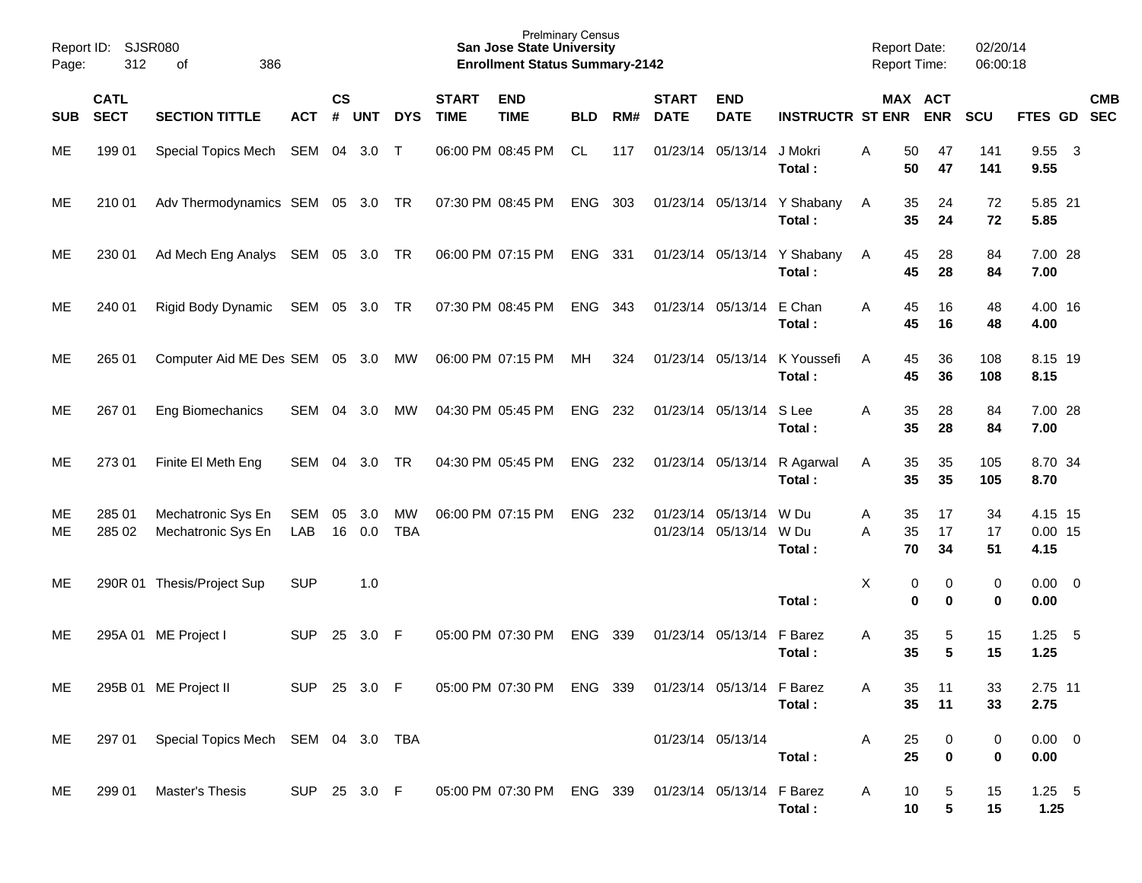| Page:      | Report ID: SJSR080<br>312  | 386<br>of                                 |               |                    |            |                         |                             | <b>Prelminary Census</b><br><b>San Jose State University</b><br><b>Enrollment Status Summary-2142</b> |            |       |                             |                                        |                                       | <b>Report Date:</b><br><b>Report Time:</b> |                                | 02/20/14<br>06:00:18 |                              |                         |            |
|------------|----------------------------|-------------------------------------------|---------------|--------------------|------------|-------------------------|-----------------------------|-------------------------------------------------------------------------------------------------------|------------|-------|-----------------------------|----------------------------------------|---------------------------------------|--------------------------------------------|--------------------------------|----------------------|------------------------------|-------------------------|------------|
| <b>SUB</b> | <b>CATL</b><br><b>SECT</b> | <b>SECTION TITTLE</b>                     | ACT           | $\mathsf{cs}$<br># | <b>UNT</b> | <b>DYS</b>              | <b>START</b><br><b>TIME</b> | <b>END</b><br><b>TIME</b>                                                                             | <b>BLD</b> | RM#   | <b>START</b><br><b>DATE</b> | <b>END</b><br><b>DATE</b>              | <b>INSTRUCTR ST ENR ENR</b>           |                                            | MAX ACT                        | <b>SCU</b>           | FTES GD SEC                  |                         | <b>CMB</b> |
| ME.        | 199 01                     | Special Topics Mech SEM 04 3.0 T          |               |                    |            |                         |                             | 06:00 PM 08:45 PM                                                                                     | CL         | 117   |                             | 01/23/14 05/13/14                      | J Mokri<br>Total:                     | 50<br>Α<br>50                              | 47<br>47                       | 141<br>141           | 9.55<br>9.55                 | $\overline{\mathbf{3}}$ |            |
| ME.        | 210 01                     | Adv Thermodynamics SEM 05 3.0 TR          |               |                    |            |                         |                             | 07:30 PM 08:45 PM                                                                                     | ENG 303    |       |                             |                                        | 01/23/14 05/13/14 Y Shabany<br>Total: | 35<br>A<br>35                              | 24<br>24                       | 72<br>72             | 5.85 21<br>5.85              |                         |            |
| ME.        | 230 01                     | Ad Mech Eng Analys SEM 05 3.0 TR          |               |                    |            |                         |                             | 06:00 PM 07:15 PM                                                                                     | ENG 331    |       |                             |                                        | 01/23/14 05/13/14 Y Shabany<br>Total: | 45<br>A<br>45                              | 28<br>28                       | 84<br>84             | 7.00 28<br>7.00              |                         |            |
| ME.        | 240 01                     | Rigid Body Dynamic                        | SEM 05 3.0 TR |                    |            |                         |                             | 07:30 PM 08:45 PM                                                                                     | ENG        | - 343 |                             | 01/23/14 05/13/14 E Chan               | Total:                                | 45<br>Α<br>45                              | 16<br>16                       | 48<br>48             | 4.00 16<br>4.00              |                         |            |
| ME.        | 265 01                     | Computer Aid ME Des SEM 05 3.0 MW         |               |                    |            |                         |                             | 06:00 PM 07:15 PM                                                                                     | MH         | 324   |                             | 01/23/14 05/13/14                      | K Youssefi<br>Total:                  | 45<br>A<br>45                              | 36<br>36                       | 108<br>108           | 8.15 19<br>8.15              |                         |            |
| ME.        | 267 01                     | <b>Eng Biomechanics</b>                   | SEM 04        |                    | 3.0        | MW                      |                             | 04:30 PM 05:45 PM                                                                                     | ENG        | 232   |                             | 01/23/14 05/13/14                      | S Lee<br>Total:                       | 35<br>A<br>35                              | 28<br>28                       | 84<br>84             | 7.00 28<br>7.00              |                         |            |
| ME.        | 273 01                     | Finite El Meth Eng                        | SEM           | 04                 | 3.0        | <b>TR</b>               |                             | 04:30 PM 05:45 PM                                                                                     | ENG        | 232   |                             |                                        | 01/23/14 05/13/14 R Agarwal<br>Total: | 35<br>A<br>35                              | 35<br>35                       | 105<br>105           | 8.70 34<br>8.70              |                         |            |
| ME.<br>ME  | 285 01<br>285 02           | Mechatronic Sys En<br>Mechatronic Sys En  | SEM<br>LAB    | 05<br>16           | 3.0<br>0.0 | <b>MW</b><br><b>TBA</b> |                             | 06:00 PM 07:15 PM                                                                                     | ENG        | 232   |                             | 01/23/14 05/13/14<br>01/23/14 05/13/14 | W Du<br>W Du<br>Total:                | Α<br>35<br>A<br>35<br>70                   | 17<br>17<br>34                 | 34<br>17<br>51       | 4.15 15<br>$0.00$ 15<br>4.15 |                         |            |
| ME         |                            | 290R 01 Thesis/Project Sup                | <b>SUP</b>    |                    | 1.0        |                         |                             |                                                                                                       |            |       |                             |                                        | Total:                                | Χ                                          | 0<br>0<br>$\bf{0}$<br>$\bf{0}$ | 0<br>$\bf{0}$        | $0.00 \t 0$<br>0.00          |                         |            |
| ME.        |                            | 295A 01 ME Project I                      | <b>SUP</b>    | 25                 | 3.0        | - F                     |                             | 05:00 PM 07:30 PM                                                                                     | <b>ENG</b> | 339   |                             | 01/23/14 05/13/14                      | F Barez<br>Total:                     | 35<br>Α<br>35                              | 5<br>5                         | 15<br>15             | 1.25<br>1.25                 | $-5$                    |            |
| ME         |                            | 295B 01 ME Project II                     | SUP 25 3.0 F  |                    |            |                         |                             | 05:00 PM 07:30 PM ENG 339                                                                             |            |       |                             | 01/23/14 05/13/14 F Barez              | Total:                                | 35<br>35                                   | 11<br>11                       | 33<br>33             | 2.75 11<br>2.75              |                         |            |
| ME         |                            | 297 01 Special Topics Mech SEM 04 3.0 TBA |               |                    |            |                         |                             |                                                                                                       |            |       |                             | 01/23/14 05/13/14                      | Total:                                | 25<br>Α<br>25                              | 0<br>$\mathbf 0$               | 0<br>0               | $0.00 \t 0$<br>0.00          |                         |            |
| ME         | 299 01                     | Master's Thesis                           | SUP 25 3.0 F  |                    |            |                         |                             | 05:00 PM 07:30 PM ENG 339 01/23/14 05/13/14 F Barez                                                   |            |       |                             |                                        | Total:                                | 10<br>Α<br>10                              | 5<br>$5\phantom{.0}$           | 15<br>15             | $1.25$ 5<br>1.25             |                         |            |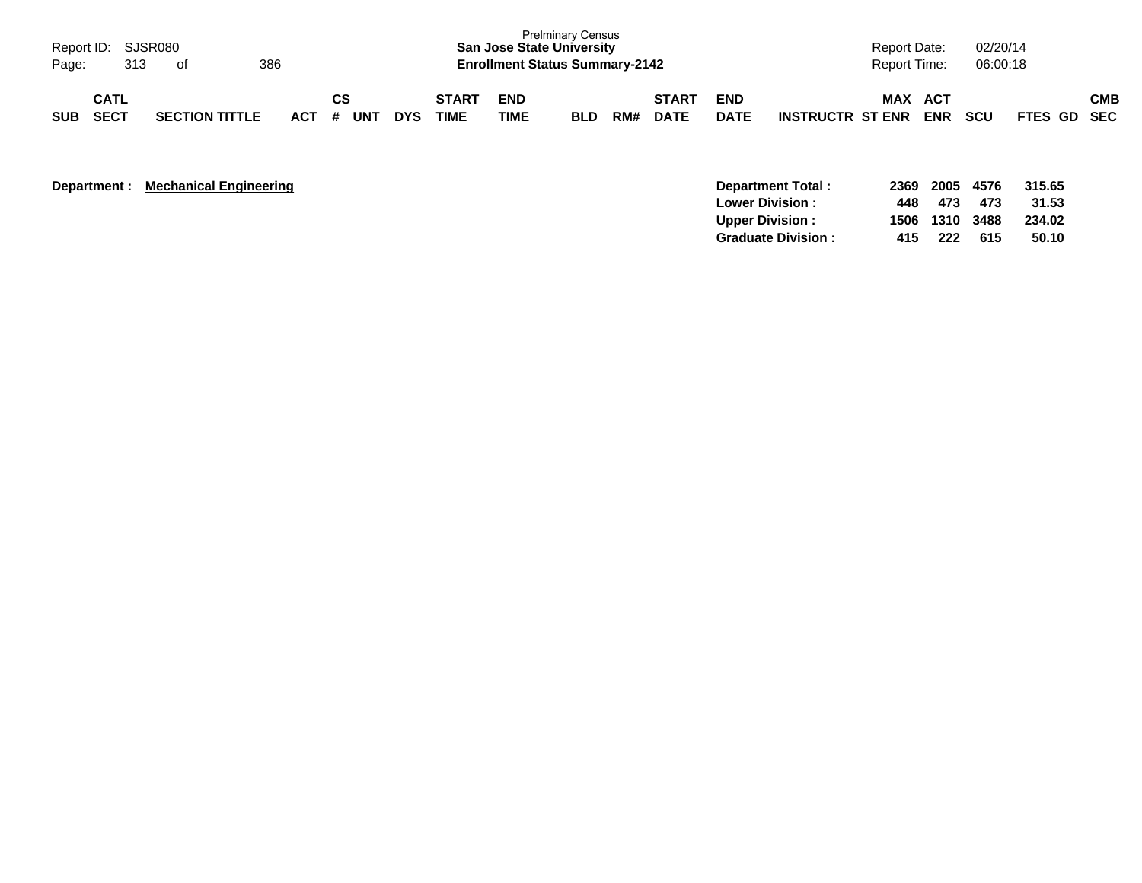| Page:      | Report ID: SJSR080<br>313  | . of                  | 386     |           |            |                             |                           | <b>Prelminary Census</b><br><b>San Jose State University</b><br><b>Enrollment Status Summary-2142</b> |     |                             |                           |                         | <b>Report Date:</b><br>Report Time: |                   | 02/20/14<br>06:00:18 |             |            |
|------------|----------------------------|-----------------------|---------|-----------|------------|-----------------------------|---------------------------|-------------------------------------------------------------------------------------------------------|-----|-----------------------------|---------------------------|-------------------------|-------------------------------------|-------------------|----------------------|-------------|------------|
| <b>SUB</b> | <b>CATL</b><br><b>SECT</b> | <b>SECTION TITTLE</b> | $ACT$ # | СS<br>UNT | <b>DYS</b> | <b>START</b><br><b>TIME</b> | <b>END</b><br><b>TIME</b> | <b>BLD</b>                                                                                            | RM# | <b>START</b><br><b>DATE</b> | <b>END</b><br><b>DATE</b> | <b>INSTRUCTR ST ENR</b> | MAX                                 | ACT<br><b>ENR</b> | <b>SCU</b>           | FTES GD SEC | <b>CMB</b> |

| Department : | <b>Mechanical Engineering</b> | Department Total:         | 2369 | 2005           | 4576 | 315.65 |
|--------------|-------------------------------|---------------------------|------|----------------|------|--------|
|              |                               | <b>Lower Division:</b>    | 448  | - 473          | 473  | 31.53  |
|              |                               | <b>Upper Division:</b>    |      | 1506 1310 3488 |      | 234.02 |
|              |                               | <b>Graduate Division:</b> | 415  | 222            | 615  | 50.10  |